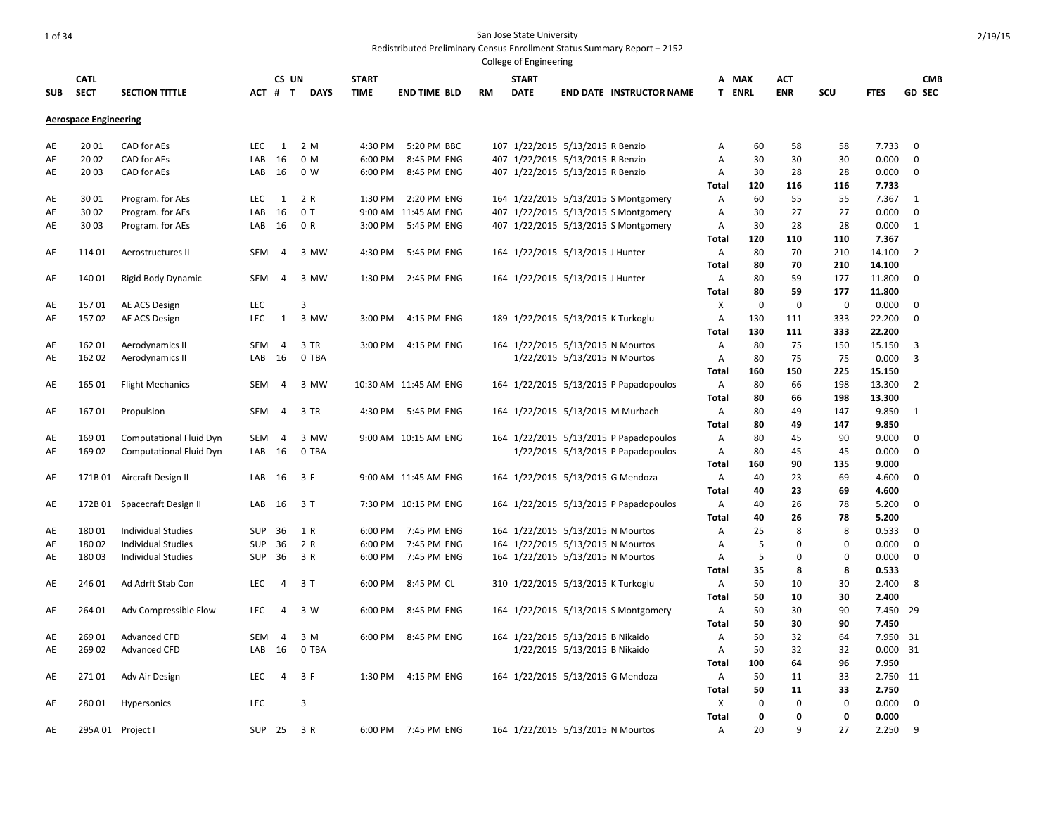|            |                              |                                |            |                |               |              |                       |           | College of Engineering |                                    |                                        |                   |               |             |             |                |                  |  |
|------------|------------------------------|--------------------------------|------------|----------------|---------------|--------------|-----------------------|-----------|------------------------|------------------------------------|----------------------------------------|-------------------|---------------|-------------|-------------|----------------|------------------|--|
|            | <b>CATL</b>                  |                                |            | CS UN          |               | <b>START</b> |                       |           | <b>START</b>           |                                    |                                        |                   | A MAX         | ACT         |             |                | <b>CMB</b>       |  |
| <b>SUB</b> | <b>SECT</b>                  | <b>SECTION TITTLE</b>          |            | ACT # T        | <b>DAYS</b>   | <b>TIME</b>  | <b>END TIME BLD</b>   | <b>RM</b> | <b>DATE</b>            |                                    | <b>END DATE INSTRUCTOR NAME</b>        |                   | <b>T ENRL</b> | <b>ENR</b>  | SCU         | <b>FTES</b>    | <b>GD SEC</b>    |  |
|            | <b>Aerospace Engineering</b> |                                |            |                |               |              |                       |           |                        |                                    |                                        |                   |               |             |             |                |                  |  |
| AE         | 2001                         | CAD for AEs                    | <b>LEC</b> | 1              | 2 M           | 4:30 PM      | 5:20 PM BBC           |           |                        | 107 1/22/2015 5/13/2015 R Benzio   |                                        | Α                 | 60            | 58          | 58          | 7.733          | $\mathbf 0$      |  |
| AE         | 2002                         | CAD for AEs                    | LAB        | 16             | 0 M           | 6:00 PM      | 8:45 PM ENG           |           |                        | 407 1/22/2015 5/13/2015 R Benzio   |                                        | Α                 | 30            | 30          | 30          | 0.000          | $\mathbf 0$      |  |
| AE         | 2003                         | CAD for AEs                    | LAB        | 16             | 0 W           | 6:00 PM      | 8:45 PM ENG           |           |                        | 407 1/22/2015 5/13/2015 R Benzio   |                                        | Α                 | 30            | 28          | 28          | 0.000          | $\mathbf 0$      |  |
|            |                              |                                |            |                |               |              |                       |           |                        |                                    |                                        | <b>Total</b>      | 120           | 116         | 116         | 7.733          |                  |  |
| AE         | 3001                         | Program. for AEs               | LEC        | 1              | 2 R           | 1:30 PM      | 2:20 PM ENG           |           |                        |                                    | 164 1/22/2015 5/13/2015 S Montgomery   | A                 | 60            | 55          | 55          | 7.367          | 1                |  |
| AE         | 30 02                        | Program. for AEs               | LAB        | 16             | 0T            |              | 9:00 AM 11:45 AM ENG  |           |                        |                                    | 407 1/22/2015 5/13/2015 S Montgomery   | Α                 | 30            | 27          | 27          | 0.000          | $\mathbf 0$      |  |
| AE         | 30 03                        | Program. for AEs               | LAB        | 16             | 0 R           | 3:00 PM      | 5:45 PM ENG           |           |                        |                                    | 407 1/22/2015 5/13/2015 S Montgomery   | Α                 | 30            | 28          | 28          | 0.000          | 1                |  |
|            |                              |                                |            |                |               |              |                       |           |                        |                                    |                                        | <b>Total</b>      | 120           | 110         | 110         | 7.367          |                  |  |
| AE         | 114 01                       | Aerostructures II              | <b>SEM</b> | $\overline{4}$ | 3 MW          | 4:30 PM      | 5:45 PM ENG           |           |                        | 164 1/22/2015 5/13/2015 J Hunter   |                                        | Α                 | 80            | 70          | 210         | 14.100         | $\overline{2}$   |  |
|            |                              |                                |            |                |               |              |                       |           |                        |                                    |                                        | <b>Total</b>      | 80            | 70          | 210         | 14.100         |                  |  |
| AE         | 14001                        | Rigid Body Dynamic             | <b>SEM</b> | 4              | 3 MW          |              | 1:30 PM 2:45 PM ENG   |           |                        | 164 1/22/2015 5/13/2015 J Hunter   |                                        | Α                 | 80            | 59          | 177         | 11.800         | 0                |  |
|            |                              |                                |            |                |               |              |                       |           |                        |                                    |                                        | Total             | 80            | 59          | 177         | 11.800         |                  |  |
| AE         | 15701                        | AE ACS Design                  | LEC        |                | 3             |              |                       |           |                        |                                    |                                        | Χ                 | $\mathbf 0$   | $\mathbf 0$ | $\mathbf 0$ | 0.000          | 0                |  |
| AE         | 15702                        | AE ACS Design                  | LEC        | 1              | 3 MW          | 3:00 PM      | 4:15 PM ENG           |           |                        | 189 1/22/2015 5/13/2015 K Turkoglu |                                        | Α                 | 130           | 111         | 333         | 22.200         | $\mathbf 0$      |  |
|            |                              |                                |            |                |               |              |                       |           |                        |                                    |                                        | Total             | 130           | 111         | 333         | 22.200         |                  |  |
| AE         | 16201                        | Aerodynamics II                | <b>SEM</b> | $\overline{4}$ | 3 TR          |              | 3:00 PM 4:15 PM ENG   |           |                        | 164 1/22/2015 5/13/2015 N Mourtos  |                                        | Α                 | 80            | 75          | 150         | 15.150         | 3                |  |
| AE         | 162 02                       | Aerodynamics II                | LAB        | 16             | 0 TBA         |              |                       |           |                        | 1/22/2015 5/13/2015 N Mourtos      |                                        | Α                 | 80            | 75          | 75          | 0.000          | 3                |  |
|            |                              |                                |            |                |               |              |                       |           |                        |                                    |                                        | Total             | 160           | 150         | 225         | 15.150         |                  |  |
| AE         | 165 01                       | <b>Flight Mechanics</b>        | <b>SEM</b> | 4              | 3 MW          |              | 10:30 AM 11:45 AM ENG |           |                        |                                    | 164 1/22/2015 5/13/2015 P Papadopoulos | Α                 | 80            | 66          | 198         | 13.300         | $\overline{2}$   |  |
|            |                              |                                |            |                |               |              |                       |           |                        |                                    |                                        | Total             | 80            | 66          | 198         | 13.300         |                  |  |
| AE         | 16701                        | Propulsion                     | <b>SEM</b> | $\overline{4}$ | 3 TR          |              | 4:30 PM 5:45 PM ENG   |           |                        |                                    | 164 1/22/2015 5/13/2015 M Murbach      | Α                 | 80            | 49          | 147         | 9.850          | 1                |  |
|            |                              |                                |            |                |               |              |                       |           |                        |                                    |                                        | <b>Total</b>      | 80            | 49          | 147         | 9.850          |                  |  |
| AE         | 169 01                       | Computational Fluid Dyn        | <b>SEM</b> | 4              | 3 MW<br>0 TBA |              | 9:00 AM 10:15 AM ENG  |           |                        |                                    | 164 1/22/2015 5/13/2015 P Papadopoulos | Α                 | 80<br>80      | 45<br>45    | 90<br>45    | 9.000          | 0<br>$\mathbf 0$ |  |
| AE         | 169 02                       | <b>Computational Fluid Dyn</b> | LAB        | 16             |               |              |                       |           |                        |                                    | 1/22/2015 5/13/2015 P Papadopoulos     | Α<br><b>Total</b> | 160           | 90          | 135         | 0.000<br>9.000 |                  |  |
|            |                              | 171B 01 Aircraft Design II     | LAB        | 16             | 3 F           |              |                       |           |                        |                                    | 164 1/22/2015 5/13/2015 G Mendoza      |                   | 40            | 23          | 69          | 4.600          | $\mathbf 0$      |  |
| AE         |                              |                                |            |                |               |              | 9:00 AM 11:45 AM ENG  |           |                        |                                    |                                        | Α<br><b>Total</b> | 40            | 23          | 69          | 4.600          |                  |  |
| AE         |                              | 172B 01 Spacecraft Design II   | LAB        | 16             | 3 T           |              | 7:30 PM 10:15 PM ENG  |           |                        |                                    | 164 1/22/2015 5/13/2015 P Papadopoulos | Α                 | 40            | 26          | 78          | 5.200          | 0                |  |
|            |                              |                                |            |                |               |              |                       |           |                        |                                    |                                        | <b>Total</b>      | 40            | 26          | 78          | 5.200          |                  |  |
| AE         | 18001                        | <b>Individual Studies</b>      | <b>SUP</b> | 36             | 1 R           | 6:00 PM      | 7:45 PM ENG           |           |                        | 164 1/22/2015 5/13/2015 N Mourtos  |                                        | Α                 | 25            | 8           | 8           | 0.533          | $\mathbf 0$      |  |
| AE         | 18002                        | <b>Individual Studies</b>      | <b>SUP</b> | 36             | 2 R           | 6:00 PM      | 7:45 PM ENG           |           |                        | 164 1/22/2015 5/13/2015 N Mourtos  |                                        | A                 | 5             | 0           | $\mathbf 0$ | 0.000          | 0                |  |
| AE         | 180 03                       | <b>Individual Studies</b>      | <b>SUP</b> | 36             | 3 R           |              | 6:00 PM 7:45 PM ENG   |           |                        | 164 1/22/2015 5/13/2015 N Mourtos  |                                        | Α                 | 5             | 0           | 0           | 0.000          | 0                |  |
|            |                              |                                |            |                |               |              |                       |           |                        |                                    |                                        | Total             | 35            | 8           | 8           | 0.533          |                  |  |
| AE         | 246 01                       | Ad Adrft Stab Con              | LEC        | 4              | 3T            | 6:00 PM      | 8:45 PM CL            |           |                        | 310 1/22/2015 5/13/2015 K Turkoglu |                                        | Α                 | 50            | 10          | 30          | 2.400          | 8                |  |
|            |                              |                                |            |                |               |              |                       |           |                        |                                    |                                        | <b>Total</b>      | 50            | 10          | 30          | 2.400          |                  |  |
| AE         | 264 01                       | Adv Compressible Flow          | <b>LEC</b> | 4              | 3 W           | 6:00 PM      | 8:45 PM ENG           |           |                        |                                    | 164 1/22/2015 5/13/2015 S Montgomery   | Α                 | 50            | 30          | 90          | 7.450 29       |                  |  |
|            |                              |                                |            |                |               |              |                       |           |                        |                                    |                                        | Total             | 50            | 30          | 90          | 7.450          |                  |  |
| AE         | 26901                        | <b>Advanced CFD</b>            | <b>SEM</b> | 4              | 3 M           | 6:00 PM      | 8:45 PM ENG           |           |                        | 164 1/22/2015 5/13/2015 B Nikaido  |                                        | Α                 | 50            | 32          | 64          | 7.950 31       |                  |  |
| AE         | 269 02                       | Advanced CFD                   | LAB        | 16             | 0 TBA         |              |                       |           |                        | 1/22/2015 5/13/2015 B Nikaido      |                                        | Α                 | 50            | 32          | 32          | $0.000$ 31     |                  |  |
|            |                              |                                |            |                |               |              |                       |           |                        |                                    |                                        | <b>Total</b>      | 100           | 64          | 96          | 7.950          |                  |  |
| AE         | 27101                        | Adv Air Design                 | <b>LEC</b> | $\overline{4}$ | 3 F           |              | 1:30 PM 4:15 PM ENG   |           |                        |                                    | 164 1/22/2015 5/13/2015 G Mendoza      | Α                 | 50            | 11          | 33          | 2.750 11       |                  |  |
|            |                              |                                |            |                |               |              |                       |           |                        |                                    |                                        | <b>Total</b>      | 50            | 11          | 33          | 2.750          |                  |  |
| AE         | 28001                        | Hypersonics                    | LEC        |                | 3             |              |                       |           |                        |                                    |                                        | X                 | $\mathbf 0$   | 0           | $\mathbf 0$ | 0.000          | 0                |  |
|            |                              |                                |            |                |               |              |                       |           |                        |                                    |                                        | <b>Total</b>      | $\mathbf 0$   | 0           | 0           | 0.000          |                  |  |
| AE         |                              | 295A 01 Project I              | SUP        | 25             | 3 R           |              | 6:00 PM 7:45 PM ENG   |           |                        | 164 1/22/2015 5/13/2015 N Mourtos  |                                        | Α                 | 20            | 9           | 27          | 2.250          | 9                |  |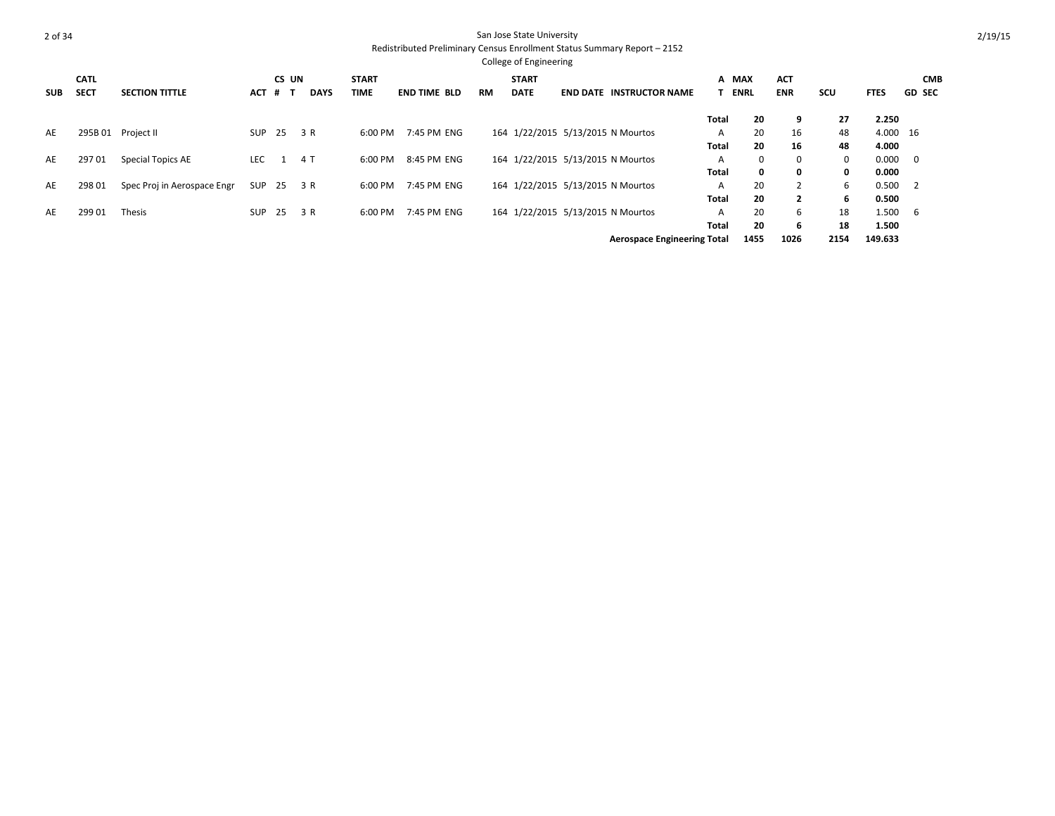|            |             |                             |            |       |             |              |                     |           | <b>College of Engineering</b> |                                    |              |              |                |      |             |                         |
|------------|-------------|-----------------------------|------------|-------|-------------|--------------|---------------------|-----------|-------------------------------|------------------------------------|--------------|--------------|----------------|------|-------------|-------------------------|
|            | <b>CATL</b> |                             |            | CS UN |             | <b>START</b> |                     |           | <b>START</b>                  |                                    | A MAX        |              | <b>ACT</b>     |      |             | <b>CMB</b>              |
| <b>SUB</b> | <b>SECT</b> | <b>SECTION TITTLE</b>       | <b>ACT</b> | # T   | <b>DAYS</b> | <b>TIME</b>  | <b>END TIME BLD</b> | <b>RM</b> | <b>DATE</b>                   | <b>END DATE INSTRUCTOR NAME</b>    |              | <b>ENRL</b>  | <b>ENR</b>     | SCU  | <b>FTES</b> | <b>GD SEC</b>           |
|            |             |                             |            |       |             |              |                     |           |                               |                                    | Total        | 20           | 9              | 27   | 2.250       |                         |
| AE         | 295B 01     | Project II                  | SUP        | 25    | 3 R         | 6:00 PM      | 7:45 PM ENG         |           |                               | 164 1/22/2015 5/13/2015 N Mourtos  | A            | 20           | 16             | 48   | 4.000 16    |                         |
|            |             |                             |            |       |             |              |                     |           |                               |                                    | <b>Total</b> | 20           | 16             | 48   | 4.000       |                         |
| AE         | 29701       | Special Topics AE           | <b>LEC</b> | -1    | 4 T         | 6:00 PM      | 8:45 PM ENG         |           |                               | 164 1/22/2015 5/13/2015 N Mourtos  | A            | 0            | 0              | 0    | 0.000       | $\overline{\mathbf{0}}$ |
|            |             |                             |            |       |             |              |                     |           |                               |                                    | <b>Total</b> | $\mathbf{0}$ | 0              | 0    | 0.000       |                         |
| AE         | 298 01      | Spec Proj in Aerospace Engr | SUP        | 25    | 3 R         | 6:00 PM      | 7:45 PM ENG         |           |                               | 164 1/22/2015 5/13/2015 N Mourtos  | A            | 20           | $\overline{2}$ | 6    | 0.500       | - 2                     |
|            |             |                             |            |       |             |              |                     |           |                               |                                    | <b>Total</b> | 20           | $\overline{2}$ | 6    | 0.500       |                         |
| AE         | 299 01      | Thesis                      | <b>SUP</b> | 25    | 3 R         | 6:00 PM      | 7:45 PM ENG         |           |                               | 164 1/22/2015 5/13/2015 N Mourtos  | A            | 20           | 6              | 18   | 1.500       | - 6                     |
|            |             |                             |            |       |             |              |                     |           |                               |                                    | <b>Total</b> | 20           | 6              | 18   | 1.500       |                         |
|            |             |                             |            |       |             |              |                     |           |                               | <b>Aerospace Engineering Total</b> |              | 1455         | 1026           | 2154 | 149.633     |                         |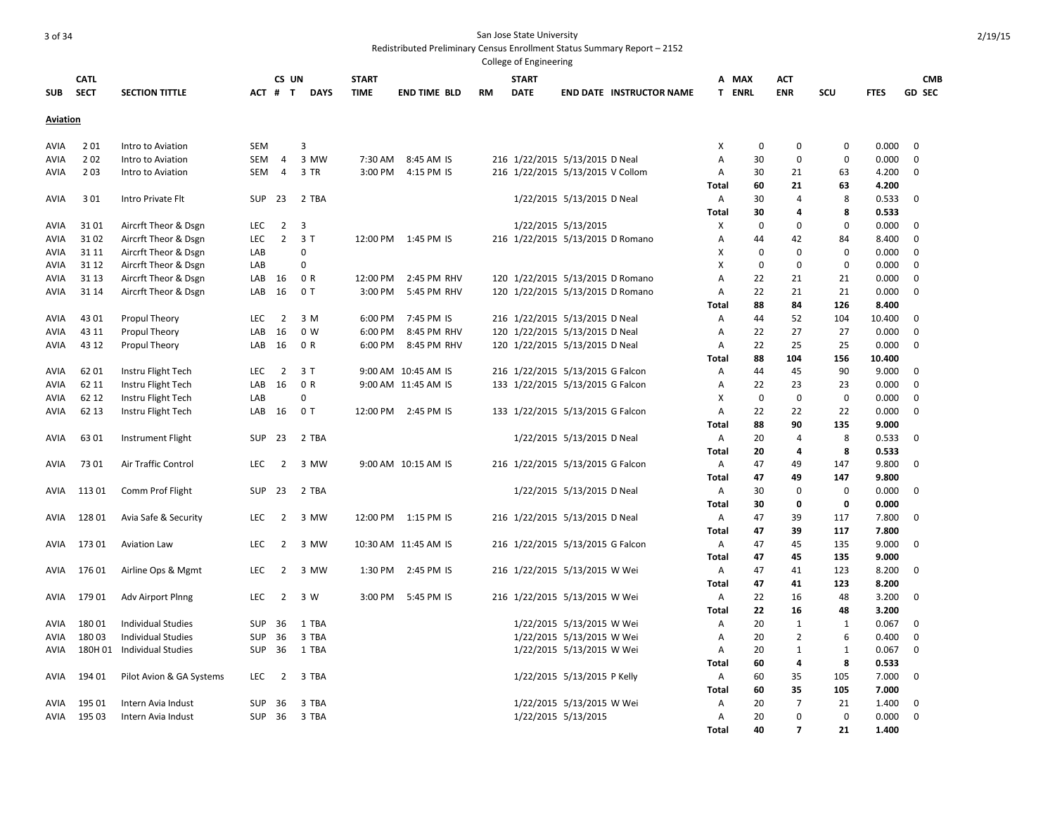|                 |                            |                            |            |                |                |                             |                      |    | College of Engineering      |                                  |                                 |              |                 |                          |              |                |                             |
|-----------------|----------------------------|----------------------------|------------|----------------|----------------|-----------------------------|----------------------|----|-----------------------------|----------------------------------|---------------------------------|--------------|-----------------|--------------------------|--------------|----------------|-----------------------------|
| <b>SUB</b>      | <b>CATL</b><br><b>SECT</b> | <b>SECTION TITTLE</b>      | ACT #      | CS UN<br>T     | <b>DAYS</b>    | <b>START</b><br><b>TIME</b> | <b>END TIME BLD</b>  | RM | <b>START</b><br><b>DATE</b> |                                  | <b>END DATE INSTRUCTOR NAME</b> |              | A MAX<br>T ENRL | <b>ACT</b><br><b>ENR</b> | SCU          | <b>FTES</b>    | <b>CMB</b><br><b>GD SEC</b> |
| <b>Aviation</b> |                            |                            |            |                |                |                             |                      |    |                             |                                  |                                 |              |                 |                          |              |                |                             |
| AVIA            | 201                        | Intro to Aviation          | <b>SEM</b> |                | 3              |                             |                      |    |                             |                                  |                                 | X            | 0               | 0                        | 0            | 0.000          | $\mathbf 0$                 |
| AVIA            | 202                        | Intro to Aviation          | SEM        | $\overline{4}$ | 3 MW           | 7:30 AM                     | 8:45 AM IS           |    |                             | 216 1/22/2015 5/13/2015 D Neal   |                                 | A            | 30              | $\mathbf 0$              | $\mathbf 0$  | 0.000          | 0                           |
| AVIA            | 203                        | Intro to Aviation          | SEM        | $\overline{4}$ | 3 TR           | 3:00 PM                     | 4:15 PM IS           |    |                             | 216 1/22/2015 5/13/2015 V Collom |                                 | Α            | 30              | 21                       | 63           | 4.200          | 0                           |
|                 |                            |                            |            |                |                |                             |                      |    |                             |                                  |                                 | Total        | 60              | 21                       | 63           | 4.200          |                             |
| AVIA            | 301                        | Intro Private Flt          | <b>SUP</b> | 23             | 2 TBA          |                             |                      |    |                             | 1/22/2015 5/13/2015 D Neal       |                                 | Α            | 30              | $\overline{4}$           | 8            | 0.533          | $\mathbf 0$                 |
|                 |                            |                            |            |                |                |                             |                      |    |                             |                                  |                                 | Total        | 30              | 4                        | 8            | 0.533          |                             |
| AVIA            | 3101                       | Aircrft Theor & Dsgn       | LEC        | $\overline{2}$ | $\overline{3}$ |                             |                      |    |                             | 1/22/2015 5/13/2015              |                                 | Χ            | 0               | $\mathbf 0$              | $\mathbf 0$  | 0.000          | $\mathbf 0$                 |
| AVIA            | 3102                       | Aircrft Theor & Dsgn       | LEC        | $\overline{2}$ | 3T             |                             | 12:00 PM 1:45 PM IS  |    |                             | 216 1/22/2015 5/13/2015 D Romano |                                 | Α            | 44              | 42                       | 84           | 8.400          | $\mathbf 0$                 |
| AVIA            | 31 11                      | Aircrft Theor & Dsgn       | LAB        |                | 0              |                             |                      |    |                             |                                  |                                 | X            | 0               | $\mathbf 0$              | $\mathbf 0$  | 0.000          | $\mathbf 0$                 |
| AVIA            | 31 12                      | Aircrft Theor & Dsgn       | LAB        |                | 0              |                             |                      |    |                             |                                  |                                 | X            | $\mathbf 0$     | $\mathbf 0$              | $\mathbf 0$  | 0.000          | $\mathbf 0$                 |
| AVIA            | 31 13                      | Aircrft Theor & Dsgn       | LAB        | 16             | 0 R            | 12:00 PM                    | 2:45 PM RHV          |    |                             | 120 1/22/2015 5/13/2015 D Romano |                                 | Α            | 22              | 21                       | 21           | 0.000          | $\mathbf 0$                 |
| AVIA            | 31 14                      | Aircrft Theor & Dsgn       | LAB        | 16             | 0T             | 3:00 PM                     | 5:45 PM RHV          |    |                             | 120 1/22/2015 5/13/2015 D Romano |                                 | Α            | 22              | 21                       | 21           | 0.000          | $\mathbf 0$                 |
|                 |                            |                            |            |                |                |                             |                      |    |                             |                                  |                                 | Total        | 88              | 84                       | 126          | 8.400          |                             |
| AVIA            | 43 01                      | Propul Theory              | LEC        | $\overline{2}$ | 3 M            | 6:00 PM                     | 7:45 PM IS           |    |                             | 216 1/22/2015 5/13/2015 D Neal   |                                 | A            | 44              | 52                       | 104          | 10.400         | 0                           |
| AVIA            | 43 11                      | Propul Theory              | LAB        | 16             | 0 <sub>W</sub> | 6:00 PM                     | 8:45 PM RHV          |    |                             | 120 1/22/2015 5/13/2015 D Neal   |                                 | Α            | 22              | 27                       | 27           | 0.000          | $\mathbf 0$                 |
| AVIA            | 43 12                      | Propul Theory              | LAB        | 16             | 0 R            | 6:00 PM                     | 8:45 PM RHV          |    |                             | 120 1/22/2015 5/13/2015 D Neal   |                                 | A            | 22              | 25                       | 25           | 0.000          | $\mathbf 0$                 |
|                 |                            |                            |            |                |                |                             |                      |    |                             |                                  |                                 | Total        | 88              | 104                      | 156          | 10.400         |                             |
| AVIA            | 6201                       | Instru Flight Tech         | <b>LEC</b> | 2              | 3T             |                             | 9:00 AM 10:45 AM IS  |    |                             | 216 1/22/2015 5/13/2015 G Falcon |                                 | A            | 44              | 45                       | 90           | 9.000          | 0                           |
| AVIA            | 62 11                      | Instru Flight Tech         | LAB        | 16             | 0 R            |                             | 9:00 AM 11:45 AM IS  |    |                             | 133 1/22/2015 5/13/2015 G Falcon |                                 | A            | 22              | 23                       | 23           | 0.000          | $\mathbf 0$                 |
| AVIA            | 62 12                      | Instru Flight Tech         | LAB        |                | 0              |                             |                      |    |                             |                                  |                                 | X            | $\mathbf 0$     | $\mathbf 0$              | $\mathbf 0$  | 0.000          | 0                           |
| AVIA            | 62 13                      | Instru Flight Tech         | LAB        | -16            | 0T             | 12:00 PM                    | 2:45 PM IS           |    |                             | 133 1/22/2015 5/13/2015 G Falcon |                                 | $\mathsf{A}$ | 22              | 22                       | 22           | 0.000          | $\mathbf 0$                 |
|                 |                            |                            | <b>SUP</b> | 23             |                |                             |                      |    |                             |                                  |                                 | Total        | 88<br>20        | 90<br>$\overline{4}$     | 135          | 9.000          | $\mathbf 0$                 |
| AVIA            | 6301                       | Instrument Flight          |            |                | 2 TBA          |                             |                      |    |                             | 1/22/2015 5/13/2015 D Neal       |                                 | Α            | 20              | 4                        | 8<br>8       | 0.533<br>0.533 |                             |
| AVIA            | 7301                       | Air Traffic Control        | LEC        | $\overline{2}$ | 3 MW           |                             | 9:00 AM 10:15 AM IS  |    |                             | 216 1/22/2015 5/13/2015 G Falcon |                                 | Total<br>A   | 47              | 49                       | 147          | 9.800          | $\Omega$                    |
|                 |                            |                            |            |                |                |                             |                      |    |                             |                                  |                                 | <b>Total</b> | 47              | 49                       | 147          | 9.800          |                             |
| AVIA            | 11301                      | Comm Prof Flight           | <b>SUP</b> | 23             | 2 TBA          |                             |                      |    |                             | 1/22/2015 5/13/2015 D Neal       |                                 | A            | 30              | $\Omega$                 | 0            | 0.000          | $\Omega$                    |
|                 |                            |                            |            |                |                |                             |                      |    |                             |                                  |                                 | <b>Total</b> | 30              | 0                        | 0            | 0.000          |                             |
| AVIA            | 12801                      | Avia Safe & Security       | LEC        | 2              | 3 MW           |                             | 12:00 PM 1:15 PM IS  |    |                             | 216 1/22/2015 5/13/2015 D Neal   |                                 | A            | 47              | 39                       | 117          | 7.800          | 0                           |
|                 |                            |                            |            |                |                |                             |                      |    |                             |                                  |                                 | Total        | 47              | 39                       | 117          | 7.800          |                             |
| AVIA            | 17301                      | <b>Aviation Law</b>        | LEC        | 2              | 3 MW           |                             | 10:30 AM 11:45 AM IS |    |                             | 216 1/22/2015 5/13/2015 G Falcon |                                 | A            | 47              | 45                       | 135          | 9.000          | $\mathbf 0$                 |
|                 |                            |                            |            |                |                |                             |                      |    |                             |                                  |                                 | <b>Total</b> | 47              | 45                       | 135          | 9.000          |                             |
| AVIA            | 176 01                     | Airline Ops & Mgmt         | LEC        | 2              | 3 MW           | 1:30 PM                     | 2:45 PM IS           |    |                             | 216 1/22/2015 5/13/2015 W Wei    |                                 | Α            | 47              | 41                       | 123          | 8.200          | $\mathbf 0$                 |
|                 |                            |                            |            |                |                |                             |                      |    |                             |                                  |                                 | <b>Total</b> | 47              | 41                       | 123          | 8.200          |                             |
| AVIA            | 17901                      | Adv Airport Plnng          | LEC        | $\overline{2}$ | 3 W            | 3:00 PM                     | 5:45 PM IS           |    |                             | 216 1/22/2015 5/13/2015 W Wei    |                                 | Α            | 22              | 16                       | 48           | 3.200          | $\mathbf 0$                 |
|                 |                            |                            |            |                |                |                             |                      |    |                             |                                  |                                 | <b>Total</b> | 22              | 16                       | 48           | 3.200          |                             |
| AVIA            | 18001                      | <b>Individual Studies</b>  | <b>SUP</b> | 36             | 1 TBA          |                             |                      |    |                             | 1/22/2015 5/13/2015 W Wei        |                                 | Α            | 20              | $\mathbf{1}$             | $\mathbf{1}$ | 0.067          | $\mathbf 0$                 |
| AVIA            | 18003                      | <b>Individual Studies</b>  | <b>SUP</b> | 36             | 3 TBA          |                             |                      |    |                             | 1/22/2015 5/13/2015 W Wei        |                                 | A            | 20              | $\overline{2}$           | 6            | 0.400          | $\mathbf 0$                 |
| AVIA            |                            | 180H 01 Individual Studies | <b>SUP</b> | 36             | 1 TBA          |                             |                      |    |                             | 1/22/2015 5/13/2015 W Wei        |                                 | Α            | 20              | 1                        | $\mathbf{1}$ | 0.067          | $\mathbf 0$                 |
|                 |                            |                            |            |                |                |                             |                      |    |                             |                                  |                                 | Total        | 60              | $\overline{4}$           | 8            | 0.533          |                             |
| AVIA            | 194 01                     | Pilot Avion & GA Systems   | LEC        | $\overline{2}$ | 3 TBA          |                             |                      |    |                             | 1/22/2015 5/13/2015 P Kelly      |                                 | A            | 60              | 35                       | 105          | 7.000          | 0                           |
|                 |                            |                            |            |                |                |                             |                      |    |                             |                                  |                                 | Total        | 60              | 35                       | 105          | 7.000          |                             |
| AVIA            | 195 01                     | Intern Avia Indust         | <b>SUP</b> | 36             | 3 TBA          |                             |                      |    |                             | 1/22/2015 5/13/2015 W Wei        |                                 | Α            | 20              | $\overline{7}$           | 21           | 1.400          | 0                           |
| AVIA            | 195 03                     | Intern Avia Indust         | <b>SUP</b> | 36             | 3 TBA          |                             |                      |    |                             | 1/22/2015 5/13/2015              |                                 | $\mathsf{A}$ | 20              | $\Omega$                 | $\Omega$     | 0.000          | $\mathbf 0$                 |
|                 |                            |                            |            |                |                |                             |                      |    |                             |                                  |                                 | Total        | 40              | 7                        | 21           | 1.400          |                             |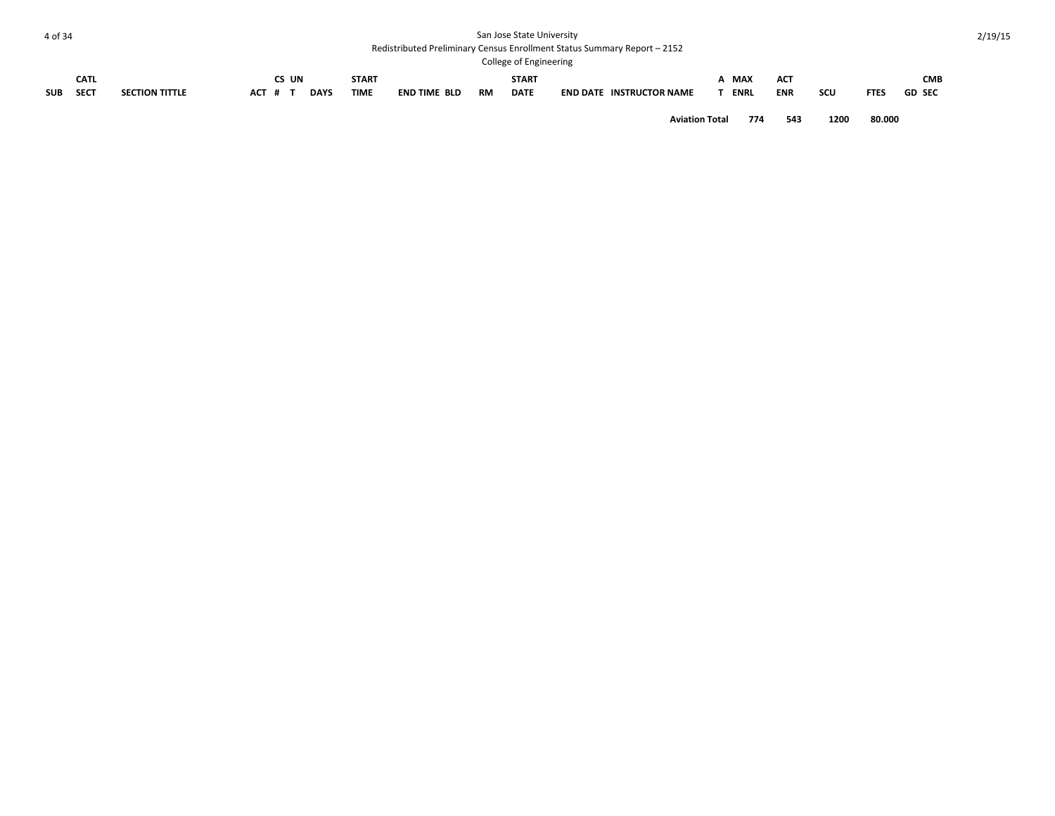#### Redistributed Preliminary Census Enrollment Status Summary Report – 2152

|            |             |                       |         |       |             |              |                     |           | College of Engineering |                                 |             |            |            |             |               |
|------------|-------------|-----------------------|---------|-------|-------------|--------------|---------------------|-----------|------------------------|---------------------------------|-------------|------------|------------|-------------|---------------|
|            | <b>CATL</b> |                       |         | CS UN |             | <b>START</b> |                     |           | <b>START</b>           |                                 | <b>MAX</b>  | <b>ACT</b> |            |             | CMB           |
| <b>SUB</b> | <b>SECT</b> | <b>SECTION TITTLE</b> | ACT # 1 |       | <b>DAYS</b> | <b>TIME</b>  | <b>END TIME BLD</b> | <b>RM</b> | <b>DATE</b>            | <b>END DATE INSTRUCTOR NAME</b> | <b>ENRL</b> | <b>ENR</b> | <b>SCU</b> | <b>FTES</b> | <b>GD SEC</b> |

**Aviation Total 774 543 1200 80.000**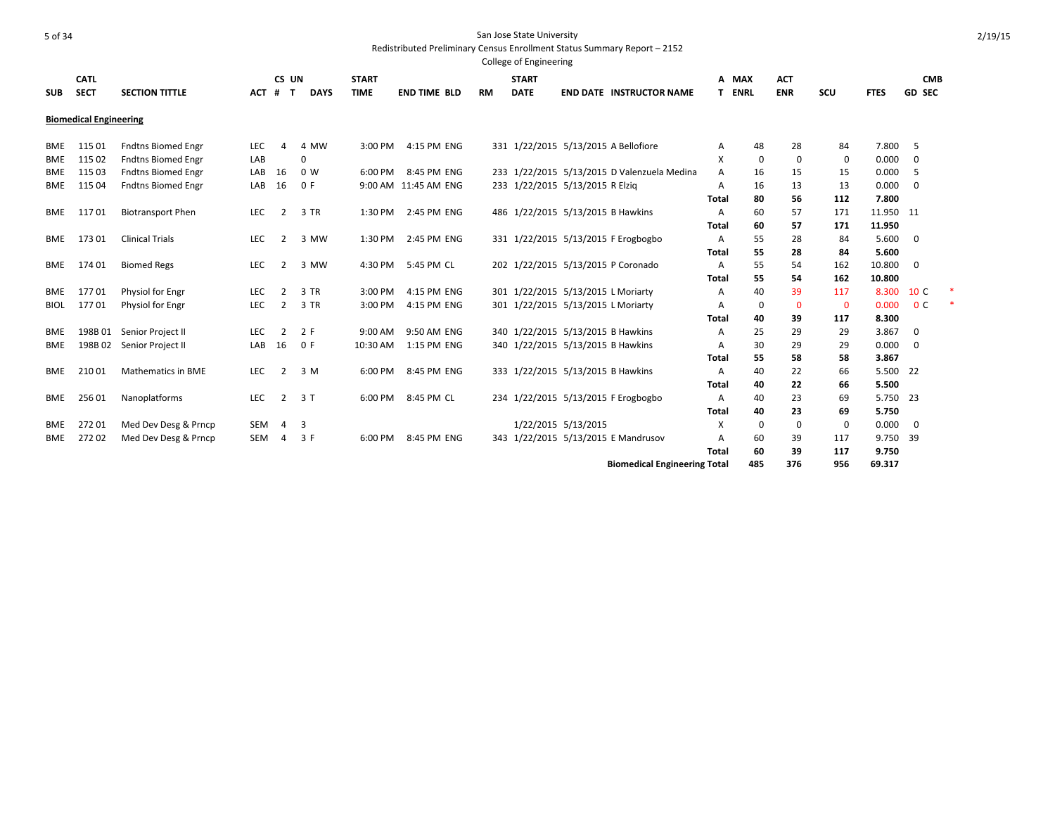|             |                               |                           |            |       |             |              |                      |           | CORRECT LIBRATE |                                             |                |             |              |              |             |                |  |
|-------------|-------------------------------|---------------------------|------------|-------|-------------|--------------|----------------------|-----------|-----------------|---------------------------------------------|----------------|-------------|--------------|--------------|-------------|----------------|--|
|             | <b>CATL</b>                   |                           |            | CS UN |             | <b>START</b> |                      |           | <b>START</b>    |                                             | A              | <b>MAX</b>  | <b>ACT</b>   |              |             | <b>CMB</b>     |  |
| <b>SUB</b>  | <b>SECT</b>                   | <b>SECTION TITTLE</b>     | $ACT$ #    | т     | <b>DAYS</b> | <b>TIME</b>  | <b>END TIME BLD</b>  | <b>RM</b> | <b>DATE</b>     | <b>END DATE INSTRUCTOR NAME</b>             | Т.             | <b>ENRL</b> | <b>ENR</b>   | <b>SCU</b>   | <b>FTES</b> | <b>GD SEC</b>  |  |
|             | <b>Biomedical Engineering</b> |                           |            |       |             |              |                      |           |                 |                                             |                |             |              |              |             |                |  |
| <b>BME</b>  | 115 01                        | <b>Fndtns Biomed Engr</b> | <b>LEC</b> | Δ     | 4 MW        | 3:00 PM      | 4:15 PM ENG          |           |                 | 331 1/22/2015 5/13/2015 A Bellofiore        | Α              | 48          | 28           | 84           | 7.800       | 5              |  |
| <b>BME</b>  | 115 02                        | <b>Fndtns Biomed Engr</b> | LAB        |       | $\mathbf 0$ |              |                      |           |                 |                                             | X              | $\mathbf 0$ | $\mathbf 0$  | 0            | 0.000       | 0              |  |
| <b>BME</b>  | 115 03                        | <b>Fndtns Biomed Engr</b> | LAB        | 16    | 0 W         | 6:00 PM      | 8:45 PM ENG          |           |                 | 233 1/22/2015 5/13/2015 D Valenzuela Medina | $\overline{A}$ | 16          | 15           | 15           | 0.000       | 5              |  |
| <b>BME</b>  | 115 04                        | <b>Fndtns Biomed Engr</b> | LAB        | 16    | 0 F         |              | 9:00 AM 11:45 AM ENG |           |                 | 233 1/22/2015 5/13/2015 R Elzig             | A              | 16          | 13           | 13           | 0.000       | 0              |  |
|             |                               |                           |            |       |             |              |                      |           |                 |                                             | <b>Total</b>   | 80          | 56           | 112          | 7.800       |                |  |
| BME         | 11701                         | <b>Biotransport Phen</b>  | LEC        | 2     | 3 TR        | 1:30 PM      | 2:45 PM ENG          |           |                 | 486 1/22/2015 5/13/2015 B Hawkins           | A              | 60          | 57           | 171          | 11.950 11   |                |  |
|             |                               |                           |            |       |             |              |                      |           |                 |                                             | Total          | 60          | 57           | 171          | 11.950      |                |  |
| BME         | 17301                         | <b>Clinical Trials</b>    | <b>LEC</b> | 2     | 3 MW        | 1:30 PM      | 2:45 PM ENG          |           |                 | 331 1/22/2015 5/13/2015 F Erogbogbo         | A              | 55          | 28           | 84           | 5.600       | 0              |  |
|             |                               |                           |            |       |             |              |                      |           |                 |                                             | Total          | 55          | 28           | 84           | 5.600       |                |  |
| BME         | 174 01                        | <b>Biomed Regs</b>        | <b>LEC</b> | 2     | 3 MW        | 4:30 PM      | 5:45 PM CL           |           |                 | 202 1/22/2015 5/13/2015 P Coronado          | A              | 55          | 54           | 162          | 10.800      | 0              |  |
|             |                               |                           |            |       |             |              |                      |           |                 |                                             | <b>Total</b>   | 55          | 54           | 162          | 10.800      |                |  |
| <b>BME</b>  | 17701                         | Physiol for Engr          | <b>LEC</b> | 2     | 3 TR        | 3:00 PM      | 4:15 PM ENG          |           |                 | 301 1/22/2015 5/13/2015 L Moriarty          | A              | 40          | 39           | 117          | 8.300       | 10 C           |  |
| <b>BIOL</b> | 17701                         | Physiol for Engr          | LEC        | 2     | 3 TR        | 3:00 PM      | 4:15 PM ENG          |           |                 | 301 1/22/2015 5/13/2015 L Moriarty          | A              | 0           | $\mathbf{0}$ | $\mathbf{0}$ | 0.000       | 0 <sup>c</sup> |  |
|             |                               |                           |            |       |             |              |                      |           |                 |                                             | <b>Total</b>   | 40          | 39           | 117          | 8.300       |                |  |
| BME         | 198B 01                       | Senior Project II         | <b>LEC</b> | 2     | 2 F         | 9:00 AM      | 9:50 AM ENG          |           |                 | 340 1/22/2015 5/13/2015 B Hawkins           | Α              | 25          | 29           | 29           | 3.867       | 0              |  |
| <b>BME</b>  | 198B02                        | Senior Project II         | LAB        | 16    | 0 F         | 10:30 AM     | 1:15 PM ENG          |           |                 | 340 1/22/2015 5/13/2015 B Hawkins           | Α              | 30          | 29           | 29           | 0.000       | 0              |  |
|             |                               |                           |            |       |             |              |                      |           |                 |                                             | Total          | 55          | 58           | 58           | 3.867       |                |  |
| <b>BME</b>  | 210 01                        | <b>Mathematics in BME</b> | <b>LEC</b> | 2     | 3 M         | 6:00 PM      | 8:45 PM ENG          |           |                 | 333 1/22/2015 5/13/2015 B Hawkins           | A              | 40          | 22           | 66           | 5.500 22    |                |  |
|             |                               |                           |            |       |             |              |                      |           |                 |                                             | Total          | 40          | 22           | 66           | 5.500       |                |  |
| <b>BME</b>  | 256 01                        | Nanoplatforms             | <b>LEC</b> | 2     | 3T          | 6:00 PM      | 8:45 PM CL           |           |                 | 234 1/22/2015 5/13/2015 F Erogbogbo         | Α              | 40          | 23           | 69           | 5.750 23    |                |  |
|             |                               |                           |            |       |             |              |                      |           |                 |                                             | <b>Total</b>   | 40          | 23           | 69           | 5.750       |                |  |
| <b>BME</b>  | 272 01                        | Med Dev Desg & Prncp      | <b>SEM</b> | 4     | 3           |              |                      |           |                 | 1/22/2015 5/13/2015                         | X              | 0           | 0            | 0            | 0.000       | 0              |  |
| <b>BME</b>  | 272 02                        | Med Dev Desg & Prncp      | <b>SEM</b> | 4     | 3 F         | 6:00 PM      | 8:45 PM ENG          |           |                 | 343 1/22/2015 5/13/2015 E Mandrusov         | A              | 60          | 39           | 117          | 9.750       | - 39           |  |
|             |                               |                           |            |       |             |              |                      |           |                 |                                             | Total          | 60          | 39           | 117          | 9.750       |                |  |
|             |                               |                           |            |       |             |              |                      |           |                 | <b>Biomedical Engineering Total</b>         |                | 485         | 376          | 956          | 69.317      |                |  |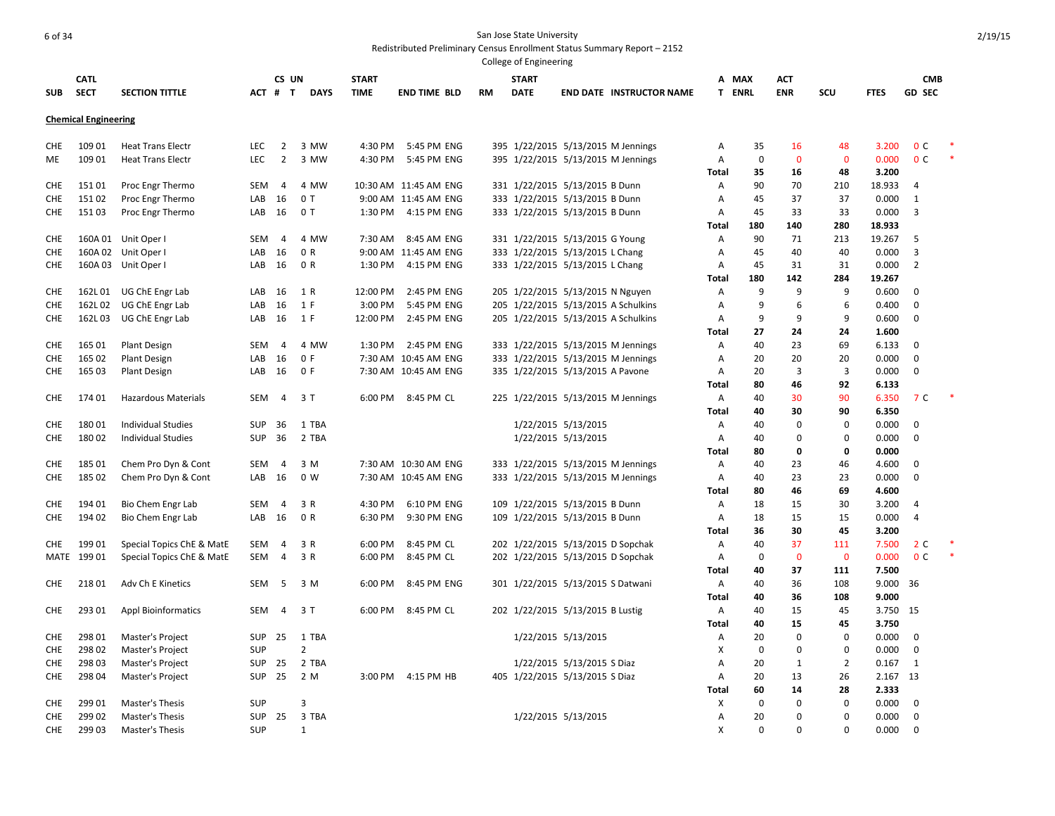|                   |                             |                                            |            |                |                |              |                       |           | College of Engineering |                                                                          |                   |                   |                    |                    |                |                |  |
|-------------------|-----------------------------|--------------------------------------------|------------|----------------|----------------|--------------|-----------------------|-----------|------------------------|--------------------------------------------------------------------------|-------------------|-------------------|--------------------|--------------------|----------------|----------------|--|
|                   | <b>CATL</b>                 |                                            |            | CS UN          |                | <b>START</b> |                       |           | <b>START</b>           |                                                                          | А                 | <b>MAX</b>        | ACT                |                    |                | <b>CMB</b>     |  |
| <b>SUB</b>        | <b>SECT</b>                 | <b>SECTION TITTLE</b>                      | ACT # T    |                | <b>DAYS</b>    | <b>TIME</b>  | <b>END TIME BLD</b>   | <b>RM</b> | <b>DATE</b>            | <b>END DATE INSTRUCTOR NAME</b>                                          |                   | T ENRL            | <b>ENR</b>         | SCU                | <b>FTES</b>    | <b>GD SEC</b>  |  |
|                   | <b>Chemical Engineering</b> |                                            |            |                |                |              |                       |           |                        |                                                                          |                   |                   |                    |                    |                |                |  |
|                   |                             |                                            |            |                |                |              |                       |           |                        |                                                                          |                   |                   |                    |                    |                |                |  |
| CHE               | 109 01                      | <b>Heat Trans Electr</b>                   | <b>LEC</b> | $\overline{2}$ | 3 MW           | 4:30 PM      | 5:45 PM ENG           |           |                        | 395 1/22/2015 5/13/2015 M Jennings                                       | Α                 | 35                | 16                 | 48                 | 3.200          | 0 <sup>c</sup> |  |
| ME                | 109 01                      | <b>Heat Trans Electr</b>                   | <b>LEC</b> | $\overline{2}$ | 3 MW           | 4:30 PM      | 5:45 PM ENG           |           |                        | 395 1/22/2015 5/13/2015 M Jennings                                       | Α<br><b>Total</b> | $\mathbf 0$<br>35 | $\mathbf{0}$<br>16 | $\mathbf{0}$<br>48 | 0.000<br>3.200 | 0 <sup>c</sup> |  |
| <b>CHE</b>        | 151 01                      | Proc Engr Thermo                           | <b>SEM</b> | $\overline{4}$ | 4 MW           |              | 10:30 AM 11:45 AM ENG |           |                        | 331 1/22/2015 5/13/2015 B Dunn                                           | A                 | 90                | 70                 | 210                | 18.933         | 4              |  |
| CHE               | 151 02                      | Proc Engr Thermo                           | LAB        | 16             | 0T             |              | 9:00 AM 11:45 AM ENG  |           |                        | 333 1/22/2015 5/13/2015 B Dunn                                           | Α                 | 45                | 37                 | 37                 | 0.000          | 1              |  |
| CHE               | 15103                       | Proc Engr Thermo                           | LAB        | 16             | 0T             | 1:30 PM      | 4:15 PM ENG           |           |                        | 333 1/22/2015 5/13/2015 B Dunn                                           | Α                 | 45                | 33                 | 33                 | 0.000          | 3              |  |
|                   |                             |                                            |            |                |                |              |                       |           |                        |                                                                          | Total             | 180               | 140                | 280                | 18.933         |                |  |
| <b>CHE</b>        |                             | 160A 01 Unit Oper I                        | <b>SEM</b> | $\overline{4}$ | 4 MW           | 7:30 AM      | 8:45 AM ENG           |           |                        | 331 1/22/2015 5/13/2015 G Young                                          | Α                 | 90                | 71                 | 213                | 19.267         | 5              |  |
| <b>CHE</b>        |                             | 160A 02 Unit Oper I                        | LAB        | 16             | 0 R            |              | 9:00 AM 11:45 AM ENG  |           |                        | 333 1/22/2015 5/13/2015 L Chang                                          | A                 | 45                | 40                 | 40                 | 0.000          | 3              |  |
| CHE               |                             | 160A 03 Unit Oper I                        | LAB        | 16             | 0 R            | 1:30 PM      | 4:15 PM ENG           |           |                        | 333 1/22/2015 5/13/2015 L Chang                                          | Α                 | 45                | 31                 | 31                 | 0.000          | $\overline{2}$ |  |
|                   |                             |                                            |            |                |                |              |                       |           |                        |                                                                          | Total             | 180               | 142                | 284                | 19.267         |                |  |
| <b>CHE</b>        | 162L 01                     | UG ChE Engr Lab                            | LAB        | 16             | 1 R            | 12:00 PM     | 2:45 PM ENG           |           |                        | 205 1/22/2015 5/13/2015 N Nguyen                                         | Α                 | 9                 | 9                  | 9                  | 0.600          | $\mathbf 0$    |  |
| <b>CHE</b>        | 162L02                      | UG ChE Engr Lab                            | LAB        | 16             | 1 F            | 3:00 PM      | 5:45 PM ENG           |           |                        | 205 1/22/2015 5/13/2015 A Schulkins                                      | Α                 | 9                 | 6                  | 6                  | 0.400          | $\mathbf 0$    |  |
| <b>CHE</b>        | 162L03                      | UG ChE Engr Lab                            | LAB        | 16             | 1 F            | 12:00 PM     | 2:45 PM ENG           |           |                        | 205 1/22/2015 5/13/2015 A Schulkins                                      | A                 | 9                 | 9                  | 9                  | 0.600          | $\mathbf 0$    |  |
|                   |                             |                                            |            |                |                |              |                       |           |                        |                                                                          | Total             | 27                | 24                 | 24                 | 1.600          |                |  |
| <b>CHE</b>        | 165 01                      | <b>Plant Design</b>                        | <b>SEM</b> | 4              | 4 MW           | 1:30 PM      | 2:45 PM ENG           |           |                        | 333 1/22/2015 5/13/2015 M Jennings                                       | A                 | 40                | 23                 | 69                 | 6.133          | $\mathbf 0$    |  |
| <b>CHE</b>        | 165 02                      | Plant Design                               | LAB        | 16             | 0 F            |              | 7:30 AM 10:45 AM ENG  |           |                        | 333 1/22/2015 5/13/2015 M Jennings                                       | A                 | 20                | 20                 | 20                 | 0.000          | $\mathbf 0$    |  |
| CHE               | 165 03                      | <b>Plant Design</b>                        | LAB        | 16             | 0 F            |              | 7:30 AM 10:45 AM ENG  |           |                        | 335 1/22/2015 5/13/2015 A Pavone                                         | Α                 | 20                | $\overline{3}$     | $\overline{3}$     | 0.000          | $\mathbf 0$    |  |
|                   |                             |                                            |            |                |                |              |                       |           |                        |                                                                          | Total             | 80                | 46                 | 92                 | 6.133          |                |  |
| <b>CHE</b>        | 174 01                      | <b>Hazardous Materials</b>                 | <b>SEM</b> | 4              | 3T             | 6:00 PM      | 8:45 PM CL            |           |                        | 225 1/22/2015 5/13/2015 M Jennings                                       | Α                 | 40                | 30                 | 90                 | 6.350          | 7 C            |  |
|                   |                             |                                            |            |                |                |              |                       |           |                        |                                                                          | <b>Total</b>      | 40                | 30                 | 90                 | 6.350          |                |  |
| <b>CHE</b>        | 180 01                      | <b>Individual Studies</b>                  | <b>SUP</b> | 36             | 1 TBA          |              |                       |           |                        | 1/22/2015 5/13/2015                                                      | Α                 | 40                | $\Omega$           | 0                  | 0.000          | 0              |  |
| <b>CHE</b>        | 18002                       | Individual Studies                         | <b>SUP</b> | 36             | 2 TBA          |              |                       |           |                        | 1/22/2015 5/13/2015                                                      | A                 | 40                | $\Omega$           | 0                  | 0.000          | $\mathbf 0$    |  |
|                   | 185 01                      |                                            | <b>SEM</b> |                | 3 M            |              | 7:30 AM 10:30 AM ENG  |           |                        |                                                                          | Total             | 80<br>40          | 0<br>23            | 0                  | 0.000          | 0              |  |
| CHE<br><b>CHE</b> | 185 02                      | Chem Pro Dyn & Cont<br>Chem Pro Dyn & Cont | LAB        | 4<br>16        | 0 W            |              | 7:30 AM 10:45 AM ENG  |           |                        | 333 1/22/2015 5/13/2015 M Jennings<br>333 1/22/2015 5/13/2015 M Jennings | Α<br>Α            | 40                | 23                 | 46<br>23           | 4.600<br>0.000 | $\mathbf 0$    |  |
|                   |                             |                                            |            |                |                |              |                       |           |                        |                                                                          | <b>Total</b>      | 80                | 46                 | 69                 | 4.600          |                |  |
| <b>CHE</b>        | 194 01                      | Bio Chem Engr Lab                          | <b>SEM</b> | $\overline{4}$ | 3 R            | 4:30 PM      | 6:10 PM ENG           |           |                        | 109 1/22/2015 5/13/2015 B Dunn                                           | Α                 | 18                | 15                 | 30                 | 3.200          | 4              |  |
| CHE               | 194 02                      | Bio Chem Engr Lab                          | LAB        | 16             | 0 R            | 6:30 PM      | 9:30 PM ENG           |           |                        | 109 1/22/2015 5/13/2015 B Dunn                                           | Α                 | 18                | 15                 | 15                 | 0.000          | $\overline{4}$ |  |
|                   |                             |                                            |            |                |                |              |                       |           |                        |                                                                          | Total             | 36                | 30                 | 45                 | 3.200          |                |  |
| CHE               | 199 01                      | Special Topics ChE & MatE                  | <b>SEM</b> | 4              | 3 R            | 6:00 PM      | 8:45 PM CL            |           |                        | 202 1/22/2015 5/13/2015 D Sopchak                                        | Α                 | 40                | 37                 | 111                | 7.500          | 2 <sub>c</sub> |  |
| MATE              | 199 01                      | Special Topics ChE & MatE                  | <b>SEM</b> | 4              | 3 R            | 6:00 PM      | 8:45 PM CL            |           |                        | 202 1/22/2015 5/13/2015 D Sopchak                                        | Α                 | $\mathbf 0$       | $\mathbf 0$        | $\mathbf 0$        | 0.000          | 0 <sup>C</sup> |  |
|                   |                             |                                            |            |                |                |              |                       |           |                        |                                                                          | Total             | 40                | 37                 | 111                | 7.500          |                |  |
| CHE               | 218 01                      | Adv Ch E Kinetics                          | <b>SEM</b> | 5              | 3 M            | 6:00 PM      | 8:45 PM ENG           |           |                        | 301 1/22/2015 5/13/2015 S Datwani                                        | Α                 | 40                | 36                 | 108                | 9.000 36       |                |  |
|                   |                             |                                            |            |                |                |              |                       |           |                        |                                                                          | <b>Total</b>      | 40                | 36                 | 108                | 9.000          |                |  |
| CHE               | 293 01                      | <b>Appl Bioinformatics</b>                 | <b>SEM</b> | 4              | 3T             | 6:00 PM      | 8:45 PM CL            |           |                        | 202 1/22/2015 5/13/2015 B Lustig                                         | Α                 | 40                | 15                 | 45                 | 3.750 15       |                |  |
|                   |                             |                                            |            |                |                |              |                       |           |                        |                                                                          | Total             | 40                | 15                 | 45                 | 3.750          |                |  |
| <b>CHE</b>        | 298 01                      | Master's Project                           | <b>SUP</b> | 25             | 1 TBA          |              |                       |           |                        | 1/22/2015 5/13/2015                                                      | Α                 | 20                | 0                  | 0                  | 0.000          | $\mathbf 0$    |  |
| CHE               | 298 02                      | Master's Project                           | <b>SUP</b> |                | $\overline{2}$ |              |                       |           |                        |                                                                          | X                 | 0                 | 0                  | 0                  | 0.000          | 0              |  |
| CHE               | 298 03                      | Master's Project                           | <b>SUP</b> | 25             | 2 TBA          |              |                       |           |                        | 1/22/2015 5/13/2015 S Diaz                                               | Α                 | 20                | $\mathbf{1}$       | $\overline{2}$     | 0.167          | 1              |  |
| <b>CHE</b>        | 298 04                      | Master's Project                           | <b>SUP</b> | 25             | 2 M            |              | 3:00 PM 4:15 PM HB    |           |                        | 405 1/22/2015 5/13/2015 S Diaz                                           | A                 | 20                | 13                 | 26                 | 2.167 13       |                |  |
|                   |                             |                                            |            |                |                |              |                       |           |                        |                                                                          | Total             | 60                | 14                 | 28                 | 2.333          |                |  |
| <b>CHE</b>        | 299 01                      | Master's Thesis                            | SUP        |                | 3              |              |                       |           |                        |                                                                          | х                 | 0                 | $\Omega$           | 0                  | 0.000          | $\mathbf 0$    |  |
| CHE               | 299 02                      | Master's Thesis                            | SUP        | 25             | 3 TBA          |              |                       |           |                        | 1/22/2015 5/13/2015                                                      | Α                 | 20                | $\mathbf 0$        | 0                  | 0.000          | $\mathbf 0$    |  |
| <b>CHE</b>        | 299 03                      | Master's Thesis                            | SUP        |                | 1              |              |                       |           |                        |                                                                          | X                 | $\Omega$          | $\Omega$           | $\Omega$           | 0.000          | $\Omega$       |  |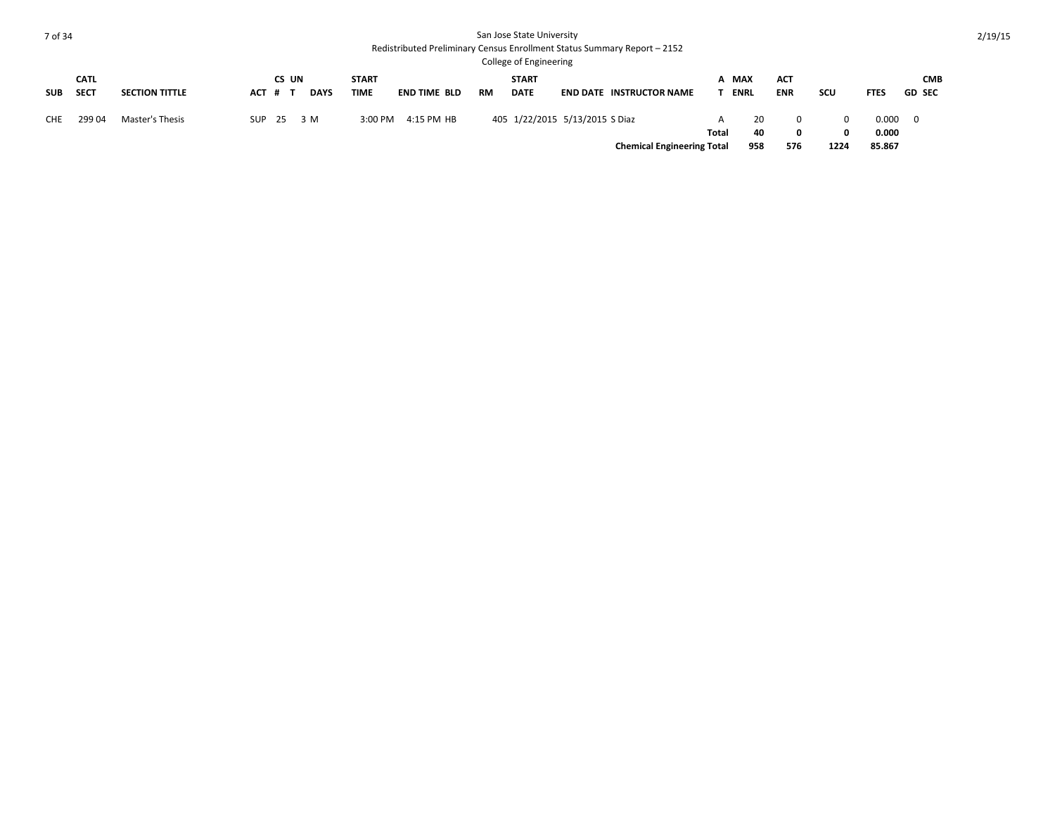|     | <b>CATL</b> |                       |            | CS UN |             | <b>START</b> |                     |           | <b>START</b>                   |                                   |       | A MAX       | <b>ACT</b> |            |             | <b>CMB</b>     |
|-----|-------------|-----------------------|------------|-------|-------------|--------------|---------------------|-----------|--------------------------------|-----------------------------------|-------|-------------|------------|------------|-------------|----------------|
| SUB | <b>SECT</b> | <b>SECTION TITTLE</b> | ACT # 1    |       | <b>DAYS</b> | <b>TIME</b>  | <b>END TIME BLD</b> | <b>RM</b> | <b>DATE</b>                    | <b>END DATE INSTRUCTOR NAME</b>   |       | <b>ENRL</b> | <b>ENR</b> | <b>SCU</b> | <b>FTES</b> | <b>GD SEC</b>  |
| CHE | 29904       | Master's Thesis       | SUP 25 3 M |       |             |              | 3:00 PM 4:15 PM HB  |           | 405 1/22/2015 5/13/2015 S Diaz |                                   | A     | 20          |            | $\Omega$   | 0.000       | $\overline{0}$ |
|     |             |                       |            |       |             |              |                     |           |                                |                                   | Total | 40          | 0          | $\Omega$   | 0.000       |                |
|     |             |                       |            |       |             |              |                     |           |                                | <b>Chemical Engineering Total</b> |       | 958         | 576        | 1224       | 85.867      |                |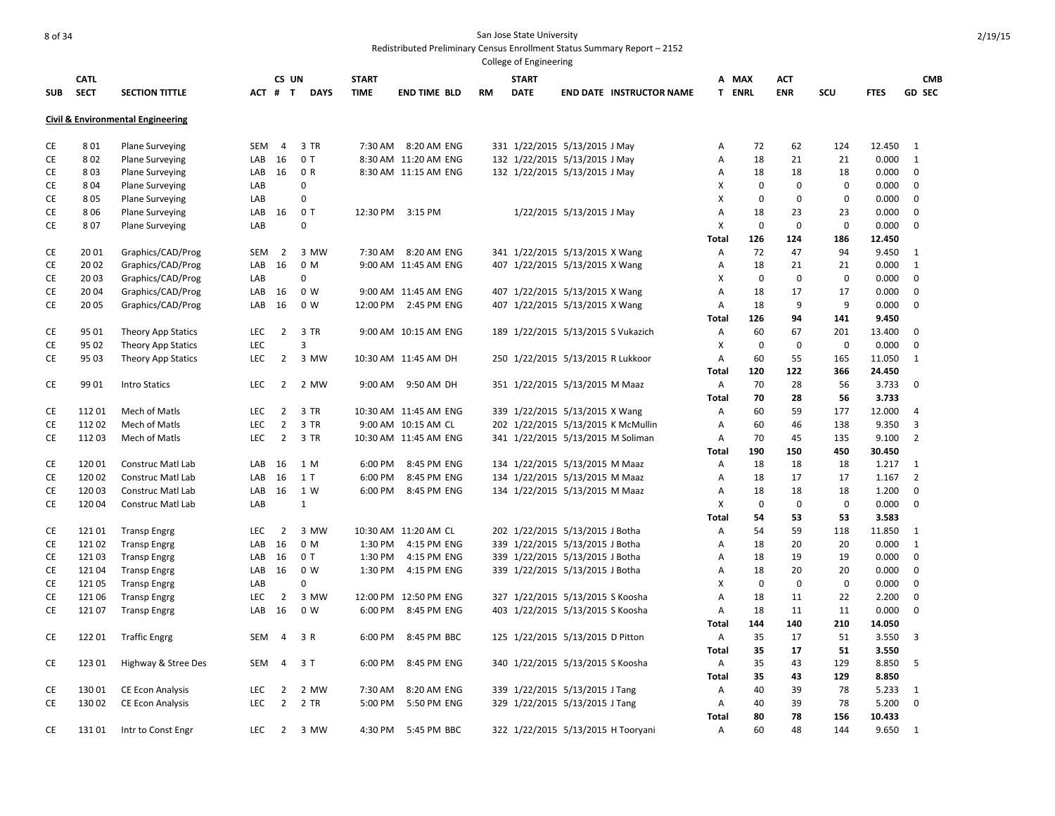|            |             |                                              |            |                |                |              |                       |           | College of Engineering             |                           |                                    |              |             |             |             |             |               |
|------------|-------------|----------------------------------------------|------------|----------------|----------------|--------------|-----------------------|-----------|------------------------------------|---------------------------|------------------------------------|--------------|-------------|-------------|-------------|-------------|---------------|
|            | <b>CATL</b> |                                              |            | CS UN          |                | <b>START</b> |                       |           | <b>START</b>                       |                           |                                    |              | A MAX       | ACT         |             |             | <b>CMB</b>    |
| <b>SUB</b> | <b>SECT</b> | <b>SECTION TITTLE</b>                        | ACT # T    |                | <b>DAYS</b>    | <b>TIME</b>  | <b>END TIME BLD</b>   | <b>RM</b> | <b>DATE</b>                        |                           | <b>END DATE INSTRUCTOR NAME</b>    |              | T ENRL      | <b>ENR</b>  | SCU         | <b>FTES</b> | <b>GD SEC</b> |
|            |             | <b>Civil &amp; Environmental Engineering</b> |            |                |                |              |                       |           |                                    |                           |                                    |              |             |             |             |             |               |
| CE         | 801         | <b>Plane Surveying</b>                       | SEM        | $\overline{4}$ | 3 TR           |              | 7:30 AM 8:20 AM ENG   |           | 331 1/22/2015 5/13/2015 J May      |                           |                                    | Α            | 72          | 62          | 124         | 12.450      | $\mathbf{1}$  |
| CE         | 802         | <b>Plane Surveying</b>                       | LAB        | 16             | 0T             |              | 8:30 AM 11:20 AM ENG  |           | 132 1/22/2015 5/13/2015 J May      |                           |                                    | Α            | 18          | 21          | 21          | 0.000       | $\mathbf{1}$  |
| CE         | 803         | <b>Plane Surveying</b>                       | LAB        | 16             | 0 R            |              | 8:30 AM 11:15 AM ENG  |           | 132 1/22/2015 5/13/2015 J May      |                           |                                    | Α            | 18          | 18          | 18          | 0.000       | 0             |
| CE         | 804         | <b>Plane Surveying</b>                       | LAB        |                | 0              |              |                       |           |                                    |                           |                                    | X            | 0           | $\mathbf 0$ | $\mathbf 0$ | 0.000       | $\mathbf 0$   |
| CE         | 805         | <b>Plane Surveying</b>                       | LAB        |                | $\Omega$       |              |                       |           |                                    |                           |                                    | X            | $\mathbf 0$ | $\mathbf 0$ | $\mathbf 0$ | 0.000       | $\mathbf 0$   |
| CE         | 806         | <b>Plane Surveying</b>                       | LAB        | 16             | 0T             |              | 12:30 PM 3:15 PM      |           |                                    | 1/22/2015 5/13/2015 J May |                                    | Α            | 18          | 23          | 23          | 0.000       | $\mathbf 0$   |
| CE         | 807         | <b>Plane Surveying</b>                       | LAB        |                | $\Omega$       |              |                       |           |                                    |                           |                                    | X            | 0           | 0           | $\mathbf 0$ | 0.000       | 0             |
|            |             |                                              |            |                |                |              |                       |           |                                    |                           |                                    | <b>Total</b> | 126         | 124         | 186         | 12.450      |               |
| CE         | 2001        | Graphics/CAD/Prog                            | SEM        | $\overline{2}$ | 3 MW           |              | 7:30 AM 8:20 AM ENG   |           | 341 1/22/2015 5/13/2015 X Wang     |                           |                                    | Α            | 72          | 47          | 94          | 9.450       | 1             |
| CE         | 2002        | Graphics/CAD/Prog                            | LAB        | 16             | 0 M            |              | 9:00 AM 11:45 AM ENG  |           | 407 1/22/2015 5/13/2015 X Wang     |                           |                                    | Α            | 18          | 21          | 21          | 0.000       | $\mathbf{1}$  |
| <b>CE</b>  | 2003        | Graphics/CAD/Prog                            | LAB        |                | 0              |              |                       |           |                                    |                           |                                    | X            | 0           | $\mathbf 0$ | $\mathbf 0$ | 0.000       | $\mathbf 0$   |
| <b>CE</b>  | 2004        | Graphics/CAD/Prog                            | LAB        | 16             | 0 <sub>W</sub> |              | 9:00 AM 11:45 AM ENG  |           | 407 1/22/2015 5/13/2015 X Wang     |                           |                                    | Α            | 18          | 17          | 17          | 0.000       | 0             |
| CE         | 20 05       | Graphics/CAD/Prog                            | LAB        | 16             | 0 W            |              | 12:00 PM 2:45 PM ENG  |           | 407 1/22/2015 5/13/2015 X Wang     |                           |                                    | Α            | 18          | 9           | 9           | 0.000       | $\mathbf 0$   |
|            |             |                                              |            |                |                |              |                       |           |                                    |                           |                                    | Total        | 126         | 94          | 141         | 9.450       |               |
| CE         | 95 01       | Theory App Statics                           | <b>LEC</b> | $\overline{2}$ | 3 TR           |              | 9:00 AM 10:15 AM ENG  |           | 189 1/22/2015 5/13/2015 S Vukazich |                           |                                    | Α            | 60          | 67          | 201         | 13.400      | $\mathbf 0$   |
| CE         | 95 02       | <b>Theory App Statics</b>                    | LEC        |                | 3              |              |                       |           |                                    |                           |                                    | X            | $\mathbf 0$ | $\mathbf 0$ | $\mathbf 0$ | 0.000       | $\mathbf 0$   |
| CE         | 95 03       | Theory App Statics                           | LEC        | 2              | 3 MW           |              | 10:30 AM 11:45 AM DH  |           | 250 1/22/2015 5/13/2015 R Lukkoor  |                           |                                    | Α            | 60          | 55          | 165         | 11.050      | 1             |
|            |             |                                              |            |                |                |              |                       |           |                                    |                           |                                    | <b>Total</b> | 120         | 122         | 366         | 24.450      |               |
| CE         | 99 01       | <b>Intro Statics</b>                         | <b>LEC</b> | $\overline{2}$ | 2 MW           |              | 9:00 AM 9:50 AM DH    |           | 351 1/22/2015 5/13/2015 M Maaz     |                           |                                    | Α            | 70          | 28          | 56          | 3.733       | $\mathbf 0$   |
|            |             |                                              |            |                |                |              |                       |           |                                    |                           |                                    | <b>Total</b> | 70          | 28          | 56          | 3.733       |               |
| СE         | 11201       | Mech of Matls                                | <b>LEC</b> | $\overline{2}$ | 3 TR           |              | 10:30 AM 11:45 AM ENG |           | 339 1/22/2015 5/13/2015 X Wang     |                           |                                    | Α            | 60          | 59          | 177         | 12.000      | 4             |
| <b>CE</b>  | 11202       | Mech of Matls                                | LEC        | $\overline{2}$ | 3 TR           |              | 9:00 AM 10:15 AM CL   |           |                                    |                           | 202 1/22/2015 5/13/2015 K McMullin | Α            | 60          | 46          | 138         | 9.350       | 3             |
| CE         | 11203       | Mech of Matls                                | LEC        | $\overline{2}$ | 3 TR           |              | 10:30 AM 11:45 AM ENG |           | 341 1/22/2015 5/13/2015 M Soliman  |                           |                                    | Α            | 70          | 45          | 135         | 9.100       | 2             |
|            |             |                                              |            |                |                |              |                       |           |                                    |                           |                                    | <b>Total</b> | 190         | 150         | 450         | 30.450      |               |
| CE         | 12001       | Construc Matl Lab                            | LAB        | 16             | 1 M            | 6:00 PM      | 8:45 PM ENG           |           | 134 1/22/2015 5/13/2015 M Maaz     |                           |                                    | A            | 18          | 18          | 18          | 1.217       | 1             |
| CE         | 120 02      | Construc Matl Lab                            | LAB        | 16             | 1 T            | 6:00 PM      | 8:45 PM ENG           |           | 134 1/22/2015 5/13/2015 M Maaz     |                           |                                    | Α            | 18          | 17          | 17          | 1.167       | 2             |
| CE         | 120 03      | Construc Matl Lab                            | LAB        | 16             | 1 W            | 6:00 PM      | 8:45 PM ENG           |           | 134 1/22/2015 5/13/2015 M Maaz     |                           |                                    | Α            | 18          | 18          | 18          | 1.200       | 0             |
| <b>CE</b>  | 120 04      | Construc Matl Lab                            | LAB        |                | $\mathbf{1}$   |              |                       |           |                                    |                           |                                    | X            | 0           | $\mathbf 0$ | $\mathbf 0$ | 0.000       | $\mathbf 0$   |
|            |             |                                              |            |                |                |              |                       |           |                                    |                           |                                    | <b>Total</b> | 54          | 53          | 53          | 3.583       |               |
| CE         | 12101       | <b>Transp Engrg</b>                          | <b>LEC</b> | $\overline{2}$ | 3 MW           |              | 10:30 AM 11:20 AM CL  |           | 202 1/22/2015 5/13/2015 J Botha    |                           |                                    | Α            | 54          | 59          | 118         | 11.850      | $\mathbf{1}$  |
| CE         | 12102       | <b>Transp Engrg</b>                          | LAB        | 16             | 0 M            | 1:30 PM      | 4:15 PM ENG           |           | 339 1/22/2015 5/13/2015 J Botha    |                           |                                    | Α            | 18          | 20          | 20          | 0.000       | $\mathbf{1}$  |
| CE         | 12103       | <b>Transp Engrg</b>                          | LAB        | 16             | 0T             | 1:30 PM      | 4:15 PM ENG           |           | 339 1/22/2015 5/13/2015 J Botha    |                           |                                    | Α            | 18          | 19          | 19          | 0.000       | $\mathbf 0$   |
| <b>CE</b>  | 121 04      | <b>Transp Engrg</b>                          | LAB        | 16             | 0 W            | 1:30 PM      | 4:15 PM ENG           |           | 339 1/22/2015 5/13/2015 J Botha    |                           |                                    | Α            | 18          | 20          | 20          | 0.000       | $\mathbf 0$   |
| <b>CE</b>  | 12105       | <b>Transp Engrg</b>                          | LAB        |                | 0              |              |                       |           |                                    |                           |                                    | X            | 0           | $\mathbf 0$ | $\mathbf 0$ | 0.000       | 0             |
| <b>CE</b>  | 12106       | <b>Transp Engrg</b>                          | LEC        | $\overline{2}$ | 3 MW           |              | 12:00 PM 12:50 PM ENG |           | 327 1/22/2015 5/13/2015 S Koosha   |                           |                                    | Α            | 18          | 11          | 22          | 2.200       | 0             |
| CE         | 12107       | <b>Transp Engrg</b>                          | LAB        | 16             | 0 W            | 6:00 PM      | 8:45 PM ENG           |           | 403 1/22/2015 5/13/2015 S Koosha   |                           |                                    | Α            | 18          | 11          | 11          | 0.000       | $\mathbf 0$   |
|            |             |                                              |            |                |                |              |                       |           |                                    |                           |                                    | <b>Total</b> | 144         | 140         | 210         | 14.050      |               |
| CE         | 12201       | <b>Traffic Engrg</b>                         | SEM        | 4              | 3 R            | 6:00 PM      | 8:45 PM BBC           |           | 125 1/22/2015 5/13/2015 D Pitton   |                           |                                    | Α            | 35          | 17          | 51          | 3.550       | 3             |
|            |             |                                              |            |                |                |              |                       |           |                                    |                           |                                    | <b>Total</b> | 35          | 17          | 51          | 3.550       |               |
| CE         | 123 01      | Highway & Stree Des                          | SEM        | $\overline{4}$ | 3 T            | 6:00 PM      | 8:45 PM ENG           |           | 340 1/22/2015 5/13/2015 S Koosha   |                           |                                    | A            | 35          | 43          | 129         | 8.850       | 5             |
|            |             |                                              |            |                |                |              |                       |           |                                    |                           |                                    | <b>Total</b> | 35          | 43          | 129         | 8.850       |               |
| CE         | 13001       | <b>CE Econ Analysis</b>                      | LEC        | $\overline{2}$ | 2 MW           | 7:30 AM      | 8:20 AM ENG           |           | 339 1/22/2015 5/13/2015 J Tang     |                           |                                    | Α            | 40          | 39          | 78          | 5.233       | 1             |
| CE         | 13002       | <b>CE Econ Analysis</b>                      | <b>LEC</b> | $\overline{2}$ | 2 TR           | 5:00 PM      | 5:50 PM ENG           |           | 329 1/22/2015 5/13/2015 J Tang     |                           |                                    | Α            | 40          | 39          | 78          | 5.200       | $\mathbf 0$   |
|            |             |                                              |            |                |                |              |                       |           |                                    |                           |                                    | Total        | 80          | 78          | 156         | 10.433      |               |
| СE         | 13101       | Intr to Const Engr                           | <b>LEC</b> | 2              | 3 MW           | 4:30 PM      | 5:45 PM BBC           |           |                                    |                           | 322 1/22/2015 5/13/2015 H Tooryani | A            | 60          | 48          | 144         | 9.650       | 1             |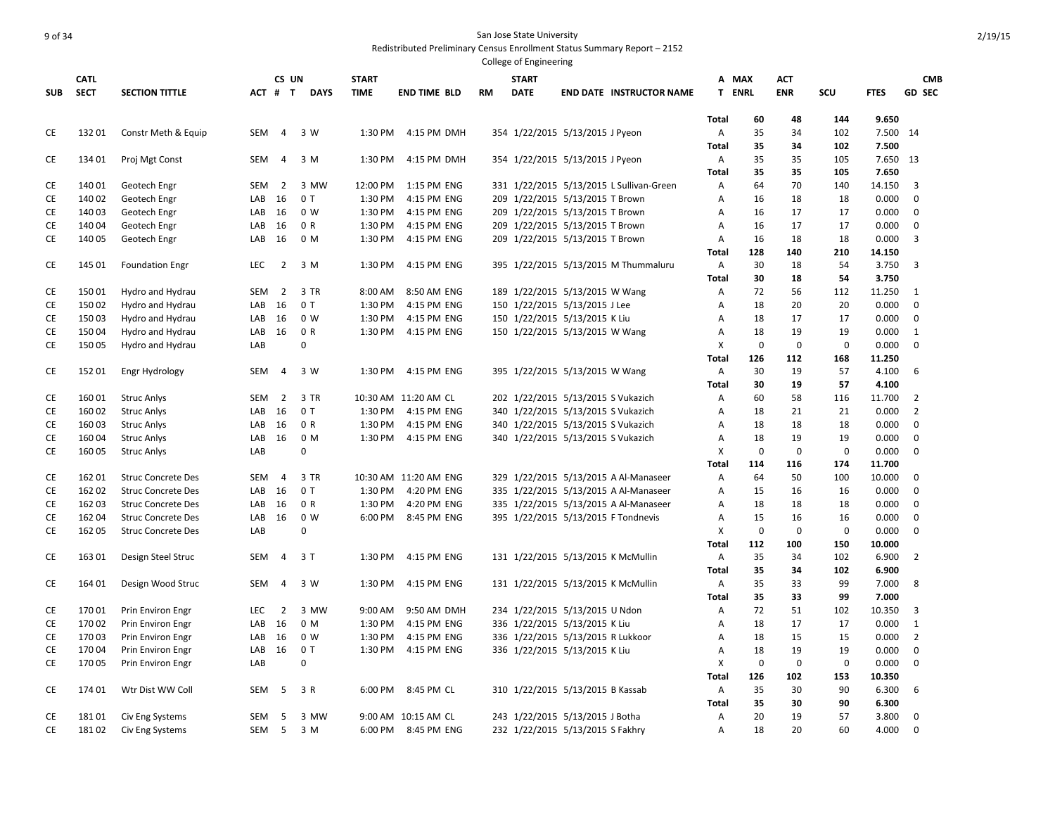|            |                  |                           |                  |                |             |                    |                            |           | College of Engineering                                             |                                          |                   |             |             |             |                   |                     |
|------------|------------------|---------------------------|------------------|----------------|-------------|--------------------|----------------------------|-----------|--------------------------------------------------------------------|------------------------------------------|-------------------|-------------|-------------|-------------|-------------------|---------------------|
|            | <b>CATL</b>      |                           |                  | CS UN          |             | <b>START</b>       |                            |           | <b>START</b>                                                       |                                          |                   | A MAX       | ACT         |             |                   | <b>CMB</b>          |
| <b>SUB</b> | <b>SECT</b>      | <b>SECTION TITTLE</b>     |                  | ACT # T        | <b>DAYS</b> | <b>TIME</b>        | <b>END TIME BLD</b>        | <b>RM</b> | <b>DATE</b>                                                        | <b>END DATE INSTRUCTOR NAME</b>          |                   | T ENRL      | <b>ENR</b>  | SCU         | <b>FTES</b>       | <b>GD SEC</b>       |
|            |                  |                           |                  |                |             |                    |                            |           |                                                                    |                                          |                   |             |             |             |                   |                     |
|            |                  |                           |                  |                |             |                    |                            |           |                                                                    |                                          | Total             | 60          | 48          | 144         | 9.650             |                     |
| CE         | 13201            | Constr Meth & Equip       | SEM              | $\overline{4}$ | 3 W         | 1:30 PM            | 4:15 PM DMH                |           | 354 1/22/2015 5/13/2015 J Pyeon                                    |                                          | Α                 | 35<br>35    | 34<br>34    | 102         | 7.500 14          |                     |
| CE         | 134 01           |                           | SEM              | $\overline{4}$ | 3 M         | 1:30 PM            | 4:15 PM DMH                |           | 354 1/22/2015 5/13/2015 J Pyeon                                    |                                          | <b>Total</b><br>Α | 35          | 35          | 102<br>105  | 7.500<br>7.650 13 |                     |
|            |                  | Proj Mgt Const            |                  |                |             |                    |                            |           |                                                                    |                                          | Total             | 35          | 35          | 105         | 7.650             |                     |
| CE         | 140 01           | Geotech Engr              | SEM              | 2              | 3 MW        | 12:00 PM           | 1:15 PM ENG                |           |                                                                    | 331 1/22/2015 5/13/2015 L Sullivan-Green | Α                 | 64          | 70          | 140         | 14.150            | 3                   |
| CE         | 140 02           | Geotech Engr              | LAB              | 16             | 0T          | 1:30 PM            | 4:15 PM ENG                |           | 209 1/22/2015 5/13/2015 T Brown                                    |                                          | Α                 | 16          | 18          | 18          | 0.000             | 0                   |
| CE         | 140 03           | Geotech Engr              | LAB              | 16             | 0 W         | 1:30 PM            | 4:15 PM ENG                |           | 209 1/22/2015 5/13/2015 T Brown                                    |                                          | Α                 | 16          | 17          | 17          | 0.000             | 0                   |
| CE         | 140 04           | Geotech Engr              | LAB              | 16             | 0 R         | 1:30 PM            | 4:15 PM ENG                |           | 209 1/22/2015 5/13/2015 T Brown                                    |                                          | Α                 | 16          | 17          | 17          | 0.000             | 0                   |
| CE         | 140 05           | Geotech Engr              | LAB              | 16             | 0 M         | 1:30 PM            | 4:15 PM ENG                |           | 209 1/22/2015 5/13/2015 T Brown                                    |                                          | Α                 | 16          | 18          | 18          | 0.000             | 3                   |
|            |                  |                           |                  |                |             |                    |                            |           |                                                                    |                                          | Total             | 128         | 140         | 210         | 14.150            |                     |
| CE         | 145 01           | <b>Foundation Engr</b>    | <b>LEC</b>       | 2              | 3 M         | 1:30 PM            | 4:15 PM ENG                |           |                                                                    | 395 1/22/2015 5/13/2015 M Thummaluru     | Α                 | 30          | 18          | 54          | 3.750             | $\overline{3}$      |
|            |                  |                           |                  |                |             |                    |                            |           |                                                                    |                                          | <b>Total</b>      | 30          | 18          | 54          | 3.750             |                     |
| CE         | 15001            | Hydro and Hydrau          | SEM              | $\overline{2}$ | 3 TR        | 8:00 AM            | 8:50 AM ENG                |           | 189 1/22/2015 5/13/2015 W Wang                                     |                                          | Α                 | 72          | 56          | 112         | 11.250            | 1                   |
| CE         | 150 02           | Hydro and Hydrau          | LAB              | 16             | 0T          | 1:30 PM            | 4:15 PM ENG                |           | 150 1/22/2015 5/13/2015 J Lee                                      |                                          | Α                 | 18          | 20          | 20          | 0.000             | 0                   |
| CE         | 150 03           | Hydro and Hydrau          | LAB              | 16             | 0 W         | 1:30 PM            | 4:15 PM ENG                |           | 150 1/22/2015 5/13/2015 K Liu                                      |                                          | Α                 | 18          | 17          | 17          | 0.000             | $\mathbf 0$         |
| CE         | 150 04           | Hydro and Hydrau          | LAB              | 16             | 0 R         | 1:30 PM            | 4:15 PM ENG                |           | 150 1/22/2015 5/13/2015 W Wang                                     |                                          | Α                 | 18          | 19          | 19          | 0.000             | 1                   |
| CE         | 150 05           | Hydro and Hydrau          | LAB              |                | 0           |                    |                            |           |                                                                    |                                          | X                 | 0           | $\mathbf 0$ | $\mathbf 0$ | 0.000             | $\mathbf 0$         |
|            |                  |                           |                  |                |             |                    |                            |           |                                                                    |                                          | <b>Total</b>      | 126         | 112         | 168         | 11.250            |                     |
| СE         | 152 01           | Engr Hydrology            | SEM              | $\overline{4}$ | 3 W         | 1:30 PM            | 4:15 PM ENG                |           | 395 1/22/2015 5/13/2015 W Wang                                     |                                          | Α                 | 30          | 19          | 57          | 4.100             | 6                   |
|            |                  |                           |                  |                |             |                    |                            |           |                                                                    |                                          | <b>Total</b>      | 30          | 19          | 57          | 4.100             |                     |
| CE         | 160 01           | <b>Struc Anlys</b>        | SEM              | $\overline{2}$ | 3 TR        |                    | 10:30 AM 11:20 AM CL       |           | 202 1/22/2015 5/13/2015 S Vukazich                                 |                                          | Α                 | 60          | 58          | 116         | 11.700            | $\overline{2}$      |
| CE         | 160 02           | <b>Struc Anlys</b>        | LAB              | 16             | 0T          | 1:30 PM            | 4:15 PM ENG                |           | 340 1/22/2015 5/13/2015 S Vukazich                                 |                                          | Α                 | 18          | 21          | 21          | 0.000             | $\overline{2}$      |
| CE         | 16003            | <b>Struc Anlys</b>        | LAB              | 16             | 0 R         | 1:30 PM            | 4:15 PM ENG                |           | 340 1/22/2015 5/13/2015 S Vukazich                                 |                                          | Α                 | 18          | 18          | 18          | 0.000             | $\mathbf 0$         |
| CE         | 16004            | <b>Struc Anlys</b>        | LAB              | 16             | 0 M         | 1:30 PM            | 4:15 PM ENG                |           | 340 1/22/2015 5/13/2015 S Vukazich                                 |                                          | Α                 | 18          | 19          | 19          | 0.000             | 0                   |
| CE         | 160 05           | <b>Struc Anlys</b>        | LAB              |                | $\mathbf 0$ |                    |                            |           |                                                                    |                                          | X                 | $\mathbf 0$ | $\mathbf 0$ | $\mathbf 0$ | 0.000             | $\mathbf 0$         |
|            |                  |                           |                  |                |             |                    |                            |           |                                                                    |                                          | Total             | 114         | 116         | 174         | 11.700            |                     |
| CE         | 162 01           | <b>Struc Concrete Des</b> | SEM              | $\overline{4}$ | 3 TR        |                    | 10:30 AM 11:20 AM ENG      |           |                                                                    | 329 1/22/2015 5/13/2015 A Al-Manaseer    | Α                 | 64          | 50          | 100         | 10.000            | 0                   |
| CE         | 162 02           | <b>Struc Concrete Des</b> | LAB              | 16             | 0T          | 1:30 PM            | 4:20 PM ENG                |           |                                                                    | 335 1/22/2015 5/13/2015 A Al-Manaseer    | Α                 | 15          | 16          | 16          | 0.000             | 0                   |
| CE         | 162 03           | <b>Struc Concrete Des</b> | LAB              | 16             | 0 R         | 1:30 PM            | 4:20 PM ENG                |           |                                                                    | 335 1/22/2015 5/13/2015 A Al-Manaseer    | Α                 | 18          | 18          | 18          | 0.000             | $\mathbf 0$         |
| CE         | 162 04           | <b>Struc Concrete Des</b> | LAB              | 16             | 0 W         | 6:00 PM            | 8:45 PM ENG                |           |                                                                    | 395 1/22/2015 5/13/2015 F Tondnevis      | Α                 | 15          | 16          | 16          | 0.000             | 0                   |
| CE         | 162 05           | <b>Struc Concrete Des</b> | LAB              |                | 0           |                    |                            |           |                                                                    |                                          | X                 | $\mathbf 0$ | $\mathbf 0$ | $\mathbf 0$ | 0.000             | 0                   |
|            |                  |                           |                  |                |             |                    |                            |           |                                                                    |                                          | <b>Total</b>      | 112         | 100         | 150         | 10.000            |                     |
| CE         | 163 01           | Design Steel Struc        | SEM              | $\overline{4}$ | 3 T         | 1:30 PM            | 4:15 PM ENG                |           |                                                                    | 131 1/22/2015 5/13/2015 K McMullin       | Α                 | 35          | 34          | 102         | 6.900             | $\overline{2}$      |
|            |                  |                           |                  |                |             |                    |                            |           |                                                                    |                                          | <b>Total</b>      | 35          | 34          | 102         | 6.900             |                     |
| CE         | 164 01           | Design Wood Struc         | SEM              | $\overline{4}$ | 3 W         | 1:30 PM            | 4:15 PM ENG                |           |                                                                    | 131 1/22/2015 5/13/2015 K McMullin       | Α                 | 35          | 33          | 99          | 7.000             | 8                   |
|            |                  |                           |                  |                |             |                    |                            |           |                                                                    |                                          | <b>Total</b>      | 35          | 33          | 99          | 7.000             |                     |
| CE         | 17001            | Prin Environ Engr         | <b>LEC</b>       | 2              | 3 MW        | 9:00 AM            | 9:50 AM DMH                |           | 234 1/22/2015 5/13/2015 U Ndon                                     |                                          | Α                 | 72          | 51          | 102         | 10.350            | 3                   |
| CE<br>CE   | 170 02<br>170 03 | Prin Environ Engr         | LAB<br>LAB       | 16<br>16       | 0 M<br>0 W  | 1:30 PM<br>1:30 PM | 4:15 PM ENG<br>4:15 PM ENG |           | 336 1/22/2015 5/13/2015 K Liu<br>336 1/22/2015 5/13/2015 R Lukkoor |                                          | Α<br>A            | 18<br>18    | 17<br>15    | 17<br>15    | 0.000<br>0.000    | 1<br>$\overline{2}$ |
| CE         | 170 04           | Prin Environ Engr         | LAB              | 16             | 0T          | 1:30 PM            | 4:15 PM ENG                |           |                                                                    |                                          | Α                 | 18          | 19          | 19          | 0.000             | 0                   |
|            | 170 05           | Prin Environ Engr         | LAB              |                | $\mathbf 0$ |                    |                            |           | 336 1/22/2015 5/13/2015 K Liu                                      |                                          | X                 | 0           | $\mathbf 0$ | $\mathbf 0$ | 0.000             | 0                   |
| CE         |                  | Prin Environ Engr         |                  |                |             |                    |                            |           |                                                                    |                                          | <b>Total</b>      | 126         | 102         | 153         | 10.350            |                     |
| CE         | 174 01           | Wtr Dist WW Coll          | SEM              | -5             | 3 R         |                    | 6:00 PM 8:45 PM CL         |           | 310 1/22/2015 5/13/2015 B Kassab                                   |                                          | Α                 | 35          | 30          | 90          | 6.300             | 6                   |
|            |                  |                           |                  |                |             |                    |                            |           |                                                                    |                                          | Total             | 35          | 30          | 90          | 6.300             |                     |
| CE         | 18101            | Civ Eng Systems           | SEM              | -5             | 3 MW        |                    | 9:00 AM 10:15 AM CL        |           | 243 1/22/2015 5/13/2015 J Botha                                    |                                          | Α                 | 20          | 19          | 57          | 3.800             | 0                   |
| <b>CE</b>  | 18102            | Civ Eng Systems           | SEM <sub>5</sub> |                | 3 M         |                    | 6:00 PM 8:45 PM ENG        |           | 232 1/22/2015 5/13/2015 S Fakhry                                   |                                          | A                 | 18          | 20          | 60          | 4.000             | $\mathbf 0$         |
|            |                  |                           |                  |                |             |                    |                            |           |                                                                    |                                          |                   |             |             |             |                   |                     |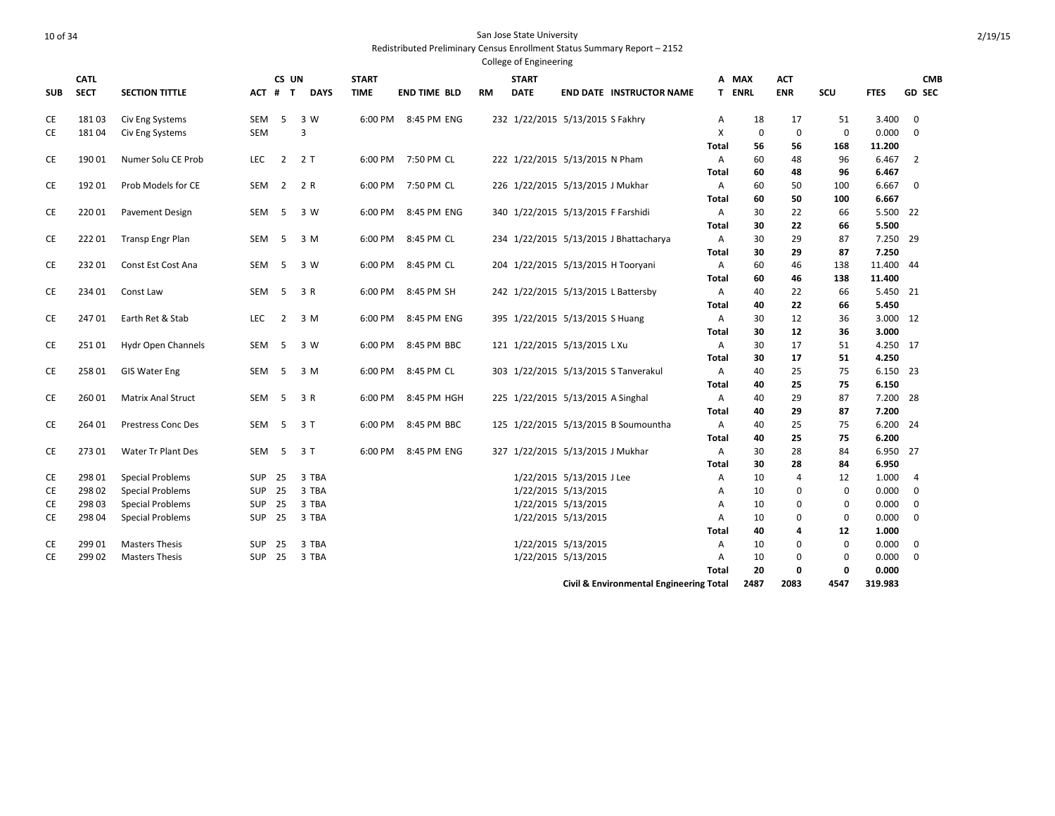| <b>SUB</b> | <b>CATL</b><br><b>SECT</b> | <b>SECTION TITTLE</b>     |               | CS UN<br>ACT # T | <b>DAYS</b> | <b>START</b><br><b>TIME</b> | <b>END TIME BLD</b> | <b>RM</b> | <b>START</b><br><b>DATE</b>        |                           | <b>END DATE INSTRUCTOR NAME</b>         |              | A MAX<br><b>T ENRL</b> | ACT<br><b>ENR</b> | SCU         | <b>FTES</b> | <b>CMB</b><br><b>GD SEC</b> |
|------------|----------------------------|---------------------------|---------------|------------------|-------------|-----------------------------|---------------------|-----------|------------------------------------|---------------------------|-----------------------------------------|--------------|------------------------|-------------------|-------------|-------------|-----------------------------|
| СE         | 18103                      | Civ Eng Systems           | SEM           | 5                | 3 W         |                             | 6:00 PM 8:45 PM ENG |           | 232 1/22/2015 5/13/2015 S Fakhry   |                           |                                         | Α            | 18                     | 17                | 51          | 3.400       | $\mathbf 0$                 |
| СE         | 18104                      | Civ Eng Systems           | <b>SEM</b>    |                  | 3           |                             |                     |           |                                    |                           |                                         | X            | 0                      | $\mathbf 0$       | $\mathbf 0$ | 0.000       | $\Omega$                    |
|            |                            |                           |               |                  |             |                             |                     |           |                                    |                           |                                         | <b>Total</b> | 56                     | 56                | 168         | 11.200      |                             |
| СE         | 190 01                     | Numer Solu CE Prob        | LEC           | $\overline{2}$   | 2T          |                             | 6:00 PM 7:50 PM CL  |           | 222 1/22/2015 5/13/2015 N Pham     |                           |                                         | Α            | 60                     | 48                | 96          | 6.467       | 2                           |
|            |                            |                           |               |                  |             |                             |                     |           |                                    |                           |                                         | Total        | 60                     | 48                | 96          | 6.467       |                             |
| CE         | 192 01                     | Prob Models for CE        | SEM           | $\overline{2}$   | 2 R         |                             | 6:00 PM 7:50 PM CL  |           | 226 1/22/2015 5/13/2015 J Mukhar   |                           |                                         | A            | 60                     | 50                | 100         | 6.667       | 0                           |
|            |                            |                           |               |                  |             |                             |                     |           |                                    |                           |                                         | Total        | 60                     | 50                | 100         | 6.667       |                             |
| CE         | 220 01                     | <b>Pavement Design</b>    | SEM           | - 5              | 3 W         | 6:00 PM                     | 8:45 PM ENG         |           | 340 1/22/2015 5/13/2015 F Farshidi |                           |                                         | Α            | 30                     | 22                | 66          | 5.500 22    |                             |
|            |                            |                           |               |                  |             |                             |                     |           |                                    |                           |                                         | Total        | 30                     | 22                | 66          | 5.500       |                             |
| СE         | 22201                      | <b>Transp Engr Plan</b>   | SEM           | -5               | 3 M         | 6:00 PM                     | 8:45 PM CL          |           |                                    |                           | 234 1/22/2015 5/13/2015 J Bhattacharya  | Α            | 30                     | 29                | 87          | 7.250 29    |                             |
|            |                            |                           |               |                  |             |                             |                     |           |                                    |                           |                                         | Total        | 30                     | 29                | 87          | 7.250       |                             |
| СE         | 232 01                     | Const Est Cost Ana        | SEM           | -5               | 3 W         |                             | 6:00 PM 8:45 PM CL  |           | 204 1/22/2015 5/13/2015 H Tooryani |                           |                                         | Α            | 60                     | 46                | 138         | 11.400 44   |                             |
|            |                            |                           |               |                  |             |                             |                     |           |                                    |                           |                                         | Total        | 60                     | 46                | 138         | 11.400      |                             |
| CE         | 234 01                     | Const Law                 | SEM           | 5                | 3 R         | 6:00 PM                     | 8:45 PM SH          |           |                                    |                           | 242 1/22/2015 5/13/2015 L Battersby     | Α            | 40                     | 22                | 66          | 5.450 21    |                             |
|            |                            |                           |               |                  |             |                             |                     |           |                                    |                           |                                         | <b>Total</b> | 40                     | 22                | 66          | 5.450       |                             |
| CE         | 24701                      | Earth Ret & Stab          | <b>LEC</b>    | $\overline{2}$   | 3 M         | 6:00 PM                     | 8:45 PM ENG         |           | 395 1/22/2015 5/13/2015 S Huang    |                           |                                         | Α            | 30                     | 12                | 36          | 3.000 12    |                             |
|            |                            |                           |               |                  |             |                             |                     |           |                                    |                           |                                         | Total        | 30                     | 12                | 36          | 3.000       |                             |
| СE         | 25101                      | Hydr Open Channels        | SEM           | 5                | 3 W         | 6:00 PM                     | 8:45 PM BBC         |           | 121 1/22/2015 5/13/2015 L Xu       |                           |                                         | Α            | 30                     | 17                | 51          | 4.250 17    |                             |
|            |                            |                           |               |                  |             |                             |                     |           |                                    |                           |                                         | Total        | 30                     | 17                | 51          | 4.250       |                             |
| СE         | 25801                      | <b>GIS Water Eng</b>      | SEM           | -5               | 3 M         |                             | 6:00 PM 8:45 PM CL  |           |                                    |                           | 303 1/22/2015 5/13/2015 S Tanverakul    | A            | 40                     | 25                | 75          | 6.150 23    |                             |
|            |                            |                           |               |                  |             |                             |                     |           |                                    |                           |                                         | Total        | 40                     | 25                | 75          | 6.150       |                             |
| СE         | 26001                      | <b>Matrix Anal Struct</b> | SEM           | -5               | 3 R         |                             | 6:00 PM 8:45 PM HGH |           | 225 1/22/2015 5/13/2015 A Singhal  |                           |                                         | A            | 40                     | 29                | 87          | 7.200 28    |                             |
|            |                            |                           |               |                  |             |                             |                     |           |                                    |                           |                                         | <b>Total</b> | 40                     | 29                | 87          | 7.200       |                             |
| CE         | 264 01                     | <b>Prestress Conc Des</b> | SEM           | $-5$             | 3T          | 6:00 PM                     | 8:45 PM BBC         |           |                                    |                           | 125 1/22/2015 5/13/2015 B Soumountha    | A            | 40                     | 25                | 75          | 6.200 24    |                             |
|            |                            |                           |               |                  |             |                             |                     |           |                                    |                           |                                         | Total        | 40                     | 25                | 75          | 6.200       |                             |
| СE         | 273 01                     | Water Tr Plant Des        | SEM           | - 5              | 3 T         | 6:00 PM                     | 8:45 PM ENG         |           | 327 1/22/2015 5/13/2015 J Mukhar   |                           |                                         | Α            | 30                     | 28                | 84          | 6.950 27    |                             |
|            |                            |                           |               |                  |             |                             |                     |           |                                    |                           |                                         | Total        | 30                     | 28                | 84          | 6.950       |                             |
| СE         | 298 01                     | <b>Special Problems</b>   | <b>SUP</b>    | 25               | 3 TBA       |                             |                     |           |                                    | 1/22/2015 5/13/2015 J Lee |                                         | A            | 10                     | 4                 | 12          | 1.000       | $\overline{4}$              |
| СE         | 298 02                     | <b>Special Problems</b>   | <b>SUP</b>    | 25               | 3 TBA       |                             |                     |           |                                    | 1/22/2015 5/13/2015       |                                         | A            | 10                     | 0                 | $\mathbf 0$ | 0.000       | 0                           |
| СE         | 298 03                     | <b>Special Problems</b>   | SUP           | 25               | 3 TBA       |                             |                     |           |                                    | 1/22/2015 5/13/2015       |                                         | A            | 10                     | 0                 | $\mathbf 0$ | 0.000       | 0                           |
| СE         | 298 04                     | <b>Special Problems</b>   | <b>SUP</b>    | 25               | 3 TBA       |                             |                     |           |                                    | 1/22/2015 5/13/2015       |                                         | Α            | 10                     | 0                 | 0           | 0.000       | 0                           |
|            |                            |                           |               |                  |             |                             |                     |           |                                    |                           |                                         | Total        | 40                     | 4                 | 12          | 1.000       |                             |
| СE         | 299 01                     | <b>Masters Thesis</b>     | <b>SUP</b>    | 25               | 3 TBA       |                             |                     |           |                                    | 1/22/2015 5/13/2015       |                                         | Α            | 10                     | 0                 | 0           | 0.000       | 0                           |
| СE         | 299 02                     | <b>Masters Thesis</b>     | <b>SUP 25</b> |                  | 3 TBA       |                             |                     |           |                                    | 1/22/2015 5/13/2015       |                                         | Α            | 10                     | 0                 | 0           | 0.000       | 0                           |
|            |                            |                           |               |                  |             |                             |                     |           |                                    |                           |                                         | <b>Total</b> | 20                     | 0                 | 0           | 0.000       |                             |
|            |                            |                           |               |                  |             |                             |                     |           |                                    |                           | Civil & Environmental Engineering Total |              | 2487                   | 2083              | 4547        | 319.983     |                             |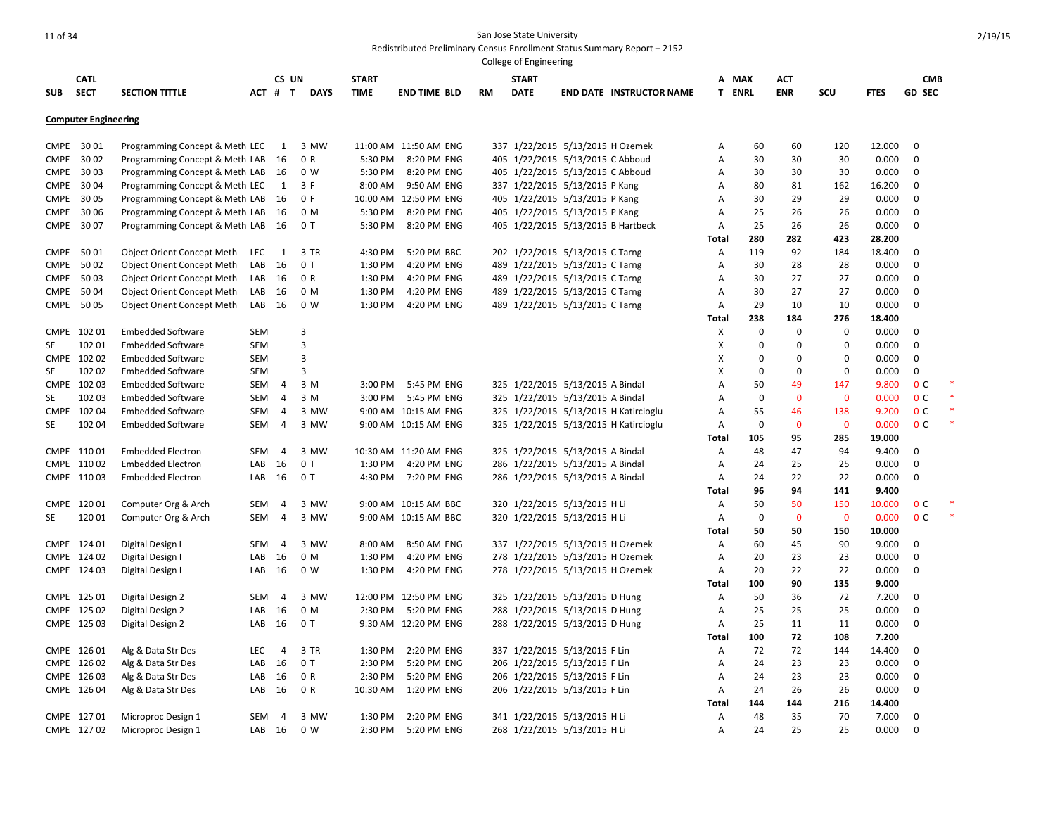|             |                             |                                   |            |                |             |              |                       |    | College of Engineering |                                  |                                       |                |               |             |              |             |                |        |
|-------------|-----------------------------|-----------------------------------|------------|----------------|-------------|--------------|-----------------------|----|------------------------|----------------------------------|---------------------------------------|----------------|---------------|-------------|--------------|-------------|----------------|--------|
|             | <b>CATL</b>                 |                                   |            | CS UN          |             | <b>START</b> |                       |    | <b>START</b>           |                                  |                                       |                | A MAX         | ACT         |              |             | <b>CMB</b>     |        |
| <b>SUB</b>  | <b>SECT</b>                 | <b>SECTION TITTLE</b>             |            | ACT # T        | <b>DAYS</b> | <b>TIME</b>  | <b>END TIME BLD</b>   | RM | <b>DATE</b>            |                                  | <b>END DATE INSTRUCTOR NAME</b>       |                | <b>T ENRL</b> | <b>ENR</b>  | SCU          | <b>FTES</b> | <b>GD SEC</b>  |        |
|             | <b>Computer Engineering</b> |                                   |            |                |             |              |                       |    |                        |                                  |                                       |                |               |             |              |             |                |        |
|             |                             |                                   |            |                |             |              |                       |    |                        |                                  |                                       |                |               |             |              |             |                |        |
| CMPE        | 3001                        | Programming Concept & Meth LEC    |            | $\mathbf{1}$   | 3 MW        |              | 11:00 AM 11:50 AM ENG |    |                        | 337 1/22/2015 5/13/2015 H Ozemek |                                       | Α              | 60            | 60          | 120          | 12.000      | $\mathbf 0$    |        |
| <b>CMPE</b> | 3002                        | Programming Concept & Meth LAB    |            | 16             | 0 R         | 5:30 PM      | 8:20 PM ENG           |    |                        | 405 1/22/2015 5/13/2015 C Abboud |                                       | Α              | 30            | 30          | 30           | 0.000       | $\mathbf 0$    |        |
| CMPE        | 3003                        | Programming Concept & Meth LAB    |            | - 16           | 0 W         | 5:30 PM      | 8:20 PM ENG           |    |                        | 405 1/22/2015 5/13/2015 C Abboud |                                       | A              | 30            | 30          | 30           | 0.000       | $\mathbf 0$    |        |
| <b>CMPE</b> | 3004                        | Programming Concept & Meth LEC    |            | $\mathbf{1}$   | 3 F         | 8:00 AM      | 9:50 AM ENG           |    |                        | 337 1/22/2015 5/13/2015 P Kang   |                                       | Α              | 80            | 81          | 162          | 16.200      | $\mathbf 0$    |        |
| <b>CMPE</b> | 30 05                       | Programming Concept & Meth LAB    |            | - 16           | 0 F         |              | 10:00 AM 12:50 PM ENG |    |                        | 405 1/22/2015 5/13/2015 P Kang   |                                       | A              | 30            | 29          | 29           | 0.000       | $\mathbf 0$    |        |
| <b>CMPE</b> | 30 06                       | Programming Concept & Meth LAB    |            | - 16           | 0 M         | 5:30 PM      | 8:20 PM ENG           |    |                        | 405 1/22/2015 5/13/2015 P Kang   |                                       | A              | 25            | 26          | 26           | 0.000       | $\mathbf 0$    |        |
| <b>CMPE</b> | 3007                        | Programming Concept & Meth LAB    |            | 16             | 0T          | 5:30 PM      | 8:20 PM ENG           |    |                        |                                  | 405 1/22/2015 5/13/2015 B Hartbeck    | Α              | 25            | 26          | 26           | 0.000       | 0              |        |
|             |                             |                                   |            |                |             |              |                       |    |                        |                                  |                                       | <b>Total</b>   | 280           | 282         | 423          | 28.200      |                |        |
| <b>CMPE</b> | 5001                        | Object Orient Concept Meth        | LEC        | $\overline{1}$ | 3 TR        | 4:30 PM      | 5:20 PM BBC           |    |                        | 202 1/22/2015 5/13/2015 C Tarng  |                                       | Α              | 119           | 92          | 184          | 18.400      | 0              |        |
| <b>CMPE</b> | 5002                        | Object Orient Concept Meth        | LAB        | 16             | 0T          | 1:30 PM      | 4:20 PM ENG           |    |                        | 489 1/22/2015 5/13/2015 C Tarng  |                                       | Α              | 30            | 28          | 28           | 0.000       | $\mathbf 0$    |        |
| <b>CMPE</b> | 5003                        | <b>Object Orient Concept Meth</b> | LAB        | 16             | 0 R         | 1:30 PM      | 4:20 PM ENG           |    |                        | 489 1/22/2015 5/13/2015 C Tarng  |                                       | Α              | 30            | 27          | 27           | 0.000       | $\mathbf 0$    |        |
| <b>CMPE</b> | 5004                        | <b>Object Orient Concept Meth</b> | LAB        | 16             | 0 M         | 1:30 PM      | 4:20 PM ENG           |    |                        | 489 1/22/2015 5/13/2015 C Tarng  |                                       | Α              | 30            | 27          | 27           | 0.000       | $\mathbf 0$    |        |
| <b>CMPE</b> | 5005                        | <b>Object Orient Concept Meth</b> | LAB        | 16             | 0 W         | 1:30 PM      | 4:20 PM ENG           |    |                        | 489 1/22/2015 5/13/2015 C Tarng  |                                       | A              | 29            | 10          | 10           | 0.000       | $\mathbf 0$    |        |
|             |                             |                                   |            |                |             |              |                       |    |                        |                                  |                                       | Total          | 238           | 184         | 276          | 18.400      |                |        |
|             | CMPE 102 01                 | <b>Embedded Software</b>          | SEM        |                | 3           |              |                       |    |                        |                                  |                                       | X              | $\Omega$      | 0           | 0            | 0.000       | 0              |        |
| SE          | 102 01                      | <b>Embedded Software</b>          | SEM        |                | 3           |              |                       |    |                        |                                  |                                       | X              | 0             | 0           | 0            | 0.000       | 0              |        |
|             | CMPE 102 02                 | <b>Embedded Software</b>          | SEM        |                | 3           |              |                       |    |                        |                                  |                                       | X              | 0             | 0           | $\mathbf 0$  | 0.000       | 0              |        |
| SE          | 10202                       | <b>Embedded Software</b>          | <b>SEM</b> |                | 3           |              |                       |    |                        |                                  |                                       | X              | $\Omega$      | $\mathbf 0$ | $\mathbf 0$  | 0.000       | $\mathbf 0$    |        |
|             | CMPE 102 03                 | <b>Embedded Software</b>          | SEM        | 4              | 3 M         | 3:00 PM      | 5:45 PM ENG           |    |                        | 325 1/22/2015 5/13/2015 A Bindal |                                       | Α              | 50            | 49          | 147          | 9.800       | 0 <sup>c</sup> |        |
| SE          | 102 03                      | <b>Embedded Software</b>          | SEM        | 4              | 3 M         | 3:00 PM      | 5:45 PM ENG           |    |                        | 325 1/22/2015 5/13/2015 A Bindal |                                       | Α              | $\mathbf 0$   | $\mathbf 0$ | $\mathbf 0$  | 0.000       | 0 <sup>c</sup> |        |
|             | CMPE 102 04                 | <b>Embedded Software</b>          | SEM        | $\overline{4}$ | 3 MW        |              | 9:00 AM 10:15 AM ENG  |    |                        |                                  | 325 1/22/2015 5/13/2015 H Katircioglu | Α              | 55            | 46          | 138          | 9.200       | 0 <sup>c</sup> | $\ast$ |
| SE          | 102 04                      | <b>Embedded Software</b>          | SEM        | $\overline{4}$ | 3 MW        |              | 9:00 AM 10:15 AM ENG  |    |                        |                                  | 325 1/22/2015 5/13/2015 H Katircioglu | A              | $\mathbf 0$   | 0           | $\mathbf{0}$ | 0.000       | 0 <sup>c</sup> | $\ast$ |
|             |                             |                                   |            |                |             |              |                       |    |                        |                                  |                                       | <b>Total</b>   | 105           | 95          | 285          | 19.000      |                |        |
|             | CMPE 110 01                 | <b>Embedded Electron</b>          | SEM        | $\overline{4}$ | 3 MW        |              | 10:30 AM 11:20 AM ENG |    |                        | 325 1/22/2015 5/13/2015 A Bindal |                                       | Α              | 48            | 47          | 94           | 9.400       | $\mathbf 0$    |        |
|             | CMPE 110 02                 | <b>Embedded Electron</b>          | LAB        | 16             | 0T          | 1:30 PM      | 4:20 PM ENG           |    |                        | 286 1/22/2015 5/13/2015 A Bindal |                                       | A              | 24            | 25          | 25           | 0.000       | $\mathbf 0$    |        |
|             | CMPE 11003                  | <b>Embedded Electron</b>          | LAB        | - 16           | 0T          | 4:30 PM      | 7:20 PM ENG           |    |                        | 286 1/22/2015 5/13/2015 A Bindal |                                       | A              | 24            | 22          | 22           | 0.000       | 0              |        |
|             |                             |                                   |            |                |             |              |                       |    |                        |                                  |                                       | Total          | 96            | 94          | 141          | 9.400       |                |        |
|             | CMPE 120 01                 | Computer Org & Arch               | SEM        | 4              | 3 MW        |              | 9:00 AM 10:15 AM BBC  |    |                        | 320 1/22/2015 5/13/2015 H Li     |                                       | Α              | 50            | 50          | 150          | 10.000      | 0 <sup>c</sup> |        |
| SE          | 12001                       | Computer Org & Arch               | SEM        | 4              | 3 MW        |              | 9:00 AM 10:15 AM BBC  |    |                        | 320 1/22/2015 5/13/2015 H Li     |                                       | Α              | 0             | 0           | $\mathbf{0}$ | 0.000       | 0 <sup>c</sup> | *      |
|             |                             |                                   |            |                |             |              |                       |    |                        |                                  |                                       | <b>Total</b>   | 50            | 50          | 150          | 10.000      |                |        |
|             | CMPE 124 01                 | Digital Design I                  | SEM        | $\overline{4}$ | 3 MW        | 8:00 AM      | 8:50 AM ENG           |    |                        | 337 1/22/2015 5/13/2015 H Ozemek |                                       | Α              | 60            | 45          | 90           | 9.000       | 0              |        |
|             | CMPE 124 02                 | Digital Design I                  | LAB        | 16             | 0 M         | 1:30 PM      | 4:20 PM ENG           |    |                        | 278 1/22/2015 5/13/2015 H Ozemek |                                       | Α              | 20            | 23          | 23           | 0.000       | $\mathbf 0$    |        |
|             | CMPE 124 03                 | Digital Design I                  | LAB        | 16             | 0 W         | 1:30 PM      | 4:20 PM ENG           |    |                        | 278 1/22/2015 5/13/2015 H Ozemek |                                       | Α              | 20            | 22          | 22           | 0.000       | 0              |        |
|             |                             |                                   |            |                |             |              |                       |    |                        |                                  |                                       | Total          | 100           | 90          | 135          | 9.000       |                |        |
|             | CMPE 125 01                 | Digital Design 2                  | <b>SEM</b> | 4              | 3 MW        |              | 12:00 PM 12:50 PM ENG |    |                        | 325 1/22/2015 5/13/2015 D Hung   |                                       | Α              | 50            | 36          | 72           | 7.200       | $\mathbf 0$    |        |
|             | CMPE 125 02                 | Digital Design 2                  | LAB        | 16             | 0 M         | 2:30 PM      | 5:20 PM ENG           |    |                        | 288 1/22/2015 5/13/2015 D Hung   |                                       | Α              | 25            | 25          | 25           | 0.000       | $\mathbf 0$    |        |
|             | CMPE 125 03                 | Digital Design 2                  | LAB        | 16             | 0T          |              | 9:30 AM 12:20 PM ENG  |    |                        | 288 1/22/2015 5/13/2015 D Hung   |                                       | Α              | 25            | 11          | 11           | 0.000       | 0              |        |
|             |                             |                                   |            |                |             |              |                       |    |                        |                                  |                                       | Total          | 100           | 72          | 108          | 7.200       |                |        |
|             | CMPE 126 01                 | Alg & Data Str Des                | <b>LEC</b> | $\overline{4}$ | 3 TR        | 1:30 PM      | 2:20 PM ENG           |    |                        | 337 1/22/2015 5/13/2015 F Lin    |                                       | Α              | 72            | 72          | 144          | 14.400      | 0              |        |
|             | CMPE 126 02                 | Alg & Data Str Des                | LAB        | 16             | 0T          | 2:30 PM      | 5:20 PM ENG           |    |                        | 206 1/22/2015 5/13/2015 F Lin    |                                       | Α              | 24            | 23          | 23           | 0.000       | 0              |        |
|             | CMPE 126 03                 | Alg & Data Str Des                | LAB        | 16             | 0 R         | 2:30 PM      | 5:20 PM ENG           |    |                        | 206 1/22/2015 5/13/2015 F Lin    |                                       | Α              | 24            | 23          | 23           | 0.000       | 0              |        |
|             | CMPE 126 04                 | Alg & Data Str Des                | LAB        | 16             | 0 R         | 10:30 AM     | 1:20 PM ENG           |    |                        | 206 1/22/2015 5/13/2015 F Lin    |                                       | Α              | 24            | 26          | 26           | 0.000       | $\mathbf 0$    |        |
|             |                             |                                   |            |                |             |              |                       |    |                        |                                  |                                       | Total          | 144           | 144         | 216          | 14.400      |                |        |
|             | CMPE 12701                  | Microproc Design 1                | SEM        | 4              | 3 MW        | 1:30 PM      | 2:20 PM ENG           |    |                        | 341 1/22/2015 5/13/2015 H Li     |                                       | Α              | 48            | 35          | 70           | 7.000       | $\mathbf 0$    |        |
|             | CMPE 127 02                 | Microproc Design 1                | LAB        | 16             | 0 W         | 2:30 PM      | 5:20 PM ENG           |    |                        | 268 1/22/2015 5/13/2015 H Li     |                                       | $\overline{A}$ | 24            | 25          | 25           | 0.000       | $\Omega$       |        |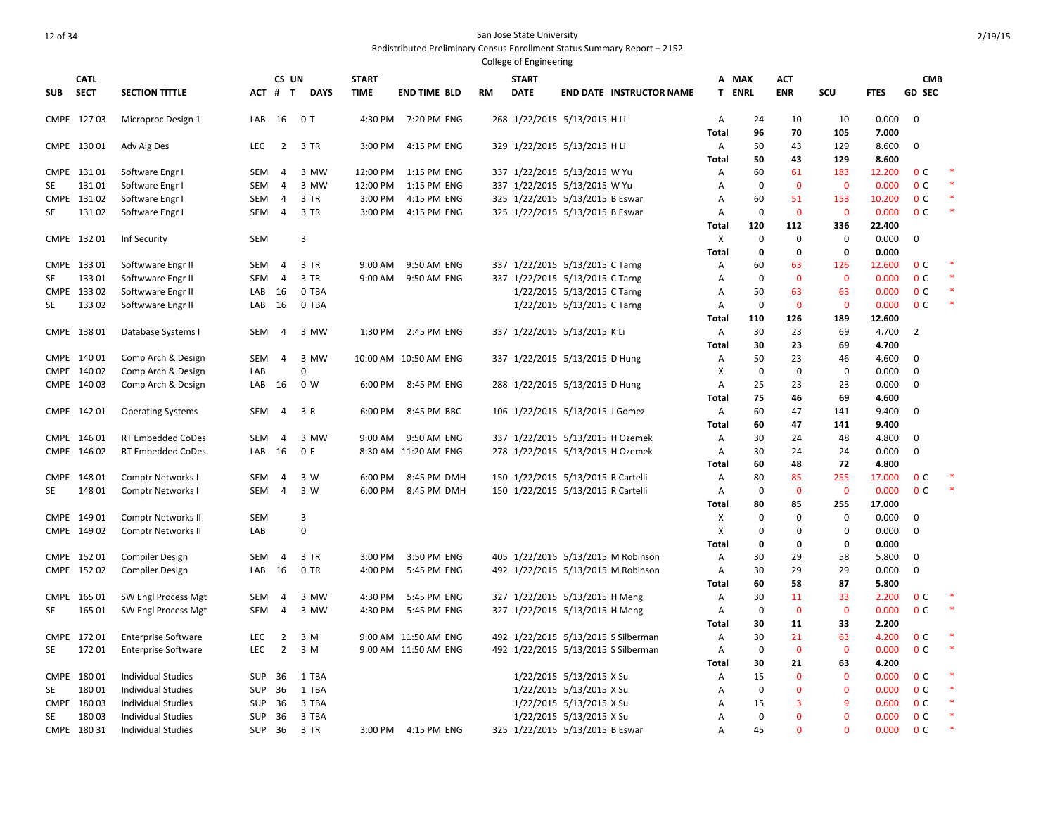| <b>CATL</b><br>CS UN<br><b>START</b><br><b>START</b><br>A MAX<br><b>ACT</b><br><b>CMB</b><br><b>SECT</b><br><b>SECTION TITTLE</b><br>ACT # T<br><b>DAYS</b><br><b>TIME</b><br><b>END TIME BLD</b><br><b>DATE</b><br><b>END DATE INSTRUCTOR NAME</b><br><b>ENRL</b><br><b>ENR</b><br>SCU<br><b>FTES</b><br><b>GD SEC</b><br><b>SUB</b><br>RM<br>т<br>7:20 PM ENG<br>268 1/22/2015 5/13/2015 H Li<br>0.000<br>$\mathbf 0$<br>CMPE 12703<br>Microproc Design 1<br>LAB<br>16<br>0T<br>4:30 PM<br>Α<br>24<br>10<br>10<br><b>Total</b><br>96<br>70<br>105<br>7.000<br>CMPE 130 01<br>Adv Alg Des<br><b>LEC</b><br>$\overline{2}$<br>3 TR<br>4:15 PM ENG<br>329 1/22/2015 5/13/2015 H Li<br>50<br>43<br>129<br>8.600<br>0<br>3:00 PM<br>A<br>50<br>43<br>8.600<br>Total<br>129<br>Software Engr I<br>337 1/22/2015 5/13/2015 W Yu<br>60<br>0 <sup>c</sup><br>CMPE 13101<br><b>SEM</b><br>4<br>3 MW<br>12:00 PM<br>1:15 PM ENG<br>A<br>61<br>183<br>12.200<br>$\mathbf 0$<br>12:00 PM<br>337 1/22/2015 5/13/2015 W Yu<br>$\mathbf 0$<br>$\mathbf 0$<br>0.000<br>0 <sup>c</sup><br>131 01<br>Software Engr I<br><b>SEM</b><br>4<br>3 MW<br>1:15 PM ENG<br>SE<br>Α<br>325 1/22/2015 5/13/2015 B Eswar<br>60<br>0 <sup>c</sup><br>CMPE 13102<br>Software Engr I<br><b>SEM</b><br>3 TR<br>3:00 PM<br>4:15 PM ENG<br>51<br>153<br>10.200<br>4<br>Α<br>325 1/22/2015 5/13/2015 B Eswar<br>$\mathbf 0$<br>$\mathbf 0$<br>$\mathbf 0$<br>0.000<br>0 <sup>c</sup><br>13102<br>Software Engr I<br>3 TR<br>3:00 PM<br>4:15 PM ENG<br>SE<br>SEM<br>4<br>Α<br>120<br>112<br>336<br>22.400<br>Total<br>3<br>$\Omega$<br>$\mathbf 0$<br>0.000<br>CMPE 132 01<br><b>SEM</b><br>X<br>0<br>$\mathbf 0$<br>Inf Security<br>$\mathbf 0$<br>0<br>0<br>0.000<br>Total<br>337 1/22/2015 5/13/2015 C Tarng<br>63<br>12.600<br>0 <sup>c</sup><br>CMPE 133 01<br>Softwware Engr II<br>SEM<br>$\overline{4}$<br>3 TR<br>9:00 AM<br>9:50 AM ENG<br>60<br>126<br>Α<br>$\mathbf 0$<br>$\mathbf 0$<br>$\mathbf 0$<br>0 <sup>c</sup><br>133 01<br>Softwware Engr II<br><b>SEM</b><br>$\overline{4}$<br>3 TR<br>9:00 AM<br>9:50 AM ENG<br>337 1/22/2015 5/13/2015 C Tarng<br>0.000<br>SE<br>A<br>63<br>0 <sup>c</sup><br>CMPE 133 02<br>Softwware Engr II<br>0 TBA<br>1/22/2015 5/13/2015 C Tarng<br>50<br>63<br>0.000<br>LAB<br>16<br>Α<br>$\mathbf 0$<br>$\mathbf 0$<br>13302<br>0 TBA<br>1/22/2015 5/13/2015 C Tarng<br>$\mathbf{0}$<br>0.000<br>0 <sup>c</sup><br>SE<br>Softwware Engr II<br>LAB<br>16<br>A<br>110<br>126<br>189<br>12.600<br>Total<br>CMPE 138 01<br>2:45 PM ENG<br>337 1/22/2015 5/13/2015 K Li<br>30<br>23<br>69<br>4.700<br>2<br>Database Systems I<br>SEM<br>4<br>3 MW<br>1:30 PM<br>Α<br>23<br><b>Total</b><br>30<br>69<br>4.700<br>23<br>CMPE 140 01<br>Comp Arch & Design<br><b>SEM</b><br>4<br>3 MW<br>10:00 AM 10:50 AM ENG<br>337 1/22/2015 5/13/2015 D Hung<br>Α<br>50<br>46<br>4.600<br>0<br>$\pmb{0}$<br>$\mathbf 0$<br>CMPE 140 02<br>Comp Arch & Design<br>$\Omega$<br>X<br>0<br>0.000<br>0<br>LAB<br>CMPE 140 03<br>16<br>0 W<br>8:45 PM ENG<br>288 1/22/2015 5/13/2015 D Hung<br>25<br>23<br>23<br>0.000<br>0<br>Comp Arch & Design<br>LAB<br>6:00 PM<br>A<br>75<br>46<br>4.600<br>-69<br>Total<br>60<br>47<br>9.400<br>0<br>CMPE 142 01<br><b>Operating Systems</b><br>SEM<br>3 R<br>6:00 PM<br>8:45 PM BBC<br>106 1/22/2015 5/13/2015 J Gomez<br>Α<br>141<br>4<br>47<br>9.400<br>60<br>141<br>Total<br>3 MW<br>337 1/22/2015 5/13/2015 H Ozemek<br>30<br>4.800<br>CMPE 146 01<br><b>RT Embedded CoDes</b><br><b>SEM</b><br>9:00 AM<br>9:50 AM ENG<br>Α<br>24<br>48<br>0<br>4<br>CMPE 146 02<br>278 1/22/2015 5/13/2015 H Ozemek<br>0.000<br>0<br><b>RT Embedded CoDes</b><br>LAB<br>16<br>0 F<br>8:30 AM 11:20 AM ENG<br>30<br>24<br>24<br>Α<br>60<br>48<br>72<br>4.800<br>Total<br>CMPE 148 01<br>3 W<br>6:00 PM<br>150 1/22/2015 5/13/2015 R Cartelli<br>80<br>85<br>255<br>17.000<br>0 <sup>c</sup><br>Comptr Networks I<br>SEM<br>4<br>8:45 PM DMH<br>Α<br>148 01<br>$\overline{4}$<br>3 W<br>150 1/22/2015 5/13/2015 R Cartelli<br>$\mathbf 0$<br>$\mathbf 0$<br>$\mathbf 0$<br>0.000<br>0 <sup>c</sup><br>SE<br>Comptr Networks I<br><b>SEM</b><br>6:00 PM<br>8:45 PM DMH<br>Α<br>85<br>17.000<br><b>Total</b><br>80<br>255<br>$\mathbf 0$<br>$\mathbf 0$<br>CMPE 149 01<br>Comptr Networks II<br><b>SEM</b><br>3<br>0<br>0.000<br>0<br>х<br>$\mathbf 0$<br>$\mathbf 0$<br>$\Omega$<br>CMPE 149 02<br>Comptr Networks II<br>LAB<br>X<br>0<br>0.000<br>0<br><b>Total</b><br>0<br>0<br>0<br>0.000<br>405 1/22/2015 5/13/2015 M Robinson<br>30<br>29<br>5.800<br>CMPE 152 01<br><b>Compiler Design</b><br><b>SEM</b><br>3 TR<br>3:00 PM<br>3:50 PM ENG<br>A<br>58<br>0<br>4<br>492 1/22/2015 5/13/2015 M Robinson<br>30<br>29<br>29<br>0<br>CMPE 15202<br>Compiler Design<br>LAB<br>- 16<br>0 TR<br>4:00 PM<br>5:45 PM ENG<br>Α<br>0.000<br>60<br>58<br>87<br>5.800<br>Total<br>CMPE 165 01<br>SW Engl Process Mgt<br><b>SEM</b><br>3 MW<br>4:30 PM<br>5:45 PM ENG<br>327 1/22/2015 5/13/2015 H Meng<br>30<br>11<br>33<br>2.200<br>0 <sup>c</sup><br>4<br>Α<br>$\mathbf 0$<br>$\mathbf{0}$<br>$\mathbf{0}$<br>0 <sup>c</sup><br>∗<br><b>SE</b><br>165 01<br>SW Engl Process Mgt<br><b>SEM</b><br>3 MW<br>4:30 PM<br>5:45 PM ENG<br>327 1/22/2015 5/13/2015 H Meng<br>0.000<br>4<br>Α<br>2.200<br>30<br>11<br>33<br>Total<br>492 1/22/2015 5/13/2015 S Silberman<br>30<br>21<br>4.200<br>0 <sup>c</sup><br>172 01<br><b>Enterprise Software</b><br>LEC<br>2<br>3 M<br>9:00 AM 11:50 AM ENG<br>Α<br>63<br><b>CMPE</b><br>172 01<br>LEC<br>$\overline{2}$<br>3 M<br>9:00 AM 11:50 AM ENG<br>492 1/22/2015 5/13/2015 S Silberman<br>$\mathbf 0$<br>$\mathbf 0$<br>$\mathbf 0$<br>0.000<br>0 <sup>c</sup><br>SE<br><b>Enterprise Software</b><br>Α<br>30<br>21<br>4.200<br>63<br>Total<br>$\mathbf 0$<br>0.000<br>CMPE 180 01<br><b>Individual Studies</b><br><b>SUP</b><br>36<br>1 TBA<br>1/22/2015 5/13/2015 X Su<br>15<br>$\mathbf 0$<br>0 <sup>c</sup><br>Α<br>$\mathbf 0$<br>$\mathbf{0}$<br>$\mathbf 0$<br>0 <sup>c</sup><br>180 01<br><b>Individual Studies</b><br><b>SUP</b><br>36<br>1 TBA<br>1/22/2015 5/13/2015 X Su<br>0.000<br>SE<br>A<br>CMPE 180 03<br>3 TBA<br>1/22/2015 5/13/2015 X Su<br>15<br>3<br>9<br>0.600<br>0 <sup>c</sup><br><b>Individual Studies</b><br>SUP<br>-36<br>A<br>$\mathbf 0$<br>18003<br>3 TBA<br>1/22/2015 5/13/2015 X Su<br>$\Omega$<br>$\Omega$<br>0 <sup>c</sup><br>SE<br><b>Individual Studies</b><br>SUP<br>36<br>0.000<br>A<br>$\Omega$<br>45<br>$\Omega$<br>0.000<br>0 <sup>c</sup><br>CMPE 180 31<br><b>Individual Studies</b><br><b>SUP</b><br>36<br>3 TR<br>3:00 PM 4:15 PM ENG<br>325 1/22/2015 5/13/2015 B Eswar<br>A |  |  |  |  |  |  |  |  |  |
|----------------------------------------------------------------------------------------------------------------------------------------------------------------------------------------------------------------------------------------------------------------------------------------------------------------------------------------------------------------------------------------------------------------------------------------------------------------------------------------------------------------------------------------------------------------------------------------------------------------------------------------------------------------------------------------------------------------------------------------------------------------------------------------------------------------------------------------------------------------------------------------------------------------------------------------------------------------------------------------------------------------------------------------------------------------------------------------------------------------------------------------------------------------------------------------------------------------------------------------------------------------------------------------------------------------------------------------------------------------------------------------------------------------------------------------------------------------------------------------------------------------------------------------------------------------------------------------------------------------------------------------------------------------------------------------------------------------------------------------------------------------------------------------------------------------------------------------------------------------------------------------------------------------------------------------------------------------------------------------------------------------------------------------------------------------------------------------------------------------------------------------------------------------------------------------------------------------------------------------------------------------------------------------------------------------------------------------------------------------------------------------------------------------------------------------------------------------------------------------------------------------------------------------------------------------------------------------------------------------------------------------------------------------------------------------------------------------------------------------------------------------------------------------------------------------------------------------------------------------------------------------------------------------------------------------------------------------------------------------------------------------------------------------------------------------------------------------------------------------------------------------------------------------------------------------------------------------------------------------------------------------------------------------------------------------------------------------------------------------------------------------------------------------------------------------------------------------------------------------------------------------------------------------------------------------------------------------------------------------------------------------------------------------------------------------------------------------------------------------------------------------------------------------------------------------------------------------------------------------------------------------------------------------------------------------------------------------------------------------------------------------------------------------------------------------------------------------------------------------------------------------------------------------------------------------------------------------------------------------------------------------------------------------------------------------------------------------------------------------------------------------------------------------------------------------------------------------------------------------------------------------------------------------------------------------------------------------------------------------------------------------------------------------------------------------------------------------------------------------------------------------------------------------------------------------------------------------------------------------------------------------------------------------------------------------------------------------------------------------------------------------------------------------------------------------------------------------------------------------------------------------------------------------------------------------------------------------------------------------------------------------------------------------------------------------------------------------------------------------------------------------------------------------------------------------------------------------------------------------------------------------------------------------------------------------------------------------------------------------------------------------------------------------------------------------------------------------------------------------------------------------------------------------------------------------------------------------------------------------------------------------------------------------------------------------------------------------------------------------------------------------------------------------------------------------------------------------------------------------------------------------------------------------------------------------------------------------------------------------------------------------------------------------------------------------------------------------------------------------------------------------------------------------------------------------------------------------------------------------------------------------------------------------------------------------------------------------------------------------------------------------------------------------------|--|--|--|--|--|--|--|--|--|
|                                                                                                                                                                                                                                                                                                                                                                                                                                                                                                                                                                                                                                                                                                                                                                                                                                                                                                                                                                                                                                                                                                                                                                                                                                                                                                                                                                                                                                                                                                                                                                                                                                                                                                                                                                                                                                                                                                                                                                                                                                                                                                                                                                                                                                                                                                                                                                                                                                                                                                                                                                                                                                                                                                                                                                                                                                                                                                                                                                                                                                                                                                                                                                                                                                                                                                                                                                                                                                                                                                                                                                                                                                                                                                                                                                                                                                                                                                                                                                                                                                                                                                                                                                                                                                                                                                                                                                                                                                                                                                                                                                                                                                                                                                                                                                                                                                                                                                                                                                                                                                                                                                                                                                                                                                                                                                                                                                                                                                                                                                                                                                                                                                                                                                                                                                                                                                                                                                                                                                                                                                                                                                                                                                                                                                                                                                                                                                                                                                                                                                                                                                                                                                                                      |  |  |  |  |  |  |  |  |  |
|                                                                                                                                                                                                                                                                                                                                                                                                                                                                                                                                                                                                                                                                                                                                                                                                                                                                                                                                                                                                                                                                                                                                                                                                                                                                                                                                                                                                                                                                                                                                                                                                                                                                                                                                                                                                                                                                                                                                                                                                                                                                                                                                                                                                                                                                                                                                                                                                                                                                                                                                                                                                                                                                                                                                                                                                                                                                                                                                                                                                                                                                                                                                                                                                                                                                                                                                                                                                                                                                                                                                                                                                                                                                                                                                                                                                                                                                                                                                                                                                                                                                                                                                                                                                                                                                                                                                                                                                                                                                                                                                                                                                                                                                                                                                                                                                                                                                                                                                                                                                                                                                                                                                                                                                                                                                                                                                                                                                                                                                                                                                                                                                                                                                                                                                                                                                                                                                                                                                                                                                                                                                                                                                                                                                                                                                                                                                                                                                                                                                                                                                                                                                                                                                      |  |  |  |  |  |  |  |  |  |
|                                                                                                                                                                                                                                                                                                                                                                                                                                                                                                                                                                                                                                                                                                                                                                                                                                                                                                                                                                                                                                                                                                                                                                                                                                                                                                                                                                                                                                                                                                                                                                                                                                                                                                                                                                                                                                                                                                                                                                                                                                                                                                                                                                                                                                                                                                                                                                                                                                                                                                                                                                                                                                                                                                                                                                                                                                                                                                                                                                                                                                                                                                                                                                                                                                                                                                                                                                                                                                                                                                                                                                                                                                                                                                                                                                                                                                                                                                                                                                                                                                                                                                                                                                                                                                                                                                                                                                                                                                                                                                                                                                                                                                                                                                                                                                                                                                                                                                                                                                                                                                                                                                                                                                                                                                                                                                                                                                                                                                                                                                                                                                                                                                                                                                                                                                                                                                                                                                                                                                                                                                                                                                                                                                                                                                                                                                                                                                                                                                                                                                                                                                                                                                                                      |  |  |  |  |  |  |  |  |  |
|                                                                                                                                                                                                                                                                                                                                                                                                                                                                                                                                                                                                                                                                                                                                                                                                                                                                                                                                                                                                                                                                                                                                                                                                                                                                                                                                                                                                                                                                                                                                                                                                                                                                                                                                                                                                                                                                                                                                                                                                                                                                                                                                                                                                                                                                                                                                                                                                                                                                                                                                                                                                                                                                                                                                                                                                                                                                                                                                                                                                                                                                                                                                                                                                                                                                                                                                                                                                                                                                                                                                                                                                                                                                                                                                                                                                                                                                                                                                                                                                                                                                                                                                                                                                                                                                                                                                                                                                                                                                                                                                                                                                                                                                                                                                                                                                                                                                                                                                                                                                                                                                                                                                                                                                                                                                                                                                                                                                                                                                                                                                                                                                                                                                                                                                                                                                                                                                                                                                                                                                                                                                                                                                                                                                                                                                                                                                                                                                                                                                                                                                                                                                                                                                      |  |  |  |  |  |  |  |  |  |
|                                                                                                                                                                                                                                                                                                                                                                                                                                                                                                                                                                                                                                                                                                                                                                                                                                                                                                                                                                                                                                                                                                                                                                                                                                                                                                                                                                                                                                                                                                                                                                                                                                                                                                                                                                                                                                                                                                                                                                                                                                                                                                                                                                                                                                                                                                                                                                                                                                                                                                                                                                                                                                                                                                                                                                                                                                                                                                                                                                                                                                                                                                                                                                                                                                                                                                                                                                                                                                                                                                                                                                                                                                                                                                                                                                                                                                                                                                                                                                                                                                                                                                                                                                                                                                                                                                                                                                                                                                                                                                                                                                                                                                                                                                                                                                                                                                                                                                                                                                                                                                                                                                                                                                                                                                                                                                                                                                                                                                                                                                                                                                                                                                                                                                                                                                                                                                                                                                                                                                                                                                                                                                                                                                                                                                                                                                                                                                                                                                                                                                                                                                                                                                                                      |  |  |  |  |  |  |  |  |  |
|                                                                                                                                                                                                                                                                                                                                                                                                                                                                                                                                                                                                                                                                                                                                                                                                                                                                                                                                                                                                                                                                                                                                                                                                                                                                                                                                                                                                                                                                                                                                                                                                                                                                                                                                                                                                                                                                                                                                                                                                                                                                                                                                                                                                                                                                                                                                                                                                                                                                                                                                                                                                                                                                                                                                                                                                                                                                                                                                                                                                                                                                                                                                                                                                                                                                                                                                                                                                                                                                                                                                                                                                                                                                                                                                                                                                                                                                                                                                                                                                                                                                                                                                                                                                                                                                                                                                                                                                                                                                                                                                                                                                                                                                                                                                                                                                                                                                                                                                                                                                                                                                                                                                                                                                                                                                                                                                                                                                                                                                                                                                                                                                                                                                                                                                                                                                                                                                                                                                                                                                                                                                                                                                                                                                                                                                                                                                                                                                                                                                                                                                                                                                                                                                      |  |  |  |  |  |  |  |  |  |
|                                                                                                                                                                                                                                                                                                                                                                                                                                                                                                                                                                                                                                                                                                                                                                                                                                                                                                                                                                                                                                                                                                                                                                                                                                                                                                                                                                                                                                                                                                                                                                                                                                                                                                                                                                                                                                                                                                                                                                                                                                                                                                                                                                                                                                                                                                                                                                                                                                                                                                                                                                                                                                                                                                                                                                                                                                                                                                                                                                                                                                                                                                                                                                                                                                                                                                                                                                                                                                                                                                                                                                                                                                                                                                                                                                                                                                                                                                                                                                                                                                                                                                                                                                                                                                                                                                                                                                                                                                                                                                                                                                                                                                                                                                                                                                                                                                                                                                                                                                                                                                                                                                                                                                                                                                                                                                                                                                                                                                                                                                                                                                                                                                                                                                                                                                                                                                                                                                                                                                                                                                                                                                                                                                                                                                                                                                                                                                                                                                                                                                                                                                                                                                                                      |  |  |  |  |  |  |  |  |  |
|                                                                                                                                                                                                                                                                                                                                                                                                                                                                                                                                                                                                                                                                                                                                                                                                                                                                                                                                                                                                                                                                                                                                                                                                                                                                                                                                                                                                                                                                                                                                                                                                                                                                                                                                                                                                                                                                                                                                                                                                                                                                                                                                                                                                                                                                                                                                                                                                                                                                                                                                                                                                                                                                                                                                                                                                                                                                                                                                                                                                                                                                                                                                                                                                                                                                                                                                                                                                                                                                                                                                                                                                                                                                                                                                                                                                                                                                                                                                                                                                                                                                                                                                                                                                                                                                                                                                                                                                                                                                                                                                                                                                                                                                                                                                                                                                                                                                                                                                                                                                                                                                                                                                                                                                                                                                                                                                                                                                                                                                                                                                                                                                                                                                                                                                                                                                                                                                                                                                                                                                                                                                                                                                                                                                                                                                                                                                                                                                                                                                                                                                                                                                                                                                      |  |  |  |  |  |  |  |  |  |
|                                                                                                                                                                                                                                                                                                                                                                                                                                                                                                                                                                                                                                                                                                                                                                                                                                                                                                                                                                                                                                                                                                                                                                                                                                                                                                                                                                                                                                                                                                                                                                                                                                                                                                                                                                                                                                                                                                                                                                                                                                                                                                                                                                                                                                                                                                                                                                                                                                                                                                                                                                                                                                                                                                                                                                                                                                                                                                                                                                                                                                                                                                                                                                                                                                                                                                                                                                                                                                                                                                                                                                                                                                                                                                                                                                                                                                                                                                                                                                                                                                                                                                                                                                                                                                                                                                                                                                                                                                                                                                                                                                                                                                                                                                                                                                                                                                                                                                                                                                                                                                                                                                                                                                                                                                                                                                                                                                                                                                                                                                                                                                                                                                                                                                                                                                                                                                                                                                                                                                                                                                                                                                                                                                                                                                                                                                                                                                                                                                                                                                                                                                                                                                                                      |  |  |  |  |  |  |  |  |  |
|                                                                                                                                                                                                                                                                                                                                                                                                                                                                                                                                                                                                                                                                                                                                                                                                                                                                                                                                                                                                                                                                                                                                                                                                                                                                                                                                                                                                                                                                                                                                                                                                                                                                                                                                                                                                                                                                                                                                                                                                                                                                                                                                                                                                                                                                                                                                                                                                                                                                                                                                                                                                                                                                                                                                                                                                                                                                                                                                                                                                                                                                                                                                                                                                                                                                                                                                                                                                                                                                                                                                                                                                                                                                                                                                                                                                                                                                                                                                                                                                                                                                                                                                                                                                                                                                                                                                                                                                                                                                                                                                                                                                                                                                                                                                                                                                                                                                                                                                                                                                                                                                                                                                                                                                                                                                                                                                                                                                                                                                                                                                                                                                                                                                                                                                                                                                                                                                                                                                                                                                                                                                                                                                                                                                                                                                                                                                                                                                                                                                                                                                                                                                                                                                      |  |  |  |  |  |  |  |  |  |
|                                                                                                                                                                                                                                                                                                                                                                                                                                                                                                                                                                                                                                                                                                                                                                                                                                                                                                                                                                                                                                                                                                                                                                                                                                                                                                                                                                                                                                                                                                                                                                                                                                                                                                                                                                                                                                                                                                                                                                                                                                                                                                                                                                                                                                                                                                                                                                                                                                                                                                                                                                                                                                                                                                                                                                                                                                                                                                                                                                                                                                                                                                                                                                                                                                                                                                                                                                                                                                                                                                                                                                                                                                                                                                                                                                                                                                                                                                                                                                                                                                                                                                                                                                                                                                                                                                                                                                                                                                                                                                                                                                                                                                                                                                                                                                                                                                                                                                                                                                                                                                                                                                                                                                                                                                                                                                                                                                                                                                                                                                                                                                                                                                                                                                                                                                                                                                                                                                                                                                                                                                                                                                                                                                                                                                                                                                                                                                                                                                                                                                                                                                                                                                                                      |  |  |  |  |  |  |  |  |  |
|                                                                                                                                                                                                                                                                                                                                                                                                                                                                                                                                                                                                                                                                                                                                                                                                                                                                                                                                                                                                                                                                                                                                                                                                                                                                                                                                                                                                                                                                                                                                                                                                                                                                                                                                                                                                                                                                                                                                                                                                                                                                                                                                                                                                                                                                                                                                                                                                                                                                                                                                                                                                                                                                                                                                                                                                                                                                                                                                                                                                                                                                                                                                                                                                                                                                                                                                                                                                                                                                                                                                                                                                                                                                                                                                                                                                                                                                                                                                                                                                                                                                                                                                                                                                                                                                                                                                                                                                                                                                                                                                                                                                                                                                                                                                                                                                                                                                                                                                                                                                                                                                                                                                                                                                                                                                                                                                                                                                                                                                                                                                                                                                                                                                                                                                                                                                                                                                                                                                                                                                                                                                                                                                                                                                                                                                                                                                                                                                                                                                                                                                                                                                                                                                      |  |  |  |  |  |  |  |  |  |
|                                                                                                                                                                                                                                                                                                                                                                                                                                                                                                                                                                                                                                                                                                                                                                                                                                                                                                                                                                                                                                                                                                                                                                                                                                                                                                                                                                                                                                                                                                                                                                                                                                                                                                                                                                                                                                                                                                                                                                                                                                                                                                                                                                                                                                                                                                                                                                                                                                                                                                                                                                                                                                                                                                                                                                                                                                                                                                                                                                                                                                                                                                                                                                                                                                                                                                                                                                                                                                                                                                                                                                                                                                                                                                                                                                                                                                                                                                                                                                                                                                                                                                                                                                                                                                                                                                                                                                                                                                                                                                                                                                                                                                                                                                                                                                                                                                                                                                                                                                                                                                                                                                                                                                                                                                                                                                                                                                                                                                                                                                                                                                                                                                                                                                                                                                                                                                                                                                                                                                                                                                                                                                                                                                                                                                                                                                                                                                                                                                                                                                                                                                                                                                                                      |  |  |  |  |  |  |  |  |  |
|                                                                                                                                                                                                                                                                                                                                                                                                                                                                                                                                                                                                                                                                                                                                                                                                                                                                                                                                                                                                                                                                                                                                                                                                                                                                                                                                                                                                                                                                                                                                                                                                                                                                                                                                                                                                                                                                                                                                                                                                                                                                                                                                                                                                                                                                                                                                                                                                                                                                                                                                                                                                                                                                                                                                                                                                                                                                                                                                                                                                                                                                                                                                                                                                                                                                                                                                                                                                                                                                                                                                                                                                                                                                                                                                                                                                                                                                                                                                                                                                                                                                                                                                                                                                                                                                                                                                                                                                                                                                                                                                                                                                                                                                                                                                                                                                                                                                                                                                                                                                                                                                                                                                                                                                                                                                                                                                                                                                                                                                                                                                                                                                                                                                                                                                                                                                                                                                                                                                                                                                                                                                                                                                                                                                                                                                                                                                                                                                                                                                                                                                                                                                                                                                      |  |  |  |  |  |  |  |  |  |
|                                                                                                                                                                                                                                                                                                                                                                                                                                                                                                                                                                                                                                                                                                                                                                                                                                                                                                                                                                                                                                                                                                                                                                                                                                                                                                                                                                                                                                                                                                                                                                                                                                                                                                                                                                                                                                                                                                                                                                                                                                                                                                                                                                                                                                                                                                                                                                                                                                                                                                                                                                                                                                                                                                                                                                                                                                                                                                                                                                                                                                                                                                                                                                                                                                                                                                                                                                                                                                                                                                                                                                                                                                                                                                                                                                                                                                                                                                                                                                                                                                                                                                                                                                                                                                                                                                                                                                                                                                                                                                                                                                                                                                                                                                                                                                                                                                                                                                                                                                                                                                                                                                                                                                                                                                                                                                                                                                                                                                                                                                                                                                                                                                                                                                                                                                                                                                                                                                                                                                                                                                                                                                                                                                                                                                                                                                                                                                                                                                                                                                                                                                                                                                                                      |  |  |  |  |  |  |  |  |  |
|                                                                                                                                                                                                                                                                                                                                                                                                                                                                                                                                                                                                                                                                                                                                                                                                                                                                                                                                                                                                                                                                                                                                                                                                                                                                                                                                                                                                                                                                                                                                                                                                                                                                                                                                                                                                                                                                                                                                                                                                                                                                                                                                                                                                                                                                                                                                                                                                                                                                                                                                                                                                                                                                                                                                                                                                                                                                                                                                                                                                                                                                                                                                                                                                                                                                                                                                                                                                                                                                                                                                                                                                                                                                                                                                                                                                                                                                                                                                                                                                                                                                                                                                                                                                                                                                                                                                                                                                                                                                                                                                                                                                                                                                                                                                                                                                                                                                                                                                                                                                                                                                                                                                                                                                                                                                                                                                                                                                                                                                                                                                                                                                                                                                                                                                                                                                                                                                                                                                                                                                                                                                                                                                                                                                                                                                                                                                                                                                                                                                                                                                                                                                                                                                      |  |  |  |  |  |  |  |  |  |
|                                                                                                                                                                                                                                                                                                                                                                                                                                                                                                                                                                                                                                                                                                                                                                                                                                                                                                                                                                                                                                                                                                                                                                                                                                                                                                                                                                                                                                                                                                                                                                                                                                                                                                                                                                                                                                                                                                                                                                                                                                                                                                                                                                                                                                                                                                                                                                                                                                                                                                                                                                                                                                                                                                                                                                                                                                                                                                                                                                                                                                                                                                                                                                                                                                                                                                                                                                                                                                                                                                                                                                                                                                                                                                                                                                                                                                                                                                                                                                                                                                                                                                                                                                                                                                                                                                                                                                                                                                                                                                                                                                                                                                                                                                                                                                                                                                                                                                                                                                                                                                                                                                                                                                                                                                                                                                                                                                                                                                                                                                                                                                                                                                                                                                                                                                                                                                                                                                                                                                                                                                                                                                                                                                                                                                                                                                                                                                                                                                                                                                                                                                                                                                                                      |  |  |  |  |  |  |  |  |  |
|                                                                                                                                                                                                                                                                                                                                                                                                                                                                                                                                                                                                                                                                                                                                                                                                                                                                                                                                                                                                                                                                                                                                                                                                                                                                                                                                                                                                                                                                                                                                                                                                                                                                                                                                                                                                                                                                                                                                                                                                                                                                                                                                                                                                                                                                                                                                                                                                                                                                                                                                                                                                                                                                                                                                                                                                                                                                                                                                                                                                                                                                                                                                                                                                                                                                                                                                                                                                                                                                                                                                                                                                                                                                                                                                                                                                                                                                                                                                                                                                                                                                                                                                                                                                                                                                                                                                                                                                                                                                                                                                                                                                                                                                                                                                                                                                                                                                                                                                                                                                                                                                                                                                                                                                                                                                                                                                                                                                                                                                                                                                                                                                                                                                                                                                                                                                                                                                                                                                                                                                                                                                                                                                                                                                                                                                                                                                                                                                                                                                                                                                                                                                                                                                      |  |  |  |  |  |  |  |  |  |
|                                                                                                                                                                                                                                                                                                                                                                                                                                                                                                                                                                                                                                                                                                                                                                                                                                                                                                                                                                                                                                                                                                                                                                                                                                                                                                                                                                                                                                                                                                                                                                                                                                                                                                                                                                                                                                                                                                                                                                                                                                                                                                                                                                                                                                                                                                                                                                                                                                                                                                                                                                                                                                                                                                                                                                                                                                                                                                                                                                                                                                                                                                                                                                                                                                                                                                                                                                                                                                                                                                                                                                                                                                                                                                                                                                                                                                                                                                                                                                                                                                                                                                                                                                                                                                                                                                                                                                                                                                                                                                                                                                                                                                                                                                                                                                                                                                                                                                                                                                                                                                                                                                                                                                                                                                                                                                                                                                                                                                                                                                                                                                                                                                                                                                                                                                                                                                                                                                                                                                                                                                                                                                                                                                                                                                                                                                                                                                                                                                                                                                                                                                                                                                                                      |  |  |  |  |  |  |  |  |  |
|                                                                                                                                                                                                                                                                                                                                                                                                                                                                                                                                                                                                                                                                                                                                                                                                                                                                                                                                                                                                                                                                                                                                                                                                                                                                                                                                                                                                                                                                                                                                                                                                                                                                                                                                                                                                                                                                                                                                                                                                                                                                                                                                                                                                                                                                                                                                                                                                                                                                                                                                                                                                                                                                                                                                                                                                                                                                                                                                                                                                                                                                                                                                                                                                                                                                                                                                                                                                                                                                                                                                                                                                                                                                                                                                                                                                                                                                                                                                                                                                                                                                                                                                                                                                                                                                                                                                                                                                                                                                                                                                                                                                                                                                                                                                                                                                                                                                                                                                                                                                                                                                                                                                                                                                                                                                                                                                                                                                                                                                                                                                                                                                                                                                                                                                                                                                                                                                                                                                                                                                                                                                                                                                                                                                                                                                                                                                                                                                                                                                                                                                                                                                                                                                      |  |  |  |  |  |  |  |  |  |
|                                                                                                                                                                                                                                                                                                                                                                                                                                                                                                                                                                                                                                                                                                                                                                                                                                                                                                                                                                                                                                                                                                                                                                                                                                                                                                                                                                                                                                                                                                                                                                                                                                                                                                                                                                                                                                                                                                                                                                                                                                                                                                                                                                                                                                                                                                                                                                                                                                                                                                                                                                                                                                                                                                                                                                                                                                                                                                                                                                                                                                                                                                                                                                                                                                                                                                                                                                                                                                                                                                                                                                                                                                                                                                                                                                                                                                                                                                                                                                                                                                                                                                                                                                                                                                                                                                                                                                                                                                                                                                                                                                                                                                                                                                                                                                                                                                                                                                                                                                                                                                                                                                                                                                                                                                                                                                                                                                                                                                                                                                                                                                                                                                                                                                                                                                                                                                                                                                                                                                                                                                                                                                                                                                                                                                                                                                                                                                                                                                                                                                                                                                                                                                                                      |  |  |  |  |  |  |  |  |  |
|                                                                                                                                                                                                                                                                                                                                                                                                                                                                                                                                                                                                                                                                                                                                                                                                                                                                                                                                                                                                                                                                                                                                                                                                                                                                                                                                                                                                                                                                                                                                                                                                                                                                                                                                                                                                                                                                                                                                                                                                                                                                                                                                                                                                                                                                                                                                                                                                                                                                                                                                                                                                                                                                                                                                                                                                                                                                                                                                                                                                                                                                                                                                                                                                                                                                                                                                                                                                                                                                                                                                                                                                                                                                                                                                                                                                                                                                                                                                                                                                                                                                                                                                                                                                                                                                                                                                                                                                                                                                                                                                                                                                                                                                                                                                                                                                                                                                                                                                                                                                                                                                                                                                                                                                                                                                                                                                                                                                                                                                                                                                                                                                                                                                                                                                                                                                                                                                                                                                                                                                                                                                                                                                                                                                                                                                                                                                                                                                                                                                                                                                                                                                                                                                      |  |  |  |  |  |  |  |  |  |
|                                                                                                                                                                                                                                                                                                                                                                                                                                                                                                                                                                                                                                                                                                                                                                                                                                                                                                                                                                                                                                                                                                                                                                                                                                                                                                                                                                                                                                                                                                                                                                                                                                                                                                                                                                                                                                                                                                                                                                                                                                                                                                                                                                                                                                                                                                                                                                                                                                                                                                                                                                                                                                                                                                                                                                                                                                                                                                                                                                                                                                                                                                                                                                                                                                                                                                                                                                                                                                                                                                                                                                                                                                                                                                                                                                                                                                                                                                                                                                                                                                                                                                                                                                                                                                                                                                                                                                                                                                                                                                                                                                                                                                                                                                                                                                                                                                                                                                                                                                                                                                                                                                                                                                                                                                                                                                                                                                                                                                                                                                                                                                                                                                                                                                                                                                                                                                                                                                                                                                                                                                                                                                                                                                                                                                                                                                                                                                                                                                                                                                                                                                                                                                                                      |  |  |  |  |  |  |  |  |  |
|                                                                                                                                                                                                                                                                                                                                                                                                                                                                                                                                                                                                                                                                                                                                                                                                                                                                                                                                                                                                                                                                                                                                                                                                                                                                                                                                                                                                                                                                                                                                                                                                                                                                                                                                                                                                                                                                                                                                                                                                                                                                                                                                                                                                                                                                                                                                                                                                                                                                                                                                                                                                                                                                                                                                                                                                                                                                                                                                                                                                                                                                                                                                                                                                                                                                                                                                                                                                                                                                                                                                                                                                                                                                                                                                                                                                                                                                                                                                                                                                                                                                                                                                                                                                                                                                                                                                                                                                                                                                                                                                                                                                                                                                                                                                                                                                                                                                                                                                                                                                                                                                                                                                                                                                                                                                                                                                                                                                                                                                                                                                                                                                                                                                                                                                                                                                                                                                                                                                                                                                                                                                                                                                                                                                                                                                                                                                                                                                                                                                                                                                                                                                                                                                      |  |  |  |  |  |  |  |  |  |
|                                                                                                                                                                                                                                                                                                                                                                                                                                                                                                                                                                                                                                                                                                                                                                                                                                                                                                                                                                                                                                                                                                                                                                                                                                                                                                                                                                                                                                                                                                                                                                                                                                                                                                                                                                                                                                                                                                                                                                                                                                                                                                                                                                                                                                                                                                                                                                                                                                                                                                                                                                                                                                                                                                                                                                                                                                                                                                                                                                                                                                                                                                                                                                                                                                                                                                                                                                                                                                                                                                                                                                                                                                                                                                                                                                                                                                                                                                                                                                                                                                                                                                                                                                                                                                                                                                                                                                                                                                                                                                                                                                                                                                                                                                                                                                                                                                                                                                                                                                                                                                                                                                                                                                                                                                                                                                                                                                                                                                                                                                                                                                                                                                                                                                                                                                                                                                                                                                                                                                                                                                                                                                                                                                                                                                                                                                                                                                                                                                                                                                                                                                                                                                                                      |  |  |  |  |  |  |  |  |  |
|                                                                                                                                                                                                                                                                                                                                                                                                                                                                                                                                                                                                                                                                                                                                                                                                                                                                                                                                                                                                                                                                                                                                                                                                                                                                                                                                                                                                                                                                                                                                                                                                                                                                                                                                                                                                                                                                                                                                                                                                                                                                                                                                                                                                                                                                                                                                                                                                                                                                                                                                                                                                                                                                                                                                                                                                                                                                                                                                                                                                                                                                                                                                                                                                                                                                                                                                                                                                                                                                                                                                                                                                                                                                                                                                                                                                                                                                                                                                                                                                                                                                                                                                                                                                                                                                                                                                                                                                                                                                                                                                                                                                                                                                                                                                                                                                                                                                                                                                                                                                                                                                                                                                                                                                                                                                                                                                                                                                                                                                                                                                                                                                                                                                                                                                                                                                                                                                                                                                                                                                                                                                                                                                                                                                                                                                                                                                                                                                                                                                                                                                                                                                                                                                      |  |  |  |  |  |  |  |  |  |
|                                                                                                                                                                                                                                                                                                                                                                                                                                                                                                                                                                                                                                                                                                                                                                                                                                                                                                                                                                                                                                                                                                                                                                                                                                                                                                                                                                                                                                                                                                                                                                                                                                                                                                                                                                                                                                                                                                                                                                                                                                                                                                                                                                                                                                                                                                                                                                                                                                                                                                                                                                                                                                                                                                                                                                                                                                                                                                                                                                                                                                                                                                                                                                                                                                                                                                                                                                                                                                                                                                                                                                                                                                                                                                                                                                                                                                                                                                                                                                                                                                                                                                                                                                                                                                                                                                                                                                                                                                                                                                                                                                                                                                                                                                                                                                                                                                                                                                                                                                                                                                                                                                                                                                                                                                                                                                                                                                                                                                                                                                                                                                                                                                                                                                                                                                                                                                                                                                                                                                                                                                                                                                                                                                                                                                                                                                                                                                                                                                                                                                                                                                                                                                                                      |  |  |  |  |  |  |  |  |  |
|                                                                                                                                                                                                                                                                                                                                                                                                                                                                                                                                                                                                                                                                                                                                                                                                                                                                                                                                                                                                                                                                                                                                                                                                                                                                                                                                                                                                                                                                                                                                                                                                                                                                                                                                                                                                                                                                                                                                                                                                                                                                                                                                                                                                                                                                                                                                                                                                                                                                                                                                                                                                                                                                                                                                                                                                                                                                                                                                                                                                                                                                                                                                                                                                                                                                                                                                                                                                                                                                                                                                                                                                                                                                                                                                                                                                                                                                                                                                                                                                                                                                                                                                                                                                                                                                                                                                                                                                                                                                                                                                                                                                                                                                                                                                                                                                                                                                                                                                                                                                                                                                                                                                                                                                                                                                                                                                                                                                                                                                                                                                                                                                                                                                                                                                                                                                                                                                                                                                                                                                                                                                                                                                                                                                                                                                                                                                                                                                                                                                                                                                                                                                                                                                      |  |  |  |  |  |  |  |  |  |
|                                                                                                                                                                                                                                                                                                                                                                                                                                                                                                                                                                                                                                                                                                                                                                                                                                                                                                                                                                                                                                                                                                                                                                                                                                                                                                                                                                                                                                                                                                                                                                                                                                                                                                                                                                                                                                                                                                                                                                                                                                                                                                                                                                                                                                                                                                                                                                                                                                                                                                                                                                                                                                                                                                                                                                                                                                                                                                                                                                                                                                                                                                                                                                                                                                                                                                                                                                                                                                                                                                                                                                                                                                                                                                                                                                                                                                                                                                                                                                                                                                                                                                                                                                                                                                                                                                                                                                                                                                                                                                                                                                                                                                                                                                                                                                                                                                                                                                                                                                                                                                                                                                                                                                                                                                                                                                                                                                                                                                                                                                                                                                                                                                                                                                                                                                                                                                                                                                                                                                                                                                                                                                                                                                                                                                                                                                                                                                                                                                                                                                                                                                                                                                                                      |  |  |  |  |  |  |  |  |  |
|                                                                                                                                                                                                                                                                                                                                                                                                                                                                                                                                                                                                                                                                                                                                                                                                                                                                                                                                                                                                                                                                                                                                                                                                                                                                                                                                                                                                                                                                                                                                                                                                                                                                                                                                                                                                                                                                                                                                                                                                                                                                                                                                                                                                                                                                                                                                                                                                                                                                                                                                                                                                                                                                                                                                                                                                                                                                                                                                                                                                                                                                                                                                                                                                                                                                                                                                                                                                                                                                                                                                                                                                                                                                                                                                                                                                                                                                                                                                                                                                                                                                                                                                                                                                                                                                                                                                                                                                                                                                                                                                                                                                                                                                                                                                                                                                                                                                                                                                                                                                                                                                                                                                                                                                                                                                                                                                                                                                                                                                                                                                                                                                                                                                                                                                                                                                                                                                                                                                                                                                                                                                                                                                                                                                                                                                                                                                                                                                                                                                                                                                                                                                                                                                      |  |  |  |  |  |  |  |  |  |
|                                                                                                                                                                                                                                                                                                                                                                                                                                                                                                                                                                                                                                                                                                                                                                                                                                                                                                                                                                                                                                                                                                                                                                                                                                                                                                                                                                                                                                                                                                                                                                                                                                                                                                                                                                                                                                                                                                                                                                                                                                                                                                                                                                                                                                                                                                                                                                                                                                                                                                                                                                                                                                                                                                                                                                                                                                                                                                                                                                                                                                                                                                                                                                                                                                                                                                                                                                                                                                                                                                                                                                                                                                                                                                                                                                                                                                                                                                                                                                                                                                                                                                                                                                                                                                                                                                                                                                                                                                                                                                                                                                                                                                                                                                                                                                                                                                                                                                                                                                                                                                                                                                                                                                                                                                                                                                                                                                                                                                                                                                                                                                                                                                                                                                                                                                                                                                                                                                                                                                                                                                                                                                                                                                                                                                                                                                                                                                                                                                                                                                                                                                                                                                                                      |  |  |  |  |  |  |  |  |  |
|                                                                                                                                                                                                                                                                                                                                                                                                                                                                                                                                                                                                                                                                                                                                                                                                                                                                                                                                                                                                                                                                                                                                                                                                                                                                                                                                                                                                                                                                                                                                                                                                                                                                                                                                                                                                                                                                                                                                                                                                                                                                                                                                                                                                                                                                                                                                                                                                                                                                                                                                                                                                                                                                                                                                                                                                                                                                                                                                                                                                                                                                                                                                                                                                                                                                                                                                                                                                                                                                                                                                                                                                                                                                                                                                                                                                                                                                                                                                                                                                                                                                                                                                                                                                                                                                                                                                                                                                                                                                                                                                                                                                                                                                                                                                                                                                                                                                                                                                                                                                                                                                                                                                                                                                                                                                                                                                                                                                                                                                                                                                                                                                                                                                                                                                                                                                                                                                                                                                                                                                                                                                                                                                                                                                                                                                                                                                                                                                                                                                                                                                                                                                                                                                      |  |  |  |  |  |  |  |  |  |
|                                                                                                                                                                                                                                                                                                                                                                                                                                                                                                                                                                                                                                                                                                                                                                                                                                                                                                                                                                                                                                                                                                                                                                                                                                                                                                                                                                                                                                                                                                                                                                                                                                                                                                                                                                                                                                                                                                                                                                                                                                                                                                                                                                                                                                                                                                                                                                                                                                                                                                                                                                                                                                                                                                                                                                                                                                                                                                                                                                                                                                                                                                                                                                                                                                                                                                                                                                                                                                                                                                                                                                                                                                                                                                                                                                                                                                                                                                                                                                                                                                                                                                                                                                                                                                                                                                                                                                                                                                                                                                                                                                                                                                                                                                                                                                                                                                                                                                                                                                                                                                                                                                                                                                                                                                                                                                                                                                                                                                                                                                                                                                                                                                                                                                                                                                                                                                                                                                                                                                                                                                                                                                                                                                                                                                                                                                                                                                                                                                                                                                                                                                                                                                                                      |  |  |  |  |  |  |  |  |  |
|                                                                                                                                                                                                                                                                                                                                                                                                                                                                                                                                                                                                                                                                                                                                                                                                                                                                                                                                                                                                                                                                                                                                                                                                                                                                                                                                                                                                                                                                                                                                                                                                                                                                                                                                                                                                                                                                                                                                                                                                                                                                                                                                                                                                                                                                                                                                                                                                                                                                                                                                                                                                                                                                                                                                                                                                                                                                                                                                                                                                                                                                                                                                                                                                                                                                                                                                                                                                                                                                                                                                                                                                                                                                                                                                                                                                                                                                                                                                                                                                                                                                                                                                                                                                                                                                                                                                                                                                                                                                                                                                                                                                                                                                                                                                                                                                                                                                                                                                                                                                                                                                                                                                                                                                                                                                                                                                                                                                                                                                                                                                                                                                                                                                                                                                                                                                                                                                                                                                                                                                                                                                                                                                                                                                                                                                                                                                                                                                                                                                                                                                                                                                                                                                      |  |  |  |  |  |  |  |  |  |
|                                                                                                                                                                                                                                                                                                                                                                                                                                                                                                                                                                                                                                                                                                                                                                                                                                                                                                                                                                                                                                                                                                                                                                                                                                                                                                                                                                                                                                                                                                                                                                                                                                                                                                                                                                                                                                                                                                                                                                                                                                                                                                                                                                                                                                                                                                                                                                                                                                                                                                                                                                                                                                                                                                                                                                                                                                                                                                                                                                                                                                                                                                                                                                                                                                                                                                                                                                                                                                                                                                                                                                                                                                                                                                                                                                                                                                                                                                                                                                                                                                                                                                                                                                                                                                                                                                                                                                                                                                                                                                                                                                                                                                                                                                                                                                                                                                                                                                                                                                                                                                                                                                                                                                                                                                                                                                                                                                                                                                                                                                                                                                                                                                                                                                                                                                                                                                                                                                                                                                                                                                                                                                                                                                                                                                                                                                                                                                                                                                                                                                                                                                                                                                                                      |  |  |  |  |  |  |  |  |  |
|                                                                                                                                                                                                                                                                                                                                                                                                                                                                                                                                                                                                                                                                                                                                                                                                                                                                                                                                                                                                                                                                                                                                                                                                                                                                                                                                                                                                                                                                                                                                                                                                                                                                                                                                                                                                                                                                                                                                                                                                                                                                                                                                                                                                                                                                                                                                                                                                                                                                                                                                                                                                                                                                                                                                                                                                                                                                                                                                                                                                                                                                                                                                                                                                                                                                                                                                                                                                                                                                                                                                                                                                                                                                                                                                                                                                                                                                                                                                                                                                                                                                                                                                                                                                                                                                                                                                                                                                                                                                                                                                                                                                                                                                                                                                                                                                                                                                                                                                                                                                                                                                                                                                                                                                                                                                                                                                                                                                                                                                                                                                                                                                                                                                                                                                                                                                                                                                                                                                                                                                                                                                                                                                                                                                                                                                                                                                                                                                                                                                                                                                                                                                                                                                      |  |  |  |  |  |  |  |  |  |
|                                                                                                                                                                                                                                                                                                                                                                                                                                                                                                                                                                                                                                                                                                                                                                                                                                                                                                                                                                                                                                                                                                                                                                                                                                                                                                                                                                                                                                                                                                                                                                                                                                                                                                                                                                                                                                                                                                                                                                                                                                                                                                                                                                                                                                                                                                                                                                                                                                                                                                                                                                                                                                                                                                                                                                                                                                                                                                                                                                                                                                                                                                                                                                                                                                                                                                                                                                                                                                                                                                                                                                                                                                                                                                                                                                                                                                                                                                                                                                                                                                                                                                                                                                                                                                                                                                                                                                                                                                                                                                                                                                                                                                                                                                                                                                                                                                                                                                                                                                                                                                                                                                                                                                                                                                                                                                                                                                                                                                                                                                                                                                                                                                                                                                                                                                                                                                                                                                                                                                                                                                                                                                                                                                                                                                                                                                                                                                                                                                                                                                                                                                                                                                                                      |  |  |  |  |  |  |  |  |  |
|                                                                                                                                                                                                                                                                                                                                                                                                                                                                                                                                                                                                                                                                                                                                                                                                                                                                                                                                                                                                                                                                                                                                                                                                                                                                                                                                                                                                                                                                                                                                                                                                                                                                                                                                                                                                                                                                                                                                                                                                                                                                                                                                                                                                                                                                                                                                                                                                                                                                                                                                                                                                                                                                                                                                                                                                                                                                                                                                                                                                                                                                                                                                                                                                                                                                                                                                                                                                                                                                                                                                                                                                                                                                                                                                                                                                                                                                                                                                                                                                                                                                                                                                                                                                                                                                                                                                                                                                                                                                                                                                                                                                                                                                                                                                                                                                                                                                                                                                                                                                                                                                                                                                                                                                                                                                                                                                                                                                                                                                                                                                                                                                                                                                                                                                                                                                                                                                                                                                                                                                                                                                                                                                                                                                                                                                                                                                                                                                                                                                                                                                                                                                                                                                      |  |  |  |  |  |  |  |  |  |
|                                                                                                                                                                                                                                                                                                                                                                                                                                                                                                                                                                                                                                                                                                                                                                                                                                                                                                                                                                                                                                                                                                                                                                                                                                                                                                                                                                                                                                                                                                                                                                                                                                                                                                                                                                                                                                                                                                                                                                                                                                                                                                                                                                                                                                                                                                                                                                                                                                                                                                                                                                                                                                                                                                                                                                                                                                                                                                                                                                                                                                                                                                                                                                                                                                                                                                                                                                                                                                                                                                                                                                                                                                                                                                                                                                                                                                                                                                                                                                                                                                                                                                                                                                                                                                                                                                                                                                                                                                                                                                                                                                                                                                                                                                                                                                                                                                                                                                                                                                                                                                                                                                                                                                                                                                                                                                                                                                                                                                                                                                                                                                                                                                                                                                                                                                                                                                                                                                                                                                                                                                                                                                                                                                                                                                                                                                                                                                                                                                                                                                                                                                                                                                                                      |  |  |  |  |  |  |  |  |  |
|                                                                                                                                                                                                                                                                                                                                                                                                                                                                                                                                                                                                                                                                                                                                                                                                                                                                                                                                                                                                                                                                                                                                                                                                                                                                                                                                                                                                                                                                                                                                                                                                                                                                                                                                                                                                                                                                                                                                                                                                                                                                                                                                                                                                                                                                                                                                                                                                                                                                                                                                                                                                                                                                                                                                                                                                                                                                                                                                                                                                                                                                                                                                                                                                                                                                                                                                                                                                                                                                                                                                                                                                                                                                                                                                                                                                                                                                                                                                                                                                                                                                                                                                                                                                                                                                                                                                                                                                                                                                                                                                                                                                                                                                                                                                                                                                                                                                                                                                                                                                                                                                                                                                                                                                                                                                                                                                                                                                                                                                                                                                                                                                                                                                                                                                                                                                                                                                                                                                                                                                                                                                                                                                                                                                                                                                                                                                                                                                                                                                                                                                                                                                                                                                      |  |  |  |  |  |  |  |  |  |
|                                                                                                                                                                                                                                                                                                                                                                                                                                                                                                                                                                                                                                                                                                                                                                                                                                                                                                                                                                                                                                                                                                                                                                                                                                                                                                                                                                                                                                                                                                                                                                                                                                                                                                                                                                                                                                                                                                                                                                                                                                                                                                                                                                                                                                                                                                                                                                                                                                                                                                                                                                                                                                                                                                                                                                                                                                                                                                                                                                                                                                                                                                                                                                                                                                                                                                                                                                                                                                                                                                                                                                                                                                                                                                                                                                                                                                                                                                                                                                                                                                                                                                                                                                                                                                                                                                                                                                                                                                                                                                                                                                                                                                                                                                                                                                                                                                                                                                                                                                                                                                                                                                                                                                                                                                                                                                                                                                                                                                                                                                                                                                                                                                                                                                                                                                                                                                                                                                                                                                                                                                                                                                                                                                                                                                                                                                                                                                                                                                                                                                                                                                                                                                                                      |  |  |  |  |  |  |  |  |  |
|                                                                                                                                                                                                                                                                                                                                                                                                                                                                                                                                                                                                                                                                                                                                                                                                                                                                                                                                                                                                                                                                                                                                                                                                                                                                                                                                                                                                                                                                                                                                                                                                                                                                                                                                                                                                                                                                                                                                                                                                                                                                                                                                                                                                                                                                                                                                                                                                                                                                                                                                                                                                                                                                                                                                                                                                                                                                                                                                                                                                                                                                                                                                                                                                                                                                                                                                                                                                                                                                                                                                                                                                                                                                                                                                                                                                                                                                                                                                                                                                                                                                                                                                                                                                                                                                                                                                                                                                                                                                                                                                                                                                                                                                                                                                                                                                                                                                                                                                                                                                                                                                                                                                                                                                                                                                                                                                                                                                                                                                                                                                                                                                                                                                                                                                                                                                                                                                                                                                                                                                                                                                                                                                                                                                                                                                                                                                                                                                                                                                                                                                                                                                                                                                      |  |  |  |  |  |  |  |  |  |
|                                                                                                                                                                                                                                                                                                                                                                                                                                                                                                                                                                                                                                                                                                                                                                                                                                                                                                                                                                                                                                                                                                                                                                                                                                                                                                                                                                                                                                                                                                                                                                                                                                                                                                                                                                                                                                                                                                                                                                                                                                                                                                                                                                                                                                                                                                                                                                                                                                                                                                                                                                                                                                                                                                                                                                                                                                                                                                                                                                                                                                                                                                                                                                                                                                                                                                                                                                                                                                                                                                                                                                                                                                                                                                                                                                                                                                                                                                                                                                                                                                                                                                                                                                                                                                                                                                                                                                                                                                                                                                                                                                                                                                                                                                                                                                                                                                                                                                                                                                                                                                                                                                                                                                                                                                                                                                                                                                                                                                                                                                                                                                                                                                                                                                                                                                                                                                                                                                                                                                                                                                                                                                                                                                                                                                                                                                                                                                                                                                                                                                                                                                                                                                                                      |  |  |  |  |  |  |  |  |  |
|                                                                                                                                                                                                                                                                                                                                                                                                                                                                                                                                                                                                                                                                                                                                                                                                                                                                                                                                                                                                                                                                                                                                                                                                                                                                                                                                                                                                                                                                                                                                                                                                                                                                                                                                                                                                                                                                                                                                                                                                                                                                                                                                                                                                                                                                                                                                                                                                                                                                                                                                                                                                                                                                                                                                                                                                                                                                                                                                                                                                                                                                                                                                                                                                                                                                                                                                                                                                                                                                                                                                                                                                                                                                                                                                                                                                                                                                                                                                                                                                                                                                                                                                                                                                                                                                                                                                                                                                                                                                                                                                                                                                                                                                                                                                                                                                                                                                                                                                                                                                                                                                                                                                                                                                                                                                                                                                                                                                                                                                                                                                                                                                                                                                                                                                                                                                                                                                                                                                                                                                                                                                                                                                                                                                                                                                                                                                                                                                                                                                                                                                                                                                                                                                      |  |  |  |  |  |  |  |  |  |
|                                                                                                                                                                                                                                                                                                                                                                                                                                                                                                                                                                                                                                                                                                                                                                                                                                                                                                                                                                                                                                                                                                                                                                                                                                                                                                                                                                                                                                                                                                                                                                                                                                                                                                                                                                                                                                                                                                                                                                                                                                                                                                                                                                                                                                                                                                                                                                                                                                                                                                                                                                                                                                                                                                                                                                                                                                                                                                                                                                                                                                                                                                                                                                                                                                                                                                                                                                                                                                                                                                                                                                                                                                                                                                                                                                                                                                                                                                                                                                                                                                                                                                                                                                                                                                                                                                                                                                                                                                                                                                                                                                                                                                                                                                                                                                                                                                                                                                                                                                                                                                                                                                                                                                                                                                                                                                                                                                                                                                                                                                                                                                                                                                                                                                                                                                                                                                                                                                                                                                                                                                                                                                                                                                                                                                                                                                                                                                                                                                                                                                                                                                                                                                                                      |  |  |  |  |  |  |  |  |  |
|                                                                                                                                                                                                                                                                                                                                                                                                                                                                                                                                                                                                                                                                                                                                                                                                                                                                                                                                                                                                                                                                                                                                                                                                                                                                                                                                                                                                                                                                                                                                                                                                                                                                                                                                                                                                                                                                                                                                                                                                                                                                                                                                                                                                                                                                                                                                                                                                                                                                                                                                                                                                                                                                                                                                                                                                                                                                                                                                                                                                                                                                                                                                                                                                                                                                                                                                                                                                                                                                                                                                                                                                                                                                                                                                                                                                                                                                                                                                                                                                                                                                                                                                                                                                                                                                                                                                                                                                                                                                                                                                                                                                                                                                                                                                                                                                                                                                                                                                                                                                                                                                                                                                                                                                                                                                                                                                                                                                                                                                                                                                                                                                                                                                                                                                                                                                                                                                                                                                                                                                                                                                                                                                                                                                                                                                                                                                                                                                                                                                                                                                                                                                                                                                      |  |  |  |  |  |  |  |  |  |
|                                                                                                                                                                                                                                                                                                                                                                                                                                                                                                                                                                                                                                                                                                                                                                                                                                                                                                                                                                                                                                                                                                                                                                                                                                                                                                                                                                                                                                                                                                                                                                                                                                                                                                                                                                                                                                                                                                                                                                                                                                                                                                                                                                                                                                                                                                                                                                                                                                                                                                                                                                                                                                                                                                                                                                                                                                                                                                                                                                                                                                                                                                                                                                                                                                                                                                                                                                                                                                                                                                                                                                                                                                                                                                                                                                                                                                                                                                                                                                                                                                                                                                                                                                                                                                                                                                                                                                                                                                                                                                                                                                                                                                                                                                                                                                                                                                                                                                                                                                                                                                                                                                                                                                                                                                                                                                                                                                                                                                                                                                                                                                                                                                                                                                                                                                                                                                                                                                                                                                                                                                                                                                                                                                                                                                                                                                                                                                                                                                                                                                                                                                                                                                                                      |  |  |  |  |  |  |  |  |  |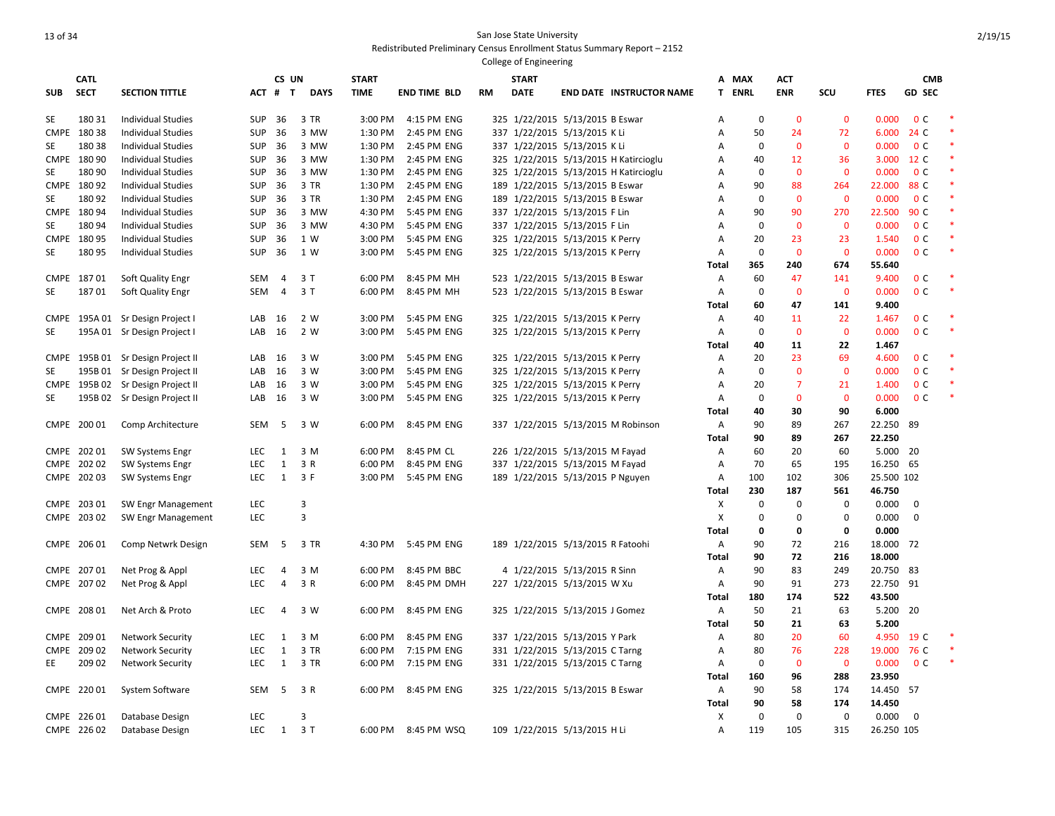|             |             |                                                  |            |                   |             |              |                     |           | College of Engineering |                                       |        |             |              |              |                  |                |  |
|-------------|-------------|--------------------------------------------------|------------|-------------------|-------------|--------------|---------------------|-----------|------------------------|---------------------------------------|--------|-------------|--------------|--------------|------------------|----------------|--|
|             | <b>CATL</b> |                                                  |            | CS UN             |             | <b>START</b> |                     |           | <b>START</b>           |                                       | А      | MAX         | АСТ          |              |                  | <b>CMB</b>     |  |
| <b>SUB</b>  | <b>SECT</b> | <b>SECTION TITTLE</b>                            | ACT        | #<br>$\mathsf{T}$ | <b>DAYS</b> | <b>TIME</b>  | <b>END TIME BLD</b> | <b>RM</b> | <b>DATE</b>            | <b>END DATE INSTRUCTOR NAME</b>       | Τ.     | <b>ENRL</b> | <b>ENR</b>   | SCU          | <b>FTES</b>      | <b>GD SEC</b>  |  |
| SE          | 180 31      | <b>Individual Studies</b>                        | <b>SUP</b> | 36                | 3 TR        | 3:00 PM      | 4:15 PM ENG         |           |                        | 325 1/22/2015 5/13/2015 B Eswar       | Α      | 0           | $\Omega$     | $\mathbf 0$  | 0.000            | 0 <sup>c</sup> |  |
| <b>CMPE</b> | 18038       | <b>Individual Studies</b>                        | <b>SUP</b> | 36                | 3 MW        | 1:30 PM      | 2:45 PM ENG         |           |                        | 337 1/22/2015 5/13/2015 K Li          | A      | 50          | 24           | 72           | 6.000            | 24 C           |  |
| <b>SE</b>   | 180 38      | <b>Individual Studies</b>                        | <b>SUP</b> | 36                | 3 MW        | 1:30 PM      | 2:45 PM ENG         |           |                        | 337 1/22/2015 5/13/2015 K Li          | A      | $\mathbf 0$ | $\Omega$     | $\mathbf{0}$ | 0.000            | 0 <sup>C</sup> |  |
| CMPE        | 180 90      | <b>Individual Studies</b>                        | <b>SUP</b> | 36                | 3 MW        | 1:30 PM      | 2:45 PM ENG         |           |                        | 325 1/22/2015 5/13/2015 H Katircioglu | A      | 40          | 12           | 36           | 3.000            | 12 C           |  |
| SE          | 180 90      | <b>Individual Studies</b>                        | SUP        | 36                | 3 MW        | 1:30 PM      | 2:45 PM ENG         |           |                        | 325 1/22/2015 5/13/2015 H Katircioglu | Α      | $\mathbf 0$ | $\mathbf 0$  | $\mathbf 0$  | 0.000            | 0 <sup>c</sup> |  |
|             | CMPE 180 92 | <b>Individual Studies</b>                        | <b>SUP</b> | 36                | 3 TR        | 1:30 PM      | 2:45 PM ENG         |           |                        | 189 1/22/2015 5/13/2015 B Eswar       | Α      | 90          | 88           | 264          | 22.000           | 88 C           |  |
| SE          | 18092       | Individual Studies                               | <b>SUP</b> | 36                | 3 TR        | 1:30 PM      | 2:45 PM ENG         |           |                        | 189 1/22/2015 5/13/2015 B Eswar       | А      | $\mathbf 0$ | $\mathbf{0}$ | $\mathbf{0}$ | 0.000            | 0 <sup>c</sup> |  |
|             | CMPE 180 94 | <b>Individual Studies</b>                        | <b>SUP</b> | 36                | 3 MW        | 4:30 PM      | 5:45 PM ENG         |           |                        | 337 1/22/2015 5/13/2015 F Lin         | Α      | 90          | 90           | 270          | 22.500           | 90 C           |  |
| SE          | 180 94      | <b>Individual Studies</b>                        | <b>SUP</b> | 36                | 3 MW        | 4:30 PM      | 5:45 PM ENG         |           |                        | 337 1/22/2015 5/13/2015 F Lin         | A      | $\mathbf 0$ | $\mathbf{0}$ | $\mathbf 0$  | 0.000            | 0 <sup>c</sup> |  |
|             | CMPE 180 95 | <b>Individual Studies</b>                        | <b>SUP</b> | 36                | 1 W         | 3:00 PM      | 5:45 PM ENG         |           |                        | 325 1/22/2015 5/13/2015 K Perry       | A      | 20          | 23           | 23           | 1.540            | 0 <sup>c</sup> |  |
| SE          | 180 95      | <b>Individual Studies</b>                        | <b>SUP</b> | 36                | 1 W         | 3:00 PM      | 5:45 PM ENG         |           |                        | 325 1/22/2015 5/13/2015 K Perry       | Α      | 0           | $\mathbf 0$  | $\mathbf 0$  | 0.000            | 0 <sup>c</sup> |  |
|             |             |                                                  |            |                   |             |              |                     |           |                        |                                       | Total  | 365         | 240          | 674          | 55.640           |                |  |
|             | CMPE 18701  | Soft Quality Engr                                | SEM        | $\overline{4}$    | 3 T         | 6:00 PM      | 8:45 PM MH          |           |                        | 523 1/22/2015 5/13/2015 B Eswar       | Α      | 60          | 47           | 141          | 9.400            | 0 <sup>c</sup> |  |
| SE          | 18701       | Soft Quality Engr                                | <b>SEM</b> | 4                 | 3T          | 6:00 PM      | 8:45 PM MH          |           |                        | 523 1/22/2015 5/13/2015 B Eswar       | Α      | $\mathbf 0$ | $\mathbf 0$  | $\mathbf 0$  | 0.000            | 0 <sup>c</sup> |  |
|             |             |                                                  |            |                   |             |              |                     |           |                        |                                       | Total  | 60          | 47           | 141          | 9.400            |                |  |
| CMPE        |             | 195A 01 Sr Design Project I                      | LAB        | 16                | 2 W         | 3:00 PM      | 5:45 PM ENG         |           |                        | 325 1/22/2015 5/13/2015 K Perry       | Α      | 40          | 11           | 22           | 1.467            | 0 <sup>c</sup> |  |
| SE          |             | 195A 01 Sr Design Project I                      | LAB        | 16                | 2 W         | 3:00 PM      | 5:45 PM ENG         |           |                        | 325 1/22/2015 5/13/2015 K Perry       | Α      | 0           | $\mathbf 0$  | $\mathbf 0$  | 0.000            | 0 <sup>c</sup> |  |
|             |             |                                                  |            |                   |             |              |                     |           |                        |                                       | Total  | 40          | 11           | 22           | 1.467            |                |  |
|             |             | CMPE 195B 01 Sr Design Project II                | LAB        | 16                | 3 W         | 3:00 PM      | 5:45 PM ENG         |           |                        | 325 1/22/2015 5/13/2015 K Perry       | Α      | 20          | 23           | 69           | 4.600            | 0 <sup>C</sup> |  |
| SE          |             | 195B 01 Sr Design Project II                     | LAB        | 16                | 3 W         | 3:00 PM      | 5:45 PM ENG         |           |                        | 325 1/22/2015 5/13/2015 K Perry       | Α      | 0           | $\mathbf{0}$ | $\mathbf{0}$ | 0.000            | 0 <sup>c</sup> |  |
|             |             | CMPE 195B 02 Sr Design Project II                | LAB        | 16                | 3 W         | 3:00 PM      | 5:45 PM ENG         |           |                        | 325 1/22/2015 5/13/2015 K Perry       | Α      | 20          | 7            | 21           | 1.400            | 0 <sup>c</sup> |  |
| SE          |             | 195B 02 Sr Design Project II                     | LAB        | 16                | 3 W         | 3:00 PM      | 5:45 PM ENG         |           |                        | 325 1/22/2015 5/13/2015 K Perry       | Α      | 0           | $\mathbf{0}$ | $\mathbf{0}$ | 0.000            | 0 <sup>c</sup> |  |
|             |             |                                                  |            |                   |             |              |                     |           |                        |                                       | Total  | 40          | 30           | 90           | 6.000            |                |  |
|             | CMPE 200 01 | Comp Architecture                                | SEM        | - 5               | 3 W         | 6:00 PM      | 8:45 PM ENG         |           |                        | 337 1/22/2015 5/13/2015 M Robinson    | Α      | 90<br>90    | 89<br>89     | 267<br>267   | 22.250<br>22.250 | -89            |  |
|             | CMPE 202 01 |                                                  | <b>LEC</b> | 1                 | 3 M         | 6:00 PM      | 8:45 PM CL          |           |                        | 226 1/22/2015 5/13/2015 M Fayad       | Total  | 60          | 20           | 60           | 5.000 20         |                |  |
|             | CMPE 202 02 | <b>SW Systems Engr</b><br><b>SW Systems Engr</b> | <b>LEC</b> | $\mathbf{1}$      | 3 R         | 6:00 PM      | 8:45 PM ENG         |           |                        | 337 1/22/2015 5/13/2015 M Fayad       | Α<br>Α | 70          | 65           | 195          | 16.250 65        |                |  |
|             | CMPE 202 03 | <b>SW Systems Engr</b>                           | <b>LEC</b> | 1                 | 3 F         | 3:00 PM      | 5:45 PM ENG         |           |                        | 189 1/22/2015 5/13/2015 P Nguyen      | Α      | 100         | 102          | 306          | 25.500 102       |                |  |
|             |             |                                                  |            |                   |             |              |                     |           |                        |                                       | Total  | 230         | 187          | 561          | 46.750           |                |  |
|             | CMPE 203 01 | SW Engr Management                               | <b>LEC</b> |                   | 3           |              |                     |           |                        |                                       | X      | 0           | 0            | 0            | 0.000            | 0              |  |
|             | CMPE 203 02 | <b>SW Engr Management</b>                        | LEC        |                   | 3           |              |                     |           |                        |                                       | X      | $\mathbf 0$ | $\mathbf 0$  | 0            | 0.000            | 0              |  |
|             |             |                                                  |            |                   |             |              |                     |           |                        |                                       | Total  | $\mathbf 0$ | $\mathbf 0$  | 0            | 0.000            |                |  |
|             | CMPE 206 01 | Comp Netwrk Design                               | SEM        | 5                 | 3 TR        | 4:30 PM      | 5:45 PM ENG         |           |                        | 189 1/22/2015 5/13/2015 R Fatoohi     | Α      | 90          | 72           | 216          | 18.000 72        |                |  |
|             |             |                                                  |            |                   |             |              |                     |           |                        |                                       | Total  | 90          | 72           | 216          | 18.000           |                |  |
|             | CMPE 207 01 | Net Prog & Appl                                  | <b>LEC</b> | $\overline{4}$    | 3 M         | 6:00 PM      | 8:45 PM BBC         |           |                        | 4 1/22/2015 5/13/2015 R Sinn          | Α      | 90          | 83           | 249          | 20.750 83        |                |  |
| <b>CMPE</b> | 20702       | Net Prog & Appl                                  | <b>LEC</b> | $\overline{4}$    | 3 R         | 6:00 PM      | 8:45 PM DMH         |           |                        | 227 1/22/2015 5/13/2015 W Xu          | Α      | 90          | 91           | 273          | 22.750           | 91             |  |
|             |             |                                                  |            |                   |             |              |                     |           |                        |                                       | Total  | 180         | 174          | 522          | 43.500           |                |  |
|             | CMPE 208 01 | Net Arch & Proto                                 | LEC        | $\overline{4}$    | 3 W         | 6:00 PM      | 8:45 PM ENG         |           |                        | 325 1/22/2015 5/13/2015 J Gomez       | Α      | 50          | 21           | 63           | 5.200            | 20             |  |
|             |             |                                                  |            |                   |             |              |                     |           |                        |                                       | Total  | 50          | 21           | 63           | 5.200            |                |  |
|             | CMPE 209 01 | <b>Network Security</b>                          | <b>LEC</b> | 1                 | 3 M         | 6:00 PM      | 8:45 PM ENG         |           |                        | 337 1/22/2015 5/13/2015 Y Park        | Α      | 80          | 20           | 60           | 4.950            | 19 C           |  |
|             | CMPE 209 02 | <b>Network Security</b>                          | <b>LEC</b> | 1                 | 3 TR        | 6:00 PM      | 7:15 PM ENG         |           |                        | 331 1/22/2015 5/13/2015 C Tarng       | Α      | 80          | 76           | 228          | 19.000           | 76 C           |  |
| EE          | 209 02      | <b>Network Security</b>                          | <b>LEC</b> | 1                 | 3 TR        | 6:00 PM      | 7:15 PM ENG         |           |                        | 331 1/22/2015 5/13/2015 C Tarng       | Α      | $\mathbf 0$ | $\mathbf{0}$ | $\mathbf{0}$ | 0.000            | 0 <sup>c</sup> |  |
|             |             |                                                  |            |                   |             |              |                     |           |                        |                                       | Total  | 160         | 96           | 288          | 23.950           |                |  |
|             | CMPE 220 01 | <b>System Software</b>                           | SEM        | 5                 | 3 R         | 6:00 PM      | 8:45 PM ENG         |           |                        | 325 1/22/2015 5/13/2015 B Eswar       | Α      | 90          | 58           | 174          | 14.450 57        |                |  |
|             |             |                                                  |            |                   |             |              |                     |           |                        |                                       | Total  | 90          | 58           | 174          | 14.450           |                |  |
|             | CMPE 226 01 | Database Design                                  | <b>LEC</b> |                   | 3           |              |                     |           |                        |                                       | X      | $\mathbf 0$ | $\mathbf 0$  | 0            | 0.000            | 0              |  |
|             | CMPE 226 02 | Database Design                                  | LEC        | 1                 | 3T          | 6:00 PM      | 8:45 PM WSQ         |           |                        | 109 1/22/2015 5/13/2015 H Li          | Α      | 119         | 105          | 315          | 26.250 105       |                |  |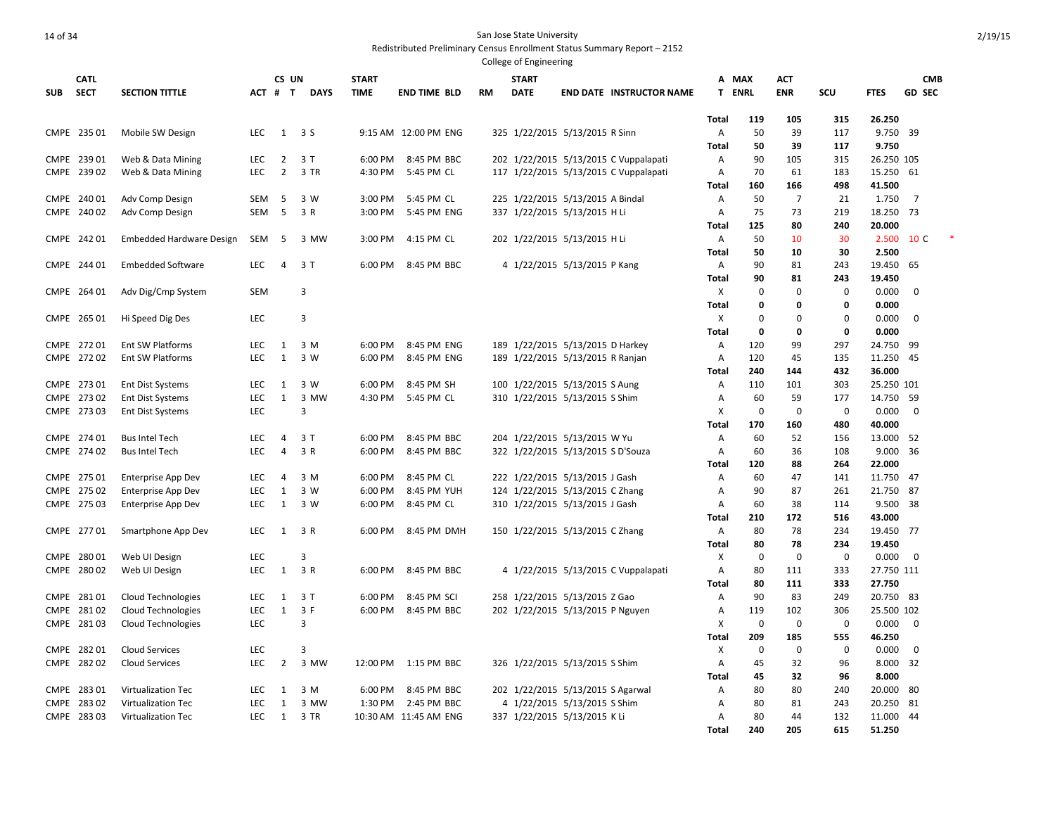|            |                            |                                        |                          |                                  |             |              |                            |           | College of Engineering |                                                                                |                     |             |                |             |                       |                |  |
|------------|----------------------------|----------------------------------------|--------------------------|----------------------------------|-------------|--------------|----------------------------|-----------|------------------------|--------------------------------------------------------------------------------|---------------------|-------------|----------------|-------------|-----------------------|----------------|--|
|            | <b>CATL</b>                |                                        |                          | CS UN                            |             | <b>START</b> |                            |           | <b>START</b>           |                                                                                | A MAX               |             | ACT            |             |                       | <b>CMB</b>     |  |
| <b>SUB</b> | <b>SECT</b>                | <b>SECTION TITTLE</b>                  | ACT # T                  |                                  | <b>DAYS</b> | <b>TIME</b>  | <b>END TIME BLD</b>        | <b>RM</b> | <b>DATE</b>            | <b>END DATE INSTRUCTOR NAME</b>                                                | <b>T ENRL</b>       |             | <b>ENR</b>     | SCU         | <b>FTES</b>           | <b>GD SEC</b>  |  |
|            |                            |                                        |                          |                                  |             |              |                            |           |                        |                                                                                |                     |             |                |             |                       |                |  |
|            |                            |                                        |                          |                                  |             |              |                            |           |                        |                                                                                | Total               | 119         | 105            | 315         | 26.250                |                |  |
|            | CMPE 235 01                | Mobile SW Design                       | <b>LEC</b>               | 1                                | 3 S         |              | 9:15 AM 12:00 PM ENG       |           |                        | 325 1/22/2015 5/13/2015 R Sinn                                                 | A                   | 50          | 39             | 117         | 9.750 39              |                |  |
|            |                            |                                        | LEC                      |                                  | 3T          | 6:00 PM      | 8:45 PM BBC                |           |                        |                                                                                | Total               | 50<br>90    | 39<br>105      | 117<br>315  | 9.750<br>26.250 105   |                |  |
|            | CMPE 239 01<br>CMPE 239 02 | Web & Data Mining<br>Web & Data Mining | LEC                      | $\overline{2}$<br>$\overline{2}$ | 3 TR        | 4:30 PM      | 5:45 PM CL                 |           |                        | 202 1/22/2015 5/13/2015 C Vuppalapati<br>117 1/22/2015 5/13/2015 C Vuppalapati | Α<br>Α              | 70          | 61             | 183         | 15.250 61             |                |  |
|            |                            |                                        |                          |                                  |             |              |                            |           |                        |                                                                                | <b>Total</b>        | 160         | 166            | 498         | 41.500                |                |  |
|            | CMPE 240 01                | Adv Comp Design                        | SEM                      | -5                               | 3 W         | 3:00 PM      | 5:45 PM CL                 |           |                        | 225 1/22/2015 5/13/2015 A Bindal                                               | A                   | 50          | $\overline{7}$ | 21          | 1.750                 | $\overline{7}$ |  |
|            | CMPE 240 02                | Adv Comp Design                        | SEM                      | 5                                | 3 R         | 3:00 PM      | 5:45 PM ENG                |           |                        | 337 1/22/2015 5/13/2015 H Li                                                   | A                   | 75          | 73             | 219         | 18.250 73             |                |  |
|            |                            |                                        |                          |                                  |             |              |                            |           |                        |                                                                                | Total               | 125         | 80             | 240         | 20.000                |                |  |
|            | CMPE 242 01                | <b>Embedded Hardware Design</b>        | SEM                      | 5                                | 3 MW        | 3:00 PM      | 4:15 PM CL                 |           |                        | 202 1/22/2015 5/13/2015 H Li                                                   | Α                   | 50          | 10             | 30          |                       | 2.500 10 C     |  |
|            |                            |                                        |                          |                                  |             |              |                            |           |                        |                                                                                | <b>Total</b>        | 50          | 10             | 30          | 2.500                 |                |  |
|            | CMPE 244 01                | <b>Embedded Software</b>               | <b>LEC</b>               | $\overline{4}$                   | 3T          | 6:00 PM      | 8:45 PM BBC                |           |                        | 4 1/22/2015 5/13/2015 P Kang                                                   | Α                   | 90          | 81             | 243         | 19.450 65             |                |  |
|            |                            |                                        |                          |                                  |             |              |                            |           |                        |                                                                                | Total               | 90          | 81             | 243         | 19.450                |                |  |
|            | CMPE 264 01                | Adv Dig/Cmp System                     | <b>SEM</b>               |                                  | 3           |              |                            |           |                        |                                                                                | X                   | 0           | $\mathbf 0$    | 0           | 0.000                 | 0              |  |
|            |                            |                                        |                          |                                  |             |              |                            |           |                        |                                                                                | <b>Total</b>        | 0           | 0              | 0           | 0.000                 |                |  |
|            | CMPE 265 01                | Hi Speed Dig Des                       | <b>LEC</b>               |                                  | 3           |              |                            |           |                        |                                                                                | X                   | $\mathbf 0$ | $\mathbf 0$    | $\mathbf 0$ | 0.000                 | $\mathbf 0$    |  |
|            |                            |                                        |                          |                                  |             |              |                            |           |                        |                                                                                | <b>Total</b>        | 0           | 0              | 0           | 0.000                 |                |  |
|            | CMPE 272 01                | <b>Ent SW Platforms</b>                | <b>LEC</b>               | 1                                | 3 M         | 6:00 PM      | 8:45 PM ENG                |           |                        | 189 1/22/2015 5/13/2015 D Harkey                                               | Α                   | 120         | 99             | 297         | 24.750                | -99            |  |
|            | CMPE 272 02                | <b>Ent SW Platforms</b>                | <b>LEC</b>               | $\mathbf{1}$                     | 3 W         | 6:00 PM      | 8:45 PM ENG                |           |                        | 189 1/22/2015 5/13/2015 R Ranjan                                               | A                   | 120         | 45             | 135         | 11.250 45             |                |  |
|            |                            |                                        |                          |                                  |             |              |                            |           |                        |                                                                                | Total               | 240         | 144            | 432         | 36.000                |                |  |
|            | CMPE 273 01                | <b>Ent Dist Systems</b>                | <b>LEC</b>               | 1                                | 3 W         | 6:00 PM      | 8:45 PM SH                 |           |                        | 100 1/22/2015 5/13/2015 S Aung                                                 | Α                   | 110         | 101            | 303         | 25.250 101            |                |  |
|            | CMPE 273 02                | <b>Ent Dist Systems</b>                | <b>LEC</b>               | $\mathbf{1}$                     | 3 MW        | 4:30 PM      | 5:45 PM CL                 |           |                        | 310 1/22/2015 5/13/2015 S Shim                                                 | A                   | 60          | 59             | 177         | 14.750 59             |                |  |
|            | CMPE 273 03                | <b>Ent Dist Systems</b>                | <b>LEC</b>               |                                  | 3           |              |                            |           |                        |                                                                                | X                   | 0           | 0              | $\mathbf 0$ | 0.000                 | 0              |  |
|            |                            |                                        |                          |                                  |             |              |                            |           |                        |                                                                                | <b>Total</b>        | 170         | 160            | 480         | 40.000                |                |  |
|            | CMPE 274 01                | <b>Bus Intel Tech</b>                  | <b>LEC</b><br><b>LEC</b> | 4<br>4                           | 3T<br>3 R   | 6:00 PM      | 8:45 PM BBC<br>8:45 PM BBC |           |                        | 204 1/22/2015 5/13/2015 W Yu                                                   | A<br>$\overline{A}$ | 60<br>60    | 52<br>36       | 156<br>108  | 13.000 52<br>9.000 36 |                |  |
|            | CMPE 274 02                | <b>Bus Intel Tech</b>                  |                          |                                  |             | 6:00 PM      |                            |           |                        | 322 1/22/2015 5/13/2015 S D'Souza                                              | Total               | 120         | 88             | 264         | 22.000                |                |  |
|            | CMPE 275 01                | Enterprise App Dev                     | <b>LEC</b>               | 4                                | 3 M         | 6:00 PM      | 8:45 PM CL                 |           |                        | 222 1/22/2015 5/13/2015 J Gash                                                 | Α                   | 60          | 47             | 141         | 11.750 47             |                |  |
|            | CMPE 275 02                | <b>Enterprise App Dev</b>              | <b>LEC</b>               | $\mathbf{1}$                     | 3 W         | 6:00 PM      | 8:45 PM YUH                |           |                        | 124 1/22/2015 5/13/2015 C Zhang                                                | A                   | 90          | 87             | 261         | 21.750 87             |                |  |
|            | CMPE 275 03                | <b>Enterprise App Dev</b>              | LEC                      | $\mathbf{1}$                     | 3 W         | 6:00 PM      | 8:45 PM CL                 |           |                        | 310 1/22/2015 5/13/2015 J Gash                                                 | A                   | 60          | 38             | 114         | 9.500 38              |                |  |
|            |                            |                                        |                          |                                  |             |              |                            |           |                        |                                                                                | <b>Total</b>        | 210         | 172            | 516         | 43.000                |                |  |
|            | CMPE 277 01                | Smartphone App Dev                     | <b>LEC</b>               | 1                                | 3 R         | 6:00 PM      | 8:45 PM DMH                |           |                        | 150 1/22/2015 5/13/2015 C Zhang                                                | Α                   | 80          | 78             | 234         | 19.450 77             |                |  |
|            |                            |                                        |                          |                                  |             |              |                            |           |                        |                                                                                | Total               | 80          | 78             | 234         | 19.450                |                |  |
|            | CMPE 280 01                | Web UI Design                          | <b>LEC</b>               |                                  | 3           |              |                            |           |                        |                                                                                | X                   | 0           | $\mathbf 0$    | 0           | 0.000                 | 0              |  |
|            | CMPE 280 02                | Web UI Design                          | LEC                      | $\mathbf{1}$                     | 3 R         | 6:00 PM      | 8:45 PM BBC                |           |                        | 4 1/22/2015 5/13/2015 C Vuppalapati                                            | Α                   | 80          | 111            | 333         | 27.750 111            |                |  |
|            |                            |                                        |                          |                                  |             |              |                            |           |                        |                                                                                | <b>Total</b>        | 80          | 111            | 333         | 27.750                |                |  |
|            | CMPE 28101                 | <b>Cloud Technologies</b>              | <b>LEC</b>               | $\mathbf{1}$                     | 3T          | 6:00 PM      | 8:45 PM SCI                |           |                        | 258 1/22/2015 5/13/2015 Z Gao                                                  | A                   | 90          | 83             | 249         | 20.750 83             |                |  |
|            | CMPE 28102                 | Cloud Technologies                     | <b>LEC</b>               | $\mathbf{1}$                     | 3 F         | 6:00 PM      | 8:45 PM BBC                |           |                        | 202 1/22/2015 5/13/2015 P Nguyen                                               | A                   | 119         | 102            | 306         | 25.500 102            |                |  |
|            | CMPE 281 03                | Cloud Technologies                     | LEC                      |                                  | 3           |              |                            |           |                        |                                                                                | X                   | 0           | $\mathbf 0$    | 0           | 0.000                 | 0              |  |
|            |                            |                                        |                          |                                  |             |              |                            |           |                        |                                                                                | Total               | 209         | 185            | 555         | 46.250                |                |  |
|            | CMPE 282 01                | <b>Cloud Services</b>                  | LEC                      |                                  | 3           |              |                            |           |                        |                                                                                | X                   | 0           | $\mathbf 0$    | 0           | 0.000                 | $\mathbf 0$    |  |
|            | CMPE 282 02                | <b>Cloud Services</b>                  | <b>LEC</b>               | $\overline{2}$                   | 3 MW        | 12:00 PM     | 1:15 PM BBC                |           |                        | 326 1/22/2015 5/13/2015 S Shim                                                 | Α                   | 45          | 32             | 96          | 8.000 32              |                |  |
|            |                            |                                        |                          |                                  |             |              |                            |           |                        |                                                                                | Total               | 45          | 32             | 96          | 8.000                 |                |  |
|            | CMPE 283 01                | Virtualization Tec                     | <b>LEC</b>               | 1                                | 3 M         | 6:00 PM      | 8:45 PM BBC                |           |                        | 202 1/22/2015 5/13/2015 S Agarwal                                              | A                   | 80          | 80             | 240         | 20.000                | -80            |  |
|            | CMPE 283 02                | Virtualization Tec                     | <b>LEC</b>               | 1                                | 3 MW        | 1:30 PM      | 2:45 PM BBC                |           |                        | 4 1/22/2015 5/13/2015 S Shim                                                   | A                   | 80          | 81             | 243         | 20.250                | 81             |  |
|            | CMPE 283 03                | Virtualization Tec                     | <b>LEC</b>               | 1                                | 3 TR        |              | 10:30 AM 11:45 AM ENG      |           |                        | 337 1/22/2015 5/13/2015 K Li                                                   | A<br>Total          | 80<br>240   | 44<br>205      | 132<br>615  | 11.000<br>51.250      | 44             |  |
|            |                            |                                        |                          |                                  |             |              |                            |           |                        |                                                                                |                     |             |                |             |                       |                |  |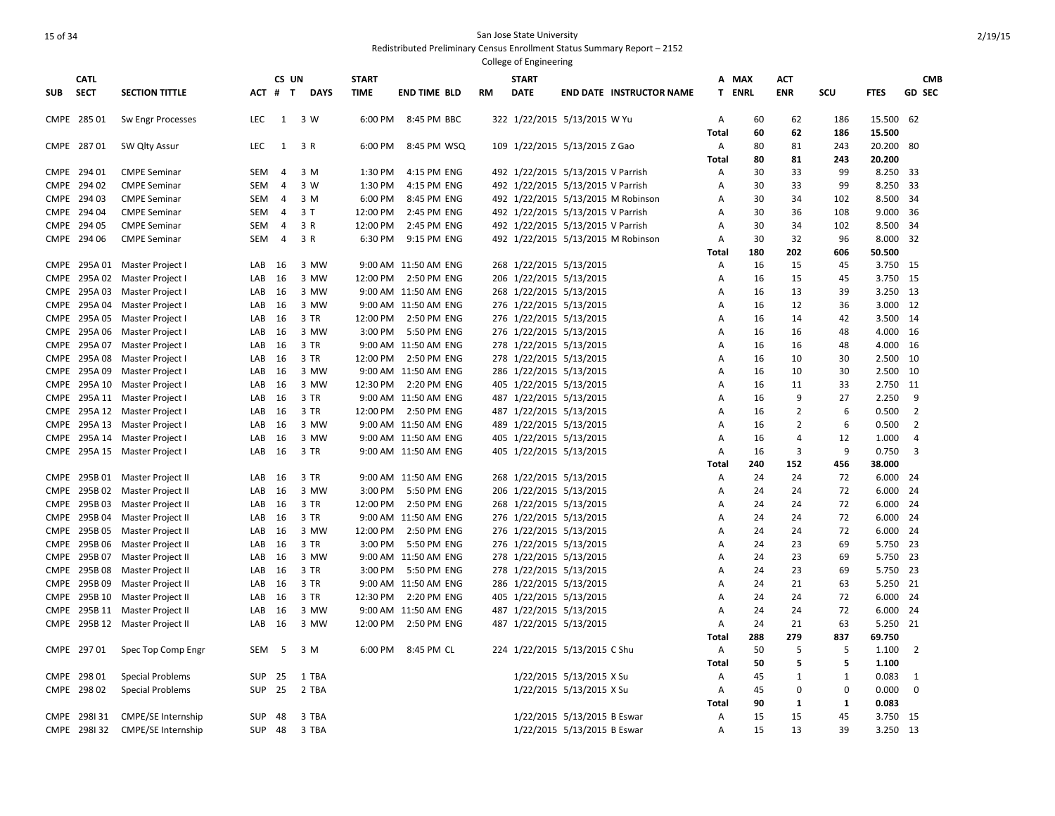|             |                         |                                      |            |                |              |              |                                     |           | College of Engineering                             |                             |                                    |                |          |                |              |                |                |
|-------------|-------------------------|--------------------------------------|------------|----------------|--------------|--------------|-------------------------------------|-----------|----------------------------------------------------|-----------------------------|------------------------------------|----------------|----------|----------------|--------------|----------------|----------------|
|             | <b>CATL</b>             |                                      |            | CS UN          |              | <b>START</b> |                                     |           | <b>START</b>                                       |                             |                                    |                | A MAX    | ACT            |              |                | <b>CMB</b>     |
| <b>SUB</b>  | <b>SECT</b>             | <b>SECTION TITTLE</b>                | ACT # T    |                | <b>DAYS</b>  | <b>TIME</b>  | <b>END TIME BLD</b>                 | <b>RM</b> | <b>DATE</b>                                        |                             | <b>END DATE INSTRUCTOR NAME</b>    |                | T ENRL   | <b>ENR</b>     | SCU          | <b>FTES</b>    | <b>GD SEC</b>  |
|             | CMPE 285 01             | Sw Engr Processes                    | LEC        | 1              | 3 W          | 6:00 PM      | 8:45 PM BBC                         |           | 322 1/22/2015 5/13/2015 W Yu                       |                             |                                    | Α              | 60       | 62             | 186          | 15.500         | 62             |
|             |                         |                                      |            |                |              |              |                                     |           |                                                    |                             |                                    | <b>Total</b>   | 60       | 62             | 186          | 15.500         |                |
|             | CMPE 287 01             | SW Qlty Assur                        | <b>LEC</b> | $\mathbf{1}$   | 3 R          | 6:00 PM      | 8:45 PM WSQ                         |           | 109 1/22/2015 5/13/2015 Z Gao                      |                             |                                    | Α              | 80       | 81             | 243          | 20.200         | -80            |
|             |                         |                                      |            |                |              |              |                                     |           |                                                    |                             |                                    | Total          | 80       | 81             | 243          | 20.200         |                |
|             | CMPE 294 01             | <b>CMPE Seminar</b>                  | <b>SEM</b> | $\overline{a}$ | 3 M          | 1:30 PM      | 4:15 PM ENG                         |           | 492 1/22/2015 5/13/2015 V Parrish                  |                             |                                    | A              | 30       | 33             | 99           | 8.250          | 33             |
|             | CMPE 294 02             | <b>CMPE Seminar</b>                  | SEM        | 4              | 3 W          | 1:30 PM      | 4:15 PM ENG                         |           | 492 1/22/2015 5/13/2015 V Parrish                  |                             |                                    | Α              | 30       | 33             | 99           | 8.250          | 33             |
| CMPE        | 294 03                  | <b>CMPE Seminar</b>                  | SEM        | 4              | 3 M          | 6:00 PM      | 8:45 PM ENG                         |           |                                                    |                             | 492 1/22/2015 5/13/2015 M Robinson | A              | 30       | 34             | 102          | 8.500          | -34            |
|             | CMPE 294 04             | <b>CMPE Seminar</b>                  | SEM        | $\overline{4}$ | 3T           | 12:00 PM     | 2:45 PM ENG                         |           | 492 1/22/2015 5/13/2015 V Parrish                  |                             |                                    | Α              | 30       | 36             | 108          | 9.000          | -36            |
|             | CMPE 294 05             | <b>CMPE Seminar</b>                  | SEM        | 4              | 3 R          | 12:00 PM     | 2:45 PM ENG                         |           | 492 1/22/2015 5/13/2015 V Parrish                  |                             |                                    | Α              | 30       | 34             | 102          | 8.500          | 34             |
|             | CMPE 294 06             | <b>CMPE Seminar</b>                  | SEM        | $\overline{4}$ | 3 R          | 6:30 PM      | 9:15 PM ENG                         |           |                                                    |                             | 492 1/22/2015 5/13/2015 M Robinson | Α              | 30       | 32<br>202      | 96           | 8.000          | -32            |
|             |                         |                                      |            |                |              |              |                                     |           |                                                    |                             |                                    | <b>Total</b>   | 180      | 15             | 606          | 50.500         |                |
| CMPE        | CMPE 295A 01<br>295A 02 | Master Project I<br>Master Project I | LAB<br>LAB | 16<br>16       | 3 MW<br>3 MW | 12:00 PM     | 9:00 AM 11:50 AM ENG<br>2:50 PM ENG |           | 268 1/22/2015 5/13/2015<br>206 1/22/2015 5/13/2015 |                             |                                    | Α<br>Α         | 16<br>16 | 15             | 45<br>45     | 3.750<br>3.750 | -15<br>15      |
| CMPE        | 295A03                  | Master Project I                     | LAB        | 16             | 3 MW         |              | 9:00 AM 11:50 AM ENG                |           | 268 1/22/2015 5/13/2015                            |                             |                                    | Α              | 16       | 13             | 39           | 3.250          | -13            |
| <b>CMPE</b> | 295A04                  | Master Project I                     | LAB        | 16             | 3 MW         |              | 9:00 AM 11:50 AM ENG                |           | 276 1/22/2015 5/13/2015                            |                             |                                    | Α              | 16       | 12             | 36           | 3.000          | 12             |
| <b>CMPE</b> | 295A 05                 | Master Project I                     | LAB        | 16             | 3 TR         | 12:00 PM     | 2:50 PM ENG                         |           | 276 1/22/2015 5/13/2015                            |                             |                                    | A              | 16       | 14             | 42           | 3.500          | -14            |
| CMPE        | 295A 06                 | Master Project I                     | LAB        | 16             | 3 MW         | 3:00 PM      | 5:50 PM ENG                         |           | 276 1/22/2015 5/13/2015                            |                             |                                    | Α              | 16       | 16             | 48           | 4.000          | 16             |
| CMPE        | 295A07                  | Master Project I                     | LAB        | 16             | 3 TR         |              | 9:00 AM 11:50 AM ENG                |           | 278 1/22/2015 5/13/2015                            |                             |                                    | Α              | 16       | 16             | 48           | 4.000          | 16             |
| CMPE        | 295A08                  | Master Project I                     | LAB        | 16             | 3 TR         | 12:00 PM     | 2:50 PM ENG                         |           | 278 1/22/2015 5/13/2015                            |                             |                                    | Α              | 16       | 10             | 30           | 2.500          | 10             |
| <b>CMPE</b> | 295A09                  | Master Project I                     | LAB        | 16             | 3 MW         |              | 9:00 AM 11:50 AM ENG                |           | 286 1/22/2015 5/13/2015                            |                             |                                    | Α              | 16       | 10             | 30           | 2.500          | 10             |
|             | CMPE 295A 10            | Master Project I                     | LAB        | 16             | 3 MW         | 12:30 PM     | 2:20 PM ENG                         |           | 405 1/22/2015 5/13/2015                            |                             |                                    | Α              | 16       | 11             | 33           | 2.750          | 11             |
| CMPE        |                         | 295A 11 Master Project I             | LAB        | 16             | 3 TR         |              | 9:00 AM 11:50 AM ENG                |           | 487 1/22/2015 5/13/2015                            |                             |                                    | $\overline{A}$ | 16       | 9              | 27           | 2.250          | 9              |
| CMPE        |                         | 295A 12 Master Project I             | LAB        | 16             | 3 TR         | 12:00 PM     | 2:50 PM ENG                         |           | 487 1/22/2015 5/13/2015                            |                             |                                    | A              | 16       | $\overline{2}$ | 6            | 0.500          | $\overline{2}$ |
| CMPE        |                         | 295A 13 Master Project I             | LAB        | 16             | 3 MW         |              | 9:00 AM 11:50 AM ENG                |           | 489 1/22/2015 5/13/2015                            |                             |                                    | A              | 16       | $\overline{2}$ | 6            | 0.500          | 2              |
| CMPE        | 295A 14                 | Master Project I                     | LAB        | 16             | 3 MW         |              | 9:00 AM 11:50 AM ENG                |           | 405 1/22/2015 5/13/2015                            |                             |                                    | A              | 16       | $\overline{4}$ | 12           | 1.000          | 4              |
|             |                         | CMPE 295A 15 Master Project I        | LAB        | 16             | 3 TR         |              | 9:00 AM 11:50 AM ENG                |           | 405 1/22/2015 5/13/2015                            |                             |                                    | Α              | 16       | 3              | 9            | 0.750          | 3              |
|             |                         |                                      |            |                |              |              |                                     |           |                                                    |                             |                                    | Total          | 240      | 152            | 456          | 38.000         |                |
|             | CMPE 295B 01            | Master Project II                    | LAB        | 16             | 3 TR         |              | 9:00 AM 11:50 AM ENG                |           | 268 1/22/2015 5/13/2015                            |                             |                                    | Α              | 24       | 24             | 72           | 6.000          | -24            |
| CMPE        | 295B02                  | Master Project II                    | LAB        | 16             | 3 MW         | 3:00 PM      | 5:50 PM ENG                         |           | 206 1/22/2015 5/13/2015                            |                             |                                    | Α              | 24       | 24             | 72           | 6.000          | -24            |
|             | CMPE 295B 03            | Master Project II                    | LAB        | 16             | 3 TR         | 12:00 PM     | 2:50 PM ENG                         |           | 268 1/22/2015 5/13/2015                            |                             |                                    | Α              | 24       | 24             | 72           | 6.000          | 24             |
| CMPE        | 295B04                  | Master Project II                    | LAB        | 16             | 3 TR         |              | 9:00 AM 11:50 AM ENG                |           | 276 1/22/2015 5/13/2015                            |                             |                                    | Α              | 24       | 24             | 72           | 6.000          | -24            |
| <b>CMPE</b> | 295B 05                 | Master Project II                    | LAB        | 16             | 3 MW         | 12:00 PM     | 2:50 PM ENG                         |           | 276 1/22/2015 5/13/2015                            |                             |                                    | Α              | 24       | 24             | 72           | 6.000          | 24             |
| CMPE        | 295B06                  | Master Project II                    | LAB        | 16             | 3 TR         | 3:00 PM      | 5:50 PM ENG                         |           | 276 1/22/2015 5/13/2015                            |                             |                                    | Α              | 24       | 23             | 69           | 5.750          | 23             |
| CMPE        | 295B 07                 | Master Project II                    | LAB        | 16             | 3 MW         |              | 9:00 AM 11:50 AM ENG                |           | 278 1/22/2015 5/13/2015                            |                             |                                    | $\overline{A}$ | 24       | 23             | 69           | 5.750          | 23             |
| CMPE        | 295B08                  | Master Project II                    | LAB        | 16             | 3 TR         | 3:00 PM      | 5:50 PM ENG                         |           | 278 1/22/2015 5/13/2015                            |                             |                                    | $\overline{A}$ | 24       | 23             | 69           | 5.750          | -23            |
| CMPE        | 295B09                  | Master Project II                    | LAB        | 16             | 3 TR         |              | 9:00 AM 11:50 AM ENG                |           | 286 1/22/2015 5/13/2015                            |                             |                                    | Α              | 24       | 21             | 63           | 5.250          | 21             |
|             | CMPE 295B 10            | Master Project II                    | LAB        | 16             | 3 TR         | 12:30 PM     | 2:20 PM ENG                         |           | 405 1/22/2015 5/13/2015                            |                             |                                    | A              | 24       | 24             | 72           | 6.000          | 24             |
| CMPE        | 295B 11                 | Master Project II                    | LAB        | 16             | 3 MW         |              | 9:00 AM 11:50 AM ENG                |           | 487 1/22/2015 5/13/2015                            |                             |                                    | Α              | 24       | 24             | 72           | 6.000          | 24             |
|             |                         | CMPE 295B 12 Master Project II       | LAB        | 16             | 3 MW         |              | 12:00 PM 2:50 PM ENG                |           | 487 1/22/2015 5/13/2015                            |                             |                                    | $\overline{A}$ | 24       | 21             | 63           | 5.250          | 21             |
|             |                         |                                      |            |                |              |              |                                     |           |                                                    |                             |                                    | Total          | 288      | 279            | 837          | 69.750         |                |
|             | CMPE 297 01             | Spec Top Comp Engr                   | SEM        | - 5            | 3 M          | 6:00 PM      | 8:45 PM CL                          |           | 224 1/22/2015 5/13/2015 C Shu                      |                             |                                    | A              | 50       | 5              | 5            | 1.100          | $\overline{2}$ |
|             |                         |                                      |            |                |              |              |                                     |           |                                                    |                             |                                    | Total          | 50       | 5              | 5            | 1.100          |                |
|             | CMPE 298 01             | <b>Special Problems</b>              | SUP        | 25             | 1 TBA        |              |                                     |           |                                                    | 1/22/2015 5/13/2015 X Su    |                                    | Α              | 45       | $\mathbf{1}$   | $\mathbf{1}$ | 0.083          | 1              |
|             | CMPE 298 02             | <b>Special Problems</b>              | SUP        | 25             | 2 TBA        |              |                                     |           |                                                    | 1/22/2015 5/13/2015 X Su    |                                    | Α              | 45       | 0              | $\mathbf 0$  | 0.000          | $\mathbf 0$    |
|             |                         |                                      |            |                |              |              |                                     |           |                                                    |                             |                                    | <b>Total</b>   | 90       | 1              | $\mathbf{1}$ | 0.083          |                |
|             | CMPE 298131             | <b>CMPE/SE Internship</b>            | <b>SUP</b> | 48             | 3 TBA        |              |                                     |           |                                                    | 1/22/2015 5/13/2015 B Eswar |                                    | $\mathsf{A}$   | 15       | 15             | 45           | 3.750          | -15            |
|             | CMPE 298132             | <b>CMPE/SE Internship</b>            | SUP        | 48             | 3 TBA        |              |                                     |           |                                                    | 1/22/2015 5/13/2015 B Eswar |                                    | Α              | 15       | 13             | 39           | 3.250          | -13            |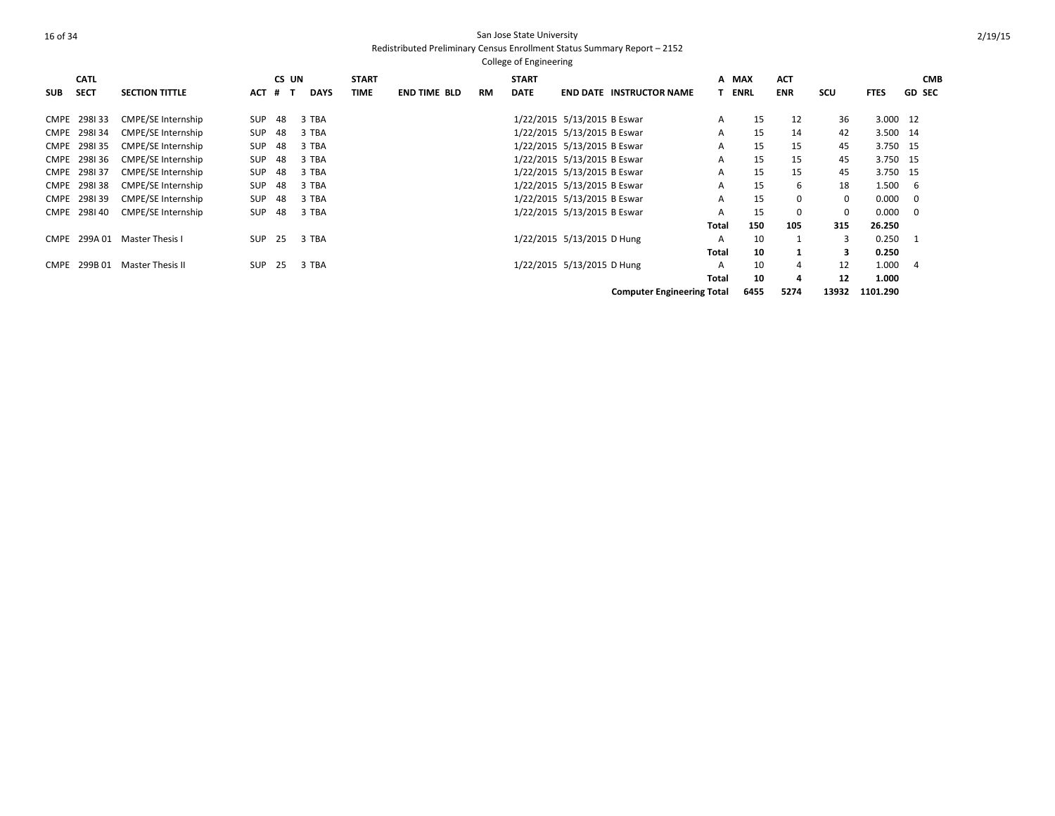|            | <b>CATL</b>  |                           |            | CS UN |             | <b>START</b> |                     |           | <b>START</b> |                             |                                   |              | A MAX       | <b>ACT</b> |            |             |               | <b>CMB</b> |
|------------|--------------|---------------------------|------------|-------|-------------|--------------|---------------------|-----------|--------------|-----------------------------|-----------------------------------|--------------|-------------|------------|------------|-------------|---------------|------------|
| <b>SUB</b> | <b>SECT</b>  | <b>SECTION TITTLE</b>     | <b>ACT</b> | $#$ T | <b>DAYS</b> | <b>TIME</b>  | <b>END TIME BLD</b> | <b>RM</b> | <b>DATE</b>  |                             | <b>END DATE INSTRUCTOR NAME</b>   |              | <b>ENRL</b> | <b>ENR</b> | <b>SCU</b> | <b>FTES</b> | <b>GD SEC</b> |            |
|            | CMPE 298133  | CMPE/SE Internship        | <b>SUP</b> | 48    | 3 TBA       |              |                     |           |              | 1/22/2015 5/13/2015 B Eswar |                                   | A            | 15          | 12         | 36         | 3.000 12    |               |            |
|            | CMPE 298134  | CMPE/SE Internship        | <b>SUP</b> | 48    | 3 TBA       |              |                     |           |              | 1/22/2015 5/13/2015 B Eswar |                                   | A            | 15          | 14         | 42         | 3.500 14    |               |            |
|            | CMPE 298135  | <b>CMPE/SE Internship</b> | SUP        | 48    | 3 TBA       |              |                     |           |              | 1/22/2015 5/13/2015 B Eswar |                                   | A            | 15          | 15         | 45         | 3.750 15    |               |            |
|            | CMPE 298136  | CMPE/SE Internship        | SUP        | 48    | 3 TBA       |              |                     |           |              | 1/22/2015 5/13/2015 B Eswar |                                   | A            | 15          | 15         | 45         | 3.750 15    |               |            |
|            | CMPE 298137  | <b>CMPE/SE Internship</b> | <b>SUP</b> | 48    | 3 TBA       |              |                     |           |              | 1/22/2015 5/13/2015 B Eswar |                                   | A            | 15          | 15         | 45         | 3.750 15    |               |            |
|            | CMPE 298138  | CMPE/SE Internship        | <b>SUP</b> | 48    | 3 TBA       |              |                     |           |              | 1/22/2015 5/13/2015 B Eswar |                                   | A            | 15          | 6          | 18         | 1.500       | - 6           |            |
|            | CMPE 298139  | CMPE/SE Internship        | <b>SUP</b> | 48    | 3 TBA       |              |                     |           |              | 1/22/2015 5/13/2015 B Eswar |                                   | A            | 15          | $\Omega$   | $\Omega$   | 0.000       | - 0           |            |
|            | CMPE 298140  | CMPE/SE Internship        | <b>SUP</b> | 48    | 3 TBA       |              |                     |           |              | 1/22/2015 5/13/2015 B Eswar |                                   | A            | 15          | 0          | 0          | 0.000       | - 0           |            |
|            |              |                           |            |       |             |              |                     |           |              |                             |                                   | Total        | 150         | 105        | 315        | 26.250      |               |            |
|            | CMPE 299A 01 | Master Thesis I           | <b>SUP</b> | 25    | 3 TBA       |              |                     |           |              | 1/22/2015 5/13/2015 D Hung  |                                   | A            | 10          |            | 3          | 0.250       | -1            |            |
|            |              |                           |            |       |             |              |                     |           |              |                             |                                   | <b>Total</b> | 10          |            | 3          | 0.250       |               |            |
| CMPE       | 299B 01      | <b>Master Thesis II</b>   | <b>SUP</b> | 25    | 3 TBA       |              |                     |           |              | 1/22/2015 5/13/2015 D Hung  |                                   | A            | 10          | 4          | 12         | 1.000       | 4             |            |
|            |              |                           |            |       |             |              |                     |           |              |                             |                                   | Total        | 10          | 4          | 12         | 1.000       |               |            |
|            |              |                           |            |       |             |              |                     |           |              |                             | <b>Computer Engineering Total</b> |              | 6455        | 5274       | 13932      | 1101.290    |               |            |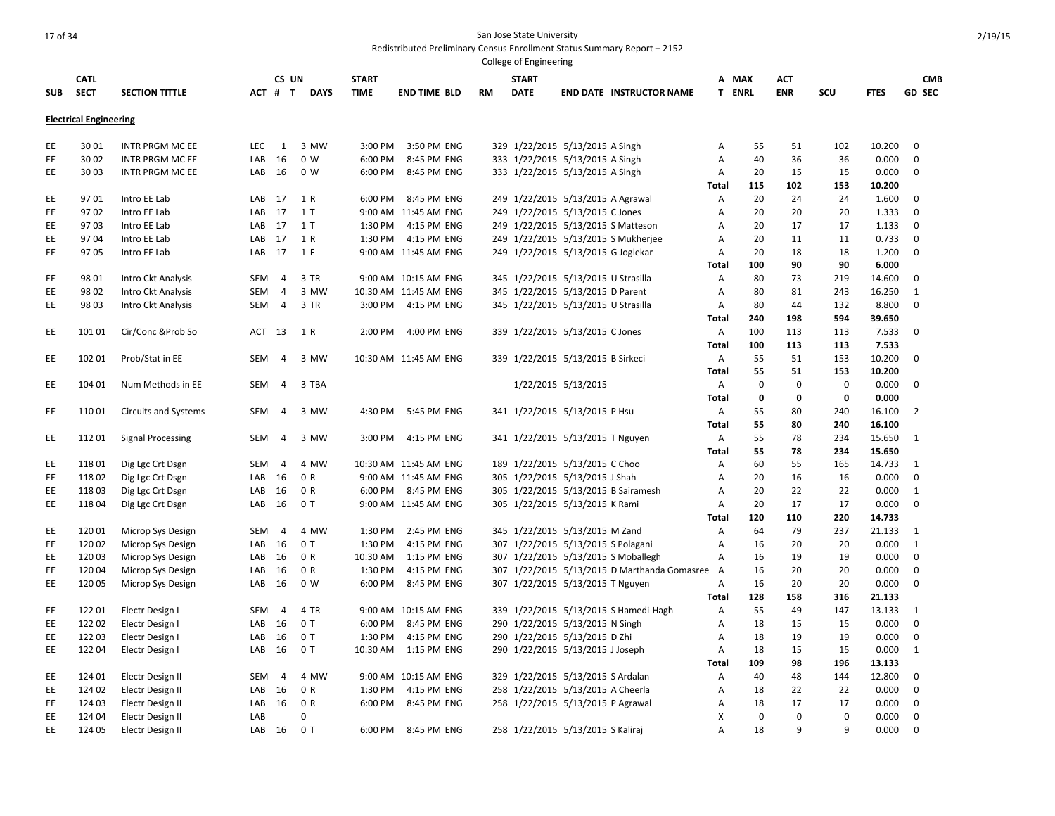|            |                               |                              |            |                |             |              |                                     |    | College of Engineering |                                     |                                              |                   |             |             |              |                 |                |  |
|------------|-------------------------------|------------------------------|------------|----------------|-------------|--------------|-------------------------------------|----|------------------------|-------------------------------------|----------------------------------------------|-------------------|-------------|-------------|--------------|-----------------|----------------|--|
|            | <b>CATL</b>                   |                              |            | CS UN          |             | <b>START</b> |                                     |    | <b>START</b>           |                                     |                                              |                   | A MAX       | <b>ACT</b>  |              |                 | <b>CMB</b>     |  |
| <b>SUB</b> | <b>SECT</b>                   | <b>SECTION TITTLE</b>        |            | ACT # T        | <b>DAYS</b> | <b>TIME</b>  | <b>END TIME BLD</b>                 | RM | <b>DATE</b>            |                                     | <b>END DATE INSTRUCTOR NAME</b>              |                   | T ENRL      | <b>ENR</b>  | SCU          | <b>FTES</b>     | <b>GD SEC</b>  |  |
|            | <b>Electrical Engineering</b> |                              |            |                |             |              |                                     |    |                        |                                     |                                              |                   |             |             |              |                 |                |  |
|            |                               |                              |            |                |             |              |                                     |    |                        |                                     |                                              |                   |             |             |              |                 |                |  |
| EE         | 3001                          | <b>INTR PRGM MC EE</b>       | <b>LEC</b> | 1              | 3 MW        | 3:00 PM      | 3:50 PM ENG                         |    |                        | 329 1/22/2015 5/13/2015 A Singh     |                                              | Α                 | 55          | 51          | 102          | 10.200          | $\Omega$       |  |
| EE         | 3002                          | <b>INTR PRGM MC EE</b>       | LAB        | 16             | 0 W         | 6:00 PM      | 8:45 PM ENG                         |    |                        | 333 1/22/2015 5/13/2015 A Singh     |                                              | Α                 | 40          | 36          | 36           | 0.000           | $\mathbf 0$    |  |
| EE         | 3003                          | <b>INTR PRGM MC EE</b>       | LAB        | 16             | 0 W         | 6:00 PM      | 8:45 PM ENG                         |    |                        | 333 1/22/2015 5/13/2015 A Singh     |                                              | Α                 | 20<br>115   | 15<br>102   | 15<br>153    | 0.000           | 0              |  |
| EE         | 9701                          | Intro EE Lab                 | LAB        | 17             | 1 R         | 6:00 PM      | 8:45 PM ENG                         |    |                        | 249 1/22/2015 5/13/2015 A Agrawal   |                                              | <b>Total</b>      | 20          | 24          | 24           | 10.200<br>1.600 | $\mathbf 0$    |  |
| EE         | 9702                          |                              | LAB        | 17             | 1T          |              |                                     |    |                        | 249 1/22/2015 5/13/2015 C Jones     |                                              | Α                 | 20          | 20          | 20           |                 | $\mathbf 0$    |  |
| EE         | 9703                          | Intro EE Lab<br>Intro EE Lab | LAB        | 17             | 1 T         | 1:30 PM      | 9:00 AM 11:45 AM ENG<br>4:15 PM ENG |    |                        |                                     |                                              | Α<br>Α            | 20          | 17          | 17           | 1.333<br>1.133  | $\mathbf 0$    |  |
|            | 9704                          |                              | LAB        | 17             | 1 R         | 1:30 PM      | 4:15 PM ENG                         |    |                        |                                     | 249 1/22/2015 5/13/2015 S Matteson           |                   | 20          | 11          | 11           |                 | 0              |  |
| EE<br>EE.  | 9705                          | Intro EE Lab<br>Intro EE Lab | LAB        | 17             | 1 F         |              | 9:00 AM 11:45 AM ENG                |    |                        |                                     | 249 1/22/2015 5/13/2015 S Mukherjee          | Α                 | 20          | 18          | 18           | 0.733<br>1.200  | $\Omega$       |  |
|            |                               |                              |            |                |             |              |                                     |    |                        | 249 1/22/2015 5/13/2015 G Joglekar  |                                              | Α                 | 100         | 90          | 90           |                 |                |  |
| EE         | 98 01                         | Intro Ckt Analysis           | SEM        | $\overline{4}$ | 3 TR        |              | 9:00 AM 10:15 AM ENG                |    |                        | 345 1/22/2015 5/13/2015 U Strasilla |                                              | <b>Total</b><br>Α | 80          | 73          | 219          | 6.000<br>14.600 | 0              |  |
| EE         | 98 02                         | Intro Ckt Analysis           | <b>SEM</b> | 4              | 3 MW        |              | 10:30 AM 11:45 AM ENG               |    |                        | 345 1/22/2015 5/13/2015 D Parent    |                                              | Α                 | 80          | 81          | 243          | 16.250          | 1              |  |
| EE         | 98 03                         | Intro Ckt Analysis           | SEM        | $\overline{4}$ | 3 TR        |              | 3:00 PM 4:15 PM ENG                 |    |                        | 345 1/22/2015 5/13/2015 U Strasilla |                                              | Α                 | 80          | 44          | 132          | 8.800           | $\mathbf 0$    |  |
|            |                               |                              |            |                |             |              |                                     |    |                        |                                     |                                              | <b>Total</b>      | 240         | 198         | 594          | 39.650          |                |  |
| EE         | 101 01                        | Cir/Conc & Prob So           | ACT        | 13             | 1 R         | 2:00 PM      | 4:00 PM ENG                         |    |                        | 339 1/22/2015 5/13/2015 C Jones     |                                              | Α                 | 100         | 113         | 113          | 7.533           | 0              |  |
|            |                               |                              |            |                |             |              |                                     |    |                        |                                     |                                              | <b>Total</b>      | 100         | 113         | 113          | 7.533           |                |  |
| EE         | 102 01                        | Prob/Stat in EE              | <b>SEM</b> | $\overline{4}$ | 3 MW        |              | 10:30 AM 11:45 AM ENG               |    |                        | 339 1/22/2015 5/13/2015 B Sirkeci   |                                              | Α                 | 55          | 51          | 153          | 10.200          | $\Omega$       |  |
|            |                               |                              |            |                |             |              |                                     |    |                        |                                     |                                              | <b>Total</b>      | 55          | 51          | 153          | 10.200          |                |  |
| EE         | 104 01                        | Num Methods in EE            | SEM        | $\overline{4}$ | 3 TBA       |              |                                     |    |                        | 1/22/2015 5/13/2015                 |                                              | A                 | $\mathbf 0$ | $\mathbf 0$ | $\mathbf 0$  | 0.000           | 0              |  |
|            |                               |                              |            |                |             |              |                                     |    |                        |                                     |                                              | Total             | $\mathbf 0$ | 0           | $\mathbf 0$  | 0.000           |                |  |
| EE         | 11001                         | <b>Circuits and Systems</b>  | SEM        | 4              | 3 MW        | 4:30 PM      | 5:45 PM ENG                         |    |                        | 341 1/22/2015 5/13/2015 P Hsu       |                                              | Α                 | 55          | 80          | 240          | 16.100          | $\overline{2}$ |  |
|            |                               |                              |            |                |             |              |                                     |    |                        |                                     |                                              | <b>Total</b>      | 55          | 80          | 240          | 16.100          |                |  |
| EE.        | 11201                         | <b>Signal Processing</b>     | <b>SEM</b> | $\overline{4}$ | 3 MW        | 3:00 PM      | 4:15 PM ENG                         |    |                        | 341 1/22/2015 5/13/2015 T Nguyen    |                                              | Α                 | 55          | 78          | 234          | 15.650          | 1              |  |
|            |                               |                              |            |                |             |              |                                     |    |                        |                                     |                                              | <b>Total</b>      | 55          | 78          | 234          | 15.650          |                |  |
| EE         | 11801                         | Dig Lgc Crt Dsgn             | <b>SEM</b> | $\overline{4}$ | 4 MW        |              | 10:30 AM 11:45 AM ENG               |    |                        | 189 1/22/2015 5/13/2015 C Choo      |                                              | Α                 | 60          | 55          | 165          | 14.733          | 1              |  |
| EE         | 11802                         | Dig Lgc Crt Dsgn             | LAB        | 16             | 0 R         |              | 9:00 AM 11:45 AM ENG                |    |                        | 305 1/22/2015 5/13/2015 J Shah      |                                              | Α                 | 20          | 16          | 16           | 0.000           | $\mathbf 0$    |  |
| EE         | 11803                         | Dig Lgc Crt Dsgn             | LAB        | 16             | 0 R         |              | 6:00 PM 8:45 PM ENG                 |    |                        |                                     | 305 1/22/2015 5/13/2015 B Sairamesh          | Α                 | 20          | 22          | 22           | 0.000           | 1              |  |
| EE         | 118 04                        | Dig Lgc Crt Dsgn             | LAB        | 16             | 0T          |              | 9:00 AM 11:45 AM ENG                |    |                        | 305 1/22/2015 5/13/2015 K Rami      |                                              | Α                 | 20          | 17          | 17           | 0.000           | $\mathbf 0$    |  |
|            |                               |                              |            |                |             |              |                                     |    |                        |                                     |                                              | Total             | 120         | 110         | 220          | 14.733          |                |  |
| EE         | 120 01                        | Microp Sys Design            | SEM        | $\overline{4}$ | 4 MW        | 1:30 PM      | 2:45 PM ENG                         |    |                        | 345 1/22/2015 5/13/2015 M Zand      |                                              | Α                 | 64          | 79          | 237          | 21.133          | 1              |  |
| EE         | 120 02                        | Microp Sys Design            | LAB        | 16             | 0T          | 1:30 PM      | 4:15 PM ENG                         |    |                        | 307 1/22/2015 5/13/2015 S Polagani  |                                              | A                 | 16          | 20          | 20           | 0.000           | $\mathbf{1}$   |  |
| EE         | 12003                         | Microp Sys Design            | LAB        | 16             | 0 R         | 10:30 AM     | 1:15 PM ENG                         |    |                        |                                     | 307 1/22/2015 5/13/2015 S Moballegh          | Α                 | 16          | 19          | 19           | 0.000           | $\mathbf 0$    |  |
| EE         | 12004                         | Microp Sys Design            | LAB        | 16             | 0 R         | 1:30 PM      | 4:15 PM ENG                         |    |                        |                                     | 307 1/22/2015 5/13/2015 D Marthanda Gomasree | A                 | 16          | 20          | 20           | 0.000           | 0              |  |
| EE         | 120 05                        | Microp Sys Design            | LAB        | 16             | 0 W         | 6:00 PM      | 8:45 PM ENG                         |    |                        | 307 1/22/2015 5/13/2015 T Nguyen    |                                              | Α                 | 16          | 20          | 20           | 0.000           | 0              |  |
|            |                               |                              |            |                |             |              |                                     |    |                        |                                     |                                              | <b>Total</b>      | 128         | 158         | 316          | 21.133          |                |  |
| EE         | 122 01                        | Electr Design I              | <b>SEM</b> | $\overline{4}$ | 4 TR        |              | 9:00 AM 10:15 AM ENG                |    |                        |                                     | 339 1/22/2015 5/13/2015 S Hamedi-Hagh        | Α                 | 55          | 49          | 147          | 13.133          | 1              |  |
| EE         | 122 02                        | Electr Design I              | LAB        | 16             | 0T          | 6:00 PM      | 8:45 PM ENG                         |    |                        | 290 1/22/2015 5/13/2015 N Singh     |                                              | Α                 | 18          | 15          | 15           | 0.000           | 0              |  |
| EE         | 12203                         | Electr Design I              | LAB        | 16             | 0T          | 1:30 PM      | 4:15 PM ENG                         |    |                        | 290 1/22/2015 5/13/2015 D Zhi       |                                              | Α                 | 18          | 19          | 19           | 0.000           | 0              |  |
| EE         | 12204                         | Electr Design I              | LAB        | 16             | 0T          |              | 10:30 AM  1:15 PM ENG               |    |                        | 290 1/22/2015 5/13/2015 J Joseph    |                                              | Α                 | 18          | 15          | 15           | 0.000           | 1              |  |
|            |                               |                              |            |                |             |              |                                     |    |                        |                                     |                                              | <b>Total</b>      | 109         | 98          | 196          | 13.133          |                |  |
| EE         | 124 01                        | Electr Design II             | SEM        | $\overline{4}$ | 4 MW        |              | 9:00 AM 10:15 AM ENG                |    |                        | 329 1/22/2015 5/13/2015 S Ardalan   |                                              | Α                 | 40          | 48          | 144          | 12.800          | 0              |  |
| EE         | 124 02                        | Electr Design II             | LAB        | 16             | 0 R         | 1:30 PM      | 4:15 PM ENG                         |    |                        | 258 1/22/2015 5/13/2015 A Cheerla   |                                              | Α                 | 18          | 22          | 22           | 0.000           | $\mathbf 0$    |  |
| EE         | 124 03                        | Electr Design II             | LAB        | 16             | 0 R         | 6:00 PM      | 8:45 PM ENG                         |    |                        | 258 1/22/2015 5/13/2015 P Agrawal   |                                              | Α                 | 18          | 17          | 17           | 0.000           | $\mathbf 0$    |  |
| EE         | 124 04                        | Electr Design II             | LAB        |                | 0           |              |                                     |    |                        |                                     |                                              | X                 | $\mathbf 0$ | 0           | $\mathbf 0$  | 0.000           | $\mathbf 0$    |  |
| EE         | 124 05                        | Electr Design II             | LAB        | 16             | 0T          | 6:00 PM      | 8:45 PM ENG                         |    |                        | 258 1/22/2015 5/13/2015 S Kaliraj   |                                              | A                 | 18          | q           | $\mathsf{q}$ | 0.000           | $\Omega$       |  |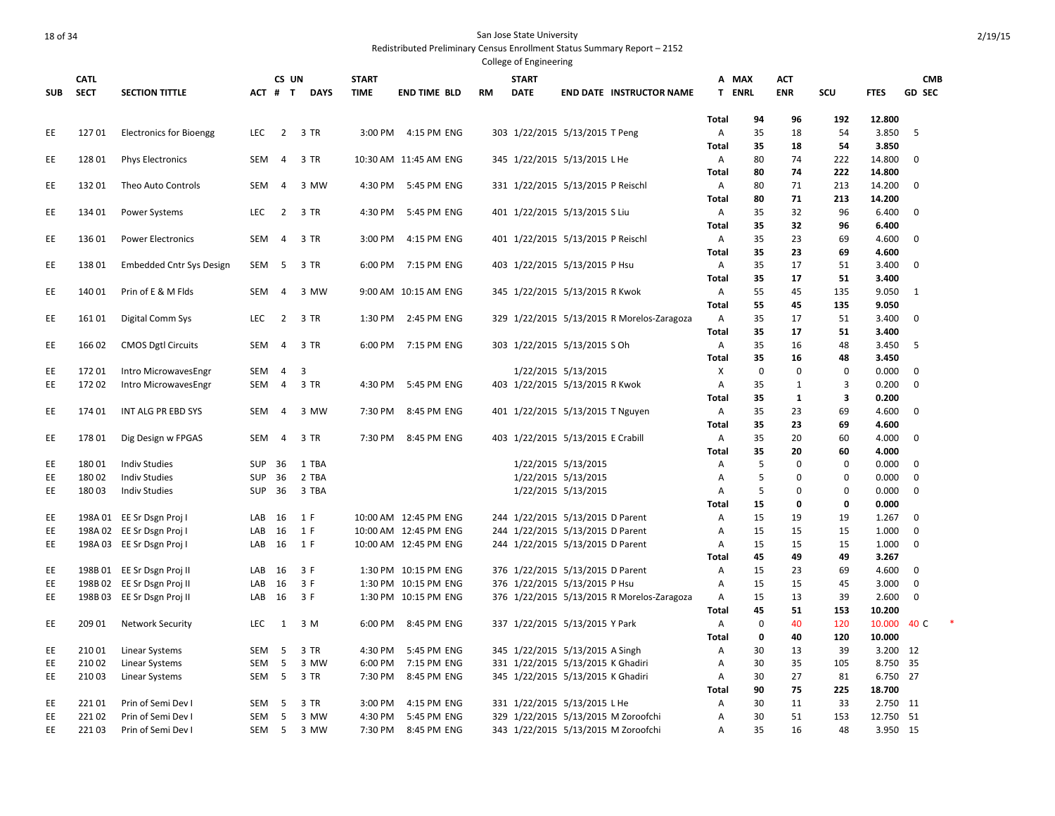|            |                  |                                              |            |                |             |                    |                            |           | College of Engineering |                                            |              |             |              |                  |                      |               |  |
|------------|------------------|----------------------------------------------|------------|----------------|-------------|--------------------|----------------------------|-----------|------------------------|--------------------------------------------|--------------|-------------|--------------|------------------|----------------------|---------------|--|
|            | <b>CATL</b>      |                                              |            | CS UN          |             | <b>START</b>       |                            |           | <b>START</b>           |                                            | A MAX        |             | <b>ACT</b>   |                  |                      | <b>CMB</b>    |  |
| <b>SUB</b> | <b>SECT</b>      | <b>SECTION TITTLE</b>                        |            | ACT # T        | <b>DAYS</b> | <b>TIME</b>        | <b>END TIME BLD</b>        | <b>RM</b> | <b>DATE</b>            | <b>END DATE INSTRUCTOR NAME</b>            | T ENRL       |             | <b>ENR</b>   | SCU              | <b>FTES</b>          | <b>GD SEC</b> |  |
|            |                  |                                              |            |                |             |                    |                            |           |                        |                                            | <b>Total</b> | 94          | 96           | 192              | 12.800               |               |  |
| EE         | 12701            | <b>Electronics for Bioengg</b>               | <b>LEC</b> | $\overline{2}$ | 3 TR        | 3:00 PM            | 4:15 PM ENG                |           |                        | 303 1/22/2015 5/13/2015 T Peng             | Α            | 35          | 18           | 54               | 3.850                | -5            |  |
|            |                  |                                              |            |                |             |                    |                            |           |                        |                                            | Total        | 35          | 18           | 54               | 3.850                |               |  |
| EE.        | 12801            | <b>Phys Electronics</b>                      | SEM        | $\overline{4}$ | 3 TR        |                    | 10:30 AM 11:45 AM ENG      |           |                        | 345 1/22/2015 5/13/2015 L He               | Α            | 80          | 74           | 222              | 14.800               | $\mathbf 0$   |  |
|            |                  |                                              |            |                |             |                    |                            |           |                        |                                            | <b>Total</b> | 80          | 74           | 222              | 14.800               |               |  |
| EE         | 13201            | Theo Auto Controls                           | <b>SEM</b> | $\overline{4}$ | 3 MW        | 4:30 PM            | 5:45 PM ENG                |           |                        | 331 1/22/2015 5/13/2015 P Reischl          | A            | 80          | 71           | 213              | 14.200               | $\mathbf 0$   |  |
|            |                  |                                              |            |                |             |                    |                            |           |                        |                                            | Total        | 80          | 71           | 213              | 14.200               |               |  |
| EE.        | 134 01           | Power Systems                                | LEC        | $\overline{2}$ | 3 TR        | 4:30 PM            | 5:45 PM ENG                |           |                        | 401 1/22/2015 5/13/2015 S Liu              | Α            | 35          | 32           | 96               | 6.400                | 0             |  |
|            |                  |                                              |            |                |             |                    |                            |           |                        |                                            | Total        | 35          | 32           | 96               | 6.400                |               |  |
| EE         | 136 01           | <b>Power Electronics</b>                     | SEM        | $\overline{4}$ | 3 TR        | 3:00 PM            | 4:15 PM ENG                |           |                        | 401 1/22/2015 5/13/2015 P Reischl          | Α            | 35          | 23           | 69               | 4.600                | $\mathbf 0$   |  |
| EE         | 13801            |                                              | SEM        | -5             | 3 TR        | 6:00 PM            | 7:15 PM ENG                |           |                        |                                            | Total<br>Α   | 35<br>35    | 23<br>17     | 69<br>51         | 4.600<br>3.400       | 0             |  |
|            |                  | <b>Embedded Cntr Sys Design</b>              |            |                |             |                    |                            |           |                        | 403 1/22/2015 5/13/2015 P Hsu              | Total        | 35          | 17           | 51               | 3.400                |               |  |
| EE         | 140 01           | Prin of E & M Flds                           | <b>SEM</b> | 4              | 3 MW        |                    | 9:00 AM 10:15 AM ENG       |           |                        | 345 1/22/2015 5/13/2015 R Kwok             | Α            | 55          | 45           | 135              | 9.050                | 1             |  |
|            |                  |                                              |            |                |             |                    |                            |           |                        |                                            | Total        | 55          | 45           | 135              | 9.050                |               |  |
| EE         | 16101            | Digital Comm Sys                             | LEC        | $\overline{2}$ | 3 TR        | 1:30 PM            | 2:45 PM ENG                |           |                        | 329 1/22/2015 5/13/2015 R Morelos-Zaragoza | A            | 35          | 17           | 51               | 3.400                | $\mathbf 0$   |  |
|            |                  |                                              |            |                |             |                    |                            |           |                        |                                            | Total        | 35          | 17           | 51               | 3.400                |               |  |
| EE.        | 16602            | <b>CMOS Dgtl Circuits</b>                    | <b>SEM</b> | 4              | 3 TR        | 6:00 PM            | 7:15 PM ENG                |           |                        | 303 1/22/2015 5/13/2015 S Oh               | Α            | 35          | 16           | 48               | 3.450                | -5            |  |
|            |                  |                                              |            |                |             |                    |                            |           |                        |                                            | <b>Total</b> | 35          | 16           | 48               | 3.450                |               |  |
| EE         | 17201            | Intro MicrowavesEngr                         | SEM        | 4              | 3           |                    |                            |           |                        | 1/22/2015 5/13/2015                        | X            | $\mathbf 0$ | 0            | 0                | 0.000                | $\mathbf 0$   |  |
| EE         | 17202            | Intro MicrowavesEngr                         | SEM        | $\overline{4}$ | 3 TR        | 4:30 PM            | 5:45 PM ENG                |           |                        | 403 1/22/2015 5/13/2015 R Kwok             | Α            | 35          | $\mathbf{1}$ | 3                | 0.200                | $\mathbf 0$   |  |
|            |                  |                                              |            |                |             |                    |                            |           |                        |                                            | Total        | 35          | $\mathbf{1}$ | 3                | 0.200                |               |  |
| EE         | 174 01           | INT ALG PR EBD SYS                           | SEM        | $\overline{4}$ | 3 MW        | 7:30 PM            | 8:45 PM ENG                |           |                        | 401 1/22/2015 5/13/2015 T Nguyen           | Α            | 35          | 23           | 69               | 4.600                | $\mathbf 0$   |  |
|            |                  |                                              |            |                |             |                    |                            |           |                        |                                            | <b>Total</b> | 35          | 23           | 69               | 4.600                |               |  |
| EE         | 17801            | Dig Design w FPGAS                           | SEM        | $\overline{4}$ | 3 TR        | 7:30 PM            | 8:45 PM ENG                |           |                        | 403 1/22/2015 5/13/2015 E Crabill          | Α            | 35          | 20           | 60               | 4.000                | $\Omega$      |  |
| EE         | 18001            |                                              | SUP        |                | 1 TBA       |                    |                            |           |                        | 1/22/2015 5/13/2015                        | <b>Total</b> | 35<br>5     | 20<br>0      | 60               | 4.000<br>0.000       | $\mathbf 0$   |  |
| EE         | 18002            | <b>Indiv Studies</b><br><b>Indiv Studies</b> | <b>SUP</b> | 36<br>36       | 2 TBA       |                    |                            |           |                        | 1/22/2015 5/13/2015                        | Α            | 5           | 0            | 0<br>$\mathbf 0$ | 0.000                | 0             |  |
| EE         | 180 03           | <b>Indiv Studies</b>                         | <b>SUP</b> | 36             | 3 TBA       |                    |                            |           |                        | 1/22/2015 5/13/2015                        | Α<br>А       | 5           | 0            | 0                | 0.000                | 0             |  |
|            |                  |                                              |            |                |             |                    |                            |           |                        |                                            | <b>Total</b> | 15          | 0            | 0                | 0.000                |               |  |
| EE         |                  | 198A 01 EE Sr Dsgn Proj I                    | LAB        | 16             | 1 F         |                    | 10:00 AM 12:45 PM ENG      |           |                        | 244 1/22/2015 5/13/2015 D Parent           | Α            | 15          | 19           | 19               | 1.267                | $\mathbf 0$   |  |
| EE         |                  | 198A 02 EE Sr Dsgn Proj I                    | LAB        | 16             | 1 F         |                    | 10:00 AM 12:45 PM ENG      |           |                        | 244 1/22/2015 5/13/2015 D Parent           | Α            | 15          | 15           | 15               | 1.000                | $\mathbf 0$   |  |
| EE.        |                  | 198A 03 EE Sr Dsgn Proj I                    | LAB        | 16             | 1 F         |                    | 10:00 AM 12:45 PM ENG      |           |                        | 244 1/22/2015 5/13/2015 D Parent           | A            | 15          | 15           | 15               | 1.000                | 0             |  |
|            |                  |                                              |            |                |             |                    |                            |           |                        |                                            | Total        | 45          | 49           | 49               | 3.267                |               |  |
| EE         |                  | 198B 01 EE Sr Dsgn Proj II                   | LAB        | 16             | 3 F         |                    | 1:30 PM 10:15 PM ENG       |           |                        | 376 1/22/2015 5/13/2015 D Parent           | A            | 15          | 23           | 69               | 4.600                | $\mathbf 0$   |  |
| EE         |                  | 198B 02 EE Sr Dsgn Proj II                   | LAB        | 16             | 3 F         |                    | 1:30 PM 10:15 PM ENG       |           |                        | 376 1/22/2015 5/13/2015 P Hsu              | Α            | 15          | 15           | 45               | 3.000                | $\mathbf 0$   |  |
| EE         |                  | 198B 03 EE Sr Dsgn Proj II                   | LAB        | 16             | 3 F         |                    | 1:30 PM 10:15 PM ENG       |           |                        | 376 1/22/2015 5/13/2015 R Morelos-Zaragoza | A            | 15          | 13           | 39               | 2.600                | $\mathbf 0$   |  |
|            |                  |                                              |            |                |             |                    |                            |           |                        |                                            | Total        | 45          | 51           | 153              | 10.200               |               |  |
| EE.        | 209 01           | <b>Network Security</b>                      | <b>LEC</b> | 1              | 3 M         | 6:00 PM            | 8:45 PM ENG                |           |                        | 337 1/22/2015 5/13/2015 Y Park             | Α            | 0           | 40           | 120              | 10.000               | 40 C          |  |
|            |                  |                                              |            |                |             |                    |                            |           |                        |                                            | Total        | 0           | 40           | 120              | 10.000               |               |  |
| EE         | 210 01           | <b>Linear Systems</b>                        | SEM        | 5              | 3 TR        | 4:30 PM            | 5:45 PM ENG                |           |                        | 345 1/22/2015 5/13/2015 A Singh            | А            | 30          | 13           | 39               | 3.200 12             |               |  |
| EE<br>EE   | 210 02<br>210 03 | <b>Linear Systems</b>                        | SEM        | 5<br>5         | 3 MW        | 6:00 PM<br>7:30 PM | 7:15 PM ENG<br>8:45 PM ENG |           |                        | 331 1/22/2015 5/13/2015 K Ghadiri          | Α            | 30<br>30    | 35<br>27     | 105<br>81        | 8.750 35<br>6.750 27 |               |  |
|            |                  | Linear Systems                               | SEM        |                | 3 TR        |                    |                            |           |                        | 345 1/22/2015 5/13/2015 K Ghadiri          | Α<br>Total   | 90          | 75           | 225              | 18.700               |               |  |
| EE         | 221 01           | Prin of Semi Dev I                           | SEM        | 5              | 3 TR        | 3:00 PM            | 4:15 PM ENG                |           |                        | 331 1/22/2015 5/13/2015 L He               | Α            | 30          | 11           | 33               | 2.750 11             |               |  |
| EE         | 221 02           | Prin of Semi Dev I                           | SEM        | 5              | 3 MW        | 4:30 PM            | 5:45 PM ENG                |           |                        | 329 1/22/2015 5/13/2015 M Zoroofchi        | Α            | 30          | 51           | 153              | 12.750 51            |               |  |
| EE         | 221 03           | Prin of Semi Dev I                           | SEM        | 5              | 3 MW        | 7:30 PM            | 8:45 PM ENG                |           |                        | 343 1/22/2015 5/13/2015 M Zoroofchi        | A            | 35          | 16           | 48               | 3.950 15             |               |  |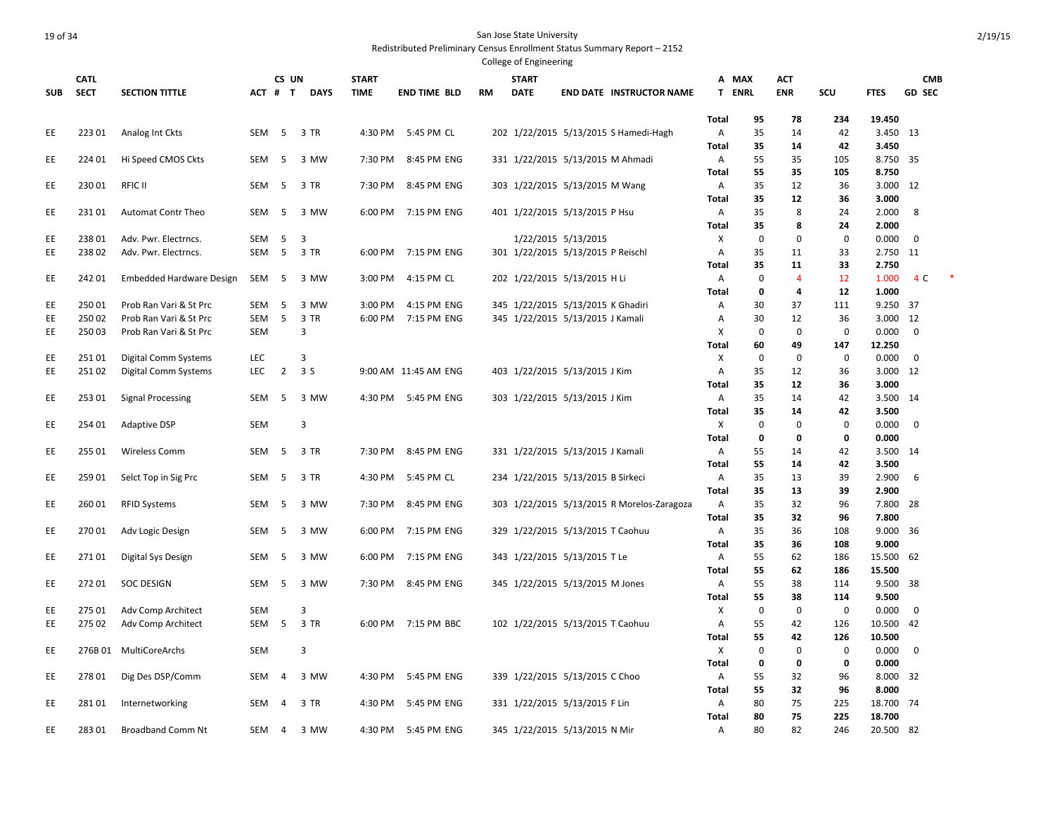|            |             |                                 |            |                |             |              |                      |           | College of Engineering |                                            |                   |             |             |             |                     |               |  |
|------------|-------------|---------------------------------|------------|----------------|-------------|--------------|----------------------|-----------|------------------------|--------------------------------------------|-------------------|-------------|-------------|-------------|---------------------|---------------|--|
|            | <b>CATL</b> |                                 |            | CS UN          |             | <b>START</b> |                      |           | <b>START</b>           |                                            | A MAX             |             | ACT         |             |                     | <b>CMB</b>    |  |
| <b>SUB</b> | <b>SECT</b> | <b>SECTION TITTLE</b>           | ACT # T    |                | <b>DAYS</b> | <b>TIME</b>  | <b>END TIME BLD</b>  | <b>RM</b> | <b>DATE</b>            | <b>END DATE INSTRUCTOR NAME</b>            | T ENRL            |             | <b>ENR</b>  | SCU         | <b>FTES</b>         | <b>GD SEC</b> |  |
|            |             |                                 |            |                |             |              |                      |           |                        |                                            |                   |             |             |             |                     |               |  |
|            |             |                                 |            |                |             |              |                      |           |                        |                                            | Total             | 95          | 78          | 234         | 19.450              |               |  |
| EE         | 223 01      | Analog Int Ckts                 | <b>SEM</b> | 5              | 3 TR        | 4:30 PM      | 5:45 PM CL           |           |                        | 202 1/22/2015 5/13/2015 S Hamedi-Hagh      | Α                 | 35          | 14          | 42          | 3.450 13            |               |  |
|            |             |                                 |            |                |             |              |                      |           |                        |                                            | Total             | 35          | 14          | 42          | 3.450               |               |  |
| EE         | 224 01      | Hi Speed CMOS Ckts              | SEM        | -5             | 3 MW        | 7:30 PM      | 8:45 PM ENG          |           |                        | 331 1/22/2015 5/13/2015 M Ahmadi           | Α                 | 55          | 35          | 105         | 8.750 35            |               |  |
|            | 230 01      |                                 |            |                |             |              |                      |           |                        |                                            | <b>Total</b>      | 55          | 35          | 105         | 8.750               |               |  |
| EE         |             | <b>RFIC II</b>                  | SEM        | 5              | 3 TR        | 7:30 PM      | 8:45 PM ENG          |           |                        | 303 1/22/2015 5/13/2015 M Wang             | Α                 | 35<br>35    | 12<br>12    | 36          | 3.000 12<br>3.000   |               |  |
| EE         | 23101       | Automat Contr Theo              | SEM        | - 5            | 3 MW        | 6:00 PM      | 7:15 PM ENG          |           |                        | 401 1/22/2015 5/13/2015 P Hsu              | Total<br>Α        | 35          | 8           | 36<br>24    | 2.000               | 8             |  |
|            |             |                                 |            |                |             |              |                      |           |                        |                                            | Total             | 35          | 8           | 24          | 2.000               |               |  |
| EE         | 23801       | Adv. Pwr. Electrncs.            | SEM        | 5              | 3           |              |                      |           |                        | 1/22/2015 5/13/2015                        | X                 | $\mathbf 0$ | 0           | $\mathbf 0$ | 0.000               | $\mathbf 0$   |  |
| EE         | 23802       | Adv. Pwr. Electrncs.            | SEM        | 5              | 3 TR        | 6:00 PM      | 7:15 PM ENG          |           |                        | 301 1/22/2015 5/13/2015 P Reischl          | A                 | 35          | 11          | 33          | 2.750               | 11            |  |
|            |             |                                 |            |                |             |              |                      |           |                        |                                            | Total             | 35          | 11          | 33          | 2.750               |               |  |
| EE         | 242 01      | <b>Embedded Hardware Design</b> | SEM        | 5              | 3 MW        | 3:00 PM      | 4:15 PM CL           |           |                        | 202 1/22/2015 5/13/2015 H Li               | A                 | $\mathbf 0$ | 4           | 12          | 1.000               | 4 C           |  |
|            |             |                                 |            |                |             |              |                      |           |                        |                                            | Total             | $\mathbf 0$ | 4           | 12          | 1.000               |               |  |
| EE         | 250 01      | Prob Ran Vari & St Prc          | SEM        | 5              | 3 MW        | 3:00 PM      | 4:15 PM ENG          |           |                        | 345 1/22/2015 5/13/2015 K Ghadiri          | Α                 | 30          | 37          | 111         | 9.250 37            |               |  |
| EE         | 250 02      | Prob Ran Vari & St Prc          | SEM        | 5              | 3 TR        | 6:00 PM      | 7:15 PM ENG          |           |                        | 345 1/22/2015 5/13/2015 J Kamali           | Α                 | 30          | 12          | 36          | 3.000 12            |               |  |
| EE         | 250 03      | Prob Ran Vari & St Prc          | <b>SEM</b> |                | 3           |              |                      |           |                        |                                            | х                 | $\mathbf 0$ | 0           | $\mathbf 0$ | 0.000               | $\mathbf 0$   |  |
|            |             |                                 |            |                |             |              |                      |           |                        |                                            | <b>Total</b>      | 60          | 49          | 147         | 12.250              |               |  |
| EE         | 25101       | <b>Digital Comm Systems</b>     | <b>LEC</b> |                | 3           |              |                      |           |                        |                                            | X                 | $\mathbf 0$ | $\mathbf 0$ | $\mathbf 0$ | 0.000               | $\mathbf 0$   |  |
| EE         | 25102       | Digital Comm Systems            | LEC        | $\overline{2}$ | 3S          |              | 9:00 AM 11:45 AM ENG |           |                        | 403 1/22/2015 5/13/2015 J Kim              | Α                 | 35          | 12          | 36          | 3.000 12            |               |  |
|            |             |                                 |            |                |             |              |                      |           |                        |                                            | Total             | 35          | 12          | 36          | 3.000               |               |  |
| EE         | 25301       | <b>Signal Processing</b>        | SEM        | 5              | 3 MW        | 4:30 PM      | 5:45 PM ENG          |           |                        | 303 1/22/2015 5/13/2015 J Kim              | Α                 | 35          | 14          | 42          | 3.500               | 14            |  |
|            |             |                                 |            |                |             |              |                      |           |                        |                                            | <b>Total</b>      | 35          | 14          | 42          | 3.500               |               |  |
| EE         | 254 01      | <b>Adaptive DSP</b>             | SEM        |                | 3           |              |                      |           |                        |                                            | X                 | $\mathbf 0$ | 0           | $\mathbf 0$ | 0.000               | $\mathbf 0$   |  |
|            |             |                                 |            |                |             |              |                      |           |                        |                                            | Total             | $\mathbf 0$ | 0           | 0           | 0.000               |               |  |
| EE         | 255 01      | <b>Wireless Comm</b>            | SEM        | 5              | 3 TR        | 7:30 PM      | 8:45 PM ENG          |           |                        | 331 1/22/2015 5/13/2015 J Kamali           | Α                 | 55<br>55    | 14          | 42<br>42    | 3.500 14<br>3.500   |               |  |
|            | 25901       |                                 | SEM        | 5              | 3 TR        | 4:30 PM      | 5:45 PM CL           |           |                        | 234 1/22/2015 5/13/2015 B Sirkeci          | Total             | 35          | 14<br>13    | 39          | 2.900               | 6             |  |
| EE         |             | Selct Top in Sig Prc            |            |                |             |              |                      |           |                        |                                            | Α<br><b>Total</b> | 35          | 13          | 39          | 2.900               |               |  |
| EE         | 26001       | <b>RFID Systems</b>             | SEM        | -5             | 3 MW        | 7:30 PM      | 8:45 PM ENG          |           |                        | 303 1/22/2015 5/13/2015 R Morelos-Zaragoza | Α                 | 35          | 32          | 96          | 7.800 28            |               |  |
|            |             |                                 |            |                |             |              |                      |           |                        |                                            | Total             | 35          | 32          | 96          | 7.800               |               |  |
| EE         | 27001       | Adv Logic Design                | SEM        | - 5            | 3 MW        | 6:00 PM      | 7:15 PM ENG          |           |                        | 329 1/22/2015 5/13/2015 T Caohuu           | Α                 | 35          | 36          | 108         | 9.000 36            |               |  |
|            |             |                                 |            |                |             |              |                      |           |                        |                                            | <b>Total</b>      | 35          | 36          | 108         | 9.000               |               |  |
| EE         | 27101       | Digital Sys Design              | SEM        | 5              | 3 MW        | 6:00 PM      | 7:15 PM ENG          |           |                        | 343 1/22/2015 5/13/2015 T Le               | Α                 | 55          | 62          | 186         | 15.500 62           |               |  |
|            |             |                                 |            |                |             |              |                      |           |                        |                                            | Total             | 55          | 62          | 186         | 15.500              |               |  |
| EE         | 27201       | <b>SOC DESIGN</b>               | SEM        | 5              | 3 MW        | 7:30 PM      | 8:45 PM ENG          |           |                        | 345 1/22/2015 5/13/2015 M Jones            | Α                 | 55          | 38          | 114         | 9.500 38            |               |  |
|            |             |                                 |            |                |             |              |                      |           |                        |                                            | <b>Total</b>      | 55          | 38          | 114         | 9.500               |               |  |
| EE         | 275 01      | Adv Comp Architect              | <b>SEM</b> |                | 3           |              |                      |           |                        |                                            | х                 | $\mathbf 0$ | 0           | $\mathbf 0$ | 0.000               | $\mathbf 0$   |  |
| EE         | 275 02      | Adv Comp Architect              | SEM        | 5              | 3 TR        |              | 6:00 PM 7:15 PM BBC  |           |                        | 102 1/22/2015 5/13/2015 T Caohuu           | A                 | 55          | 42          | 126         | 10.500              | 42            |  |
|            |             |                                 |            |                |             |              |                      |           |                        |                                            | <b>Total</b>      | 55          | 42          | 126         | 10.500              |               |  |
| EE         |             | 276B 01 MultiCoreArchs          | <b>SEM</b> |                | 3           |              |                      |           |                        |                                            | X                 | 0           | 0           | 0           | 0.000               | 0             |  |
|            |             |                                 |            |                |             |              |                      |           |                        |                                            | <b>Total</b>      | 0           | 0           | 0           | 0.000               |               |  |
| EE         | 278 01      | Dig Des DSP/Comm                | SEM        | $\overline{4}$ | 3 MW        | 4:30 PM      | 5:45 PM ENG          |           |                        | 339 1/22/2015 5/13/2015 C Choo             | Α                 | 55          | 32          | 96          | 8.000 32            |               |  |
|            |             |                                 |            |                |             |              |                      |           |                        |                                            | Total             | 55          | 32          | 96          | 8.000               |               |  |
| EE         | 281 01      | Internetworking                 | SEM        | 4              | 3 TR        | 4:30 PM      | 5:45 PM ENG          |           |                        | 331 1/22/2015 5/13/2015 F Lin              | Α                 | 80          | 75          | 225         | 18.700 74           |               |  |
| EE         | 283 01      | <b>Broadband Comm Nt</b>        | SEM        | $\overline{4}$ | 3 MW        | 4:30 PM      | 5:45 PM ENG          |           |                        | 345 1/22/2015 5/13/2015 N Mir              | Total<br>A        | 80<br>80    | 75<br>82    | 225<br>246  | 18.700<br>20.500 82 |               |  |
|            |             |                                 |            |                |             |              |                      |           |                        |                                            |                   |             |             |             |                     |               |  |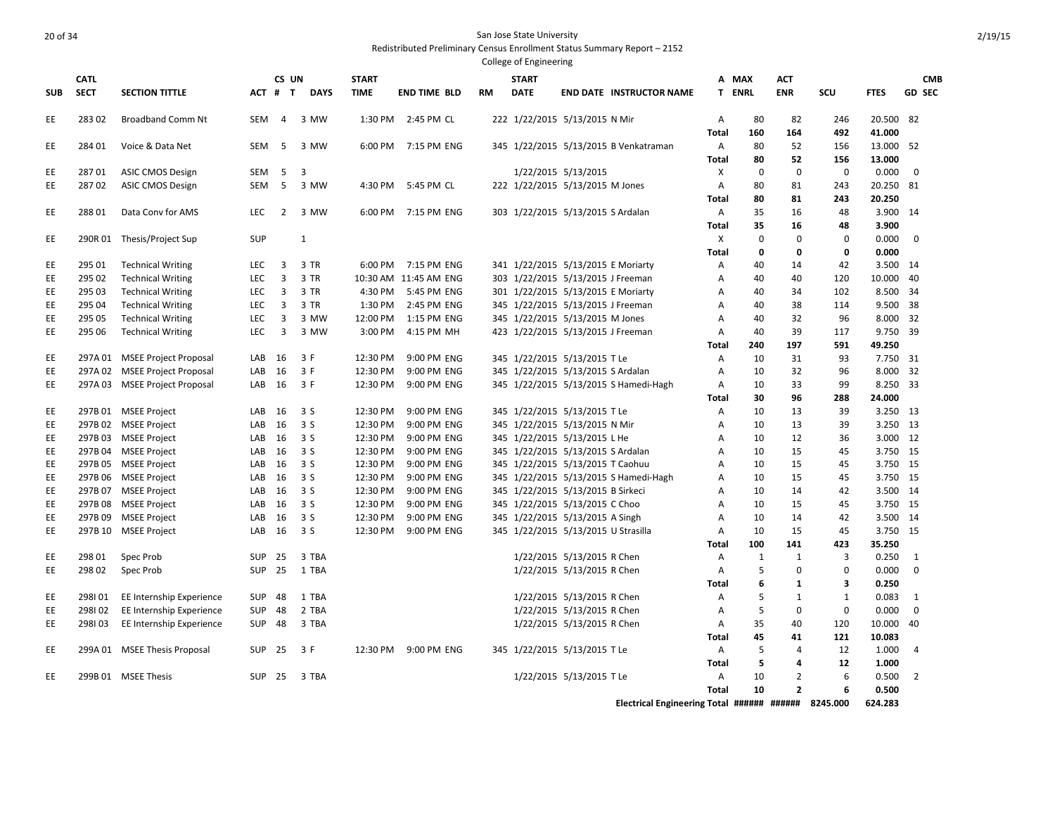Redistributed Preliminary Census Enrollment Status Summary Report – 2152 College of Engineering

|      | <b>CATL</b> |                               |            | CS UN          |              | <b>START</b> |                       |           | <b>START</b>                        |                            |                                       |                | A MAX         | <b>ACT</b>     |              |             | <b>CMB</b>    |
|------|-------------|-------------------------------|------------|----------------|--------------|--------------|-----------------------|-----------|-------------------------------------|----------------------------|---------------------------------------|----------------|---------------|----------------|--------------|-------------|---------------|
| SUB. | <b>SECT</b> | <b>SECTION TITTLE</b>         |            | ACT # T        | <b>DAYS</b>  | <b>TIME</b>  | <b>END TIME BLD</b>   | <b>RM</b> | <b>DATE</b>                         |                            | <b>END DATE INSTRUCTOR NAME</b>       |                | <b>T ENRL</b> | <b>ENR</b>     | <b>SCU</b>   | <b>FTES</b> | <b>GD SEC</b> |
| EE   | 28302       | <b>Broadband Comm Nt</b>      | <b>SEM</b> | 4              | 3 MW         | 1:30 PM      | 2:45 PM CL            |           | 222 1/22/2015 5/13/2015 N Mir       |                            |                                       | Α              | 80            | 82             | 246          | 20.500      | 82            |
|      |             |                               |            |                |              |              |                       |           |                                     |                            |                                       | <b>Total</b>   | 160           | 164            | 492          | 41.000      |               |
| ЕE   | 284 01      | Voice & Data Net              | <b>SEM</b> | 5              | 3 MW         | 6:00 PM      | 7:15 PM ENG           |           |                                     |                            | 345 1/22/2015 5/13/2015 B Venkatraman | Α              | 80            | 52             | 156          | 13.000      | - 52          |
|      |             |                               |            |                |              |              |                       |           |                                     |                            |                                       | Total          | 80            | 52             | 156          | 13.000      |               |
| ЕE   | 28701       | <b>ASIC CMOS Design</b>       | <b>SEM</b> | 5              | 3            |              |                       |           |                                     | 1/22/2015 5/13/2015        |                                       | X              | $\mathbf 0$   | $\mathbf 0$    | $\mathbf 0$  | 0.000       | 0             |
| ЕE   | 28702       | <b>ASIC CMOS Design</b>       | <b>SEM</b> | 5              | 3 MW         | 4:30 PM      | 5:45 PM CL            |           | 222 1/22/2015 5/13/2015 M Jones     |                            |                                       | $\overline{A}$ | 80            | 81             | 243          | 20.250      | 81            |
|      |             |                               |            |                |              |              |                       |           |                                     |                            |                                       | Total          | 80            | 81             | 243          | 20.250      |               |
| ЕE   | 28801       | Data Conv for AMS             | <b>LEC</b> | 2              | 3 MW         | 6:00 PM      | 7:15 PM ENG           |           | 303 1/22/2015 5/13/2015 S Ardalan   |                            |                                       | Α              | 35            | 16             | 48           | 3.900       | 14            |
|      |             |                               |            |                |              |              |                       |           |                                     |                            |                                       | Total          | 35            | 16             | 48           | 3.900       |               |
| EЕ   |             | 290R 01 Thesis/Project Sup    | <b>SUP</b> |                | $\mathbf{1}$ |              |                       |           |                                     |                            |                                       | X              | 0             | $\mathbf 0$    | $\mathbf 0$  | 0.000       | 0             |
|      |             |                               |            |                |              |              |                       |           |                                     |                            |                                       | <b>Total</b>   | 0             | 0              | 0            | 0.000       |               |
| EЕ   | 295 01      | <b>Technical Writing</b>      | <b>LEC</b> | 3              | 3 TR         | 6:00 PM      | 7:15 PM ENG           |           | 341 1/22/2015 5/13/2015 E Moriarty  |                            |                                       | Α              | 40            | 14             | 42           | 3.500       | 14            |
| EЕ   | 295 02      | <b>Technical Writing</b>      | LEC        | 3              | 3 TR         |              | 10:30 AM 11:45 AM ENG |           | 303 1/22/2015 5/13/2015 J Freeman   |                            |                                       | Α              | 40            | 40             | 120          | 10.000      | 40            |
| EЕ   | 295 03      | <b>Technical Writing</b>      | <b>LEC</b> | 3              | 3 TR         | 4:30 PM      | 5:45 PM ENG           |           | 301 1/22/2015 5/13/2015 E Moriarty  |                            |                                       | Α              | 40            | 34             | 102          | 8.500       | 34            |
| ЕE   | 295 04      | <b>Technical Writing</b>      | <b>LEC</b> | 3              | 3 TR         | 1:30 PM      | 2:45 PM ENG           |           | 345 1/22/2015 5/13/2015 J Freeman   |                            |                                       | Α              | 40            | 38             | 114          | 9.500       | 38            |
| EЕ   | 295 05      | <b>Technical Writing</b>      | <b>LEC</b> | 3              | 3 MW         | 12:00 PM     | 1:15 PM ENG           |           | 345 1/22/2015 5/13/2015 M Jones     |                            |                                       | A              | 40            | 32             | 96           | 8.000       | 32            |
| EЕ   | 295 06      | <b>Technical Writing</b>      | <b>LEC</b> | $\overline{3}$ | 3 MW         | 3:00 PM      | 4:15 PM MH            |           | 423 1/22/2015 5/13/2015 J Freeman   |                            |                                       | $\overline{A}$ | 40            | 39             | 117          | 9.750       | -39           |
|      |             |                               |            |                |              |              |                       |           |                                     |                            |                                       | Total          | 240           | 197            | 591          | 49.250      |               |
| EЕ   |             | 297A 01 MSEE Project Proposal | LAB        | 16             | 3 F          | 12:30 PM     | 9:00 PM ENG           |           | 345 1/22/2015 5/13/2015 T Le        |                            |                                       | Α              | 10            | 31             | 93           | 7.750       | 31            |
| ЕE   |             | 297A 02 MSEE Project Proposal | LAB        | 16             | 3F           | 12:30 PM     | 9:00 PM ENG           |           | 345 1/22/2015 5/13/2015 S Ardalan   |                            |                                       | A              | 10            | 32             | 96           | 8.000       | 32            |
| ЕE   |             | 297A 03 MSEE Project Proposal | LAB        | 16             | 3F           | 12:30 PM     | 9:00 PM ENG           |           |                                     |                            | 345 1/22/2015 5/13/2015 S Hamedi-Hagh | Α              | 10            | 33             | 99           | 8.250       | 33            |
|      |             |                               |            |                |              |              |                       |           |                                     |                            |                                       | Total          | 30            | 96             | 288          | 24.000      |               |
| ЕE   |             | 297B 01 MSEE Project          | LAB        | 16             | 3 S          | 12:30 PM     | 9:00 PM ENG           |           | 345 1/22/2015 5/13/2015 T Le        |                            |                                       | Α              | 10            | 13             | 39           | 3.250       | - 13          |
| ЕE   |             | 297B 02 MSEE Project          | LAB        | 16             | 3S           | 12:30 PM     | 9:00 PM ENG           |           | 345 1/22/2015 5/13/2015 N Mir       |                            |                                       | Α              | 10            | 13             | 39           | 3.250       | - 13          |
| EЕ   |             | 297B 03 MSEE Project          | LAB        | 16             | 3S           | 12:30 PM     | 9:00 PM ENG           |           | 345 1/22/2015 5/13/2015 L He        |                            |                                       | A              | 10            | 12             | 36           | 3.000 12    |               |
| EЕ   |             | 297B 04 MSEE Project          | LAB        | 16             | 3S           | 12:30 PM     | 9:00 PM ENG           |           | 345 1/22/2015 5/13/2015 S Ardalan   |                            |                                       | $\overline{A}$ | 10            | 15             | 45           | 3.750       | 15            |
| EЕ   |             | 297B 05 MSEE Project          | LAB        | 16             | 3 S          | 12:30 PM     | 9:00 PM ENG           |           | 345 1/22/2015 5/13/2015 T Caohuu    |                            |                                       | Α              | 10            | 15             | 45           | 3.750 15    |               |
| ЕE   |             | 297B 06 MSEE Project          | LAB        | 16             | 3 S          | 12:30 PM     | 9:00 PM ENG           |           |                                     |                            | 345 1/22/2015 5/13/2015 S Hamedi-Hagh | Α              | 10            | 15             | 45           | 3.750 15    |               |
| EЕ   |             | 297B 07 MSEE Project          | LAB        | 16             | 3 S          | 12:30 PM     | 9:00 PM ENG           |           | 345 1/22/2015 5/13/2015 B Sirkeci   |                            |                                       | A              | 10            | 14             | 42           | 3.500 14    |               |
| ЕE   |             | 297B 08 MSEE Project          | LAB        | 16             | 3 S          | 12:30 PM     | 9:00 PM ENG           |           | 345 1/22/2015 5/13/2015 C Choo      |                            |                                       | Α              | 10            | 15             | 45           | 3.750 15    |               |
| EЕ   |             | 297B 09 MSEE Project          | LAB        | 16             | 3 S          | 12:30 PM     | 9:00 PM ENG           |           | 345 1/22/2015 5/13/2015 A Singh     |                            |                                       | A              | 10            | 14             | 42           | 3.500       | 14            |
| ЕE   |             | 297B 10 MSEE Project          | LAB        | 16             | 3S           | 12:30 PM     | 9:00 PM ENG           |           | 345 1/22/2015 5/13/2015 U Strasilla |                            |                                       | $\overline{A}$ | 10            | 15             | 45           | 3.750 15    |               |
|      |             |                               |            |                |              |              |                       |           |                                     |                            |                                       | Total          | 100           | 141            | 423          | 35.250      |               |
| EЕ   | 298 01      | Spec Prob                     | <b>SUP</b> | 25             | 3 TBA        |              |                       |           |                                     | 1/22/2015 5/13/2015 R Chen |                                       | Α              | $\mathbf{1}$  | 1              | 3            | 0.250       | 1             |
| ЕE   | 298 02      | Spec Prob                     | SUP        | 25             | 1 TBA        |              |                       |           |                                     | 1/22/2015 5/13/2015 R Chen |                                       | A              | 5             | $\mathbf 0$    | $\mathbf 0$  | 0.000       | $\mathbf 0$   |
|      |             |                               |            |                |              |              |                       |           |                                     |                            |                                       | Total          | 6             | $\mathbf{1}$   | 3            | 0.250       |               |
| EЕ   | 298101      | EE Internship Experience      | <b>SUP</b> | 48             | 1 TBA        |              |                       |           |                                     | 1/22/2015 5/13/2015 R Chen |                                       | A              | 5             | $\mathbf{1}$   | $\mathbf{1}$ | 0.083       | 1             |
| EЕ   | 298102      | EE Internship Experience      | SUP        | 48             | 2 TBA        |              |                       |           |                                     | 1/22/2015 5/13/2015 R Chen |                                       | Α              | 5             | $\mathbf 0$    | $\mathbf 0$  | 0.000       | 0             |
| ЕE   | 298103      | EE Internship Experience      | <b>SUP</b> | 48             | 3 TBA        |              |                       |           |                                     | 1/22/2015 5/13/2015 R Chen |                                       | Α              | 35            | 40             | 120          | 10.000      | 40            |
|      |             |                               |            |                |              |              |                       |           |                                     |                            |                                       | Total          | 45            | 41             | 121          | 10.083      |               |
| EE   |             | 299A 01 MSEE Thesis Proposal  | <b>SUP</b> | 25             | 3 F          | 12:30 PM     | 9:00 PM ENG           |           | 345 1/22/2015 5/13/2015 T Le        |                            |                                       | A              | 5             | $\overline{4}$ | 12           | 1.000       | 4             |
|      |             |                               |            |                |              |              |                       |           |                                     |                            |                                       | Total          | 5             | 4              | 12           | 1.000       |               |
| ЕE   |             | 299B 01 MSEE Thesis           | <b>SUP</b> | 25             | 3 TBA        |              |                       |           |                                     | 1/22/2015 5/13/2015 T Le   |                                       | Α              | 10            | $\overline{2}$ | 6            | 0.500       | 2             |
|      |             |                               |            |                |              |              |                       |           |                                     |                            |                                       | Total          | 10            | $\overline{2}$ | 6            | 0.500       |               |

**Electrical Engineering Total ###### ###### 8245.000 624.283**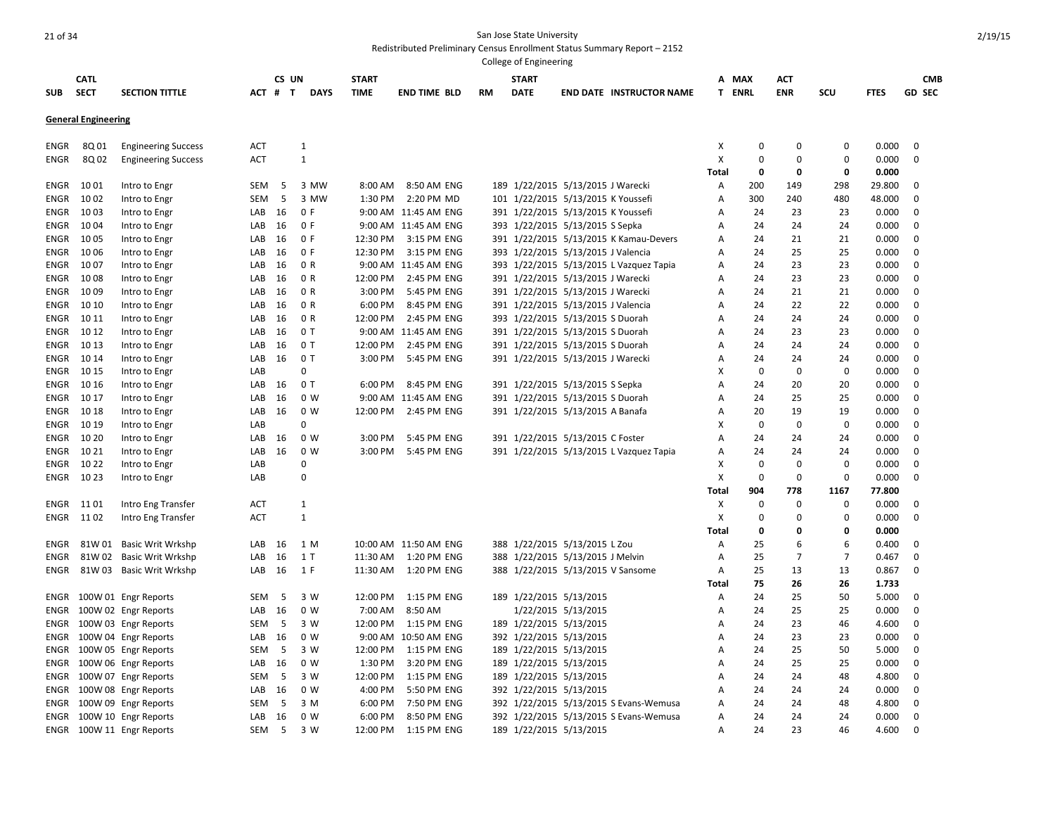|                     |                            |                                |            |          |                   |              |                                     |           | College of Engineering  |                                    |                                         |                |               |                |                         |                |                            |
|---------------------|----------------------------|--------------------------------|------------|----------|-------------------|--------------|-------------------------------------|-----------|-------------------------|------------------------------------|-----------------------------------------|----------------|---------------|----------------|-------------------------|----------------|----------------------------|
|                     | <b>CATL</b>                |                                |            | CS UN    |                   | <b>START</b> |                                     |           | <b>START</b>            |                                    |                                         | A MAX          |               | ACT            |                         |                | <b>CMB</b>                 |
| <b>SUB</b>          | <b>SECT</b>                | <b>SECTION TITTLE</b>          |            | ACT # T  | <b>DAYS</b>       | <b>TIME</b>  | <b>END TIME BLD</b>                 | <b>RM</b> | <b>DATE</b>             |                                    | <b>END DATE INSTRUCTOR NAME</b>         | T ENRL         |               | <b>ENR</b>     | SCU                     | <b>FTES</b>    | <b>GD SEC</b>              |
|                     | <b>General Engineering</b> |                                |            |          |                   |              |                                     |           |                         |                                    |                                         |                |               |                |                         |                |                            |
| ENGR                | 8Q 01                      | <b>Engineering Success</b>     | <b>ACT</b> |          | $\mathbf{1}$      |              |                                     |           |                         |                                    |                                         | X              | $\Omega$      | $\Omega$       | 0                       | 0.000          | $\mathbf 0$                |
| ENGR                | 8Q 02                      | <b>Engineering Success</b>     | <b>ACT</b> |          | $\mathbf{1}$      |              |                                     |           |                         |                                    |                                         | X              | $\Omega$      | $\Omega$       | 0                       | 0.000          | 0                          |
|                     |                            |                                |            |          |                   |              |                                     |           |                         |                                    |                                         | <b>Total</b>   | 0             | 0              | 0                       | 0.000          |                            |
| ENGR                | 1001                       | Intro to Engr                  | SEM        | 5        | 3 MW              | 8:00 AM      | 8:50 AM ENG                         |           |                         | 189 1/22/2015 5/13/2015 J Warecki  |                                         | Α              | 200           | 149            | 298                     | 29.800         | 0                          |
| ENGR                | 10 02                      | Intro to Engr                  | <b>SEM</b> | -5       | 3 MW              | 1:30 PM      | 2:20 PM MD                          |           |                         | 101 1/22/2015 5/13/2015 K Youssefi |                                         | A              | 300           | 240            | 480                     | 48.000         | $\mathbf 0$                |
| ENGR                | 1003                       | Intro to Engr                  | LAB        | 16       | 0 F               |              | 9:00 AM 11:45 AM ENG                |           |                         | 391 1/22/2015 5/13/2015 K Youssefi |                                         | Α              | 24            | 23             | 23                      | 0.000          | $\mathbf 0$                |
| ENGR                | 1004                       | Intro to Engr                  | LAB        | 16       | 0 F               |              | 9:00 AM 11:45 AM ENG                |           |                         | 393 1/22/2015 5/13/2015 S Sepka    |                                         | A              | 24            | 24             | 24                      | 0.000          | 0                          |
| ENGR                | 10 05                      | Intro to Engr                  | LAB        | 16       | 0 F               | 12:30 PM     | 3:15 PM ENG                         |           |                         |                                    | 391 1/22/2015 5/13/2015 K Kamau-Devers  | A              | 24            | 21             | 21                      | 0.000          | 0                          |
| ENGR                | 1006                       | Intro to Engr                  | LAB        | 16       | 0 F<br>0 R        | 12:30 PM     | 3:15 PM ENG                         |           |                         | 393 1/22/2015 5/13/2015 J Valencia |                                         | Α              | 24            | 25             | 25                      | 0.000          | $\mathbf 0$<br>$\mathbf 0$ |
| ENGR<br><b>ENGR</b> | 1007<br>1008               | Intro to Engr<br>Intro to Engr | LAB<br>LAB | 16<br>16 | 0 R               | 12:00 PM     | 9:00 AM 11:45 AM ENG<br>2:45 PM ENG |           |                         | 391 1/22/2015 5/13/2015 J Warecki  | 393 1/22/2015 5/13/2015 L Vazquez Tapia | A<br>A         | 24<br>24      | 23<br>23       | 23<br>23                | 0.000<br>0.000 | $\mathbf 0$                |
| ENGR                | 1009                       | Intro to Engr                  | LAB        | 16       | 0 R               | 3:00 PM      | 5:45 PM ENG                         |           |                         | 391 1/22/2015 5/13/2015 J Warecki  |                                         | Α              | 24            | 21             | 21                      | 0.000          | $\Omega$                   |
| ENGR                | 10 10                      | Intro to Engr                  | LAB        | 16       | 0 R               | 6:00 PM      | 8:45 PM ENG                         |           |                         | 391 1/22/2015 5/13/2015 J Valencia |                                         | A              | 24            | 22             | 22                      | 0.000          | 0                          |
| ENGR                | 10 11                      | Intro to Engr                  | LAB        | 16       | 0 R               | 12:00 PM     | 2:45 PM ENG                         |           |                         | 393 1/22/2015 5/13/2015 S Duorah   |                                         | A              | 24            | 24             | 24                      | 0.000          | $\mathbf 0$                |
| ENGR                | 10 12                      | Intro to Engr                  | LAB        | 16       | 0T                |              | 9:00 AM 11:45 AM ENG                |           |                         | 391 1/22/2015 5/13/2015 S Duorah   |                                         | A              | 24            | 23             | 23                      | 0.000          | 0                          |
| ENGR                | 10 13                      | Intro to Engr                  | LAB        | 16       | 0 <sub>T</sub>    | 12:00 PM     | 2:45 PM ENG                         |           |                         | 391 1/22/2015 5/13/2015 S Duorah   |                                         | Α              | 24            | 24             | 24                      | 0.000          | $\mathbf 0$                |
| ENGR                | 10 14                      | Intro to Engr                  | LAB        | 16       | 0 <sub>T</sub>    | 3:00 PM      | 5:45 PM ENG                         |           |                         | 391 1/22/2015 5/13/2015 J Warecki  |                                         | Α              | 24            | 24             | 24                      | 0.000          | $\mathbf 0$                |
| ENGR                | 10 15                      | Intro to Engr                  | LAB        |          | 0                 |              |                                     |           |                         |                                    |                                         | x              | 0             | 0              | $\mathbf 0$             | 0.000          | $\mathbf 0$                |
| ENGR                | 10 16                      | Intro to Engr                  | LAB        | 16       | 0T                | 6:00 PM      | 8:45 PM ENG                         |           |                         | 391 1/22/2015 5/13/2015 S Sepka    |                                         | A              | 24            | 20             | 20                      | 0.000          | 0                          |
| ENGR                | 10 17                      | Intro to Engr                  | LAB        | 16       | 0 W               |              | 9:00 AM 11:45 AM ENG                |           |                         | 391 1/22/2015 5/13/2015 S Duorah   |                                         | Α              | 24            | 25             | 25                      | 0.000          | $\mathbf 0$                |
| ENGR                | 10 18                      | Intro to Engr                  | LAB        | 16       | 0 W               | 12:00 PM     | 2:45 PM ENG                         |           |                         | 391 1/22/2015 5/13/2015 A Banafa   |                                         | A              | 20            | 19             | 19                      | 0.000          | $\mathbf 0$                |
| ENGR                | 10 19                      | Intro to Engr                  | LAB        |          | 0                 |              |                                     |           |                         |                                    |                                         | X              | 0             | $\Omega$       | 0                       | 0.000          | $\mathbf 0$                |
| ENGR                | 10 20                      | Intro to Engr                  | LAB        | 16       | 0 W               | 3:00 PM      | 5:45 PM ENG                         |           |                         | 391 1/22/2015 5/13/2015 C Foster   |                                         | A              | 24            | 24             | 24                      | 0.000          | 0                          |
| ENGR                | 10 21                      | Intro to Engr                  | LAB        | 16       | 0 <sub>w</sub>    | 3:00 PM      | 5:45 PM ENG                         |           |                         |                                    | 391 1/22/2015 5/13/2015 L Vazquez Tapia | A              | 24            | 24             | 24                      | 0.000          | $\mathbf 0$                |
| ENGR                | 10 22                      | Intro to Engr                  | LAB        |          | 0                 |              |                                     |           |                         |                                    |                                         | X              | $\Omega$      | $\Omega$       | 0                       | 0.000          | 0                          |
| ENGR                | 10 23                      | Intro to Engr                  | LAB        |          | 0                 |              |                                     |           |                         |                                    |                                         | X              | $\Omega$      | $\Omega$       | $\mathbf 0$             | 0.000          | $\mathbf 0$                |
|                     |                            |                                |            |          |                   |              |                                     |           |                         |                                    |                                         | <b>Total</b>   | 904           | 778            | 1167                    | 77.800         |                            |
| ENGR                | 1101                       | Intro Eng Transfer             | <b>ACT</b> |          | $\mathbf{1}$<br>1 |              |                                     |           |                         |                                    |                                         | X<br>X         | 0<br>$\Omega$ | 0<br>$\Omega$  | $\mathbf 0$<br>$\Omega$ | 0.000          | $\mathbf 0$<br>0           |
| ENGR                | 1102                       | Intro Eng Transfer             | <b>ACT</b> |          |                   |              |                                     |           |                         |                                    |                                         | <b>Total</b>   | 0             | 0              | 0                       | 0.000<br>0.000 |                            |
| ENGR                |                            | 81W 01 Basic Writ Wrkshp       | LAB        | 16       | 1 M               |              | 10:00 AM 11:50 AM ENG               |           |                         | 388 1/22/2015 5/13/2015 L Zou      |                                         | $\overline{A}$ | 25            | 6              | 6                       | 0.400          | 0                          |
| ENGR                |                            | 81W 02 Basic Writ Wrkshp       | LAB        | 16       | 1T                | 11:30 AM     | 1:20 PM ENG                         |           |                         | 388 1/22/2015 5/13/2015 J Melvin   |                                         | A              | 25            | $\overline{7}$ | $\overline{7}$          | 0.467          | $\mathbf 0$                |
| ENGR                |                            | 81W 03 Basic Writ Wrkshp       | LAB        | 16       | 1 F               | 11:30 AM     | 1:20 PM ENG                         |           |                         | 388 1/22/2015 5/13/2015 V Sansome  |                                         | Α              | 25            | 13             | 13                      | 0.867          | $\mathbf 0$                |
|                     |                            |                                |            |          |                   |              |                                     |           |                         |                                    |                                         | Total          | 75            | 26             | 26                      | 1.733          |                            |
| ENGR                |                            | 100W 01 Engr Reports           | <b>SEM</b> | -5       | 3 W               | 12:00 PM     | 1:15 PM ENG                         |           |                         | 189 1/22/2015 5/13/2015            |                                         | A              | 24            | 25             | 50                      | 5.000          | $\Omega$                   |
| ENGR                |                            | 100W 02 Engr Reports           | LAB        | 16       | 0 W               | 7:00 AM      | 8:50 AM                             |           |                         | 1/22/2015 5/13/2015                |                                         | Α              | 24            | 25             | 25                      | 0.000          | 0                          |
| ENGR                |                            | 100W 03 Engr Reports           | SEM        | - 5      | 3 W               | 12:00 PM     | 1:15 PM ENG                         |           |                         | 189 1/22/2015 5/13/2015            |                                         | A              | 24            | 23             | 46                      | 4.600          | $\mathbf 0$                |
| ENGR                |                            | 100W 04 Engr Reports           | LAB        | 16       | 0 <sub>W</sub>    |              | 9:00 AM 10:50 AM ENG                |           |                         | 392 1/22/2015 5/13/2015            |                                         | Α              | 24            | 23             | 23                      | 0.000          | $\mathbf 0$                |
| ENGR                |                            | 100W 05 Engr Reports           | SEM        | -5       | 3 W               | 12:00 PM     | 1:15 PM ENG                         |           |                         | 189 1/22/2015 5/13/2015            |                                         | Α              | 24            | 25             | 50                      | 5.000          | 0                          |
| ENGR                |                            | 100W 06 Engr Reports           | LAB        | 16       | 0 W               | 1:30 PM      | 3:20 PM ENG                         |           | 189 1/22/2015 5/13/2015 |                                    |                                         | Α              | 24            | 25             | 25                      | 0.000          | $\mathbf 0$                |
| ENGR                |                            | 100W 07 Engr Reports           | <b>SEM</b> | - 5      | 3 W               | 12:00 PM     | 1:15 PM ENG                         |           | 189 1/22/2015 5/13/2015 |                                    |                                         | $\overline{A}$ | 24            | 24             | 48                      | 4.800          | $\mathbf 0$                |
| ENGR                |                            | 100W 08 Engr Reports           | LAB        | 16       | 0 W               | 4:00 PM      | 5:50 PM ENG                         |           | 392 1/22/2015 5/13/2015 |                                    |                                         | A              | 24            | 24             | 24                      | 0.000          | $\mathbf 0$                |
| ENGR                |                            | 100W 09 Engr Reports           | <b>SEM</b> | -5       | 3 M               | 6:00 PM      | 7:50 PM ENG                         |           |                         |                                    | 392 1/22/2015 5/13/2015 S Evans-Wemusa  | Α              | 24            | 24             | 48                      | 4.800          | $\mathbf 0$                |
| ENGR                |                            | 100W 10 Engr Reports           | LAB        | 16       | 0 <sub>w</sub>    | 6:00 PM      | 8:50 PM ENG                         |           |                         |                                    | 392 1/22/2015 5/13/2015 S Evans-Wemusa  | A              | 24            | 24             | 24                      | 0.000          | $\mathbf 0$                |
|                     |                            | ENGR 100W 11 Engr Reports      | <b>SEM</b> | - 5      | 3 W               | 12:00 PM     | 1:15 PM ENG                         |           | 189 1/22/2015 5/13/2015 |                                    |                                         | A              | 24            | 23             | 46                      | 4.600          | $\Omega$                   |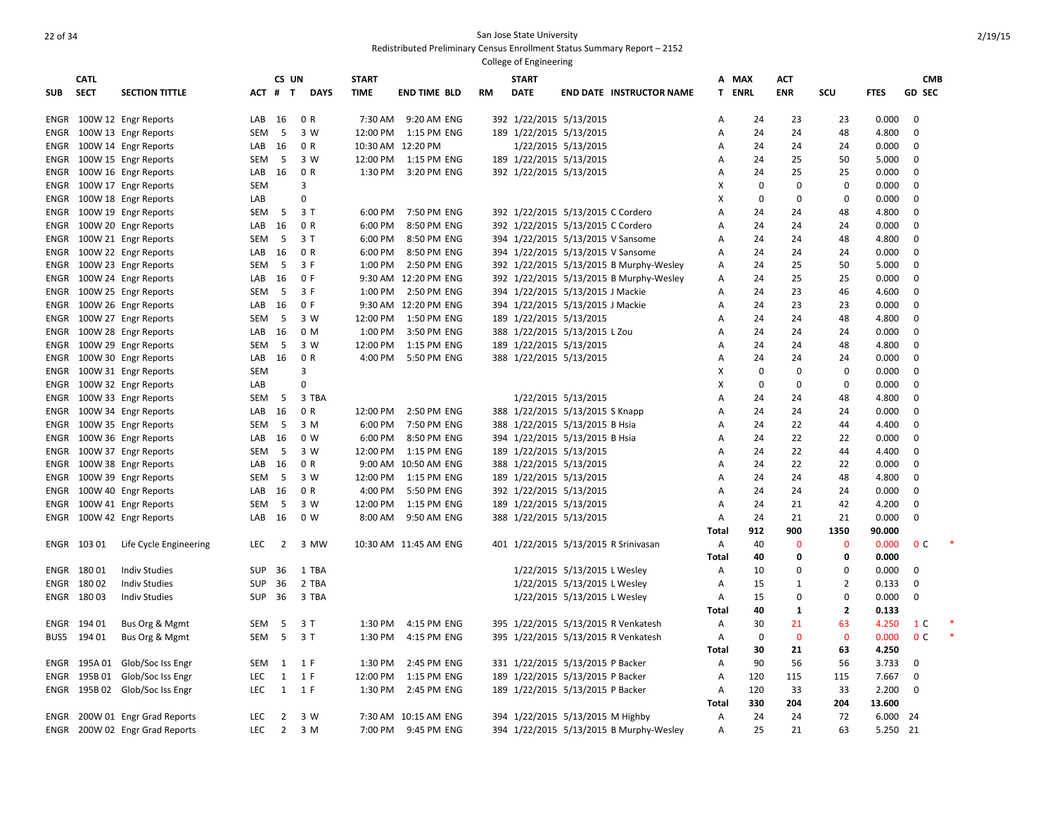|             | <b>CATL</b> |                                |            | CS UN          |             | <b>START</b> |                       |    | <b>START</b> |                                         |              | A MAX       | <b>ACT</b>   |                |             | <b>CMB</b>     |  |
|-------------|-------------|--------------------------------|------------|----------------|-------------|--------------|-----------------------|----|--------------|-----------------------------------------|--------------|-------------|--------------|----------------|-------------|----------------|--|
| <b>SUB</b>  | <b>SECT</b> | <b>SECTION TITTLE</b>          |            | ACT # T        | <b>DAYS</b> | <b>TIME</b>  | <b>END TIME BLD</b>   | RM | <b>DATE</b>  | <b>END DATE INSTRUCTOR NAME</b>         | T.           | <b>ENRL</b> | <b>ENR</b>   | SCU            | <b>FTES</b> | <b>GD SEC</b>  |  |
|             |             |                                |            |                |             |              |                       |    |              |                                         |              |             |              |                |             |                |  |
| ENGR        |             | 100W 12 Engr Reports           | LAB        | 16             | 0 R         | 7:30 AM      | 9:20 AM ENG           |    |              | 392 1/22/2015 5/13/2015                 | A            | 24          | 23           | 23             | 0.000       | $\mathbf 0$    |  |
| ENGR        |             | 100W 13 Engr Reports           | SEM        | - 5            | 3 W         | 12:00 PM     | 1:15 PM ENG           |    |              | 189 1/22/2015 5/13/2015                 | Α            | 24          | 24           | 48             | 4.800       | $\mathbf 0$    |  |
| ENGR        |             | 100W 14 Engr Reports           | LAB        | 16             | 0 R         |              | 10:30 AM 12:20 PM     |    |              | 1/22/2015 5/13/2015                     | Α            | 24          | 24           | 24             | 0.000       | 0              |  |
| ENGR        |             | 100W 15 Engr Reports           | SEM        | - 5            | 3 W         | 12:00 PM     | 1:15 PM ENG           |    |              | 189 1/22/2015 5/13/2015                 | A            | 24          | 25           | 50             | 5.000       | 0              |  |
| ENGR        |             | 100W 16 Engr Reports           | LAB        | 16             | 0 R         | 1:30 PM      | 3:20 PM ENG           |    |              | 392 1/22/2015 5/13/2015                 | A            | 24          | 25           | 25             | 0.000       | 0              |  |
| ENGR        |             | 100W 17 Engr Reports           | <b>SEM</b> |                | 3           |              |                       |    |              |                                         | X            | $\mathbf 0$ | 0            | 0              | 0.000       | 0              |  |
| ENGR        |             | 100W 18 Engr Reports           | LAB        |                | $\Omega$    |              |                       |    |              |                                         | x            | $\mathbf 0$ | 0            | $\Omega$       | 0.000       | $\mathbf 0$    |  |
| ENGR        |             | 100W 19 Engr Reports           | SEM        | 5              | 3T          | 6:00 PM      | 7:50 PM ENG           |    |              | 392 1/22/2015 5/13/2015 C Cordero       | A            | 24          | 24           | 48             | 4.800       | 0              |  |
| ENGR        |             | 100W 20 Engr Reports           | LAB        | 16             | 0 R         | 6:00 PM      | 8:50 PM ENG           |    |              | 392 1/22/2015 5/13/2015 C Cordero       | A            | 24          | 24           | 24             | 0.000       | 0              |  |
| ENGR        |             | 100W 21 Engr Reports           | SEM        | - 5            | 3T          | 6:00 PM      | 8:50 PM ENG           |    |              | 394 1/22/2015 5/13/2015 V Sansome       | Α            | 24          | 24           | 48             | 4.800       | 0              |  |
|             |             | ENGR 100W 22 Engr Reports      | LAB        | 16             | 0 R         | 6:00 PM      | 8:50 PM ENG           |    |              | 394 1/22/2015 5/13/2015 V Sansome       | A            | 24          | 24           | 24             | 0.000       | $\mathbf 0$    |  |
| ENGR        |             | 100W 23 Engr Reports           | <b>SEM</b> | - 5            | 3 F         | 1:00 PM      | 2:50 PM ENG           |    |              | 392 1/22/2015 5/13/2015 B Murphy-Wesley | A            | 24          | 25           | 50             | 5.000       | 0              |  |
| ENGR        |             | 100W 24 Engr Reports           | LAB        | 16             | 0 F         |              | 9:30 AM 12:20 PM ENG  |    |              | 392 1/22/2015 5/13/2015 B Murphy-Wesley | Α            | 24          | 25           | 25             | 0.000       | $\mathbf 0$    |  |
|             |             | ENGR 100W 25 Engr Reports      | SEM        | 5              | 3 F         | 1:00 PM      | 2:50 PM ENG           |    |              | 394 1/22/2015 5/13/2015 J Mackie        | Α            | 24          | 23           | 46             | 4.600       | $\mathbf 0$    |  |
| ENGR        |             | 100W 26 Engr Reports           | LAB        | 16             | 0 F         |              | 9:30 AM 12:20 PM ENG  |    |              | 394 1/22/2015 5/13/2015 J Mackie        | A            | 24          | 23           | 23             | 0.000       | $\mathbf 0$    |  |
|             |             | ENGR 100W 27 Engr Reports      | <b>SEM</b> | - 5            | 3 W         | 12:00 PM     | 1:50 PM ENG           |    |              | 189 1/22/2015 5/13/2015                 | A            | 24          | 24           | 48             | 4.800       | $\mathbf 0$    |  |
| ENGR        |             | 100W 28 Engr Reports           | LAB        | 16             | 0 M         | 1:00 PM      | 3:50 PM ENG           |    |              | 388 1/22/2015 5/13/2015 L Zou           | A            | 24          | 24           | 24             | 0.000       | $\mathbf 0$    |  |
| ENGR        |             | 100W 29 Engr Reports           | SEM        | - 5            | 3 W         | 12:00 PM     | 1:15 PM ENG           |    |              | 189 1/22/2015 5/13/2015                 | Α            | 24          | 24           | 48             | 4.800       | $\mathbf 0$    |  |
| ENGR        |             | 100W 30 Engr Reports           | LAB        | 16             | 0 R         | 4:00 PM      | 5:50 PM ENG           |    |              | 388 1/22/2015 5/13/2015                 | A            | 24          | 24           | 24             | 0.000       | $\mathbf 0$    |  |
| ENGR        |             | 100W 31 Engr Reports           | <b>SEM</b> |                | 3           |              |                       |    |              |                                         | X            | $\pmb{0}$   | $\mathbf 0$  | $\mathbf 0$    | 0.000       | $\mathbf 0$    |  |
| ENGR        |             | 100W 32 Engr Reports           | LAB        |                | $\Omega$    |              |                       |    |              |                                         | X            | $\mathbf 0$ | $\mathbf 0$  | $\mathbf 0$    | 0.000       | $\mathbf 0$    |  |
|             |             | ENGR 100W 33 Engr Reports      | SEM        | -5             | 3 TBA       |              |                       |    |              | 1/22/2015 5/13/2015                     | Α            | 24          | 24           | 48             | 4.800       | $\mathbf 0$    |  |
| ENGR        |             | 100W 34 Engr Reports           | LAB        | 16             | 0 R         | 12:00 PM     | 2:50 PM ENG           |    |              | 388 1/22/2015 5/13/2015 S Knapp         | A            | 24          | 24           | 24             | 0.000       | $\mathbf 0$    |  |
| ENGR        |             | 100W 35 Engr Reports           | <b>SEM</b> | -5             | 3 M         | 6:00 PM      | 7:50 PM ENG           |    |              | 388 1/22/2015 5/13/2015 B Hsia          | Α            | 24          | 22           | 44             | 4.400       | $\mathbf 0$    |  |
| <b>ENGR</b> |             | 100W 36 Engr Reports           | LAB        | 16             | 0 W         | 6:00 PM      | 8:50 PM ENG           |    |              | 394 1/22/2015 5/13/2015 B Hsia          | A            | 24          | 22           | 22             | 0.000       | 0              |  |
|             |             | ENGR 100W 37 Engr Reports      | <b>SEM</b> | - 5            | 3 W         | 12:00 PM     | 1:15 PM ENG           |    |              | 189 1/22/2015 5/13/2015                 | Α            | 24          | 22           | 44             | 4.400       | $\mathbf 0$    |  |
| ENGR        |             | 100W 38 Engr Reports           | LAB        | 16             | 0 R         |              | 9:00 AM 10:50 AM ENG  |    |              | 388 1/22/2015 5/13/2015                 | A            | 24          | 22           | 22             | 0.000       | 0              |  |
|             |             |                                |            | - 5            | 3 W         | 12:00 PM     | 1:15 PM ENG           |    |              |                                         |              | 24          | 24           |                | 4.800       | $\mathbf 0$    |  |
| ENGR        |             | 100W 39 Engr Reports           | <b>SEM</b> |                | 0 R         |              |                       |    |              | 189 1/22/2015 5/13/2015                 | A<br>A       |             |              | 48             |             | 0              |  |
| ENGR        |             | 100W 40 Engr Reports           | LAB        | 16             |             | 4:00 PM      | 5:50 PM ENG           |    |              | 392 1/22/2015 5/13/2015                 |              | 24          | 24           | 24             | 0.000       |                |  |
| ENGR        |             | 100W 41 Engr Reports           | <b>SEM</b> | -5             | 3 W         | 12:00 PM     | 1:15 PM ENG           |    |              | 189 1/22/2015 5/13/2015                 | A            | 24          | 21           | 42             | 4.200       | 0              |  |
|             |             | ENGR 100W 42 Engr Reports      | LAB        | 16             | 0 W         | 8:00 AM      | 9:50 AM ENG           |    |              | 388 1/22/2015 5/13/2015                 | A            | 24          | 21           | 21             | 0.000       | 0              |  |
|             |             |                                |            |                |             |              |                       |    |              |                                         | Total        | 912         | 900          | 1350           | 90.000      |                |  |
|             | ENGR 103 01 | Life Cycle Engineering         | <b>LEC</b> | 2              | 3 MW        |              | 10:30 AM 11:45 AM ENG |    |              | 401 1/22/2015 5/13/2015 R Srinivasan    | Α            | 40          | $\mathbf{0}$ | $\mathbf 0$    | 0.000       | 0 <sup>C</sup> |  |
|             |             |                                |            |                |             |              |                       |    |              |                                         | Total        | 40          | $\Omega$     | 0              | 0.000       |                |  |
|             | ENGR 180 01 | <b>Indiv Studies</b>           | <b>SUP</b> | 36             | 1 TBA       |              |                       |    |              | 1/22/2015 5/13/2015 L Wesley            | A            | 10          | $\Omega$     | $\Omega$       | 0.000       | 0              |  |
|             | ENGR 180 02 | <b>Indiv Studies</b>           | <b>SUP</b> | 36             | 2 TBA       |              |                       |    |              | 1/22/2015 5/13/2015 L Wesley            | A            | 15          | $\mathbf{1}$ | $\overline{2}$ | 0.133       | $\mathbf 0$    |  |
|             | ENGR 180 03 | <b>Indiv Studies</b>           | <b>SUP</b> | 36             | 3 TBA       |              |                       |    |              | 1/22/2015 5/13/2015 L Wesley            | Α            | 15          | $\Omega$     | $\Omega$       | 0.000       | $\mathbf 0$    |  |
|             |             |                                |            |                |             |              |                       |    |              |                                         | Total        | 40          | $\mathbf{1}$ | $\overline{2}$ | 0.133       |                |  |
|             | ENGR 194 01 | Bus Org & Mgmt                 | SEM        | 5              | 3T          | 1:30 PM      | 4:15 PM ENG           |    |              | 395 1/22/2015 5/13/2015 R Venkatesh     | Α            | 30          | 21           | 63             | 4.250       | 1 C            |  |
| BUS5        | 194 01      | Bus Org & Mgmt                 | SEM        | 5              | 3T          | 1:30 PM      | 4:15 PM ENG           |    |              | 395 1/22/2015 5/13/2015 R Venkatesh     | Α            | $\mathbf 0$ | $\mathbf{0}$ | $\mathbf{0}$   | 0.000       | 0 <sup>c</sup> |  |
|             |             |                                |            |                |             |              |                       |    |              |                                         | Total        | 30          | 21           | 63             | 4.250       |                |  |
| ENGR        | 195A 01     | Glob/Soc Iss Engr              | <b>SEM</b> | 1              | 1 F         | 1:30 PM      | 2:45 PM ENG           |    |              | 331 1/22/2015 5/13/2015 P Backer        | A            | 90          | 56           | 56             | 3.733       | $\mathbf 0$    |  |
| ENGR        |             | 195B 01 Glob/Soc Iss Engr      | <b>LEC</b> | $\mathbf{1}$   | 1 F         | 12:00 PM     | 1:15 PM ENG           |    |              | 189 1/22/2015 5/13/2015 P Backer        | Α            | 120         | 115          | 115            | 7.667       | 0              |  |
| ENGR        |             | 195B 02 Glob/Soc Iss Engr      | LEC        | $\mathbf{1}$   | 1 F         | 1:30 PM      | 2:45 PM ENG           |    |              | 189 1/22/2015 5/13/2015 P Backer        | Α            | 120         | 33           | 33             | 2.200       | $\mathbf 0$    |  |
|             |             |                                |            |                |             |              |                       |    |              |                                         | <b>Total</b> | 330         | 204          | 204            | 13.600      |                |  |
| ENGR        |             | 200W 01 Engr Grad Reports      | <b>LEC</b> | $\overline{2}$ | 3 W         |              | 7:30 AM 10:15 AM ENG  |    |              | 394 1/22/2015 5/13/2015 M Highby        | A            | 24          | 24           | 72             | 6.000       | 24             |  |
|             |             | ENGR 200W 02 Engr Grad Reports | <b>LEC</b> | $\overline{2}$ | 3 M         | 7:00 PM      | 9:45 PM ENG           |    |              | 394 1/22/2015 5/13/2015 B Murphy-Wesley | A            | 25          | 21           | 63             | 5.250 21    |                |  |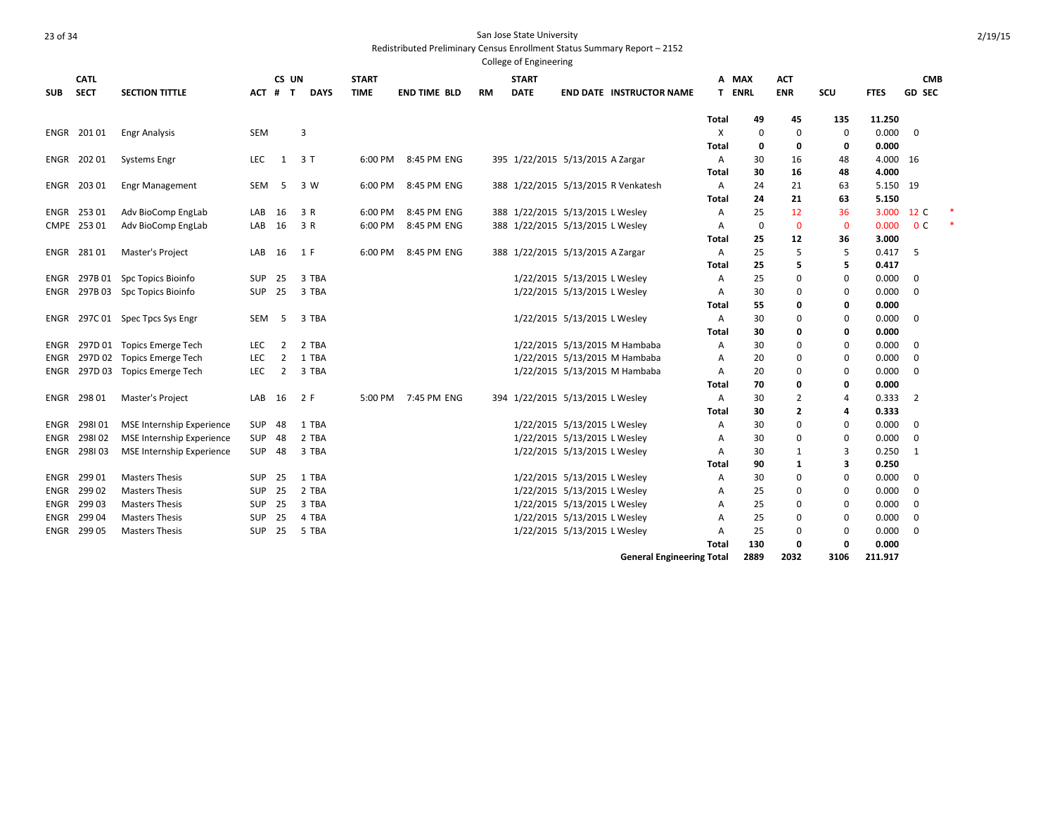Redistributed Preliminary Census Enrollment Status Summary Report – 2152

|            |              |                                  |            |                |             |              |                     |           | College of Engineering           |                              |                                     |       |             |                |                |             |                |  |
|------------|--------------|----------------------------------|------------|----------------|-------------|--------------|---------------------|-----------|----------------------------------|------------------------------|-------------------------------------|-------|-------------|----------------|----------------|-------------|----------------|--|
|            | <b>CATL</b>  |                                  |            | CS UN          |             | <b>START</b> |                     |           | <b>START</b>                     |                              |                                     | A MAX |             | <b>ACT</b>     |                |             | <b>CMB</b>     |  |
| <b>SUB</b> | <b>SECT</b>  | <b>SECTION TITTLE</b>            | ACT        | $#$ T          | <b>DAYS</b> | <b>TIME</b>  | <b>END TIME BLD</b> | <b>RM</b> | <b>DATE</b>                      |                              | <b>END DATE INSTRUCTOR NAME</b>     | T.    | <b>ENRL</b> | <b>ENR</b>     | SCU            | <b>FTES</b> | <b>GD SEC</b>  |  |
|            |              |                                  |            |                |             |              |                     |           |                                  |                              |                                     |       |             |                |                |             |                |  |
|            |              |                                  |            |                |             |              |                     |           |                                  |                              |                                     | Total | 49          | 45             | 135            | 11.250      |                |  |
|            | ENGR 20101   | <b>Engr Analysis</b>             | <b>SEM</b> |                | 3           |              |                     |           |                                  |                              |                                     | X     | 0           | 0              | 0              | 0.000       | $\overline{0}$ |  |
|            |              |                                  |            |                |             |              |                     |           |                                  |                              |                                     | Total | 0           | 0              | 0              | 0.000       |                |  |
|            | ENGR 202 01  | <b>Systems Engr</b>              | LEC        | 1              | 3 T         | 6:00 PM      | 8:45 PM ENG         |           | 395 1/22/2015 5/13/2015 A Zargar |                              |                                     | Α     | 30          | 16             | 48             | 4.000 16    |                |  |
|            |              |                                  |            |                |             |              |                     |           |                                  |                              |                                     | Total | 30          | 16             | 48             | 4.000       |                |  |
|            | ENGR 203 01  | <b>Engr Management</b>           | SEM        | -5             | 3 W         | 6:00 PM      | 8:45 PM ENG         |           |                                  |                              | 388 1/22/2015 5/13/2015 R Venkatesh | Α     | 24          | 21             | 63             | 5.150 19    |                |  |
|            |              |                                  |            |                |             |              |                     |           |                                  |                              |                                     | Total | 24          | 21             | 63             | 5.150       |                |  |
|            | ENGR 253 01  | Adv BioComp EngLab               | LAB        | 16             | 3 R         | 6:00 PM      | 8:45 PM ENG         |           | 388 1/22/2015 5/13/2015 L Wesley |                              |                                     | Α     | 25          | 12             | 36             | 3.000       | 12 C           |  |
|            | CMPE 253 01  | Adv BioComp EngLab               | LAB        | 16             | 3 R         | 6:00 PM      | 8:45 PM ENG         |           | 388 1/22/2015 5/13/2015 L Wesley |                              |                                     | Α     | $\mathbf 0$ | $\mathbf{0}$   | $\mathbf 0$    | 0.000       | 0 <sup>c</sup> |  |
|            |              |                                  |            |                |             |              |                     |           |                                  |                              |                                     | Total | 25          | 12             | 36             | 3.000       |                |  |
|            | ENGR 28101   | Master's Project                 | LAB        | 16             | 1 F         | 6:00 PM      | 8:45 PM ENG         |           | 388 1/22/2015 5/13/2015 A Zargar |                              |                                     | Α     | 25          | 5              | 5              | 0.417       | -5             |  |
|            |              |                                  |            |                |             |              |                     |           |                                  |                              |                                     | Total | 25          | 5              | 5              | 0.417       |                |  |
|            | ENGR 297B 01 | <b>Spc Topics Bioinfo</b>        | <b>SUP</b> | 25             | 3 TBA       |              |                     |           |                                  | 1/22/2015 5/13/2015 L Wesley |                                     | Α     | 25          | 0              | 0              | 0.000       | $\overline{0}$ |  |
|            |              | ENGR 297B 03 Spc Topics Bioinfo  | SUP        | 25             | 3 TBA       |              |                     |           |                                  | 1/22/2015 5/13/2015 L Wesley |                                     | Α     | 30          | 0              | 0              | 0.000       | 0              |  |
|            |              |                                  |            |                |             |              |                     |           |                                  |                              |                                     | Total | 55          | 0              | 0              | 0.000       |                |  |
|            |              | ENGR 297C 01 Spec Tpcs Sys Engr  | SEM        | -5             | 3 TBA       |              |                     |           |                                  | 1/22/2015 5/13/2015 L Wesley |                                     | Α     | 30          | 0              | 0              | 0.000       | $\mathbf 0$    |  |
|            |              |                                  |            |                |             |              |                     |           |                                  |                              |                                     | Total | 30          | 0              | 0              | 0.000       |                |  |
| ENGR       |              | 297D 01 Topics Emerge Tech       | <b>LEC</b> | $\overline{2}$ | 2 TBA       |              |                     |           |                                  |                              | 1/22/2015 5/13/2015 M Hambaba       | Α     | 30          | 0              | 0              | 0.000       | 0              |  |
| ENGR       |              | 297D 02 Topics Emerge Tech       | LEC        | $\overline{2}$ | 1 TBA       |              |                     |           |                                  |                              | 1/22/2015 5/13/2015 M Hambaba       | A     | 20          | $\mathbf 0$    | 0              | 0.000       | $\mathbf 0$    |  |
|            |              | ENGR 297D 03 Topics Emerge Tech  | LEC        | $\overline{2}$ | 3 TBA       |              |                     |           |                                  |                              | 1/22/2015 5/13/2015 M Hambaba       | Α     | 20          | 0              | 0              | 0.000       | 0              |  |
|            |              |                                  |            |                |             |              |                     |           |                                  |                              |                                     | Total | 70          | 0              | 0              | 0.000       |                |  |
|            | ENGR 298 01  | Master's Project                 | LAB        | 16             | 2 F         | 5:00 PM      | 7:45 PM ENG         |           | 394 1/22/2015 5/13/2015 L Wesley |                              |                                     | Α     | 30          | $\overline{2}$ | $\overline{4}$ | 0.333       | $\overline{2}$ |  |
|            |              |                                  |            |                |             |              |                     |           |                                  |                              |                                     | Total | 30          | 2              | 4              | 0.333       |                |  |
| ENGR       | 298101       | <b>MSE Internship Experience</b> | SUP        | 48             | 1 TBA       |              |                     |           |                                  | 1/22/2015 5/13/2015 L Wesley |                                     | Α     | 30          | 0              | 0              | 0.000       | $\mathbf 0$    |  |
| ENGR       | 298102       | <b>MSE</b> Internship Experience | SUP        | 48             | 2 TBA       |              |                     |           |                                  | 1/22/2015 5/13/2015 L Wesley |                                     | Α     | 30          | 0              | 0              | 0.000       | 0              |  |
|            | ENGR 298103  | <b>MSE Internship Experience</b> | SUP        | 48             | 3 TBA       |              |                     |           |                                  | 1/22/2015 5/13/2015 L Wesley |                                     | Α     | 30          | 1              | 3              | 0.250       | 1              |  |
|            |              |                                  |            |                |             |              |                     |           |                                  |                              |                                     | Total | 90          | 1              | 3              | 0.250       |                |  |
| ENGR       | 299 01       | <b>Masters Thesis</b>            | <b>SUP</b> | 25             | 1 TBA       |              |                     |           |                                  | 1/22/2015 5/13/2015 L Wesley |                                     | Α     | 30          | 0              | 0              | 0.000       | $\mathbf 0$    |  |
|            | ENGR 299 02  | <b>Masters Thesis</b>            | SUP        | 25             | 2 TBA       |              |                     |           | 1/22/2015 5/13/2015 L Wesley     |                              |                                     | Α     | 25          | 0              | 0              | 0.000       | 0              |  |
|            | ENGR 299 03  | <b>Masters Thesis</b>            | SUP        | 25             | 3 TBA       |              |                     |           | 1/22/2015 5/13/2015 L Wesley     |                              |                                     | A     | 25          | 0              | 0              | 0.000       | 0              |  |
| ENGR       | 299 04       | <b>Masters Thesis</b>            | <b>SUP</b> | 25             | 4 TBA       |              |                     |           | 1/22/2015 5/13/2015 L Wesley     |                              |                                     | A     | 25          | 0              | 0              | 0.000       | 0              |  |
|            | ENGR 299 05  | <b>Masters Thesis</b>            | SUP        | 25             | 5 TBA       |              |                     |           |                                  | 1/22/2015 5/13/2015 L Wesley |                                     | A     | 25          | 0              | 0              | 0.000       | 0              |  |
|            |              |                                  |            |                |             |              |                     |           |                                  |                              |                                     | Total | 130         | 0              | O              | 0.000       |                |  |

**General Engineering Total 2889 2032 3106 211.917**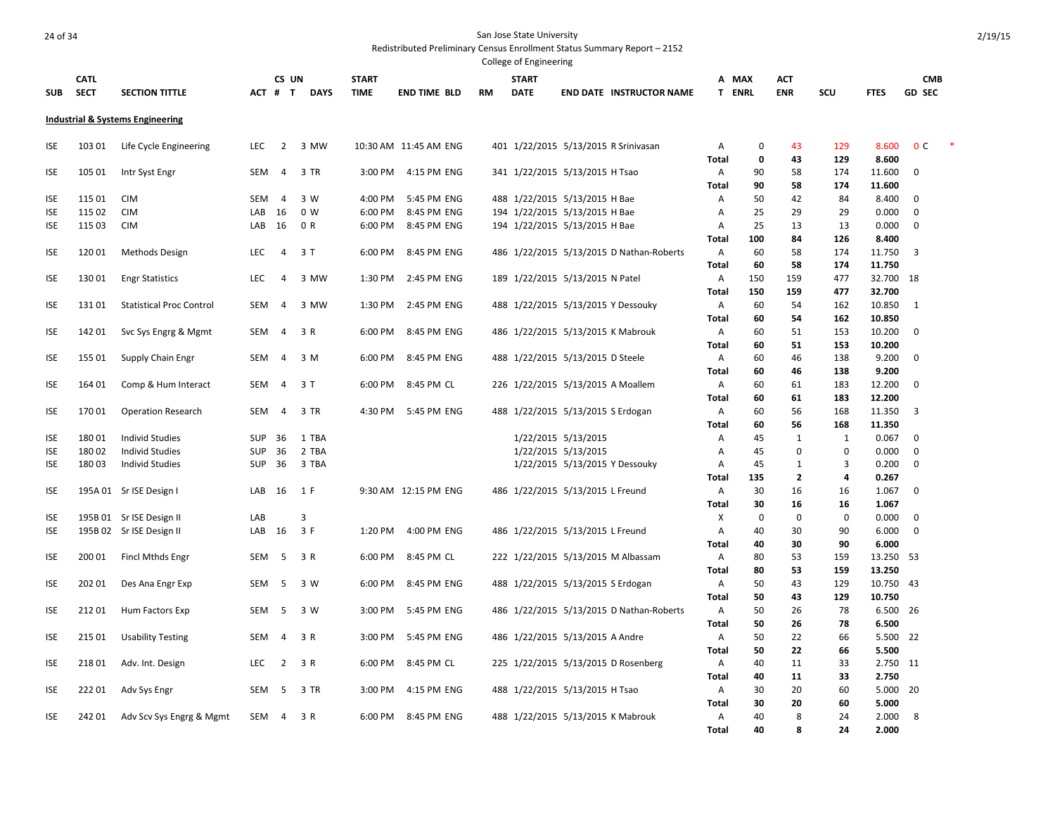|            |             |                                  |            |                |             |              |                       |           | College of Engineering |                                          |              |               |                |                |                  |                |  |
|------------|-------------|----------------------------------|------------|----------------|-------------|--------------|-----------------------|-----------|------------------------|------------------------------------------|--------------|---------------|----------------|----------------|------------------|----------------|--|
|            | <b>CATL</b> |                                  |            | CS UN          |             | <b>START</b> |                       |           | <b>START</b>           |                                          | А            | MAX           | <b>ACT</b>     |                |                  | <b>CMB</b>     |  |
| <b>SUB</b> | <b>SECT</b> | <b>SECTION TITTLE</b>            |            | ACT # T        | <b>DAYS</b> | <b>TIME</b>  | <b>END TIME BLD</b>   | <b>RM</b> | <b>DATE</b>            | <b>END DATE INSTRUCTOR NAME</b>          |              | <b>T ENRL</b> | <b>ENR</b>     | SCU            | <b>FTES</b>      | <b>GD SEC</b>  |  |
|            |             | Industrial & Systems Engineering |            |                |             |              |                       |           |                        |                                          |              |               |                |                |                  |                |  |
| ISE        | 103 01      | Life Cycle Engineering           | LEC        | 2              | 3 MW        |              | 10:30 AM 11:45 AM ENG |           |                        | 401 1/22/2015 5/13/2015 R Srinivasan     | Α            | 0             | 43             | 129            | 8.600            | 0 <sup>C</sup> |  |
|            |             |                                  |            |                |             |              |                       |           |                        |                                          | <b>Total</b> | 0             | 43             | 129            | 8.600            |                |  |
| <b>ISE</b> | 105 01      | Intr Syst Engr                   | SEM        | $\overline{4}$ | 3 TR        | 3:00 PM      | 4:15 PM ENG           |           |                        | 341 1/22/2015 5/13/2015 H Tsao           | Α            | 90            | 58             | 174            | 11.600           | 0              |  |
|            |             |                                  |            |                |             |              |                       |           |                        |                                          | <b>Total</b> | 90            | 58             | 174            | 11.600           |                |  |
| ISE        | 115 01      | <b>CIM</b>                       | <b>SEM</b> | $\overline{4}$ | 3 W         | 4:00 PM      | 5:45 PM ENG           |           |                        | 488 1/22/2015 5/13/2015 H Bae            | A            | 50            | 42             | 84             | 8.400            | 0              |  |
| <b>ISE</b> | 115 02      | <b>CIM</b>                       | LAB        | 16             | 0 W         | 6:00 PM      | 8:45 PM ENG           |           |                        | 194 1/22/2015 5/13/2015 H Bae            | Α            | 25            | 29             | 29             | 0.000            | $\Omega$       |  |
| ISE        | 115 03      | <b>CIM</b>                       | LAB        | 16             | 0 R         | 6:00 PM      | 8:45 PM ENG           |           |                        | 194 1/22/2015 5/13/2015 H Bae            | Α            | 25            | 13             | 13             | 0.000            | 0              |  |
|            |             |                                  |            |                |             |              |                       |           |                        |                                          | Total        | 100           | 84             | 126            | 8.400            |                |  |
| <b>ISE</b> | 120 01      | Methods Design                   | <b>LEC</b> | $\overline{4}$ | 3T          | 6:00 PM      | 8:45 PM ENG           |           |                        | 486 1/22/2015 5/13/2015 D Nathan-Roberts | Α            | 60            | 58             | 174            | 11.750           | 3              |  |
|            | 13001       |                                  | <b>LEC</b> |                |             | 1:30 PM      | 2:45 PM ENG           |           |                        |                                          | Total        | 60<br>150     | 58<br>159      | 174<br>477     | 11.750<br>32.700 |                |  |
| ISE        |             | <b>Engr Statistics</b>           |            | $\overline{4}$ | 3 MW        |              |                       |           |                        | 189 1/22/2015 5/13/2015 N Patel          | Α            |               |                |                | 32.700           | - 18           |  |
| <b>ISE</b> | 13101       | <b>Statistical Proc Control</b>  | <b>SEM</b> | $\overline{4}$ | 3 MW        | 1:30 PM      | 2:45 PM ENG           |           |                        | 488 1/22/2015 5/13/2015 Y Dessouky       | Total<br>Α   | 150<br>60     | 159<br>54      | 477<br>162     | 10.850           | 1              |  |
|            |             |                                  |            |                |             |              |                       |           |                        |                                          | <b>Total</b> | 60            | 54             | 162            | 10.850           |                |  |
|            | 142 01      |                                  | SEM        | 4              | 3 R         | 6:00 PM      | 8:45 PM ENG           |           |                        | 486 1/22/2015 5/13/2015 K Mabrouk        | Α            | 60            | 51             | 153            | 10.200           | $\mathbf 0$    |  |
| ISE        |             | Svc Sys Engrg & Mgmt             |            |                |             |              |                       |           |                        |                                          | Total        | 60            | 51             | 153            | 10.200           |                |  |
| ISE        | 155 01      | Supply Chain Engr                | SEM        | 4              | 3 M         | 6:00 PM      | 8:45 PM ENG           |           |                        | 488 1/22/2015 5/13/2015 D Steele         | Α            | 60            | 46             | 138            | 9.200            | 0              |  |
|            |             |                                  |            |                |             |              |                       |           |                        |                                          | Total        | 60            | 46             | 138            | 9.200            |                |  |
| <b>ISE</b> | 164 01      | Comp & Hum Interact              | SEM        | 4              | 3T          | 6:00 PM      | 8:45 PM CL            |           |                        | 226 1/22/2015 5/13/2015 A Moallem        | Α            | 60            | 61             | 183            | 12.200           | $\mathbf 0$    |  |
|            |             |                                  |            |                |             |              |                       |           |                        |                                          | Total        | 60            | 61             | 183            | 12.200           |                |  |
| ISE        | 17001       | <b>Operation Research</b>        | SEM        | $\overline{4}$ | 3 TR        | 4:30 PM      | 5:45 PM ENG           |           |                        | 488 1/22/2015 5/13/2015 S Erdogan        | Α            | 60            | 56             | 168            | 11.350           | 3              |  |
|            |             |                                  |            |                |             |              |                       |           |                        |                                          | <b>Total</b> | 60            | 56             | 168            | 11.350           |                |  |
| ISE        | 18001       | <b>Individ Studies</b>           | <b>SUP</b> | 36             | 1 TBA       |              |                       |           |                        | 1/22/2015 5/13/2015                      | Α            | 45            | $\mathbf{1}$   | $\mathbf{1}$   | 0.067            | $\mathbf 0$    |  |
| <b>ISE</b> | 18002       | <b>Individ Studies</b>           | <b>SUP</b> | 36             | 2 TBA       |              |                       |           |                        | 1/22/2015 5/13/2015                      | A            | 45            | $\mathbf 0$    | $\overline{0}$ | 0.000            | $\mathbf 0$    |  |
| <b>ISE</b> | 180 03      | <b>Individ Studies</b>           | <b>SUP</b> | 36             | 3 TBA       |              |                       |           |                        | 1/22/2015 5/13/2015 Y Dessouky           | Α            | 45            | $\mathbf{1}$   | 3              | 0.200            | $\mathbf 0$    |  |
|            |             |                                  |            |                |             |              |                       |           |                        |                                          | Total        | 135           | $\overline{2}$ | 4              | 0.267            |                |  |
| <b>ISE</b> |             | 195A 01 Sr ISE Design I          | LAB        | 16             | 1 F         |              | 9:30 AM 12:15 PM ENG  |           |                        | 486 1/22/2015 5/13/2015 L Freund         | Α            | 30            | 16             | 16             | 1.067            | 0              |  |
|            |             |                                  |            |                |             |              |                       |           |                        |                                          | <b>Total</b> | 30            | 16             | 16             | 1.067            |                |  |
| <b>ISE</b> |             | 195B 01 Sr ISE Design II         | LAB        |                | 3           |              |                       |           |                        |                                          | X            | 0             | 0              | $\mathbf 0$    | 0.000            | 0              |  |
| <b>ISE</b> |             | 195B 02 Sr ISE Design II         | LAB        | 16             | 3 F         | 1:20 PM      | 4:00 PM ENG           |           |                        | 486 1/22/2015 5/13/2015 L Freund         | Α            | 40            | 30             | 90             | 6.000            | $\mathbf 0$    |  |
|            |             |                                  |            |                |             |              |                       |           |                        |                                          | Total        | 40            | 30             | 90             | 6.000            |                |  |
| <b>ISE</b> | 200 01      | Fincl Mthds Engr                 | SEM        | 5              | 3 R         | 6:00 PM      | 8:45 PM CL            |           |                        | 222 1/22/2015 5/13/2015 M Albassam       | Α            | 80            | 53             | 159            | 13.250           | -53            |  |
|            |             |                                  |            |                |             |              |                       |           |                        |                                          | Total        | 80            | 53             | 159            | 13.250           |                |  |
| ISE        | 202 01      | Des Ana Engr Exp                 | SEM        | 5              | 3 W         | 6:00 PM      | 8:45 PM ENG           |           |                        | 488 1/22/2015 5/13/2015 S Erdogan        | Α            | 50            | 43             | 129            | 10.750 43        |                |  |
|            |             |                                  |            |                |             |              |                       |           |                        |                                          | Total        | 50            | 43             | 129            | 10.750           |                |  |
| ISE        | 21201       | Hum Factors Exp                  | SEM        | 5              | 3 W         | 3:00 PM      | 5:45 PM ENG           |           |                        | 486 1/22/2015 5/13/2015 D Nathan-Roberts | Α            | 50            | 26             | 78             | 6.500 26         |                |  |
|            |             |                                  |            |                |             |              |                       |           |                        |                                          | Total        | 50            | 26             | 78             | 6.500            |                |  |
| ISE        | 215 01      | <b>Usability Testing</b>         | SEM        | 4              | 3 R         | 3:00 PM      | 5:45 PM ENG           |           |                        | 486 1/22/2015 5/13/2015 A Andre          | Α            | 50            | 22             | 66             | 5.500 22         |                |  |
|            |             |                                  |            |                |             |              |                       |           |                        |                                          | Total        | 50            | 22             | 66             | 5.500            |                |  |
| <b>ISE</b> | 21801       | Adv. Int. Design                 | LEC        | $\overline{2}$ | 3 R         | 6:00 PM      | 8:45 PM CL            |           |                        | 225 1/22/2015 5/13/2015 D Rosenberg      | Α            | 40            | 11             | 33             | 2.750 11         |                |  |
|            |             |                                  |            |                |             |              |                       |           |                        |                                          | Total        | 40            | 11             | 33             | 2.750            |                |  |
| ISE        | 22201       | Adv Sys Engr                     | SEM        | 5              | 3 TR        | 3:00 PM      | 4:15 PM ENG           |           |                        | 488 1/22/2015 5/13/2015 H Tsao           | Α            | 30            | 20             | 60             | 5.000            | 20             |  |
|            |             |                                  |            |                |             |              |                       |           |                        |                                          | Total        | 30            | 20             | 60             | 5.000            |                |  |
| ISE        | 24201       | Adv Scv Sys Engrg & Mgmt         | SEM        | 4              | 3 R         | 6:00 PM      | 8:45 PM ENG           |           |                        | 488 1/22/2015 5/13/2015 K Mabrouk        | Α            | 40            | 8              | 24             | 2.000            | 8              |  |
|            |             |                                  |            |                |             |              |                       |           |                        |                                          | <b>Total</b> | 40            | 8              | 24             | 2.000            |                |  |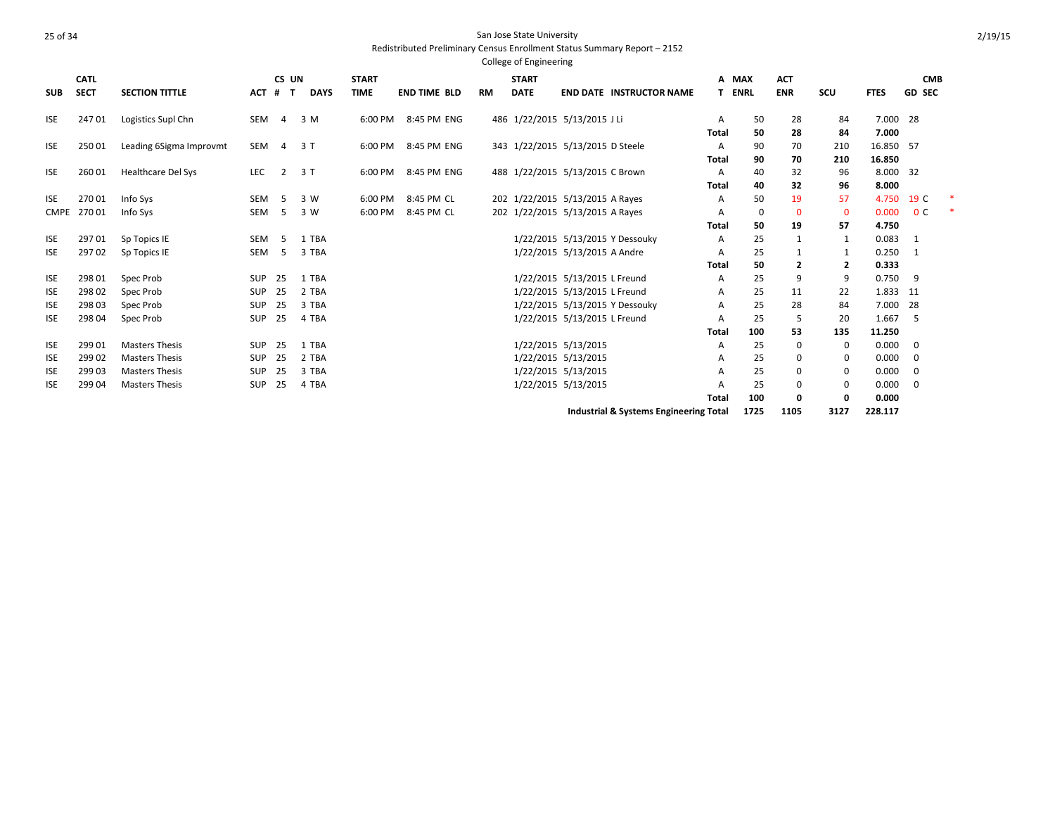| <b>SUB</b>  | <b>CATL</b><br><b>SECT</b> | <b>SECTION TITTLE</b>     | ACT        | CS UN<br>#<br>$\mathbf{T}$ | <b>DAYS</b> | <b>START</b><br><b>TIME</b> | <b>END TIME BLD</b> | <b>RM</b> | <b>START</b><br><b>DATE</b> | <b>END DATE INSTRUCTOR NAME</b>                   | А<br>Τ.      | <b>MAX</b><br><b>ENRL</b> | <b>ACT</b><br><b>ENR</b> | <b>SCU</b>  | <b>FTES</b> | <b>CMB</b><br><b>GD SEC</b> |   |
|-------------|----------------------------|---------------------------|------------|----------------------------|-------------|-----------------------------|---------------------|-----------|-----------------------------|---------------------------------------------------|--------------|---------------------------|--------------------------|-------------|-------------|-----------------------------|---|
| <b>ISE</b>  | 24701                      | Logistics Supl Chn        | SEM        | $\overline{4}$             | 3 M         | 6:00 PM                     | 8:45 PM ENG         |           |                             | 486 1/22/2015 5/13/2015 J Li                      | A            | 50                        | 28                       | 84          | 7.000 28    |                             |   |
|             |                            |                           |            |                            |             |                             |                     |           |                             |                                                   | Total        | 50                        | 28                       | 84          | 7.000       |                             |   |
| <b>ISE</b>  | 25001                      | Leading 6Sigma Improvmt   | <b>SEM</b> | $\overline{4}$             | 3 T         | 6:00 PM                     | 8:45 PM ENG         |           |                             | 343 1/22/2015 5/13/2015 D Steele                  | A            | 90                        | 70                       | 210         | 16.850 57   |                             |   |
|             |                            |                           |            |                            |             |                             |                     |           |                             |                                                   | Total        | 90                        | 70                       | 210         | 16.850      |                             |   |
| <b>ISE</b>  | 260 01                     | <b>Healthcare Del Sys</b> | <b>LEC</b> | $\overline{2}$             | 3T          | 6:00 PM                     | 8:45 PM ENG         |           |                             | 488 1/22/2015 5/13/2015 C Brown                   | Α            | 40                        | 32                       | 96          | 8.000 32    |                             |   |
|             |                            |                           |            |                            |             |                             |                     |           |                             |                                                   | Total        | 40                        | 32                       | 96          | 8.000       |                             |   |
| <b>ISE</b>  | 27001                      | Info Sys                  | SEM        | .5                         | 3 W         | 6:00 PM                     | 8:45 PM CL          |           |                             | 202 1/22/2015 5/13/2015 A Rayes                   | Α            | 50                        | 19                       | 57          | 4.750       | 19 C                        |   |
| <b>CMPE</b> | 270 01                     | Info Sys                  | <b>SEM</b> | 5                          | 3 W         | 6:00 PM                     | 8:45 PM CL          |           |                             | 202 1/22/2015 5/13/2015 A Rayes                   | A            | 0                         | $\mathbf{0}$             | $\mathbf 0$ | 0.000       | 0 <sup>C</sup>              | 米 |
|             |                            |                           |            |                            |             |                             |                     |           |                             |                                                   | Total        | 50                        | 19                       | 57          | 4.750       |                             |   |
| <b>ISE</b>  | 297 01                     | Sp Topics IE              | <b>SEM</b> | -5                         | 1 TBA       |                             |                     |           |                             | 1/22/2015 5/13/2015 Y Dessouky                    | A            | 25                        | -1                       | 1           | 0.083       | -1                          |   |
| ISE         | 297 02                     | Sp Topics IE              | <b>SEM</b> | 5                          | 3 TBA       |                             |                     |           |                             | 1/22/2015 5/13/2015 A Andre                       | A            | 25                        |                          |             | 0.250       |                             |   |
|             |                            |                           |            |                            |             |                             |                     |           |                             |                                                   | <b>Total</b> | 50                        | $\overline{2}$           | 2           | 0.333       |                             |   |
| <b>ISE</b>  | 298 01                     | Spec Prob                 | <b>SUP</b> | 25                         | 1 TBA       |                             |                     |           |                             | 1/22/2015 5/13/2015 L Freund                      | A            | 25                        | 9                        | 9           | 0.750       | 9                           |   |
| <b>ISE</b>  | 298 02                     | Spec Prob                 | <b>SUP</b> | 25                         | 2 TBA       |                             |                     |           |                             | 1/22/2015 5/13/2015 L Freund                      | Α            | 25                        | 11                       | 22          | 1.833       | -11                         |   |
| <b>ISE</b>  | 298 03                     | Spec Prob                 | <b>SUP</b> | 25                         | 3 TBA       |                             |                     |           |                             | 1/22/2015 5/13/2015 Y Dessouky                    | A            | 25                        | 28                       | 84          | 7.000       | -28                         |   |
| <b>ISE</b>  | 298 04                     | Spec Prob                 | <b>SUP</b> | 25                         | 4 TBA       |                             |                     |           |                             | 1/22/2015 5/13/2015 L Freund                      | A            | 25                        | -5                       | 20          | 1.667       | -5                          |   |
|             |                            |                           |            |                            |             |                             |                     |           |                             |                                                   | Total        | 100                       | 53                       | 135         | 11.250      |                             |   |
| <b>ISE</b>  | 299 01                     | <b>Masters Thesis</b>     | <b>SUP</b> | 25                         | 1 TBA       |                             |                     |           |                             | 1/22/2015 5/13/2015                               | Α            | 25                        | 0                        | 0           | 0.000       | 0                           |   |
| <b>ISE</b>  | 299 02                     | <b>Masters Thesis</b>     | <b>SUP</b> | 25                         | 2 TBA       |                             |                     |           |                             | 1/22/2015 5/13/2015                               | Α            | 25                        | 0                        | 0           | 0.000       | 0                           |   |
| <b>ISE</b>  | 299 03                     | <b>Masters Thesis</b>     | <b>SUP</b> | 25                         | 3 TBA       |                             |                     |           |                             | 1/22/2015 5/13/2015                               | А            | 25                        | 0                        | 0           | 0.000       | 0                           |   |
| <b>ISE</b>  | 299 04                     | <b>Masters Thesis</b>     | <b>SUP</b> | 25                         | 4 TBA       |                             |                     |           |                             | 1/22/2015 5/13/2015                               | Α            | 25                        | 0                        | 0           | 0.000       | 0                           |   |
|             |                            |                           |            |                            |             |                             |                     |           |                             |                                                   | <b>Total</b> | 100                       | 0                        | 0           | 0.000       |                             |   |
|             |                            |                           |            |                            |             |                             |                     |           |                             | <b>Industrial &amp; Systems Engineering Total</b> |              | 1725                      | 1105                     | 3127        | 228.117     |                             |   |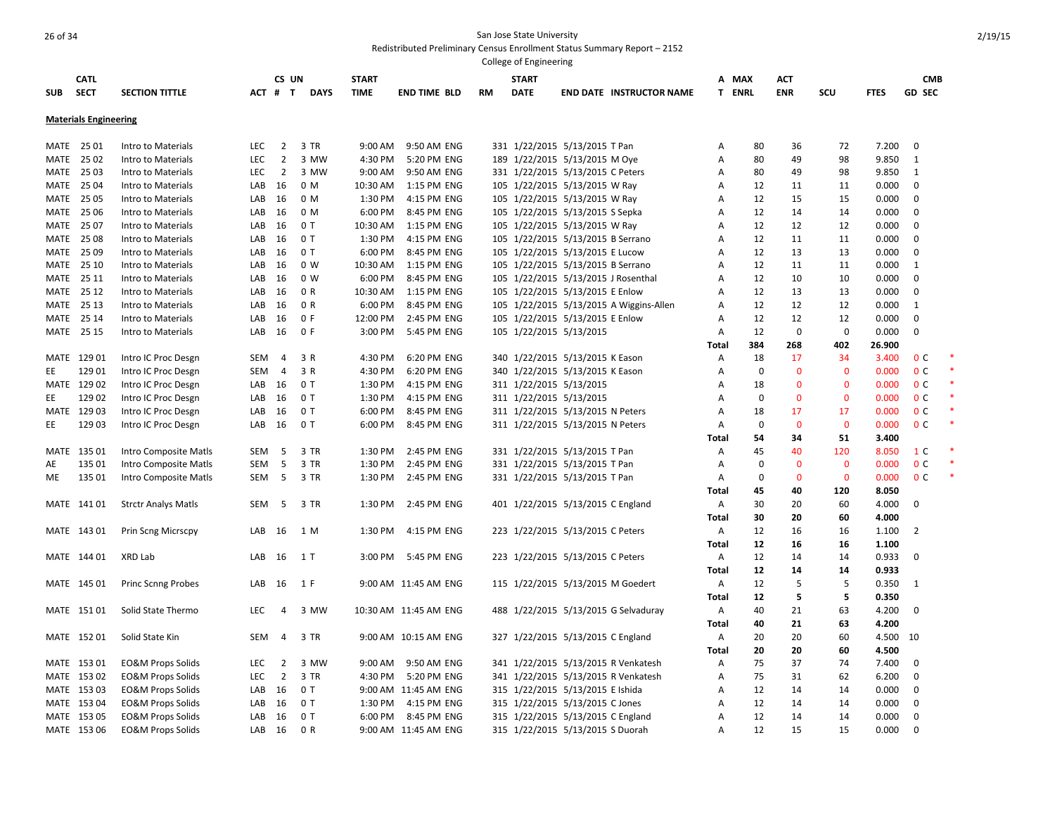|             |                              |                              |            |                |             |              |                       |           | College of Engineering  |                                         |                |               |              |             |             |                |        |
|-------------|------------------------------|------------------------------|------------|----------------|-------------|--------------|-----------------------|-----------|-------------------------|-----------------------------------------|----------------|---------------|--------------|-------------|-------------|----------------|--------|
|             | <b>CATL</b>                  |                              |            | CS UN          |             | <b>START</b> |                       |           | <b>START</b>            |                                         | А              | <b>MAX</b>    | <b>ACT</b>   |             |             | <b>CMB</b>     |        |
| <b>SUB</b>  | <b>SECT</b>                  | <b>SECTION TITTLE</b>        |            | ACT # T        | <b>DAYS</b> | <b>TIME</b>  | <b>END TIME BLD</b>   | <b>RM</b> | <b>DATE</b>             | <b>END DATE INSTRUCTOR NAME</b>         |                | <b>T ENRL</b> | <b>ENR</b>   | SCU         | <b>FTES</b> | <b>GD SEC</b>  |        |
|             |                              |                              |            |                |             |              |                       |           |                         |                                         |                |               |              |             |             |                |        |
|             | <b>Materials Engineering</b> |                              |            |                |             |              |                       |           |                         |                                         |                |               |              |             |             |                |        |
| MATE        | 25 01                        | Intro to Materials           | <b>LEC</b> | $\overline{2}$ | 3 TR        | 9:00 AM      | 9:50 AM ENG           |           |                         | 331 1/22/2015 5/13/2015 T Pan           | A              | 80            | 36           | 72          | 7.200       | $\mathbf 0$    |        |
| MATE        | 2502                         | Intro to Materials           | LEC        | $\overline{2}$ | 3 MW        | 4:30 PM      | 5:20 PM ENG           |           |                         | 189 1/22/2015 5/13/2015 M Oye           | Α              | 80            | 49           | 98          | 9.850       | $\mathbf{1}$   |        |
| MATE        | 25 03                        | Intro to Materials           | <b>LEC</b> | $\overline{2}$ | 3 MW        | 9:00 AM      | 9:50 AM ENG           |           |                         | 331 1/22/2015 5/13/2015 C Peters        | A              | 80            | 49           | 98          | 9.850       | $\mathbf{1}$   |        |
| MATE        | 25 04                        | Intro to Materials           | LAB        | 16             | 0 M         | 10:30 AM     | 1:15 PM ENG           |           |                         | 105 1/22/2015 5/13/2015 W Ray           | A              | 12            | 11           | 11          | 0.000       | $\mathbf 0$    |        |
| MATE        | 25 05                        | Intro to Materials           | LAB        | 16             | 0 M         | 1:30 PM      | 4:15 PM ENG           |           |                         | 105 1/22/2015 5/13/2015 W Ray           | Α              | 12            | 15           | 15          | 0.000       | 0              |        |
| MATE        | 25 06                        | Intro to Materials           | LAB        | 16             | 0 M         | 6:00 PM      | 8:45 PM ENG           |           |                         | 105 1/22/2015 5/13/2015 S Sepka         | Α              | 12            | 14           | 14          | 0.000       | 0              |        |
| MATE        | 25 07                        | Intro to Materials           | LAB        | 16             | 0T          | 10:30 AM     | 1:15 PM ENG           |           |                         | 105 1/22/2015 5/13/2015 W Ray           | А              | 12            | 12           | 12          | 0.000       | 0              |        |
| MATE        | 25 08                        | Intro to Materials           | LAB        | 16             | 0T          | 1:30 PM      | 4:15 PM ENG           |           |                         | 105 1/22/2015 5/13/2015 B Serrano       | Α              | 12            | 11           | 11          | 0.000       | $\mathbf 0$    |        |
| MATE        | 25 09                        | Intro to Materials           | LAB        | 16             | 0T          | 6:00 PM      | 8:45 PM ENG           |           |                         | 105 1/22/2015 5/13/2015 E Lucow         | A              | 12            | 13           | 13          | 0.000       | 0              |        |
| MATE        | 25 10                        | Intro to Materials           | LAB        | 16             | 0 W         | 10:30 AM     | 1:15 PM ENG           |           |                         | 105 1/22/2015 5/13/2015 B Serrano       | Α              | 12            | 11           | 11          | 0.000       | $\mathbf{1}$   |        |
| MATE        | 25 11                        | Intro to Materials           | LAB        | 16             | 0 W         | 6:00 PM      | 8:45 PM ENG           |           |                         | 105 1/22/2015 5/13/2015 J Rosenthal     | Α              | 12            | 10           | 10          | 0.000       | 0              |        |
| MATE        | 25 12                        | Intro to Materials           | LAB        | 16             | 0 R         | 10:30 AM     | 1:15 PM ENG           |           |                         | 105 1/22/2015 5/13/2015 E Enlow         | Α              | 12            | 13           | 13          | 0.000       | $\mathbf 0$    |        |
| MATE        | 25 13                        | Intro to Materials           | LAB        | 16             | 0 R         | 6:00 PM      | 8:45 PM ENG           |           |                         | 105 1/22/2015 5/13/2015 A Wiggins-Allen | Α              | 12            | 12           | 12          | 0.000       | 1              |        |
| <b>MATE</b> | 25 14                        | Intro to Materials           | LAB        | 16             | 0 F         | 12:00 PM     | 2:45 PM ENG           |           |                         | 105 1/22/2015 5/13/2015 E Enlow         | A              | 12            | 12           | 12          | 0.000       | 0              |        |
| MATE        | 25 15                        | Intro to Materials           | LAB        | 16             | 0 F         | 3:00 PM      | 5:45 PM ENG           |           | 105 1/22/2015 5/13/2015 |                                         | Α              | 12            | $\mathbf 0$  | $\Omega$    | 0.000       | 0              |        |
|             |                              |                              |            |                |             |              |                       |           |                         |                                         | Total          | 384           | 268          | 402         | 26.900      |                |        |
|             | MATE 129 01                  | Intro IC Proc Desgn          | SEM        | 4              | 3 R         | 4:30 PM      | 6:20 PM ENG           |           |                         | 340 1/22/2015 5/13/2015 K Eason         | Α              | 18            | 17           | 34          | 3.400       | 0 <sup>c</sup> |        |
| EE          | 129 01                       | Intro IC Proc Desgn          | SEM        | 4              | 3 R         | 4:30 PM      | 6:20 PM ENG           |           |                         | 340 1/22/2015 5/13/2015 K Eason         | Α              | $\mathbf 0$   | $\mathbf{0}$ | $\Omega$    | 0.000       | 0 <sup>C</sup> | $\ast$ |
|             | MATE 129 02                  | Intro IC Proc Desgn          | LAB        | 16             | 0T          | 1:30 PM      | 4:15 PM ENG           |           | 311 1/22/2015 5/13/2015 |                                         | A              | 18            | $\mathbf{0}$ | $\Omega$    | 0.000       | 0 <sup>C</sup> |        |
| EE          | 129 02                       | Intro IC Proc Desgn          | LAB        | 16             | 0T          | 1:30 PM      | 4:15 PM ENG           |           | 311 1/22/2015 5/13/2015 |                                         | А              | 0             | $\mathbf 0$  | $\mathbf 0$ | 0.000       | 0 <sup>c</sup> | *      |
|             | MATE 129 03                  | Intro IC Proc Desgn          | LAB        | 16             | 0T          | 6:00 PM      | 8:45 PM ENG           |           |                         | 311 1/22/2015 5/13/2015 N Peters        | Α              | 18            | 17           | 17          | 0.000       | 0 <sup>C</sup> |        |
| EE          | 129 03                       | Intro IC Proc Desgn          | LAB        | 16             | 0T          | 6:00 PM      | 8:45 PM ENG           |           |                         | 311 1/22/2015 5/13/2015 N Peters        | Α              | $\mathbf 0$   | $\mathbf{0}$ | $\Omega$    | 0.000       | 0 <sup>C</sup> |        |
|             |                              |                              |            |                |             |              |                       |           |                         |                                         | Total          | 54            | 34           | 51          | 3.400       |                |        |
| MATE        | 135 01                       | Intro Composite Matls        | SEM        | 5              | 3 TR        | 1:30 PM      | 2:45 PM ENG           |           |                         | 331 1/22/2015 5/13/2015 T Pan           | A              | 45            | 40           | 120         | 8.050       | 1 C            |        |
| AE          | 135 01                       | Intro Composite Matls        | SEM        | 5              | 3 TR        | 1:30 PM      | 2:45 PM ENG           |           |                         | 331 1/22/2015 5/13/2015 T Pan           | Α              | 0             | $\mathbf 0$  | $\mathbf 0$ | 0.000       | 0 <sup>C</sup> |        |
| ME          | 135 01                       | Intro Composite Matls        | SEM        | 5              | 3 TR        | 1:30 PM      | 2:45 PM ENG           |           |                         | 331 1/22/2015 5/13/2015 T Pan           | Α              | $\mathbf 0$   | $\mathbf{0}$ | $\Omega$    | 0.000       | 0 <sup>c</sup> |        |
|             |                              |                              |            |                |             |              |                       |           |                         |                                         | <b>Total</b>   | 45            | 40           | 120         | 8.050       |                |        |
|             | MATE 141 01                  | <b>Strctr Analys Matls</b>   | SEM        | - 5            | 3 TR        | 1:30 PM      | 2:45 PM ENG           |           |                         | 401 1/22/2015 5/13/2015 C England       | Α              | 30            | 20           | 60          | 4.000       | 0              |        |
|             |                              |                              |            |                |             |              |                       |           |                         |                                         | Total          | 30            | 20           | 60          | 4.000       |                |        |
|             | MATE 143 01                  | Prin Scng Micrscpy           | LAB        | 16             | 1 M         | 1:30 PM      | 4:15 PM ENG           |           |                         | 223 1/22/2015 5/13/2015 C Peters        | A              | 12            | 16           | 16          | 1.100       | 2              |        |
|             |                              |                              |            |                |             |              |                       |           |                         |                                         | Total          | 12            | 16           | 16          | 1.100       |                |        |
|             | MATE 144 01                  | XRD Lab                      | LAB        | 16             | 1 T         | 3:00 PM      | 5:45 PM ENG           |           |                         | 223 1/22/2015 5/13/2015 C Peters        | A              | 12            | 14           | 14          | 0.933       | $\mathbf 0$    |        |
|             |                              |                              |            |                |             |              |                       |           |                         |                                         | <b>Total</b>   | 12            | 14           | 14          | 0.933       |                |        |
|             | MATE 145 01                  | <b>Princ Scnng Probes</b>    | LAB        | 16             | 1 F         |              | 9:00 AM 11:45 AM ENG  |           |                         | 115 1/22/2015 5/13/2015 M Goedert       | Α              | 12            | 5            | 5           | 0.350       | $\mathbf{1}$   |        |
|             |                              |                              |            |                |             |              |                       |           |                         |                                         | <b>Total</b>   | 12            | 5            | 5           | 0.350       |                |        |
|             | MATE 15101                   | Solid State Thermo           | LEC        | 4              | 3 MW        |              | 10:30 AM 11:45 AM ENG |           |                         | 488 1/22/2015 5/13/2015 G Selvaduray    | Α              | 40            | 21           | 63          | 4.200       | $\mathbf 0$    |        |
|             |                              |                              |            |                |             |              |                       |           |                         |                                         | Total          | 40            | 21           | 63          | 4.200       |                |        |
|             | MATE 152 01                  | Solid State Kin              | SEM        | 4              | 3 TR        |              | 9:00 AM 10:15 AM ENG  |           |                         | 327 1/22/2015 5/13/2015 C England       | Α              | 20            | 20           | 60          | 4.500       | 10             |        |
|             |                              |                              |            |                |             |              |                       |           |                         |                                         | <b>Total</b>   | 20            | 20           | 60          | 4.500       |                |        |
|             | MATE 153 01                  | <b>EO&amp;M Props Solids</b> | LEC        | 2              | 3 MW        | 9:00 AM      | 9:50 AM ENG           |           |                         | 341 1/22/2015 5/13/2015 R Venkatesh     | Α              | 75            | 37           | 74          | 7.400       | 0              |        |
|             | MATE 153 02                  | <b>EO&amp;M Props Solids</b> | LEC        | $\overline{2}$ | 3 TR        | 4:30 PM      | 5:20 PM ENG           |           |                         | 341 1/22/2015 5/13/2015 R Venkatesh     | $\overline{A}$ | 75            | 31           | 62          | 6.200       | 0              |        |
|             | MATE 153 03                  | <b>EO&amp;M Props Solids</b> | LAB        | 16             | 0 T         |              | 9:00 AM 11:45 AM ENG  |           |                         | 315 1/22/2015 5/13/2015 E Ishida        | A              | 12            | 14           | 14          | 0.000       | 0              |        |
|             | MATE 153 04                  | EO&M Props Solids            | LAB        | 16             | 0T          | 1:30 PM      | 4:15 PM ENG           |           |                         | 315 1/22/2015 5/13/2015 C Jones         | A              | 12            | 14           | 14          | 0.000       | 0              |        |
|             | MATE 153 05                  | <b>EO&amp;M Props Solids</b> | LAB        | 16             | 0 T         | 6:00 PM      | 8:45 PM ENG           |           |                         | 315 1/22/2015 5/13/2015 C England       | Α              | 12            | 14           | 14          | 0.000       | 0              |        |
|             | MATE 153 06                  | <b>EO&amp;M Props Solids</b> | LAB        | 16             | 0 R         |              | 9:00 AM 11:45 AM ENG  |           |                         | 315 1/22/2015 5/13/2015 S Duorah        | A              | 12            | 15           | 15          | 0.000       | $\Omega$       |        |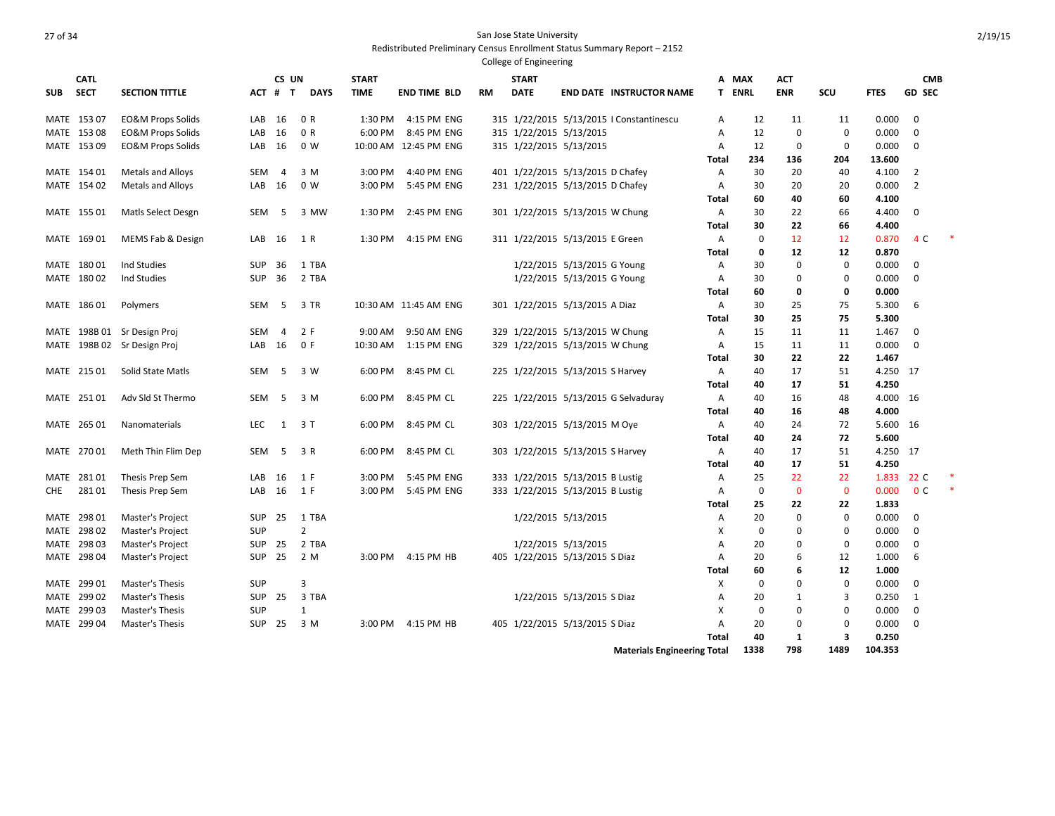|            | <b>CATL</b> |                              |            | CS UN          |                | <b>START</b> |                       |           | <b>START</b>                     |                             |                                          |              | A MAX         | ACT          |              |             | <b>CMB</b>     |  |
|------------|-------------|------------------------------|------------|----------------|----------------|--------------|-----------------------|-----------|----------------------------------|-----------------------------|------------------------------------------|--------------|---------------|--------------|--------------|-------------|----------------|--|
| <b>SUB</b> | <b>SECT</b> | <b>SECTION TITTLE</b>        |            | ACT # T        | <b>DAYS</b>    | <b>TIME</b>  | <b>END TIME BLD</b>   | <b>RM</b> | <b>DATE</b>                      |                             | <b>END DATE INSTRUCTOR NAME</b>          |              | <b>T ENRL</b> | <b>ENR</b>   | SCU          | <b>FTES</b> | <b>GD SEC</b>  |  |
|            |             |                              |            |                |                |              |                       |           |                                  |                             |                                          |              |               |              |              |             |                |  |
|            | MATE 153 07 | <b>EO&amp;M Props Solids</b> | LAB        | 16             | 0 R            | 1:30 PM      | 4:15 PM ENG           |           |                                  |                             | 315 1/22/2015 5/13/2015   Constantinescu | A            | 12            | 11           | 11           | 0.000       | 0              |  |
|            | MATE 153 08 | <b>EO&amp;M Props Solids</b> | LAB        | 16             | 0 R            |              | 6:00 PM 8:45 PM ENG   |           | 315 1/22/2015 5/13/2015          |                             |                                          | A            | 12            | 0            | 0            | 0.000       | 0              |  |
|            | MATE 153 09 | <b>EO&amp;M Props Solids</b> | LAB        | 16             | 0 W            |              | 10:00 AM 12:45 PM ENG |           | 315 1/22/2015 5/13/2015          |                             |                                          | Α            | 12            | 0            | 0            | 0.000       | $\mathbf 0$    |  |
|            |             |                              |            |                |                |              |                       |           |                                  |                             |                                          | Total        | 234           | 136          | 204          | 13.600      |                |  |
|            | MATE 154 01 | Metals and Alloys            | SEM        | $\overline{4}$ | 3 M            | 3:00 PM      | 4:40 PM ENG           |           | 401 1/22/2015 5/13/2015 D Chafey |                             |                                          | A            | 30            | 20           | 40           | 4.100       | 2              |  |
|            | MATE 154 02 | Metals and Alloys            | LAB        | 16             | 0 W            | 3:00 PM      | 5:45 PM ENG           |           | 231 1/22/2015 5/13/2015 D Chafey |                             |                                          | A            | 30            | 20           | 20           | 0.000       | $\overline{2}$ |  |
|            |             |                              |            |                |                |              |                       |           |                                  |                             |                                          | Total        | 60            | 40           | 60           | 4.100       |                |  |
|            | MATE 155 01 | Matls Select Desgn           | SEM        | 5              | 3 MW           | 1:30 PM      | 2:45 PM ENG           |           | 301 1/22/2015 5/13/2015 W Chung  |                             |                                          | A            | 30            | 22           | 66           | 4.400       | 0              |  |
|            |             |                              |            |                |                |              |                       |           |                                  |                             |                                          | Total        | 30            | 22           | 66           | 4.400       |                |  |
|            | MATE 169 01 | MEMS Fab & Design            | LAB        | 16             | 1 R            | 1:30 PM      | 4:15 PM ENG           |           | 311 1/22/2015 5/13/2015 E Green  |                             |                                          | $\mathsf{A}$ | 0             | 12           | 12           | 0.870       | 4 C            |  |
|            |             |                              |            |                |                |              |                       |           |                                  |                             |                                          | Total        | 0             | 12           | 12           | 0.870       |                |  |
|            | MATE 180 01 | Ind Studies                  | <b>SUP</b> | 36             | 1 TBA          |              |                       |           |                                  | 1/22/2015 5/13/2015 G Young |                                          | A            | 30            | 0            | 0            | 0.000       | 0              |  |
|            | MATE 180 02 | Ind Studies                  | <b>SUP</b> | 36             | 2 TBA          |              |                       |           |                                  | 1/22/2015 5/13/2015 G Young |                                          | A            | 30            | $\Omega$     | $\Omega$     | 0.000       | $\mathbf 0$    |  |
|            |             |                              |            |                |                |              |                       |           |                                  |                             |                                          | Total        | 60            | 0            | 0            | 0.000       |                |  |
|            | MATE 186 01 | Polymers                     | SEM        | - 5            | 3 TR           |              | 10:30 AM 11:45 AM ENG |           | 301 1/22/2015 5/13/2015 A Diaz   |                             |                                          | A            | 30            | 25           | 75           | 5.300       | 6              |  |
|            |             |                              |            |                |                |              |                       |           |                                  |                             |                                          | Total        | 30            | 25           | 75           | 5.300       |                |  |
|            |             | MATE 198B 01 Sr Design Proj  | <b>SEM</b> | $\overline{4}$ | 2 F            | $9:00$ AM    | 9:50 AM ENG           |           | 329 1/22/2015 5/13/2015 W Chung  |                             |                                          | A            | 15            | 11           | 11           | 1.467       | $\Omega$       |  |
|            |             | MATE 198B 02 Sr Design Proj  | LAB        | 16             | 0 F            | 10:30 AM     | 1:15 PM ENG           |           | 329 1/22/2015 5/13/2015 W Chung  |                             |                                          | A            | 15            | 11           | 11           | 0.000       | $\mathbf 0$    |  |
|            |             |                              |            |                |                |              |                       |           |                                  |                             |                                          | Total        | 30            | 22           | 22           | 1.467       |                |  |
|            | MATE 215 01 | <b>Solid State Matls</b>     | SEM        | 5              | 3 W            | 6:00 PM      | 8:45 PM CL            |           | 225 1/22/2015 5/13/2015 S Harvey |                             |                                          | A            | 40            | 17           | 51           | 4.250 17    |                |  |
|            |             |                              |            |                |                |              |                       |           |                                  |                             |                                          | Total        | 40            | 17           | 51           | 4.250       |                |  |
|            | MATE 251 01 | Adv Sld St Thermo            | <b>SEM</b> | 5              | 3 M            | 6:00 PM      | 8:45 PM CL            |           |                                  |                             | 225 1/22/2015 5/13/2015 G Selvaduray     | Α            | 40            | 16           | 48           | 4.000 16    |                |  |
|            |             |                              |            |                |                |              |                       |           |                                  |                             |                                          | Total        | 40            | 16           | 48           | 4.000       |                |  |
|            | MATE 265 01 | Nanomaterials                | <b>LEC</b> | 1              | 3 T            | 6:00 PM      | 8:45 PM CL            |           | 303 1/22/2015 5/13/2015 M Oye    |                             |                                          | A            | 40            | 24           | 72           | 5.600 16    |                |  |
|            |             |                              |            |                |                |              |                       |           |                                  |                             |                                          | Total        | 40            | 24           | 72           | 5.600       |                |  |
|            | MATE 270 01 | Meth Thin Flim Dep           | SEM        | 5              | 3 R            | 6:00 PM      | 8:45 PM CL            |           | 303 1/22/2015 5/13/2015 S Harvey |                             |                                          | A            | 40            | 17           | 51           | 4.250 17    |                |  |
|            |             |                              |            |                |                |              |                       |           |                                  |                             |                                          | <b>Total</b> | 40            | 17           | 51           | 4.250       |                |  |
|            | MATE 281 01 | Thesis Prep Sem              | LAB        | 16             | 1 F            | 3:00 PM      | 5:45 PM ENG           |           | 333 1/22/2015 5/13/2015 B Lustig |                             |                                          | A            | 25            | 22           | 22           | 1.833       | 22 C           |  |
| CHE.       | 281 01      | Thesis Prep Sem              | LAB        | 16             | 1 F            | 3:00 PM      | 5:45 PM ENG           |           | 333 1/22/2015 5/13/2015 B Lustig |                             |                                          | A            | $\mathbf 0$   | $\Omega$     | $\mathbf{0}$ | 0.000       | 0 <sup>c</sup> |  |
|            |             |                              |            |                |                |              |                       |           |                                  |                             |                                          | Total        | 25            | 22           | 22           | 1.833       |                |  |
|            | MATE 298 01 | Master's Project             | SUP        | 25             | 1 TBA          |              |                       |           |                                  | 1/22/2015 5/13/2015         |                                          | A            | 20            | 0            | 0            | 0.000       | 0              |  |
|            | MATE 298 02 | Master's Project             | <b>SUP</b> |                | $\overline{2}$ |              |                       |           |                                  |                             |                                          | X            | 0             | $\mathbf 0$  | 0            | 0.000       | $\mathbf 0$    |  |
|            | MATE 298 03 | Master's Project             | <b>SUP</b> | 25             | 2 TBA          |              |                       |           |                                  | 1/22/2015 5/13/2015         |                                          | A            | 20            | $\mathbf 0$  | $\mathbf 0$  | 0.000       | $\mathbf 0$    |  |
|            | MATE 298 04 | Master's Project             | <b>SUP</b> | 25             | 2 M            | 3:00 PM      | 4:15 PM HB            |           | 405 1/22/2015 5/13/2015 S Diaz   |                             |                                          | A            | 20            | 6            | 12           | 1.000       | 6              |  |
|            |             |                              |            |                |                |              |                       |           |                                  |                             |                                          | Total        | 60            | 6            | 12           | 1.000       |                |  |
|            | MATE 299 01 | <b>Master's Thesis</b>       | <b>SUP</b> |                | 3              |              |                       |           |                                  |                             |                                          | X            | 0             | $\mathbf 0$  | 0            | 0.000       | 0              |  |
|            | MATE 299 02 | Master's Thesis              | <b>SUP</b> | 25             | 3 TBA          |              |                       |           |                                  | 1/22/2015 5/13/2015 S Diaz  |                                          | A            | 20            | $\mathbf{1}$ | 3            | 0.250       | $\mathbf{1}$   |  |
|            | MATE 299 03 | Master's Thesis              | <b>SUP</b> |                | $\mathbf{1}$   |              |                       |           |                                  |                             |                                          | X            | 0             | $\mathbf 0$  | 0            | 0.000       | $\mathbf 0$    |  |
|            | MATE 299 04 | Master's Thesis              | <b>SUP</b> | 25             | 3 M            |              | 3:00 PM 4:15 PM HB    |           | 405 1/22/2015 5/13/2015 S Diaz   |                             |                                          | A            | 20            | $\Omega$     | $\Omega$     | 0.000       | 0              |  |
|            |             |                              |            |                |                |              |                       |           |                                  |                             |                                          | Total        | 40            | 1            | 3            | 0.250       |                |  |
|            |             |                              |            |                |                |              |                       |           |                                  |                             | <b>Materials Engineering Total</b>       |              | 1338          | 798          | 1489         | 104.353     |                |  |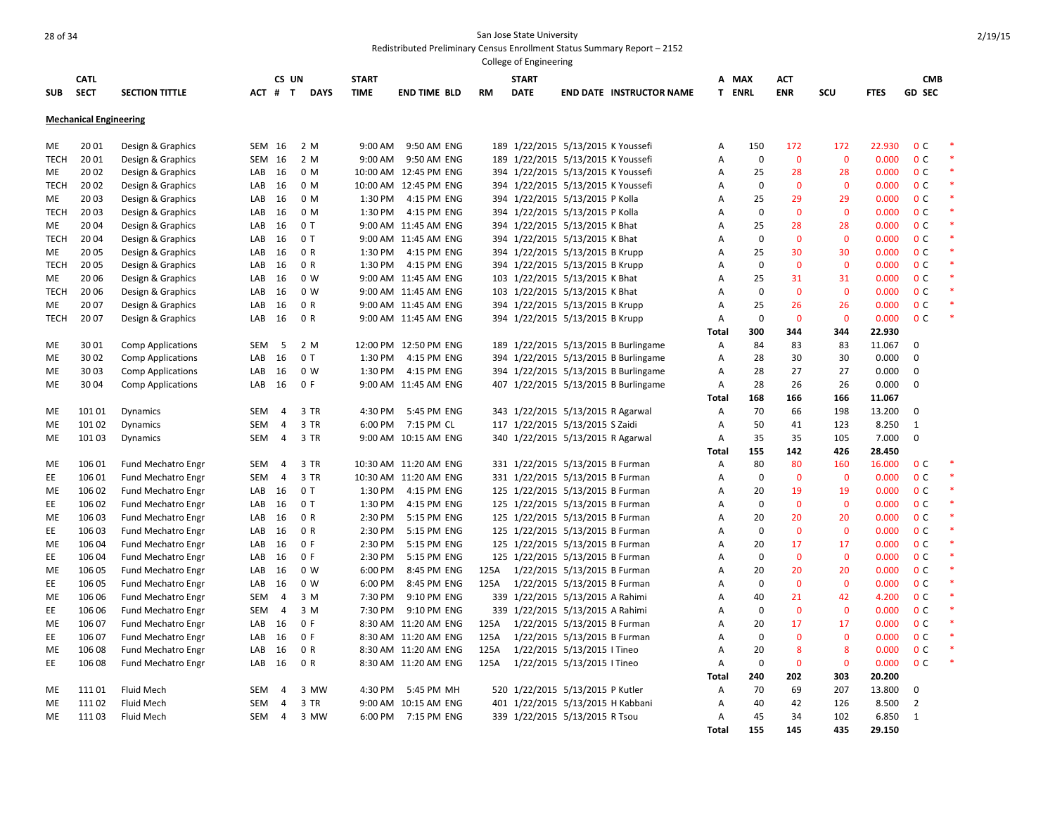|             |                               |                           |            |                |                |              |                       |           | College of Engineering |                                      |                |                   |                    |                   |                |                                  |        |
|-------------|-------------------------------|---------------------------|------------|----------------|----------------|--------------|-----------------------|-----------|------------------------|--------------------------------------|----------------|-------------------|--------------------|-------------------|----------------|----------------------------------|--------|
|             | <b>CATL</b>                   |                           |            | CS UN          |                | <b>START</b> |                       |           | <b>START</b>           |                                      | А              | MAX               | <b>ACT</b>         |                   |                | <b>CMB</b>                       |        |
| <b>SUB</b>  | <b>SECT</b>                   | <b>SECTION TITTLE</b>     |            | ACT # T        | <b>DAYS</b>    | <b>TIME</b>  | <b>END TIME BLD</b>   | <b>RM</b> | <b>DATE</b>            | <b>END DATE INSTRUCTOR NAME</b>      |                | T ENRL            | <b>ENR</b>         | SCU               | <b>FTES</b>    | <b>GD SEC</b>                    |        |
|             | <b>Mechanical Engineering</b> |                           |            |                |                |              |                       |           |                        |                                      |                |                   |                    |                   |                |                                  |        |
|             |                               |                           |            |                |                |              |                       |           |                        |                                      |                |                   |                    |                   |                |                                  |        |
| ME          | 20 01                         | Design & Graphics         | SEM 16     |                | 2 M            | 9:00 AM      | 9:50 AM ENG           |           |                        | 189 1/22/2015 5/13/2015 K Youssefi   | Α              | 150               | 172                | 172               | 22.930         | 0 <sup>c</sup>                   |        |
| <b>TECH</b> | 20 01                         | Design & Graphics         | SEM 16     |                | 2 M            | 9:00 AM      | 9:50 AM ENG           |           |                        | 189 1/22/2015 5/13/2015 K Youssefi   | Α              | $\mathbf 0$       | $\mathbf 0$        | $\mathbf 0$       | 0.000          | 0 <sup>C</sup>                   |        |
| ME          | 20 02                         | Design & Graphics         | LAB        | 16             | 0 M            |              | 10:00 AM 12:45 PM ENG |           |                        | 394 1/22/2015 5/13/2015 K Youssefi   | A              | 25                | 28                 | 28                | 0.000          | 0 <sup>C</sup>                   |        |
| <b>TECH</b> | 20 02                         | Design & Graphics         | LAB        | 16             | 0 M            |              | 10:00 AM 12:45 PM ENG |           |                        | 394 1/22/2015 5/13/2015 K Youssefi   | A              | $\mathbf 0$       | $\mathbf{0}$       | $\mathbf 0$       | 0.000          | 0 <sup>c</sup>                   |        |
| ME          | 20 03                         | Design & Graphics         | LAB        | 16             | 0 M            | 1:30 PM      | 4:15 PM ENG           |           |                        | 394 1/22/2015 5/13/2015 P Kolla      | A              | 25                | 29                 | 29                | 0.000          | 0 <sup>c</sup>                   | $\ast$ |
| TECH        | 20 03                         | Design & Graphics         | LAB        | 16             | 0 M            | 1:30 PM      | 4:15 PM ENG           |           |                        | 394 1/22/2015 5/13/2015 P Kolla      | A              | $\mathbf 0$       | $\mathbf 0$        | $\Omega$          | 0.000          | 0 <sup>C</sup>                   |        |
| ME          | 20 04                         | Design & Graphics         | LAB        | 16             | 0T             |              | 9:00 AM 11:45 AM ENG  |           |                        | 394 1/22/2015 5/13/2015 K Bhat       | A              | 25                | 28                 | 28                | 0.000          | 0 <sup>C</sup>                   |        |
| <b>TECH</b> | 2004                          | Design & Graphics         | LAB        | 16             | 0T             |              | 9:00 AM 11:45 AM ENG  |           |                        | 394 1/22/2015 5/13/2015 K Bhat       | A              | $\mathbf 0$       | $\mathbf 0$        | $\mathbf 0$       | 0.000          | 0 <sup>c</sup>                   |        |
| ME          | 2005                          | Design & Graphics         | LAB        | 16             | 0 R            | 1:30 PM      | 4:15 PM ENG           |           |                        | 394 1/22/2015 5/13/2015 B Krupp      | A              | 25                | 30                 | 30                | 0.000          | 0 <sup>C</sup>                   |        |
| <b>TECH</b> | 20 05                         | Design & Graphics         | LAB        | 16             | 0 R            | 1:30 PM      | 4:15 PM ENG           |           |                        | 394 1/22/2015 5/13/2015 B Krupp      | A              | 0                 | $\mathbf{0}$       | $\mathbf 0$       | 0.000          | 0 <sup>c</sup>                   |        |
| ME          | 20 06                         | Design & Graphics         | LAB        | 16             | 0 W            |              | 9:00 AM 11:45 AM ENG  |           |                        | 103 1/22/2015 5/13/2015 K Bhat       | A              | 25                | 31                 | 31                | 0.000          | 0 <sup>c</sup>                   |        |
| TECH        | 20 06                         | Design & Graphics         | LAB        | 16             | 0 <sub>W</sub> |              | 9:00 AM 11:45 AM ENG  |           |                        | 103 1/22/2015 5/13/2015 K Bhat       | A              | $\mathbf 0$       | $\mathbf 0$        | $\overline{0}$    | 0.000          | 0 <sup>C</sup>                   |        |
| ME          | 20 07                         | Design & Graphics         | LAB        | 16             | 0 R            |              | 9:00 AM 11:45 AM ENG  |           |                        | 394 1/22/2015 5/13/2015 B Krupp      | A              | 25                | 26                 | 26                | 0.000          | 0 <sup>C</sup>                   |        |
| <b>TECH</b> | 2007                          | Design & Graphics         | LAB        | 16             | 0 R            |              | 9:00 AM 11:45 AM ENG  |           |                        | 394 1/22/2015 5/13/2015 B Krupp      | Α              | $\mathbf 0$       | $\mathbf{0}$       | $\mathbf 0$       | 0.000          | 0 <sup>c</sup>                   |        |
|             |                               |                           |            |                |                |              |                       |           |                        |                                      | Total          | 300               | 344                | 344               | 22.930         |                                  |        |
| ME          | 3001                          | <b>Comp Applications</b>  | <b>SEM</b> | -5             | 2 M            |              | 12:00 PM 12:50 PM ENG |           |                        | 189 1/22/2015 5/13/2015 B Burlingame | A              | 84                | 83                 | 83                | 11.067         | $\Omega$                         |        |
| ME          | 30 02                         | <b>Comp Applications</b>  | LAB        | 16             | 0T             | 1:30 PM      | 4:15 PM ENG           |           |                        | 394 1/22/2015 5/13/2015 B Burlingame | $\overline{A}$ | 28                | 30                 | 30                | 0.000          | 0                                |        |
| ME          | 3003                          | <b>Comp Applications</b>  | LAB        | 16             | 0 <sub>W</sub> | 1:30 PM      | 4:15 PM ENG           |           |                        | 394 1/22/2015 5/13/2015 B Burlingame | Α              | 28                | 27                 | 27                | 0.000          | 0                                |        |
| ME          | 30 04                         | <b>Comp Applications</b>  | LAB        | 16             | 0 F            |              | 9:00 AM 11:45 AM ENG  |           |                        | 407 1/22/2015 5/13/2015 B Burlingame | Α              | 28                | 26                 | 26                | 0.000          | $\mathbf 0$                      |        |
|             |                               |                           |            |                |                |              |                       |           |                        |                                      | Total          | 168               | 166                | 166               | 11.067         |                                  |        |
| ME          | 101 01                        | Dynamics                  | <b>SEM</b> | $\overline{4}$ | 3 TR           | 4:30 PM      | 5:45 PM ENG           |           |                        | 343 1/22/2015 5/13/2015 R Agarwal    | Α              | 70                | 66                 | 198               | 13.200         | 0                                |        |
| ME          | 101 02                        | Dynamics                  | <b>SEM</b> | $\overline{4}$ | 3 TR           | 6:00 PM      | 7:15 PM CL            |           |                        | 117 1/22/2015 5/13/2015 S Zaidi      | Α              | 50                | 41                 | 123               | 8.250          | $\mathbf{1}$                     |        |
| ME          | 101 03                        | Dynamics                  | <b>SEM</b> | $\overline{4}$ | 3 TR           |              | 9:00 AM 10:15 AM ENG  |           |                        | 340 1/22/2015 5/13/2015 R Agarwal    | Α              | 35                | 35                 | 105               | 7.000          | 0                                |        |
|             |                               |                           |            |                |                |              |                       |           |                        |                                      | <b>Total</b>   | 155               | 142                | 426               | 28.450         |                                  |        |
| ME          | 106 01                        | Fund Mechatro Engr        | <b>SEM</b> | 4              | 3 TR           |              | 10:30 AM 11:20 AM ENG |           |                        | 331 1/22/2015 5/13/2015 B Furman     | Α              | 80                | 80                 | 160               | 16.000         | 0 <sup>c</sup>                   |        |
| EE          | 106 01                        | Fund Mechatro Engr        | <b>SEM</b> | $\overline{4}$ | 3 TR           |              | 10:30 AM 11:20 AM ENG |           |                        | 331 1/22/2015 5/13/2015 B Furman     | A              | $\mathbf 0$       | $\mathbf{0}$       | $\mathbf 0$       | 0.000          | 0 <sup>C</sup>                   |        |
| ME          | 106 02                        | Fund Mechatro Engr        | LAB        | 16             | 0T             | 1:30 PM      | 4:15 PM ENG           |           |                        | 125 1/22/2015 5/13/2015 B Furman     | Α              | 20                | 19                 | 19                | 0.000          | 0 <sup>C</sup>                   |        |
| EE          | 106 02                        | Fund Mechatro Engr        | LAB        | 16             | 0T             | 1:30 PM      | 4:15 PM ENG           |           |                        | 125 1/22/2015 5/13/2015 B Furman     | A              | $\mathbf 0$       | $\mathbf 0$        | $\mathbf 0$       | 0.000          | 0 <sup>C</sup>                   | $\ast$ |
| ME          | 106 03                        | Fund Mechatro Engr        | LAB        | 16             | 0 R            | 2:30 PM      | 5:15 PM ENG           |           |                        | 125 1/22/2015 5/13/2015 B Furman     | A              | 20                | 20                 | 20                | 0.000          | 0 <sup>c</sup>                   |        |
| EE          | 106 03                        | Fund Mechatro Engr        | LAB        | 16             | 0 R            | 2:30 PM      | 5:15 PM ENG           |           |                        | 125 1/22/2015 5/13/2015 B Furman     | A              | $\mathbf 0$       | $\mathbf 0$        | $\mathbf 0$       | 0.000          | 0 <sup>c</sup>                   | $\ast$ |
| ME          | 106 04                        | Fund Mechatro Engr        | LAB        | 16             | 0 F            | 2:30 PM      | 5:15 PM ENG           |           |                        | 125 1/22/2015 5/13/2015 B Furman     | A              | 20                | 17                 | 17                | 0.000          | 0 <sup>C</sup>                   |        |
| EE          | 106 04                        | Fund Mechatro Engr        | LAB        | 16             | 0 F            | 2:30 PM      | 5:15 PM ENG           |           |                        | 125 1/22/2015 5/13/2015 B Furman     | A              | 0                 | $\mathbf 0$        | $\mathbf 0$       | 0.000          | 0 <sup>c</sup>                   |        |
| ME          | 106 05                        | Fund Mechatro Engr        | LAB        | 16             | 0 W            | 6:00 PM      | 8:45 PM ENG           | 125A      |                        | 1/22/2015 5/13/2015 B Furman         | A              | 20                | 20                 | 20                | 0.000          | 0 <sup>C</sup>                   |        |
| EE          | 106 05                        | Fund Mechatro Engr        | LAB        | 16             | 0 <sub>W</sub> | 6:00 PM      | 8:45 PM ENG           | 125A      |                        | 1/22/2015 5/13/2015 B Furman         | Α              | $\mathbf 0$       | $\mathbf 0$        | $\mathbf 0$       | 0.000          | 0 <sup>C</sup>                   |        |
| ME          | 106 06                        | Fund Mechatro Engr        | SEM        | $\overline{4}$ | 3 M            | 7:30 PM      | 9:10 PM ENG           |           |                        | 339 1/22/2015 5/13/2015 A Rahimi     | $\overline{A}$ | 40<br>$\mathbf 0$ | 21<br>$\mathbf{0}$ | 42<br>$\mathbf 0$ | 4.200<br>0.000 | 0 <sup>c</sup><br>0 <sup>C</sup> |        |
| EE          | 106 06                        | <b>Fund Mechatro Engr</b> | SEM        | $\overline{4}$ | 3 M            | 7:30 PM      | 9:10 PM ENG           |           |                        | 339 1/22/2015 5/13/2015 A Rahimi     | A              |                   |                    |                   |                |                                  |        |
| ME          | 106 07                        | Fund Mechatro Engr        | LAB        | 16             | 0 F            |              | 8:30 AM 11:20 AM ENG  | 125A      |                        | 1/22/2015 5/13/2015 B Furman         | Α              | 20                | 17                 | 17                | 0.000          | 0 <sup>C</sup>                   | $\ast$ |
| EE          | 106 07                        | Fund Mechatro Engr        | LAB        | 16             | 0 F            |              | 8:30 AM 11:20 AM ENG  | 125A      |                        | 1/22/2015 5/13/2015 B Furman         | A              | $\mathbf 0$       | $\mathbf 0$        | $\mathbf 0$       | 0.000          | 0 <sup>c</sup>                   |        |
| ME          | 106 08                        | Fund Mechatro Engr        | LAB        | 16             | 0 R            |              | 8:30 AM 11:20 AM ENG  | 125A      |                        | 1/22/2015 5/13/2015   Tineo          | Α              | 20                | 8                  | 8                 | 0.000          | 0 <sup>C</sup>                   |        |
| EE          | 106 08                        | Fund Mechatro Engr        | LAB        | 16             | 0 R            |              | 8:30 AM 11:20 AM ENG  | 125A      |                        | 1/22/2015 5/13/2015   Tineo          | Α              | $\mathbf 0$       | $\mathbf{0}$       | $\mathbf 0$       | 0.000          | 0 <sup>C</sup>                   |        |
|             |                               |                           |            |                |                |              |                       |           |                        |                                      | Total          | 240               | 202                | 303               | 20.200         |                                  |        |
| ME          | 11101                         | Fluid Mech                | <b>SEM</b> | $\overline{a}$ | 3 MW           | 4:30 PM      | 5:45 PM MH            |           |                        | 520 1/22/2015 5/13/2015 P Kutler     | A              | 70                | 69                 | 207               | 13.800         | 0                                |        |
| ME          | 111 02                        | <b>Fluid Mech</b>         | SEM        | 4              | 3 TR           |              | 9:00 AM 10:15 AM ENG  |           |                        | 401 1/22/2015 5/13/2015 H Kabbani    | Α              | 40                | 42                 | 126               | 8.500          | 2                                |        |
| ME          | 111 03                        | Fluid Mech                | SEM        | 4              | 3 MW           | 6:00 PM      | 7:15 PM ENG           |           |                        | 339 1/22/2015 5/13/2015 R Tsou       | A              | 45                | 34                 | 102               | 6.850          | $\mathbf{1}$                     |        |
|             |                               |                           |            |                |                |              |                       |           |                        |                                      | <b>Total</b>   | 155               | 145                | 435               | 29.150         |                                  |        |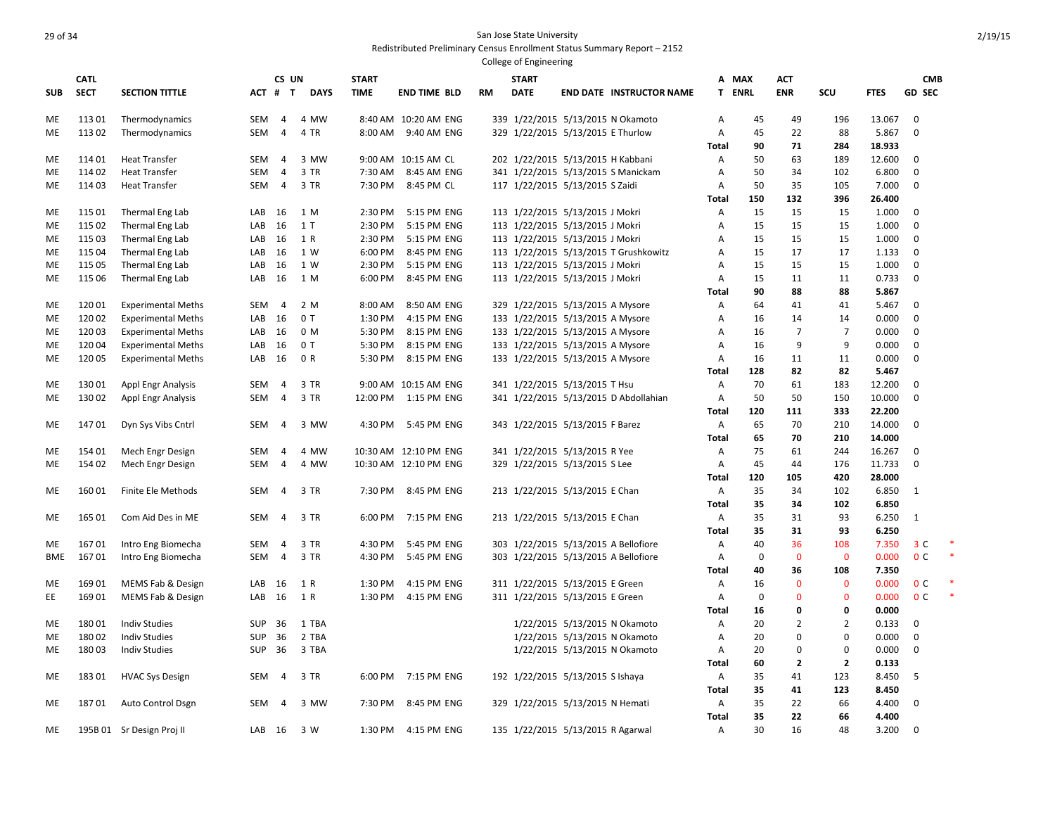|            |                  |                                    |                   |                   |              |                    |                                                |    | College of Engineering |                                                                    |                     |             |                |                |                  |                            |  |
|------------|------------------|------------------------------------|-------------------|-------------------|--------------|--------------------|------------------------------------------------|----|------------------------|--------------------------------------------------------------------|---------------------|-------------|----------------|----------------|------------------|----------------------------|--|
|            | <b>CATL</b>      |                                    |                   | CS UN             |              | <b>START</b>       |                                                |    | <b>START</b>           |                                                                    | A                   | MAX         | <b>ACT</b>     |                |                  | <b>CMB</b>                 |  |
| <b>SUB</b> | <b>SECT</b>      | <b>SECTION TITTLE</b>              | ACT               | #<br>$\mathbf{T}$ | <b>DAYS</b>  | <b>TIME</b>        | <b>END TIME BLD</b>                            | RM | <b>DATE</b>            | <b>END DATE INSTRUCTOR NAME</b>                                    | T.                  | <b>ENRL</b> | <b>ENR</b>     | SCU            | <b>FTES</b>      | <b>GD SEC</b>              |  |
| ME         | 11301            | Thermodynamics                     | <b>SEM</b>        | 4                 | 4 MW         |                    | 8:40 AM 10:20 AM ENG                           |    |                        | 339 1/22/2015 5/13/2015 N Okamoto                                  | Α                   | 45          | 49             | 196            | 13.067           | $\mathbf 0$                |  |
| ME         | 11302            | Thermodynamics                     | <b>SEM</b>        | 4                 | 4 TR         |                    | 8:00 AM 9:40 AM ENG                            |    |                        | 329 1/22/2015 5/13/2015 E Thurlow                                  | A                   | 45          | 22             | 88             | 5.867            | $\mathbf 0$                |  |
|            |                  |                                    |                   |                   |              |                    |                                                |    |                        |                                                                    | Total               | 90          | 71             | 284            | 18.933           |                            |  |
| ME         | 114 01           | <b>Heat Transfer</b>               | SEM               | $\overline{4}$    | 3 MW         |                    | 9:00 AM 10:15 AM CL                            |    |                        | 202 1/22/2015 5/13/2015 H Kabbani                                  | Α                   | 50          | 63             | 189            | 12.600           | $\mathbf 0$                |  |
| ME         | 114 02           | <b>Heat Transfer</b>               | <b>SEM</b>        | $\overline{4}$    | 3 TR         | 7:30 AM            | 8:45 AM ENG                                    |    |                        | 341 1/22/2015 5/13/2015 S Manickam                                 | Α                   | 50          | 34             | 102            | 6.800            | $\mathbf 0$                |  |
| ME         | 114 03           | <b>Heat Transfer</b>               | SEM               | $\overline{4}$    | 3 TR         | 7:30 PM            | 8:45 PM CL                                     |    |                        | 117 1/22/2015 5/13/2015 S Zaidi                                    | Α                   | 50          | 35             | 105            | 7.000            | $\mathbf 0$                |  |
|            |                  |                                    |                   |                   |              |                    |                                                |    |                        |                                                                    | Total               | 150         | 132            | 396            | 26.400           |                            |  |
| ME<br>ME   | 115 01<br>115 02 | Thermal Eng Lab<br>Thermal Eng Lab | LAB<br>LAB        | 16<br>16          | 1 M<br>1T    | 2:30 PM<br>2:30 PM | 5:15 PM ENG<br>5:15 PM ENG                     |    |                        | 113 1/22/2015 5/13/2015 J Mokri<br>113 1/22/2015 5/13/2015 J Mokri | Α<br>$\overline{A}$ | 15<br>15    | 15<br>15       | 15<br>15       | 1.000<br>1.000   | $\mathbf 0$<br>$\mathbf 0$ |  |
| ME         | 115 03           | Thermal Eng Lab                    | LAB               | 16                | 1 R          | 2:30 PM            | 5:15 PM ENG                                    |    |                        | 113 1/22/2015 5/13/2015 J Mokri                                    | A                   | 15          | 15             | 15             | 1.000            | 0                          |  |
| ME         | 115 04           | Thermal Eng Lab                    | LAB               | 16                | 1 W          | 6:00 PM            | 8:45 PM ENG                                    |    |                        | 113 1/22/2015 5/13/2015 T Grushkowitz                              | Α                   | 15          | 17             | 17             | 1.133            | 0                          |  |
| ME         | 115 05           | Thermal Eng Lab                    | LAB               | 16                | 1 W          | 2:30 PM            | 5:15 PM ENG                                    |    |                        | 113 1/22/2015 5/13/2015 J Mokri                                    | Α                   | 15          | 15             | 15             | 1.000            | $\mathbf 0$                |  |
| ME         | 115 06           | Thermal Eng Lab                    | LAB               | 16                | 1 M          | 6:00 PM            | 8:45 PM ENG                                    |    |                        | 113 1/22/2015 5/13/2015 J Mokri                                    | $\overline{A}$      | 15          | 11             | 11             | 0.733            | $\mathbf 0$                |  |
|            |                  |                                    |                   |                   |              |                    |                                                |    |                        |                                                                    | Total               | 90          | 88             | 88             | 5.867            |                            |  |
| ME         | 12001            | <b>Experimental Meths</b>          | SEM               | -4                | 2 M          | 8:00 AM            | 8:50 AM ENG                                    |    |                        | 329 1/22/2015 5/13/2015 A Mysore                                   | Α                   | 64          | 41             | 41             | 5.467            | 0                          |  |
| ME         | 120 02           | <b>Experimental Meths</b>          | LAB               | 16                | 0T           | 1:30 PM            | 4:15 PM ENG                                    |    |                        | 133 1/22/2015 5/13/2015 A Mysore                                   | Α                   | 16          | 14             | 14             | 0.000            | $\mathbf 0$                |  |
| ME         | 120 03           | <b>Experimental Meths</b>          | LAB               | 16                | 0 M          | 5:30 PM            | 8:15 PM ENG                                    |    |                        | 133 1/22/2015 5/13/2015 A Mysore                                   | A                   | 16          | $\overline{7}$ | $\overline{7}$ | 0.000            | $\mathbf 0$                |  |
| ME         | 120 04           | <b>Experimental Meths</b>          | LAB               | 16                | 0T           | 5:30 PM            | 8:15 PM ENG                                    |    |                        | 133 1/22/2015 5/13/2015 A Mysore                                   | Α                   | 16          | 9              | 9              | 0.000            | 0                          |  |
| ME         | 120 05           | <b>Experimental Meths</b>          | LAB               | 16                | 0 R          | 5:30 PM            | 8:15 PM ENG                                    |    |                        | 133 1/22/2015 5/13/2015 A Mysore                                   | Α                   | 16          | 11             | 11             | 0.000            | 0                          |  |
|            |                  |                                    |                   |                   |              |                    |                                                |    |                        |                                                                    | <b>Total</b>        | 128         | 82             | 82             | 5.467            |                            |  |
| ME         | 130 01           | <b>Appl Engr Analysis</b>          | <b>SEM</b>        | $\overline{4}$    | 3 TR         |                    | 9:00 AM 10:15 AM ENG                           |    |                        | 341 1/22/2015 5/13/2015 T Hsu                                      | $\overline{A}$      | 70          | 61             | 183            | 12.200           | $\mathbf 0$                |  |
| ME         | 130 02           | <b>Appl Engr Analysis</b>          | <b>SEM</b>        | 4                 | 3 TR         | 12:00 PM           | 1:15 PM ENG                                    |    |                        | 341 1/22/2015 5/13/2015 D Abdollahian                              | Α                   | 50          | 50             | 150            | 10.000           | $\mathbf 0$                |  |
|            |                  |                                    |                   |                   |              |                    |                                                |    |                        |                                                                    | Total               | 120         | 111            | 333            | 22.200           |                            |  |
| ME         | 14701            | Dyn Sys Vibs Cntrl                 | SEM               | $\overline{4}$    | 3 MW         | 4:30 PM            | 5:45 PM ENG                                    |    |                        | 343 1/22/2015 5/13/2015 F Barez                                    | Α                   | 65          | 70             | 210            | 14.000           | $\mathbf 0$                |  |
|            |                  |                                    |                   |                   |              |                    |                                                |    |                        |                                                                    | <b>Total</b>        | 65          | 70             | 210            | 14.000           |                            |  |
| ME<br>ME   | 154 01<br>154 02 | Mech Engr Design                   | <b>SEM</b><br>SEM | 4<br>4            | 4 MW<br>4 MW |                    | 10:30 AM 12:10 PM ENG<br>10:30 AM 12:10 PM ENG |    |                        | 341 1/22/2015 5/13/2015 R Yee                                      | Α<br>Α              | 75<br>45    | 61<br>44       | 244<br>176     | 16.267<br>11.733 | $\mathbf 0$<br>0           |  |
|            |                  | Mech Engr Design                   |                   |                   |              |                    |                                                |    |                        | 329 1/22/2015 5/13/2015 S Lee                                      | Total               | 120         | 105            | 420            | 28.000           |                            |  |
| ME         | 160 01           | Finite Ele Methods                 | SEM               | 4                 | 3 TR         | 7:30 PM            | 8:45 PM ENG                                    |    |                        | 213 1/22/2015 5/13/2015 E Chan                                     | Α                   | 35          | 34             | 102            | 6.850            | $\mathbf{1}$               |  |
|            |                  |                                    |                   |                   |              |                    |                                                |    |                        |                                                                    | Total               | 35          | 34             | 102            | 6.850            |                            |  |
| ME         | 165 01           | Com Aid Des in ME                  | <b>SEM</b>        | 4                 | 3 TR         | 6:00 PM            | 7:15 PM ENG                                    |    |                        | 213 1/22/2015 5/13/2015 E Chan                                     | Α                   | 35          | 31             | 93             | 6.250            | 1                          |  |
|            |                  |                                    |                   |                   |              |                    |                                                |    |                        |                                                                    | <b>Total</b>        | 35          | 31             | 93             | 6.250            |                            |  |
| ME         | 16701            | Intro Eng Biomecha                 | <b>SEM</b>        | 4                 | 3 TR         | 4:30 PM            | 5:45 PM ENG                                    |    |                        | 303 1/22/2015 5/13/2015 A Bellofiore                               | Α                   | 40          | 36             | 108            | 7.350            | 3 <sup>c</sup>             |  |
| <b>BME</b> | 16701            | Intro Eng Biomecha                 | <b>SEM</b>        | 4                 | 3 TR         | 4:30 PM            | 5:45 PM ENG                                    |    |                        | 303 1/22/2015 5/13/2015 A Bellofiore                               | Α                   | $\mathbf 0$ | $\mathbf{0}$   | $\mathbf{0}$   | 0.000            | 0 <sup>c</sup>             |  |
|            |                  |                                    |                   |                   |              |                    |                                                |    |                        |                                                                    | Total               | 40          | 36             | 108            | 7.350            |                            |  |
| ME         | 169 01           | MEMS Fab & Design                  | LAB               | 16                | 1 R          | 1:30 PM            | 4:15 PM ENG                                    |    |                        | 311 1/22/2015 5/13/2015 E Green                                    | Α                   | 16          | $\mathbf{0}$   | $\mathbf 0$    | 0.000            | 0 <sup>C</sup>             |  |
| EE         | 169 01           | MEMS Fab & Design                  | LAB               | 16                | 1 R          | 1:30 PM            | 4:15 PM ENG                                    |    |                        | 311 1/22/2015 5/13/2015 E Green                                    | Α                   | $\mathbf 0$ | $\mathbf{0}$   | $\mathbf 0$    | 0.000            | 0 <sup>c</sup>             |  |
|            |                  |                                    |                   |                   |              |                    |                                                |    |                        |                                                                    | <b>Total</b>        | 16          | 0              | $\mathbf 0$    | 0.000            |                            |  |
| ME         | 18001            | <b>Indiv Studies</b>               | <b>SUP</b>        | 36                | 1 TBA        |                    |                                                |    |                        | 1/22/2015 5/13/2015 N Okamoto                                      | Α                   | 20          | $\overline{2}$ | $\overline{2}$ | 0.133            | 0                          |  |
| ME         | 180 02           | <b>Indiv Studies</b>               | SUP               | 36                | 2 TBA        |                    |                                                |    |                        | 1/22/2015 5/13/2015 N Okamoto                                      | Α                   | 20          | $\mathbf 0$    | $\mathbf 0$    | 0.000            | 0                          |  |
| ME         | 180 03           | <b>Indiv Studies</b>               | <b>SUP</b>        | 36                | 3 TBA        |                    |                                                |    |                        | 1/22/2015 5/13/2015 N Okamoto                                      | Α                   | 20          | 0              | 0              | 0.000            | $\mathbf 0$                |  |
|            |                  |                                    |                   |                   |              |                    |                                                |    |                        |                                                                    | Total               | 60          | $\mathbf{2}$   | $\overline{2}$ | 0.133            |                            |  |
| ME         | 183 01           | <b>HVAC Sys Design</b>             | SEM               | 4                 | 3 TR         | 6:00 PM            | 7:15 PM ENG                                    |    |                        | 192 1/22/2015 5/13/2015 S Ishaya                                   | Α                   | 35          | 41             | 123            | 8.450            | 5                          |  |
| ME         | 18701            | Auto Control Dsgn                  | SEM               | 4                 | 3 MW         | 7:30 PM            | 8:45 PM ENG                                    |    |                        | 329 1/22/2015 5/13/2015 N Hemati                                   | <b>Total</b><br>Α   | 35<br>35    | 41<br>22       | 123<br>66      | 8.450<br>4.400   | 0                          |  |
|            |                  |                                    |                   |                   |              |                    |                                                |    |                        |                                                                    | Total               | 35          | 22             | 66             | 4.400            |                            |  |
| ME         |                  | 195B 01 Sr Design Proj II          | LAB               | - 16              | 3 W          | 1:30 PM            | 4:15 PM ENG                                    |    |                        | 135 1/22/2015 5/13/2015 R Agarwal                                  | $\mathsf{A}$        | 30          | 16             | 48             | 3.200            | $\Omega$                   |  |
|            |                  |                                    |                   |                   |              |                    |                                                |    |                        |                                                                    |                     |             |                |                |                  |                            |  |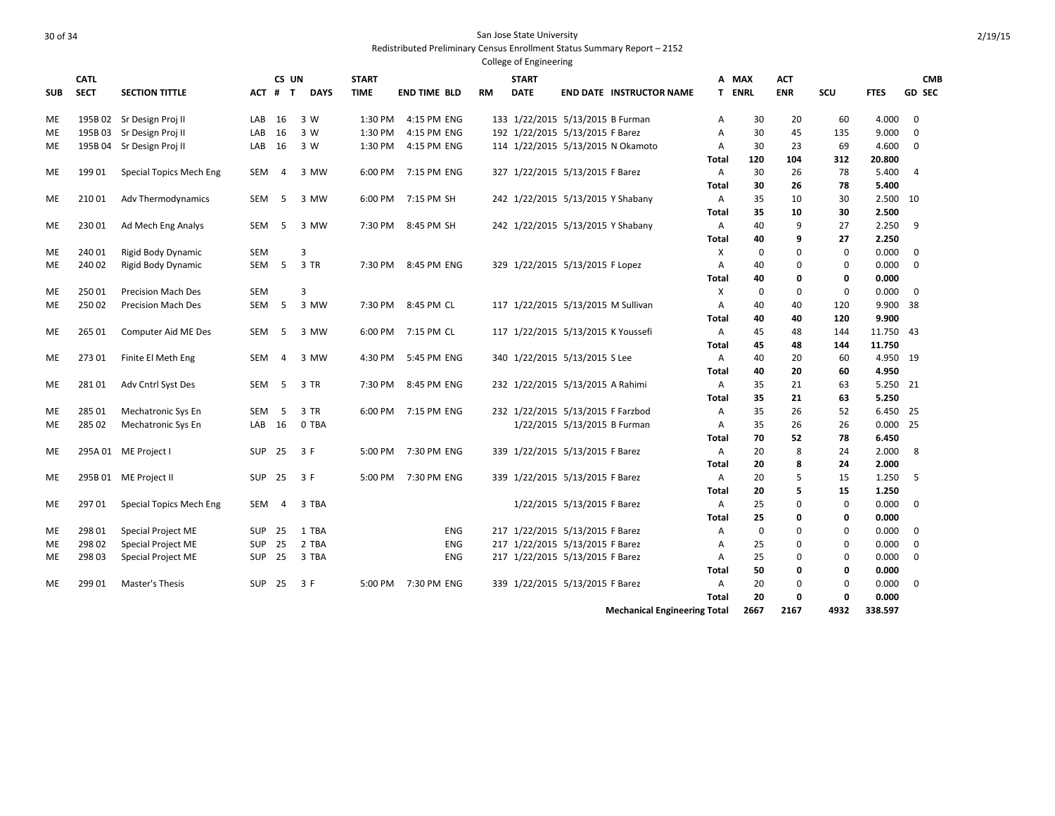| <b>SUB</b> | <b>CATL</b><br><b>SECT</b> | <b>SECTION TITTLE</b>     | ACT #      | CS UN<br>$\mathbf{T}$ | <b>DAYS</b> | <b>START</b><br><b>TIME</b> | <b>END TIME BLD</b> | <b>RM</b> | <b>START</b><br><b>DATE</b> |                                    | <b>END DATE INSTRUCTOR NAME</b>     |                   | A MAX<br><b>T ENRL</b> | ACT<br><b>ENR</b> | SCU         | <b>FTES</b>         | <b>CMB</b><br><b>GD SEC</b> |
|------------|----------------------------|---------------------------|------------|-----------------------|-------------|-----------------------------|---------------------|-----------|-----------------------------|------------------------------------|-------------------------------------|-------------------|------------------------|-------------------|-------------|---------------------|-----------------------------|
| <b>ME</b>  |                            | 195B 02 Sr Design Proj II | LAB        | 16                    | 3 W         | 1:30 PM                     | 4:15 PM ENG         |           |                             | 133 1/22/2015 5/13/2015 B Furman   |                                     | A                 | 30                     | 20                | 60          | 4.000               | $\mathbf 0$                 |
| ME         |                            | 195B 03 Sr Design Proj II | LAB        | 16                    | 3 W         | 1:30 PM                     | 4:15 PM ENG         |           |                             | 192 1/22/2015 5/13/2015 F Barez    |                                     | Α                 | 30                     | 45                | 135         | 9.000               | $\mathbf 0$                 |
| МE         |                            | 195B 04 Sr Design Proj II | LAB        | 16                    | 3 W         |                             | 1:30 PM 4:15 PM ENG |           |                             |                                    | 114 1/22/2015 5/13/2015 N Okamoto   | Α                 | 30                     | 23                | 69          | 4.600               | $\mathbf 0$                 |
|            |                            |                           |            |                       |             |                             |                     |           |                             |                                    |                                     | Total             | 120                    | 104               | 312         | 20.800              |                             |
| ME         | 199 01                     | Special Topics Mech Eng   | <b>SEM</b> | $\overline{4}$        | 3 MW        |                             | 6:00 PM 7:15 PM ENG |           |                             | 327 1/22/2015 5/13/2015 F Barez    |                                     | A                 | 30                     | 26                | 78          | 5.400               | $\overline{4}$              |
|            |                            |                           |            |                       |             |                             |                     |           |                             |                                    |                                     | Total             | 30                     | 26                | 78          | 5.400               |                             |
| МE         | 210 01                     | Adv Thermodynamics        | SEM        | - 5                   | 3 MW        |                             | 6:00 PM 7:15 PM SH  |           |                             | 242 1/22/2015 5/13/2015 Y Shabany  |                                     | A                 | 35                     | 10                | 30          | 2.500 10            |                             |
|            |                            |                           |            |                       |             |                             |                     |           |                             |                                    |                                     | <b>Total</b>      | 35                     | 10                | 30          | 2.500               |                             |
| ME         | 230 01                     | Ad Mech Eng Analys        | SEM        | -5                    | 3 MW        |                             | 7:30 PM 8:45 PM SH  |           |                             | 242 1/22/2015 5/13/2015 Y Shabany  |                                     | A                 | 40                     | 9                 | 27          | 2.250               | 9                           |
|            |                            |                           |            |                       |             |                             |                     |           |                             |                                    |                                     | Total             | 40                     | 9                 | 27          | 2.250               |                             |
| ME         | 240 01                     | Rigid Body Dynamic        | <b>SEM</b> |                       | 3           |                             |                     |           |                             |                                    |                                     | Χ                 | $\mathbf 0$            | $\mathbf 0$       | $\mathbf 0$ | 0.000               | $\mathbf 0$                 |
| МE         | 240 02                     | Rigid Body Dynamic        | SEM        | -5                    | 3 TR        |                             | 7:30 PM 8:45 PM ENG |           |                             | 329 1/22/2015 5/13/2015 F Lopez    |                                     | Α                 | 40                     | 0                 | 0           | 0.000               | $\mathbf 0$                 |
|            |                            |                           |            |                       |             |                             |                     |           |                             |                                    |                                     | Total             | 40                     | 0                 | 0           | 0.000               |                             |
| ME         | 250 01                     | <b>Precision Mach Des</b> | <b>SEM</b> |                       | 3           |                             |                     |           |                             |                                    |                                     | X                 | 0                      | $\mathbf 0$       | $\mathbf 0$ | 0.000               | $\mathbf 0$                 |
| ME         | 250 02                     | <b>Precision Mach Des</b> | <b>SEM</b> | - 5                   | 3 MW        |                             | 7:30 PM 8:45 PM CL  |           |                             | 117 1/22/2015 5/13/2015 M Sullivan |                                     | Α                 | 40                     | 40                | 120         | 9.900 38            |                             |
|            |                            |                           |            |                       |             |                             |                     |           |                             |                                    |                                     | Total             | 40                     | 40                | 120         | 9.900               |                             |
| ME         | 265 01                     | Computer Aid ME Des       | SEM        | - 5                   | 3 MW        |                             | 6:00 PM 7:15 PM CL  |           |                             | 117 1/22/2015 5/13/2015 K Youssefi |                                     | Α                 | 45                     | 48                | 144         | 11.750 43           |                             |
|            |                            |                           |            |                       |             |                             |                     |           |                             |                                    |                                     | <b>Total</b>      | 45                     | 48                | 144         | 11.750              |                             |
| МE         | 27301                      | Finite El Meth Eng        | SEM        | 4                     | 3 MW        | 4:30 PM                     | 5:45 PM ENG         |           |                             | 340 1/22/2015 5/13/2015 S Lee      |                                     | A                 | 40                     | 20                | 60          | 4.950 19            |                             |
|            |                            |                           |            |                       |             |                             |                     |           |                             |                                    |                                     | Total             | 40                     | 20                | 60          | 4.950               |                             |
| ME         | 28101                      | Adv Cntrl Syst Des        | SEM        | $-5$                  | 3 TR        |                             | 7:30 PM 8:45 PM ENG |           |                             | 232 1/22/2015 5/13/2015 A Rahimi   |                                     | A                 | 35                     | 21                | 63          | 5.250 21            |                             |
|            | 285 01                     |                           |            |                       |             |                             | 6:00 PM 7:15 PM ENG |           |                             |                                    |                                     | Total             | 35                     | 21<br>26          | 63          | 5.250               |                             |
| ME         |                            | Mechatronic Sys En        | <b>SEM</b> | - 5                   | 3 TR        |                             |                     |           |                             | 232 1/22/2015 5/13/2015 F Farzbod  |                                     | Α                 | 35                     |                   | 52          | 6.450 25            |                             |
| ME         | 285 02                     | Mechatronic Sys En        | LAB 16     |                       | 0 TBA       |                             |                     |           |                             | 1/22/2015 5/13/2015 B Furman       |                                     | A                 | 35<br>70               | 26<br>52          | 26          | $0.000$ 25<br>6.450 |                             |
| ME         |                            |                           | SUP        |                       | 3 F         |                             | 5:00 PM 7:30 PM ENG |           |                             | 339 1/22/2015 5/13/2015 F Barez    |                                     | Total             | 20                     | 8                 | 78<br>24    | 2.000               | -8                          |
|            |                            | 295A 01 ME Project I      |            | 25                    |             |                             |                     |           |                             |                                    |                                     | A<br><b>Total</b> | 20                     | 8                 | 24          | 2.000               |                             |
| МE         |                            | 295B 01 ME Project II     | <b>SUP</b> | 25                    | 3 F         | 5:00 PM                     | 7:30 PM ENG         |           |                             | 339 1/22/2015 5/13/2015 F Barez    |                                     | A                 | 20                     | 5                 | 15          | 1.250               | -5                          |
|            |                            |                           |            |                       |             |                             |                     |           |                             |                                    |                                     | <b>Total</b>      | 20                     | 5                 | 15          | 1.250               |                             |
| МE         | 29701                      | Special Topics Mech Eng   | SEM        | 4                     | 3 TBA       |                             |                     |           |                             | 1/22/2015 5/13/2015 F Barez        |                                     | A                 | 25                     | 0                 | 0           | 0.000               | 0                           |
|            |                            |                           |            |                       |             |                             |                     |           |                             |                                    |                                     | Total             | 25                     | 0                 | 0           | 0.000               |                             |
| ME         | 298 01                     | Special Project ME        | <b>SUP</b> | 25                    | 1 TBA       |                             | <b>ENG</b>          |           |                             | 217 1/22/2015 5/13/2015 F Barez    |                                     | Α                 | $\mathbf 0$            | $\mathbf 0$       | $\mathbf 0$ | 0.000               | $\overline{0}$              |
| ME         | 298 02                     | Special Project ME        | <b>SUP</b> | 25                    | 2 TBA       |                             | ENG                 |           |                             | 217 1/22/2015 5/13/2015 F Barez    |                                     | Α                 | 25                     | 0                 | $\mathbf 0$ | 0.000               | 0                           |
| МE         | 298 03                     | Special Project ME        | SUP        | 25                    | 3 TBA       |                             | <b>ENG</b>          |           |                             | 217 1/22/2015 5/13/2015 F Barez    |                                     | Α                 | 25                     | 0                 | $\mathbf 0$ | 0.000               | $\mathbf{0}$                |
|            |                            |                           |            |                       |             |                             |                     |           |                             |                                    |                                     | Total             | 50                     | 0                 | 0           | 0.000               |                             |
| МE         | 299 01                     | Master's Thesis           | <b>SUP</b> | 25                    | 3 F         |                             | 5:00 PM 7:30 PM ENG |           |                             | 339 1/22/2015 5/13/2015 F Barez    |                                     | Α                 | 20                     | $\mathbf 0$       | $\mathbf 0$ | 0.000               | 0                           |
|            |                            |                           |            |                       |             |                             |                     |           |                             |                                    |                                     | Total             | 20                     | 0                 | $\mathbf 0$ | 0.000               |                             |
|            |                            |                           |            |                       |             |                             |                     |           |                             |                                    | <b>Mechanical Engineering Total</b> |                   | 2667                   | 2167              | 4932        | 338.597             |                             |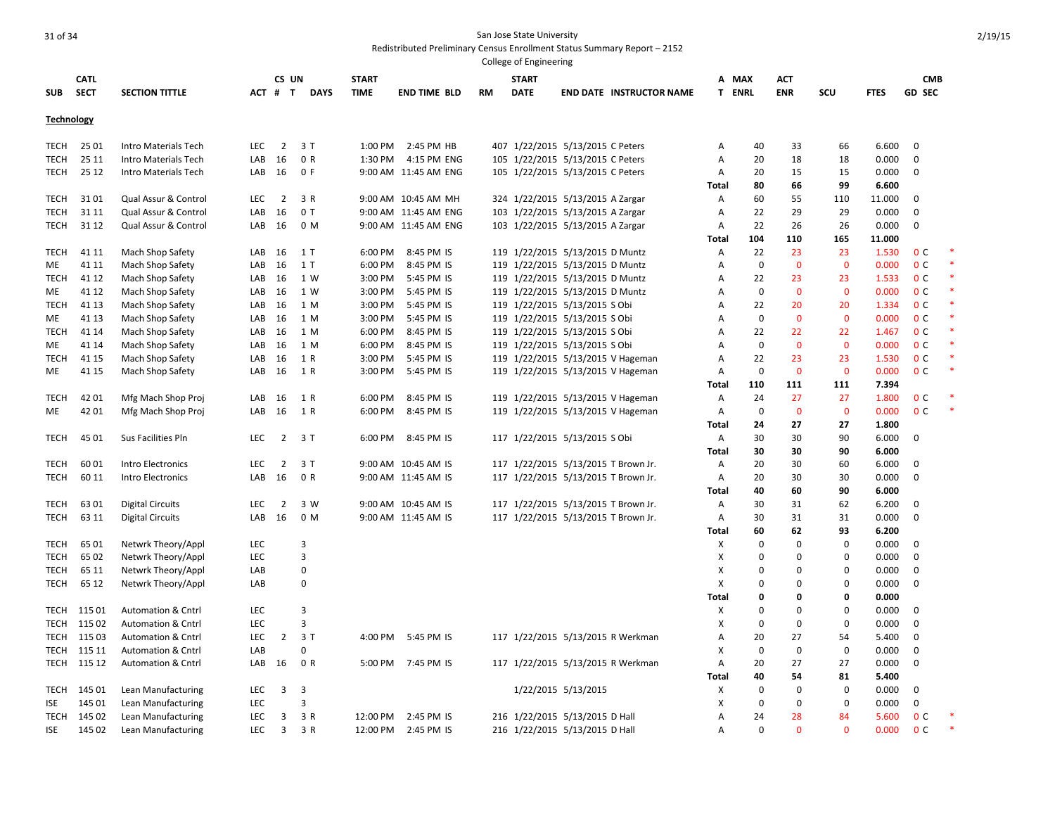|             |             |                               |            |                |             |              |                      |           | College of Engineering |                                     |              |             |              |              |             |                |  |
|-------------|-------------|-------------------------------|------------|----------------|-------------|--------------|----------------------|-----------|------------------------|-------------------------------------|--------------|-------------|--------------|--------------|-------------|----------------|--|
|             | <b>CATL</b> |                               |            | CS UN          |             | <b>START</b> |                      |           | <b>START</b>           |                                     | Α            | <b>MAX</b>  | ACT          |              |             | <b>CMB</b>     |  |
| <b>SUB</b>  | <b>SECT</b> | <b>SECTION TITTLE</b>         | ACT # T    |                | <b>DAYS</b> | <b>TIME</b>  | <b>END TIME BLD</b>  | <b>RM</b> | <b>DATE</b>            | <b>END DATE INSTRUCTOR NAME</b>     |              | T ENRL      | <b>ENR</b>   | SCU          | <b>FTES</b> | <b>GD SEC</b>  |  |
| Technology  |             |                               |            |                |             |              |                      |           |                        |                                     |              |             |              |              |             |                |  |
| TECH        | 25 01       | Intro Materials Tech          | <b>LEC</b> | $\overline{2}$ | 3T          | 1:00 PM      | 2:45 PM HB           |           |                        | 407 1/22/2015 5/13/2015 C Peters    | Α            | 40          | 33           | 66           | 6.600       | 0              |  |
| TECH        | 25 11       | Intro Materials Tech          | LAB        | 16             | 0 R         | 1:30 PM      | 4:15 PM ENG          |           |                        | 105 1/22/2015 5/13/2015 C Peters    | Α            | 20          | 18           | 18           | 0.000       | 0              |  |
| <b>TECH</b> | 25 12       | Intro Materials Tech          | LAB        | 16             | 0 F         |              | 9:00 AM 11:45 AM ENG |           |                        | 105 1/22/2015 5/13/2015 C Peters    | Α            | 20          | 15           | 15           | 0.000       | 0              |  |
|             |             |                               |            |                |             |              |                      |           |                        |                                     | <b>Total</b> | 80          | 66           | 99           | 6.600       |                |  |
| TECH        | 3101        | Qual Assur & Control          | <b>LEC</b> | 2              | 3 R         |              | 9:00 AM 10:45 AM MH  |           |                        | 324 1/22/2015 5/13/2015 A Zargar    | A            | 60          | 55           | 110          | 11.000      | 0              |  |
| TECH        | 31 11       | Qual Assur & Control          | LAB        | 16             | 0T          |              | 9:00 AM 11:45 AM ENG |           |                        | 103 1/22/2015 5/13/2015 A Zargar    | Α            | 22          | 29           | 29           | 0.000       | 0              |  |
| TECH        | 31 12       | Qual Assur & Control          | LAB        | 16             | 0 M         |              | 9:00 AM 11:45 AM ENG |           |                        | 103 1/22/2015 5/13/2015 A Zargar    | Α            | 22          | 26           | 26           | 0.000       | 0              |  |
|             |             |                               |            |                |             |              |                      |           |                        |                                     | Total        | 104         | 110          | 165          | 11.000      |                |  |
| <b>TECH</b> | 41 11       | Mach Shop Safety              | LAB        | 16             | 1 T         | 6:00 PM      | 8:45 PM IS           |           |                        | 119 1/22/2015 5/13/2015 D Muntz     | Α            | 22          | 23           | 23           | 1.530       | 0 <sup>C</sup> |  |
| <b>ME</b>   | 41 11       | Mach Shop Safety              | LAB        | 16             | 1 T         | 6:00 PM      | 8:45 PM IS           |           |                        | 119 1/22/2015 5/13/2015 D Muntz     | Α            | 0           | $\mathbf{0}$ | $\mathbf{0}$ | 0.000       | 0 <sup>c</sup> |  |
| TECH        | 41 12       | Mach Shop Safety              | LAB        | 16             | 1 W         | 3:00 PM      | 5:45 PM IS           |           |                        | 119 1/22/2015 5/13/2015 D Muntz     | A            | 22          | 23           | 23           | 1.533       | 0 <sup>C</sup> |  |
| ME          | 41 12       | Mach Shop Safety              | LAB        | 16             | 1 W         | 3:00 PM      | 5:45 PM IS           |           |                        | 119 1/22/2015 5/13/2015 D Muntz     | Α            | 0           | $\mathbf 0$  | $\mathbf 0$  | 0.000       | 0 <sup>C</sup> |  |
| <b>TECH</b> | 41 13       | Mach Shop Safety              | LAB        | 16             | 1 M         | 3:00 PM      | 5:45 PM IS           |           |                        | 119 1/22/2015 5/13/2015 S Obi       | Α            | 22          | 20           | 20           | 1.334       | 0 <sup>C</sup> |  |
| ME          | 41 13       | Mach Shop Safety              | LAB        | 16             | 1 M         | 3:00 PM      | 5:45 PM IS           |           |                        | 119 1/22/2015 5/13/2015 S Obi       | А            | 0           | $\mathbf{0}$ | $\mathbf 0$  | 0.000       | 0 <sup>C</sup> |  |
| TECH        | 41 14       | Mach Shop Safety              | LAB        | 16             | 1 M         | 6:00 PM      | 8:45 PM IS           |           |                        | 119 1/22/2015 5/13/2015 S Obi       | А            | 22          | 22           | 22           | 1.467       | 0 <sup>c</sup> |  |
| ME          | 41 14       | Mach Shop Safety              | LAB        | 16             | 1 M         | 6:00 PM      | 8:45 PM IS           |           |                        | 119 1/22/2015 5/13/2015 S Obi       | А            | $\mathbf 0$ | $\Omega$     | $\mathbf{0}$ | 0.000       | 0 <sup>c</sup> |  |
| TECH        | 41 15       | Mach Shop Safety              | LAB        | 16             | 1 R         | 3:00 PM      | 5:45 PM IS           |           |                        | 119 1/22/2015 5/13/2015 V Hageman   | A            | 22          | 23           | 23           | 1.530       | 0 <sup>c</sup> |  |
| ME          | 41 15       | Mach Shop Safety              | LAB        | 16             | 1 R         | 3:00 PM      | 5:45 PM IS           |           |                        | 119 1/22/2015 5/13/2015 V Hageman   | Α            | $\mathbf 0$ | $\mathbf 0$  | $\mathbf 0$  | 0.000       | 0 <sup>C</sup> |  |
|             |             |                               |            |                |             |              |                      |           |                        |                                     | Total        | 110         | 111          | 111          | 7.394       |                |  |
| TECH        | 42 01       | Mfg Mach Shop Proj            | LAB        | 16             | 1 R         | 6:00 PM      | 8:45 PM IS           |           |                        | 119 1/22/2015 5/13/2015 V Hageman   | Α            | 24          | 27           | 27           | 1.800       | 0 <sup>C</sup> |  |
| ME          | 42 01       | Mfg Mach Shop Proj            | LAB        | 16             | 1 R         | 6:00 PM      | 8:45 PM IS           |           |                        | 119 1/22/2015 5/13/2015 V Hageman   | Α            | 0           | $\mathbf{0}$ | $\mathbf 0$  | 0.000       | 0 <sup>C</sup> |  |
|             |             |                               |            |                |             |              |                      |           |                        |                                     | Total        | 24          | 27           | 27           | 1.800       |                |  |
| TECH        | 45 01       | Sus Facilities Pln            | <b>LEC</b> | $\overline{2}$ | 3T          | 6:00 PM      | 8:45 PM IS           |           |                        | 117 1/22/2015 5/13/2015 S Obi       | Α            | 30          | 30           | 90           | 6.000       | 0              |  |
|             |             |                               |            |                |             |              |                      |           |                        |                                     | <b>Total</b> | 30          | 30           | 90           | 6.000       |                |  |
| TECH        | 6001        | Intro Electronics             | <b>LEC</b> | $\overline{2}$ | 3T          |              | 9:00 AM 10:45 AM IS  |           |                        | 117 1/22/2015 5/13/2015 T Brown Jr. | Α            | 20          | 30           | 60           | 6.000       | 0              |  |
| <b>TECH</b> | 60 11       | Intro Electronics             | LAB        | 16             | 0 R         |              | 9:00 AM 11:45 AM IS  |           |                        | 117 1/22/2015 5/13/2015 T Brown Jr. | Α            | 20          | 30           | 30           | 0.000       | 0              |  |
|             |             |                               |            |                |             |              |                      |           |                        |                                     | Total        | 40          | 60           | 90           | 6.000       |                |  |
| <b>TECH</b> | 6301        | <b>Digital Circuits</b>       | LEC        | $\overline{2}$ | 3 W         |              | 9:00 AM 10:45 AM IS  |           |                        | 117 1/22/2015 5/13/2015 T Brown Jr. | Α            | 30          | 31           | 62           | 6.200       | 0              |  |
| <b>TECH</b> | 63 11       | <b>Digital Circuits</b>       | LAB        | 16             | 0 M         |              | 9:00 AM 11:45 AM IS  |           |                        | 117 1/22/2015 5/13/2015 T Brown Jr. | Α            | 30          | 31           | 31           | 0.000       | $\mathbf 0$    |  |
|             |             |                               |            |                |             |              |                      |           |                        |                                     | <b>Total</b> | 60          | 62           | 93           | 6.200       |                |  |
| TECH        | 6501        | Netwrk Theory/Appl            | LEC        |                | 3           |              |                      |           |                        |                                     | X            | $\Omega$    | $\mathbf 0$  | 0            | 0.000       | 0              |  |
| <b>TECH</b> | 65 02       | Netwrk Theory/Appl            | <b>LEC</b> |                | 3           |              |                      |           |                        |                                     | X            | $\Omega$    | 0            | 0            | 0.000       | 0              |  |
| TECH        | 65 11       | Netwrk Theory/Appl            | LAB        |                | 0           |              |                      |           |                        |                                     | x            | 0           | 0            | 0            | 0.000       | 0              |  |
| <b>TECH</b> | 65 12       | Netwrk Theory/Appl            | LAB        |                | 0           |              |                      |           |                        |                                     | X            | 0           | $\mathbf 0$  | 0            | 0.000       | 0              |  |
|             |             |                               |            |                |             |              |                      |           |                        |                                     | <b>Total</b> | 0           | $\mathbf 0$  | 0            | 0.000       |                |  |
| TECH        | 115 01      | <b>Automation &amp; Cntrl</b> | <b>LEC</b> |                | 3           |              |                      |           |                        |                                     | X            | $\Omega$    | $\mathbf 0$  | 0            | 0.000       | 0              |  |
| TECH        | 115 02      | <b>Automation &amp; Cntrl</b> | <b>LEC</b> |                | 3           |              |                      |           |                        |                                     | X            | 0           | 0            | 0            | 0.000       | 0              |  |
| TECH        | 115 03      | <b>Automation &amp; Cntrl</b> | <b>LEC</b> | $\overline{2}$ | 3T          | 4:00 PM      | 5:45 PM IS           |           |                        | 117 1/22/2015 5/13/2015 R Werkman   | Α            | 20          | 27           | 54           | 5.400       | 0              |  |
| TECH        | 115 11      | <b>Automation &amp; Cntrl</b> | LAB        |                | 0           |              |                      |           |                        |                                     | X            | 0           | $\mathbf 0$  | $\mathbf 0$  | 0.000       | 0              |  |
| TECH        | 115 12      | <b>Automation &amp; Cntrl</b> | LAB        | 16             | 0 R         | 5:00 PM      | 7:45 PM IS           |           |                        | 117 1/22/2015 5/13/2015 R Werkman   | Α            | 20          | 27           | 27           | 0.000       | $\mathbf 0$    |  |
|             |             |                               |            |                |             |              |                      |           |                        |                                     | Total        | 40          | 54           | 81           | 5.400       |                |  |
| TECH        | 145 01      | Lean Manufacturing            | <b>LEC</b> | 3              | 3           |              |                      |           |                        | 1/22/2015 5/13/2015                 | х            | 0           | 0            | $\Omega$     | 0.000       | 0              |  |
| ISE         | 145 01      | Lean Manufacturing            | <b>LEC</b> |                | 3           |              |                      |           |                        |                                     | х            | 0           | 0            | $\mathbf 0$  | 0.000       | 0              |  |
| <b>TECH</b> | 145 02      | Lean Manufacturing            | <b>LEC</b> | 3              | 3 R         | 12:00 PM     | 2:45 PM IS           |           |                        | 216 1/22/2015 5/13/2015 D Hall      | Α            | 24          | 28           | 84           | 5.600       | 0 <sup>C</sup> |  |
| ISE         | 145 02      | Lean Manufacturing            | <b>LEC</b> | 3              | 3 R         | 12:00 PM     | 2:45 PM IS           |           |                        | 216 1/22/2015 5/13/2015 D Hall      | A            | $\Omega$    | $\Omega$     | $\Omega$     | 0.000       | 0 <sup>c</sup> |  |
|             |             |                               |            |                |             |              |                      |           |                        |                                     |              |             |              |              |             |                |  |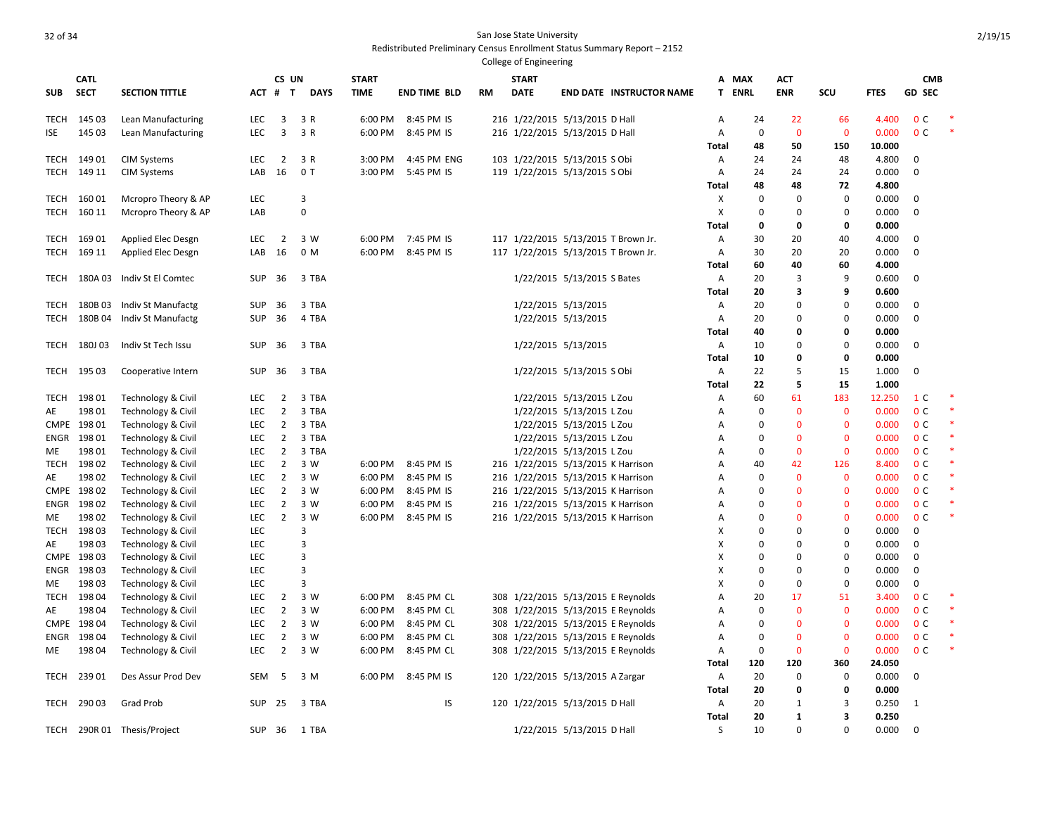|             |                |                             |                          |                                  |                     |                    |                          |    | College of Engineering |                                                                          |              |                      |                      |                            |                 |                                  |  |
|-------------|----------------|-----------------------------|--------------------------|----------------------------------|---------------------|--------------------|--------------------------|----|------------------------|--------------------------------------------------------------------------|--------------|----------------------|----------------------|----------------------------|-----------------|----------------------------------|--|
|             | <b>CATL</b>    |                             |                          | CS UN                            |                     | <b>START</b>       |                          |    | <b>START</b>           |                                                                          | A            | <b>MAX</b>           | <b>ACT</b>           |                            |                 | <b>CMB</b>                       |  |
| <b>SUB</b>  | <b>SECT</b>    | <b>SECTION TITTLE</b>       | ACT                      | $\mathbf{T}$<br>#                | <b>DAYS</b>         | <b>TIME</b>        | <b>END TIME BLD</b>      | RM | <b>DATE</b>            | <b>END DATE INSTRUCTOR NAME</b>                                          | T.           | <b>ENRL</b>          | <b>ENR</b>           | SCU                        | <b>FTES</b>     | <b>GD SEC</b>                    |  |
| TECH        | 145 03         | Lean Manufacturing          | <b>LEC</b>               | 3                                | 3 R                 | 6:00 PM            | 8:45 PM IS               |    |                        | 216 1/22/2015 5/13/2015 D Hall                                           | A            | 24                   | 22                   | 66                         | 4.400           | 0 <sup>c</sup>                   |  |
| ISE         | 145 03         | Lean Manufacturing          | <b>LEC</b>               | 3                                | 3 R                 | 6:00 PM            | 8:45 PM IS               |    |                        | 216 1/22/2015 5/13/2015 D Hall                                           | Α            | $\mathbf 0$          | $\mathbf 0$          | $\mathbf 0$                | 0.000           | 0 <sup>C</sup>                   |  |
|             |                |                             |                          |                                  |                     |                    |                          |    |                        |                                                                          | <b>Total</b> | 48                   | 50                   | 150                        | 10.000          |                                  |  |
| TECH        | 149 01         | <b>CIM Systems</b>          | LEC                      | 2                                | 3 R                 | 3:00 PM            | 4:45 PM ENG              |    |                        | 103 1/22/2015 5/13/2015 S Obi                                            | A            | 24                   | 24                   | 48                         | 4.800           | 0                                |  |
| TECH        | 149 11         | <b>CIM Systems</b>          | LAB                      | 16                               | 0T                  | 3:00 PM            | 5:45 PM IS               |    |                        | 119 1/22/2015 5/13/2015 S Obi                                            | $\mathsf{A}$ | 24                   | 24                   | 24                         | 0.000           | $\mathbf 0$                      |  |
|             |                |                             |                          |                                  |                     |                    |                          |    |                        |                                                                          | Total        | 48                   | 48                   | 72                         | 4.800           |                                  |  |
| TECH        | 160 01         | Mcropro Theory & AP         | LEC                      |                                  | 3                   |                    |                          |    |                        |                                                                          | X            | 0                    | 0                    | 0                          | 0.000           | 0                                |  |
| TECH        | 160 11         | Mcropro Theory & AP         | LAB                      |                                  | $\mathbf 0$         |                    |                          |    |                        |                                                                          | X            | 0                    | $\mathbf 0$          | 0                          | 0.000           | 0                                |  |
|             |                |                             |                          |                                  |                     |                    |                          |    |                        |                                                                          | <b>Total</b> | 0                    | 0                    | 0                          | 0.000           |                                  |  |
| TECH        | 16901          | Applied Elec Desgn          | <b>LEC</b>               | 2                                | 3 W                 | 6:00 PM            | 7:45 PM IS               |    |                        | 117 1/22/2015 5/13/2015 T Brown Jr.                                      | A            | 30                   | 20                   | 40                         | 4.000           | 0                                |  |
| TECH        | 169 11         | Applied Elec Desgn          | LAB                      | 16                               | 0 M                 | 6:00 PM            | 8:45 PM IS               |    |                        | 117 1/22/2015 5/13/2015 T Brown Jr.                                      | A            | 30                   | 20                   | 20                         | 0.000           | 0                                |  |
|             |                |                             |                          |                                  |                     |                    |                          |    |                        |                                                                          | Total        | 60                   | 40                   | 60                         | 4.000           |                                  |  |
| TECH        | 180A 03        | Indiv St El Comtec          | <b>SUP</b>               | 36                               | 3 TBA               |                    |                          |    |                        | 1/22/2015 5/13/2015 S Bates                                              | Α            | 20                   | 3                    | 9                          | 0.600           | 0                                |  |
|             |                |                             |                          |                                  |                     |                    |                          |    |                        |                                                                          | Total        | 20                   | 3                    | 9                          | 0.600           |                                  |  |
| TECH        | 180B03         | Indiv St Manufactg          | <b>SUP</b>               | 36                               | 3 TBA               |                    |                          |    |                        | 1/22/2015 5/13/2015                                                      | Α            | 20                   | $\Omega$             | 0                          | 0.000           | $\mathbf 0$                      |  |
| TECH        | 180B04         | Indiv St Manufactg          | <b>SUP</b>               | 36                               | 4 TBA               |                    |                          |    |                        | 1/22/2015 5/13/2015                                                      | Α            | 20                   | $\Omega$             | 0                          | 0.000           | $\mathbf 0$                      |  |
|             |                |                             |                          |                                  |                     |                    |                          |    |                        |                                                                          | Total        | 40                   | O                    | 0                          | 0.000           |                                  |  |
| TECH        | 180J03         | Indiv St Tech Issu          | <b>SUP</b>               | 36                               | 3 TBA               |                    |                          |    |                        | 1/22/2015 5/13/2015                                                      | $\mathsf{A}$ | 10                   | $\Omega$             | 0                          | 0.000           | $\mathbf 0$                      |  |
|             |                |                             |                          |                                  |                     |                    |                          |    |                        |                                                                          | Total        | 10                   | O                    | 0                          | 0.000           |                                  |  |
| TECH        | 195 03         | Cooperative Intern          | <b>SUP</b>               | 36                               | 3 TBA               |                    |                          |    |                        | 1/22/2015 5/13/2015 S Obi                                                | Α            | 22                   | 5                    | 15                         | 1.000           | 0                                |  |
|             |                |                             |                          |                                  |                     |                    |                          |    |                        |                                                                          | <b>Total</b> | 22                   | 5                    | 15                         | 1.000           |                                  |  |
| TECH        | 198 01         | Technology & Civil          | <b>LEC</b>               | 2                                | 3 TBA               |                    |                          |    |                        | 1/22/2015 5/13/2015 L Zou                                                | Α            | 60                   | 61                   | 183                        | 12.250          | 1 C                              |  |
| AE          | 198 01         | Technology & Civil          | <b>LEC</b>               | $\overline{2}$                   | 3 TBA               |                    |                          |    |                        | 1/22/2015 5/13/2015 L Zou                                                | A            | $\mathbf 0$          | $\mathbf{0}$         | 0                          | 0.000           | 0 <sup>C</sup>                   |  |
|             | CMPE 198 01    | Technology & Civil          | <b>LEC</b>               | $\overline{2}$                   | 3 TBA               |                    |                          |    |                        | 1/22/2015 5/13/2015 L Zou                                                | A            | 0                    | $\Omega$             | $\mathbf{0}$               | 0.000           | 0 <sup>c</sup>                   |  |
| ENGR        | 19801          | Technology & Civil          | LEC                      | 2                                | 3 TBA               |                    |                          |    |                        | 1/22/2015 5/13/2015 L Zou                                                | Α            | 0                    | $\Omega$             | $\mathbf 0$                | 0.000           | 0 <sup>c</sup>                   |  |
| ME          | 198 01         | Technology & Civil          | <b>LEC</b>               | $\overline{2}$                   | 3 TBA               |                    |                          |    |                        | 1/22/2015 5/13/2015 L Zou                                                | Α            | $\mathbf 0$          | $\mathbf 0$          | $\mathbf 0$                | 0.000           | 0 <sup>C</sup>                   |  |
| TECH        | 19802          | Technology & Civil          | LEC                      | $\overline{2}$                   | 3 W                 | 6:00 PM            | 8:45 PM IS               |    |                        | 216 1/22/2015 5/13/2015 K Harrison                                       | Α            | 40                   | 42                   | 126                        | 8.400           | 0 <sup>c</sup>                   |  |
| AE          | 198 02         | Technology & Civil          | <b>LEC</b>               | $\overline{2}$                   | 3 W                 | 6:00 PM            | 8:45 PM IS               |    |                        | 216 1/22/2015 5/13/2015 K Harrison                                       | Α            | 0                    | $\mathbf{0}$         | $\mathbf 0$                | 0.000           | 0 <sup>c</sup>                   |  |
| CMPE        | 198 02         | Technology & Civil          | <b>LEC</b>               | 2                                | 3 W                 | 6:00 PM            | 8:45 PM IS               |    |                        | 216 1/22/2015 5/13/2015 K Harrison                                       | A            | 0                    | $\Omega$             | $\mathbf 0$                | 0.000           | 0 <sup>C</sup>                   |  |
| ENGR        | 198 02         | Technology & Civil          | <b>LEC</b>               | $\overline{2}$<br>$\overline{2}$ | 3 W                 | 6:00 PM            | 8:45 PM IS               |    |                        | 216 1/22/2015 5/13/2015 K Harrison                                       | A            | $\Omega$             | $\Omega$<br>$\Omega$ | $\mathbf 0$                | 0.000           | 0 <sup>c</sup>                   |  |
| ME          | 198 02         | Technology & Civil          | <b>LEC</b>               |                                  | 3 W                 | 6:00 PM            | 8:45 PM IS               |    |                        | 216 1/22/2015 5/13/2015 K Harrison                                       | A            | $\Omega$<br>$\Omega$ | $\Omega$             | 0                          | 0.000           | 0 <sup>c</sup>                   |  |
| TECH        | 19803          | Technology & Civil          | <b>LEC</b>               |                                  | 3<br>$\overline{3}$ |                    |                          |    |                        |                                                                          | X            | $\Omega$             | $\Omega$             | 0<br>$\Omega$              | 0.000           | 0                                |  |
| AE          | 19803<br>19803 | Technology & Civil          | LEC<br>LEC               |                                  | 3                   |                    |                          |    |                        |                                                                          | X<br>X       |                      | $\Omega$             |                            | 0.000<br>0.000  | $\mathbf 0$                      |  |
| <b>CMPE</b> |                | Technology & Civil          |                          |                                  | 3                   |                    |                          |    |                        |                                                                          |              | 0                    |                      | 0                          |                 | 0                                |  |
| ENGR        | 198 03         | Technology & Civil          | LEC<br><b>LEC</b>        |                                  | $\overline{3}$      |                    |                          |    |                        |                                                                          | X<br>X       | 0<br>0               | $\Omega$<br>$\Omega$ | 0<br>0                     | 0.000<br>0.000  | $\mathbf 0$<br>0                 |  |
| ME          | 19803          | Technology & Civil          |                          |                                  |                     |                    |                          |    |                        |                                                                          |              |                      |                      |                            |                 |                                  |  |
| TECH        | 19804          | Technology & Civil          | <b>LEC</b><br><b>LEC</b> | 2<br>$\overline{2}$              | 3 W                 | 6:00 PM            | 8:45 PM CL               |    |                        | 308 1/22/2015 5/13/2015 E Reynolds                                       | Α            | 20<br>0              | 17<br>$\Omega$       | 51<br>$\mathbf 0$          | 3.400           | 0 <sup>C</sup><br>0 <sup>c</sup> |  |
| AE          | 198 04         | Technology & Civil          |                          | $\overline{2}$                   | 3 W                 | 6:00 PM            | 8:45 PM CL               |    |                        | 308 1/22/2015 5/13/2015 E Reynolds                                       | Α            | $\mathbf 0$          | $\Omega$             |                            | 0.000           |                                  |  |
| CMPE        | 19804<br>19804 | Technology & Civil          | LEC<br><b>LEC</b>        | $\overline{2}$                   | 3 W<br>3 W          | 6:00 PM<br>6:00 PM | 8:45 PM CL<br>8:45 PM CL |    |                        | 308 1/22/2015 5/13/2015 E Reynolds<br>308 1/22/2015 5/13/2015 E Reynolds | Α            | 0                    | $\mathbf 0$          | $\mathbf 0$<br>$\mathbf 0$ | 0.000<br>0.000  | 0 <sup>c</sup><br>0 <sup>c</sup> |  |
| ENGR        | 198 04         | Technology & Civil          | LEC                      | $\overline{2}$                   | 3 W                 | 6:00 PM            | 8:45 PM CL               |    |                        | 308 1/22/2015 5/13/2015 E Reynolds                                       | Α<br>Α       | 0                    | $\mathbf 0$          | $\mathbf 0$                | 0.000           | 0 <sup>C</sup>                   |  |
| ME          |                | Technology & Civil          |                          |                                  |                     |                    |                          |    |                        |                                                                          |              |                      |                      |                            |                 |                                  |  |
|             | 23901          |                             | SEM                      | -5                               | 3 M                 | 6:00 PM            | 8:45 PM IS               |    |                        |                                                                          | Total        | 120<br>20            | 120<br>0             | 360<br>0                   | 24.050<br>0.000 | 0                                |  |
| TECH        |                | Des Assur Prod Dev          |                          |                                  |                     |                    |                          |    |                        | 120 1/22/2015 5/13/2015 A Zargar                                         | Α            |                      | O                    |                            | 0.000           |                                  |  |
| TECH        | 290 03         | Grad Prob                   | SUP                      | 25                               | 3 TBA               |                    | IS                       |    |                        | 120 1/22/2015 5/13/2015 D Hall                                           | Total<br>A   | 20<br>20             | $\mathbf{1}$         | 0<br>3                     | 0.250           | 1                                |  |
|             |                |                             |                          |                                  |                     |                    |                          |    |                        |                                                                          | Total        | 20                   | 1                    | 3                          | 0.250           |                                  |  |
|             |                | TECH 290R 01 Thesis/Project | SUP 36                   |                                  | 1 TBA               |                    |                          |    |                        | 1/22/2015 5/13/2015 D Hall                                               | S            | 10                   | $\Omega$             | $\Omega$                   | 0.000           | $\mathbf 0$                      |  |
|             |                |                             |                          |                                  |                     |                    |                          |    |                        |                                                                          |              |                      |                      |                            |                 |                                  |  |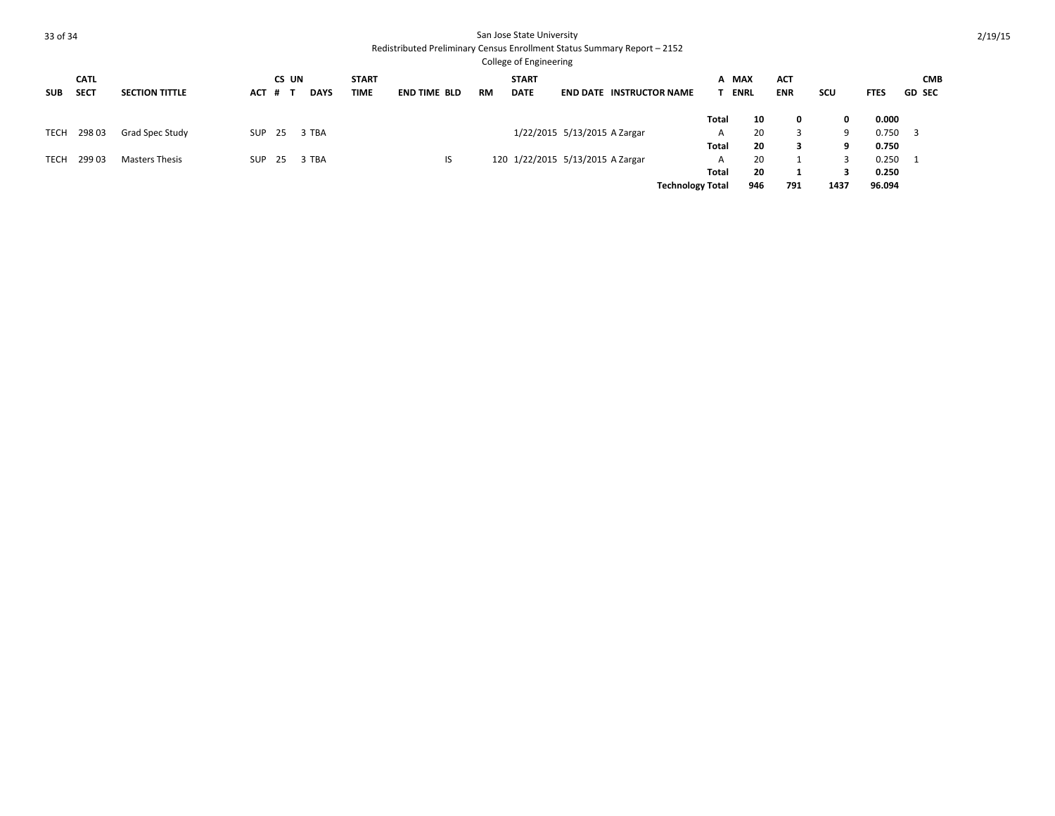|             |                            |                       |            |              |             |                      |                     |           | <b>College of Engineering</b>    |                              |                                 |                         |                      |                          |      |             |                             |
|-------------|----------------------------|-----------------------|------------|--------------|-------------|----------------------|---------------------|-----------|----------------------------------|------------------------------|---------------------------------|-------------------------|----------------------|--------------------------|------|-------------|-----------------------------|
| <b>SUB</b>  | <b>CATL</b><br><b>SECT</b> | <b>SECTION TITTLE</b> | <b>ACT</b> | CS UN<br># T | <b>DAYS</b> | <b>START</b><br>TIME | <b>END TIME BLD</b> | <b>RM</b> | <b>START</b><br><b>DATE</b>      |                              | <b>END DATE INSTRUCTOR NAME</b> |                         | A MAX<br><b>ENRL</b> | <b>ACT</b><br><b>ENR</b> | scu  | <b>FTES</b> | <b>CMB</b><br><b>GD SEC</b> |
|             |                            |                       |            |              |             |                      |                     |           |                                  |                              |                                 | <b>Total</b>            | 10                   | 0                        | 0    | 0.000       |                             |
| <b>TECH</b> | 298 03                     | Grad Spec Study       | SUP        | - 25         | 3 TBA       |                      |                     |           |                                  | 1/22/2015 5/13/2015 A Zargar |                                 | A                       | 20                   | 3                        | q    | 0.750       | - 3                         |
|             |                            |                       |            |              |             |                      |                     |           |                                  |                              |                                 | <b>Total</b>            | 20                   | з                        | ٩    | 0.750       |                             |
| TECH        | 29903                      | <b>Masters Thesis</b> | SUP        | - 25         | 3 TBA       |                      | IS                  |           | 120 1/22/2015 5/13/2015 A Zargar |                              |                                 | A                       | 20                   |                          |      | 0.250       |                             |
|             |                            |                       |            |              |             |                      |                     |           |                                  |                              |                                 | Total                   | 20                   |                          |      | 0.250       |                             |
|             |                            |                       |            |              |             |                      |                     |           |                                  |                              |                                 | <b>Technology Total</b> | 946                  | 791                      | 1437 | 96.094      |                             |